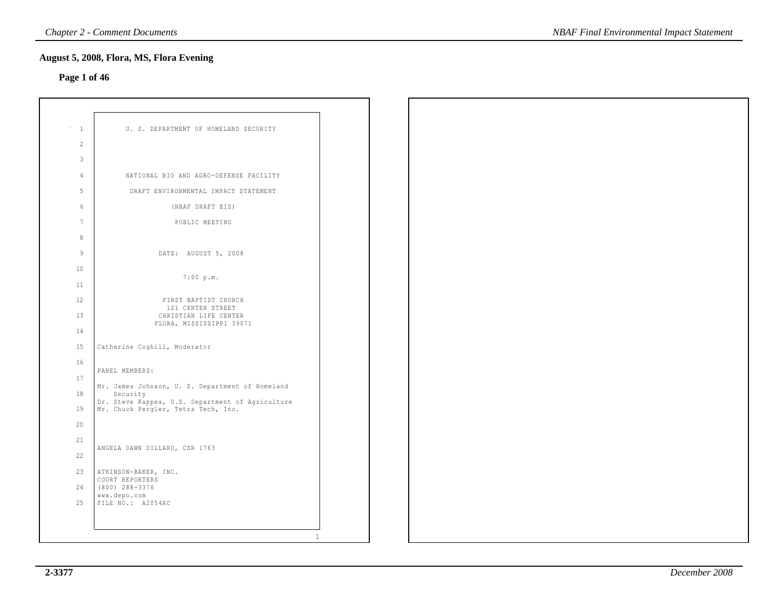## **Page 1 of 46**

| $\mathbf{1}$    |                                                                                         |  |
|-----------------|-----------------------------------------------------------------------------------------|--|
| 2               | U. S. DEPARTMENT OF HOMELAND SECURITY                                                   |  |
| 3               |                                                                                         |  |
|                 |                                                                                         |  |
| 4               | NATIONAL BIO AND AGRO-DEFENSE FACILITY                                                  |  |
| 5               | DRAFT ENVIRONMENTAL IMPACT STATEMENT                                                    |  |
| $6\overline{6}$ | (NBAF DRAFT EIS)                                                                        |  |
| $7\phantom{.0}$ | PUBLIC MEETING                                                                          |  |
| 8               |                                                                                         |  |
| $\overline{9}$  | DATE: AUGUST 5, 2008                                                                    |  |
| 10              | 7:00 p.m.                                                                               |  |
| 11              |                                                                                         |  |
| 12              | FIRST BAPTIST CHURCH<br>121 CENTER STREET                                               |  |
| 13              | CHRISTIAN LIFE CENTER<br>FLORA, MISSISSIPPI 39071                                       |  |
| 14              |                                                                                         |  |
| 15              | Catherine Coghill, Moderator                                                            |  |
| 16              |                                                                                         |  |
| 17              | PANEL MEMBERS:                                                                          |  |
| 18              | Mr. James Johnson, U. S. Department of Homeland<br>Security                             |  |
| 19              | Dr. Steve Kappes, U.S. Department of Agriculture<br>Mr. Chuck Pergler, Tetra Tech, Inc. |  |
| 20              |                                                                                         |  |
| 21              | ANGELA DAWN DILLARD, CSR 1763                                                           |  |
| 22              |                                                                                         |  |
| 23              | ATKINSON-BAKER, INC.                                                                    |  |
| 24              | COURT REPORTERS<br>$(800)$ 288-3376                                                     |  |
| 25              | www.depo.com<br>FILE NO.: A2054AC                                                       |  |
|                 |                                                                                         |  |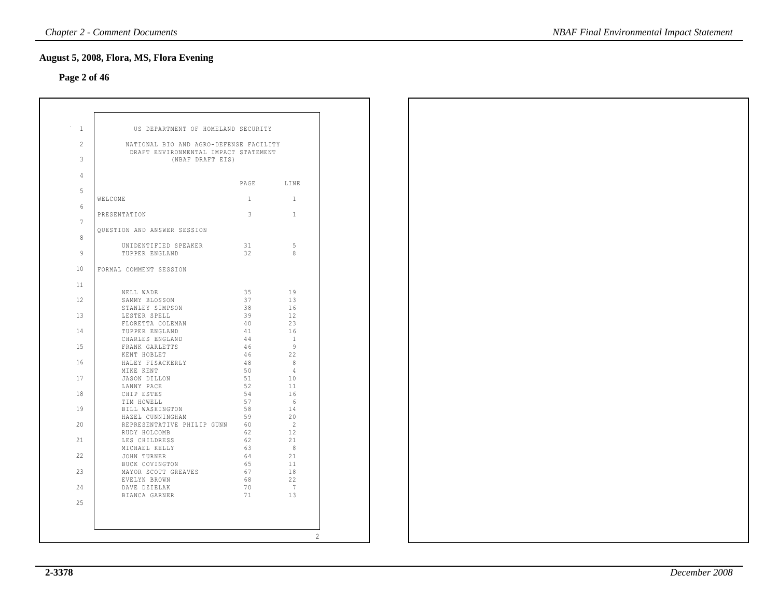## **Page 2 of 46**

| $\mathbf{1}$   | US DEPARTMENT OF HOMELAND SECURITY                                             |              |                |
|----------------|--------------------------------------------------------------------------------|--------------|----------------|
| $\overline{2}$ | NATIONAL BIO AND AGRO-DEFENSE FACILITY<br>DRAFT ENVIRONMENTAL IMPACT STATEMENT |              |                |
| 3              | (NBAF DRAFT EIS)                                                               |              |                |
| 4              |                                                                                |              | PAGE LINE      |
| 5              | WELCOME                                                                        | $\mathbf{1}$ | $\mathbf{1}$   |
| 6              |                                                                                |              |                |
| $\overline{7}$ | PRESENTATION                                                                   | 3            | $\mathbf{1}$   |
| 8              | OUESTION AND ANSWER SESSION                                                    |              |                |
|                | UNIDENTIFIED SPEAKER                                                           | 31           | - 5            |
| 9              | TUPPER ENGLAND                                                                 | 32           | 8              |
| 10             | FORMAL COMMENT SESSION                                                         |              |                |
| 11             |                                                                                | 35           | 19             |
| 12             | NELL WADE<br>SAMMY BLOSSOM                                                     | 37           | 13             |
| 13             | STANLEY SIMPSON<br>LESTER SPELL                                                | 38<br>39     | 16<br>12       |
|                | FLORETTA COLEMAN                                                               | 40           | 23             |
| 14             | TUPPER ENGLAND<br>CHARLES ENGLAND                                              | 41<br>44     | 16<br>1        |
| 1.5            | FRANK GARLETTS                                                                 | 46           | - 9            |
| 16             | KENT HOBLET<br>HALEY FISACKERLY                                                | 46<br>48     | 22<br>8        |
|                | MIKE KENT                                                                      | 50           | $\overline{4}$ |
| 17             | JASON DILLON                                                                   | 51           | 10             |
| 18             | LANNY PACE<br>CHIP ESTES                                                       | 52<br>54     | 11<br>16       |
|                | TIM HOWELL                                                                     | 57           | - 6            |
| 19             | BILL WASHINGTON                                                                | 58           | 14             |
|                | HAZEL CUNNINGHAM                                                               | 59           | 20             |
| 20             | REPRESENTATIVE PHILIP GUNN                                                     | 60           | 2              |
| 21             | RUDY HOLCOMB<br>LES CHILDRESS                                                  | 62<br>62     | 12<br>21       |
|                | MICHAEL KELLY                                                                  | 63           | 8              |
| 22             | JOHN TURNER                                                                    | 64           | 21             |
|                | BUCK COVINGTON                                                                 | 65           | 11             |
| 23             | MAYOR SCOTT GREAVES                                                            | 67           | 18             |
|                | EVELYN BROWN                                                                   | 68           | 22             |
| 24             | DAVE DZIELAK                                                                   | 70           | 7              |
| 25             | BIANCA GARNER                                                                  | 71           | 13             |
|                |                                                                                |              |                |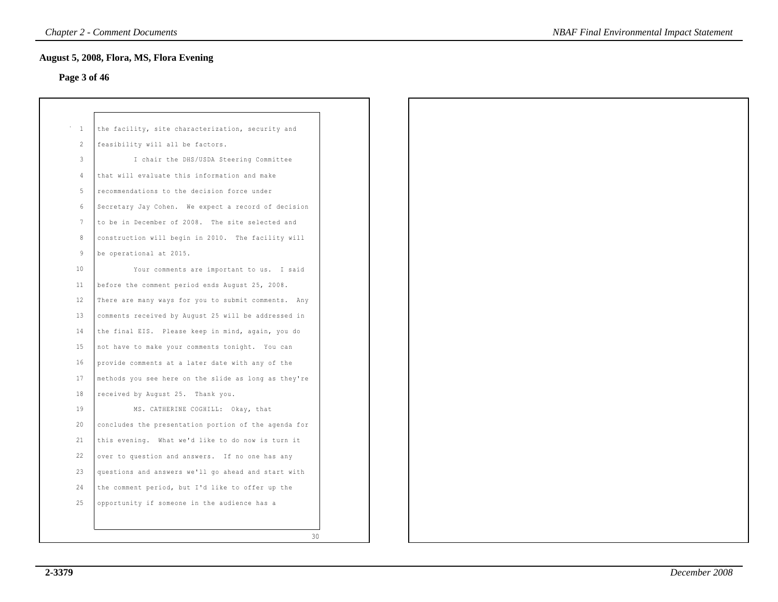## **Page 3 of 46**

| $\mathbf{1}$    | the facility, site characterization, security and    |  |
|-----------------|------------------------------------------------------|--|
| 2               | feasibility will all be factors.                     |  |
| 3               | I chair the DHS/USDA Steering Committee              |  |
| 4               | that will evaluate this information and make         |  |
| 5               | recommendations to the decision force under          |  |
| 6               | Secretary Jay Cohen. We expect a record of decision  |  |
| $7\phantom{.0}$ | to be in December of 2008. The site selected and     |  |
| 8               | construction will begin in 2010. The facility will   |  |
| 9               | be operational at 2015.                              |  |
| 10 <sub>o</sub> | Your comments are important to us. I said            |  |
| 11              | before the comment period ends August 25, 2008.      |  |
| 12              | There are many ways for you to submit comments. Any  |  |
| 13              | comments received by August 25 will be addressed in  |  |
| 14              | the final EIS. Please keep in mind, again, you do    |  |
| 15              | not have to make your comments tonight. You can      |  |
| 16              | provide comments at a later date with any of the     |  |
| 17              | methods you see here on the slide as long as they're |  |
| 18              | received by August 25. Thank you.                    |  |
| 19              | MS. CATHERINE COGHILL: Okay, that                    |  |
| 20              | concludes the presentation portion of the agenda for |  |
| 21              | this evening. What we'd like to do now is turn it    |  |
| 22              | over to question and answers. If no one has any      |  |
| 23              | questions and answers we'll go ahead and start with  |  |
| 24              | the comment period, but I'd like to offer up the     |  |
| 25              | opportunity if someone in the audience has a         |  |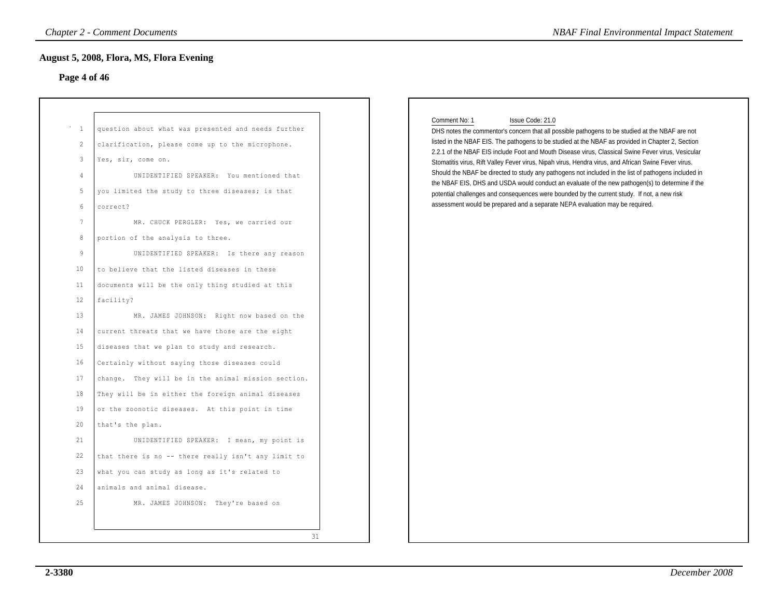## **Page 4 of 46**

|                                                                                                                   | <b>August 5, 2008, Flora, MS, Flora Evening</b>                                                                                                                                                                                                                                                                                                                                                                       |                                                                                                                                                                                                                                                                                                                                                                                                                                                                                                                                                                                                                                                                                                                                                                                                                                                   |
|-------------------------------------------------------------------------------------------------------------------|-----------------------------------------------------------------------------------------------------------------------------------------------------------------------------------------------------------------------------------------------------------------------------------------------------------------------------------------------------------------------------------------------------------------------|---------------------------------------------------------------------------------------------------------------------------------------------------------------------------------------------------------------------------------------------------------------------------------------------------------------------------------------------------------------------------------------------------------------------------------------------------------------------------------------------------------------------------------------------------------------------------------------------------------------------------------------------------------------------------------------------------------------------------------------------------------------------------------------------------------------------------------------------------|
| Page 4 of 46                                                                                                      |                                                                                                                                                                                                                                                                                                                                                                                                                       |                                                                                                                                                                                                                                                                                                                                                                                                                                                                                                                                                                                                                                                                                                                                                                                                                                                   |
| $\overline{1}$<br>$\overline{2}$<br>3<br>$\overline{4}$<br>5<br>6<br>$7\phantom{.0}$<br>8<br>$\overline{9}$<br>10 | question about what was presented and needs further<br>clarification, please come up to the microphone.<br>Yes, sir, come on.<br>UNIDENTIFIED SPEAKER: You mentioned that<br>you limited the study to three diseases; is that<br>correct?<br>MR. CHUCK PERGLER: Yes, we carried our<br>portion of the analysis to three.<br>UNIDENTIFIED SPEAKER: Is there any reason<br>to believe that the listed diseases in these | Comment No: 1<br>Issue Code: 21.0<br>DHS notes the commentor's concern that all possible pathogens to be studied at the NBAF are not<br>listed in the NBAF EIS. The pathogens to be studied at the NBAF as provided in Chapter 2, Section<br>2.2.1 of the NBAF EIS include Foot and Mouth Disease virus, Classical Swine Fever virus, Vesicular<br>Stomatitis virus, Rift Valley Fever virus, Nipah virus, Hendra virus, and African Swine Fever virus.<br>Should the NBAF be directed to study any pathogens not included in the list of pathogens included in<br>the NBAF EIS, DHS and USDA would conduct an evaluate of the new pathogen(s) to determine if the<br>potential challenges and consequences were bounded by the current study. If not, a new risk<br>assessment would be prepared and a separate NEPA evaluation may be required. |
| 11<br>12<br>13                                                                                                    | documents will be the only thing studied at this<br>facility?<br>MR. JAMES JOHNSON: Right now based on the                                                                                                                                                                                                                                                                                                            |                                                                                                                                                                                                                                                                                                                                                                                                                                                                                                                                                                                                                                                                                                                                                                                                                                                   |
| 14<br>15<br>16                                                                                                    | current threats that we have those are the eight<br>diseases that we plan to study and research.<br>Certainly without saying those diseases could                                                                                                                                                                                                                                                                     |                                                                                                                                                                                                                                                                                                                                                                                                                                                                                                                                                                                                                                                                                                                                                                                                                                                   |
| 17<br>18<br>19                                                                                                    | change. They will be in the animal mission section.<br>They will be in either the foreign animal diseases<br>or the zoonotic diseases. At this point in time                                                                                                                                                                                                                                                          |                                                                                                                                                                                                                                                                                                                                                                                                                                                                                                                                                                                                                                                                                                                                                                                                                                                   |
| 20<br>21                                                                                                          | that's the plan.<br>UNIDENTIFIED SPEAKER: I mean, my point is                                                                                                                                                                                                                                                                                                                                                         |                                                                                                                                                                                                                                                                                                                                                                                                                                                                                                                                                                                                                                                                                                                                                                                                                                                   |
| 22<br>23<br>24                                                                                                    | that there is no -- there really isn't any limit to<br>what you can study as long as it's related to<br>animals and animal disease.                                                                                                                                                                                                                                                                                   |                                                                                                                                                                                                                                                                                                                                                                                                                                                                                                                                                                                                                                                                                                                                                                                                                                                   |
| 25                                                                                                                | MR. JAMES JOHNSON: They're based on                                                                                                                                                                                                                                                                                                                                                                                   |                                                                                                                                                                                                                                                                                                                                                                                                                                                                                                                                                                                                                                                                                                                                                                                                                                                   |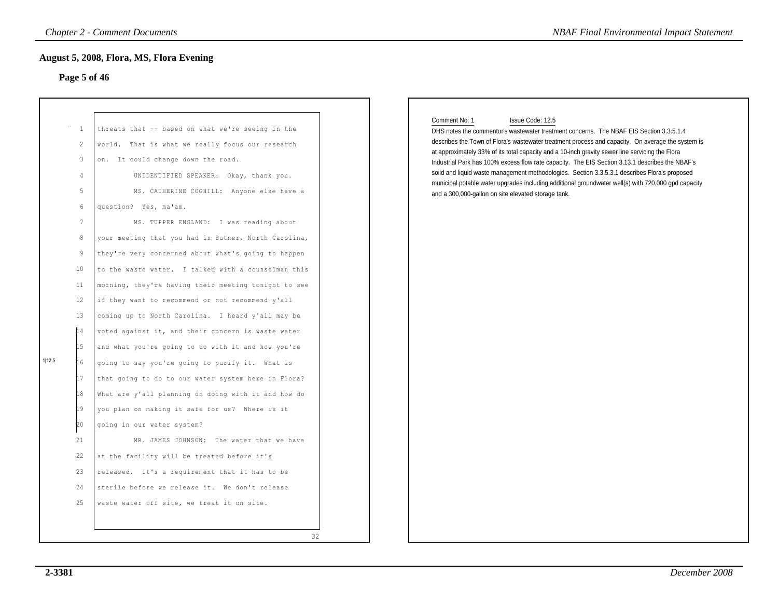## **Page 5 of 46**

|        |                                                                                                                                                                                                               | <b>Chapter 2 - Comment Documents</b>                                                                                                                                                                                                                                                                                                                                                                                                                                                                                                                                                                                                                                                                                                                                                                                                                                                                                                                                                                                                                                                                                                                                                                                                                     | <b>NBAF Final Environmental Impact Statement</b>                                                                                                                                                                                                                                                                                                                                                                                                                                                                                                                                                                                                                                                       |  |
|--------|---------------------------------------------------------------------------------------------------------------------------------------------------------------------------------------------------------------|----------------------------------------------------------------------------------------------------------------------------------------------------------------------------------------------------------------------------------------------------------------------------------------------------------------------------------------------------------------------------------------------------------------------------------------------------------------------------------------------------------------------------------------------------------------------------------------------------------------------------------------------------------------------------------------------------------------------------------------------------------------------------------------------------------------------------------------------------------------------------------------------------------------------------------------------------------------------------------------------------------------------------------------------------------------------------------------------------------------------------------------------------------------------------------------------------------------------------------------------------------|--------------------------------------------------------------------------------------------------------------------------------------------------------------------------------------------------------------------------------------------------------------------------------------------------------------------------------------------------------------------------------------------------------------------------------------------------------------------------------------------------------------------------------------------------------------------------------------------------------------------------------------------------------------------------------------------------------|--|
|        |                                                                                                                                                                                                               | <b>August 5, 2008, Flora, MS, Flora Evening</b>                                                                                                                                                                                                                                                                                                                                                                                                                                                                                                                                                                                                                                                                                                                                                                                                                                                                                                                                                                                                                                                                                                                                                                                                          |                                                                                                                                                                                                                                                                                                                                                                                                                                                                                                                                                                                                                                                                                                        |  |
|        | Page 5 of 46                                                                                                                                                                                                  |                                                                                                                                                                                                                                                                                                                                                                                                                                                                                                                                                                                                                                                                                                                                                                                                                                                                                                                                                                                                                                                                                                                                                                                                                                                          |                                                                                                                                                                                                                                                                                                                                                                                                                                                                                                                                                                                                                                                                                                        |  |
| 1 12.5 | <sup>1</sup><br>$\overline{2}$<br>$\mathbf{3}$<br>$\overline{4}$<br>5<br>6<br>$7\phantom{.0}$<br>$\,8\,$<br>9<br>10<br>11<br>12<br>13<br>14<br>15<br>16<br>17<br>18<br>19<br>20<br>21<br>22<br>23<br>24<br>25 | threats that -- based on what we're seeing in the<br>world. That is what we really focus our research<br>on. It could change down the road.<br>UNIDENTIFIED SPEAKER: Okay, thank you.<br>MS. CATHERINE COGHILL: Anyone else have a<br>question? Yes, ma'am.<br>MS. TUPPER ENGLAND: I was reading about<br>your meeting that you had in Butner, North Carolina,<br>they're very concerned about what's going to happen<br>to the waste water. I talked with a counselman this<br>morning, they're having their meeting tonight to see<br>if they want to recommend or not recommend y'all<br>coming up to North Carolina. I heard y'all may be<br>voted against it, and their concern is waste water<br>and what you're going to do with it and how you're<br>going to say you're going to purify it. What is<br>that going to do to our water system here in Flora?<br>What are y'all planning on doing with it and how do<br>you plan on making it safe for us? Where is it<br>going in our water system?<br>MR. JAMES JOHNSON: The water that we have<br>at the facility will be treated before it's<br>released. It's a requirement that it has to be<br>sterile before we release it. We don't release<br>waste water off site, we treat it on site. | Comment No: 1<br>Issue Code: 12.5<br>DHS notes the commentor's wastewater treatment concerns. The NBAF EIS Section 3.3.5.1.4<br>describes the Town of Flora's wastewater treatment process and capacity. On average the system is<br>at approximately 33% of its total capacity and a 10-inch gravity sewer line servicing the Flora<br>Industrial Park has 100% excess flow rate capacity. The EIS Section 3.13.1 describes the NBAF's<br>soild and liquid waste management methodologies. Section 3.3.5.3.1 describes Flora's proposed<br>municipal potable water upgrades including additional groundwater well(s) with 720,000 gpd capacity<br>and a 300,000-gallon on site elevated storage tank. |  |
|        |                                                                                                                                                                                                               | 32                                                                                                                                                                                                                                                                                                                                                                                                                                                                                                                                                                                                                                                                                                                                                                                                                                                                                                                                                                                                                                                                                                                                                                                                                                                       |                                                                                                                                                                                                                                                                                                                                                                                                                                                                                                                                                                                                                                                                                                        |  |

#### Comment No: 1 Issue Code: 12.5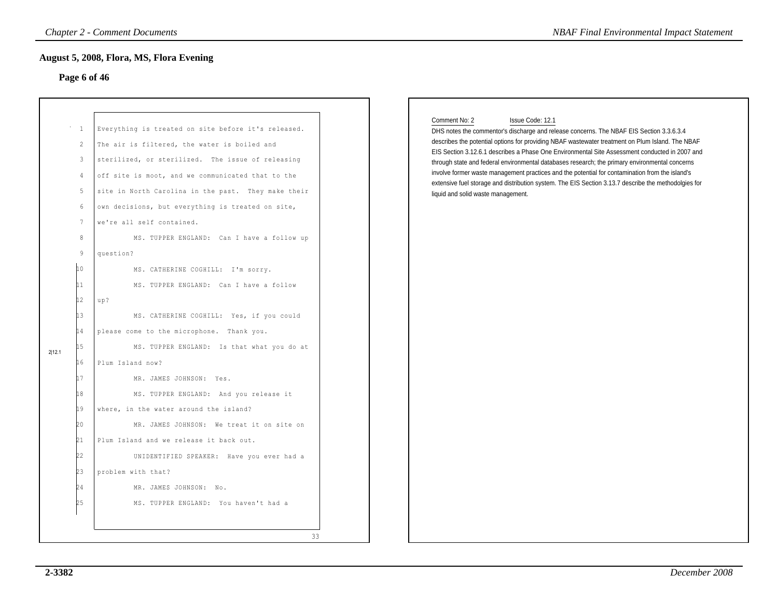## **Page 6 of 46**

| Page 6 of 46                                                                                                                                                                                       |                                                                                                                                                                                                                                                                                                                                                                                                                                                                                                                                                                                                                                                                                                                                                                                                                                                                                                                                               |                                                                                                                                                                                                                                                                                                                                                                                                                                                                                                                                                                                                                                                                                        |
|----------------------------------------------------------------------------------------------------------------------------------------------------------------------------------------------------|-----------------------------------------------------------------------------------------------------------------------------------------------------------------------------------------------------------------------------------------------------------------------------------------------------------------------------------------------------------------------------------------------------------------------------------------------------------------------------------------------------------------------------------------------------------------------------------------------------------------------------------------------------------------------------------------------------------------------------------------------------------------------------------------------------------------------------------------------------------------------------------------------------------------------------------------------|----------------------------------------------------------------------------------------------------------------------------------------------------------------------------------------------------------------------------------------------------------------------------------------------------------------------------------------------------------------------------------------------------------------------------------------------------------------------------------------------------------------------------------------------------------------------------------------------------------------------------------------------------------------------------------------|
| <sup>1</sup><br>$\mathbf{2}$<br>$\mathbf{3}$<br>4<br>5<br>6<br>$7\phantom{.0}$<br>8<br>9<br>10<br>11<br>12<br>13<br>14<br>15<br>2 12.1<br>16<br>L <sub>7</sub><br>18<br>19<br>20<br>21<br>22<br>23 | Everything is treated on site before it's released.<br>The air is filtered, the water is boiled and<br>sterilized, or sterilized. The issue of releasing<br>off site is moot, and we communicated that to the<br>site in North Carolina in the past. They make their<br>own decisions, but everything is treated on site,<br>we're all self contained.<br>MS. TUPPER ENGLAND: Can I have a follow up<br>question?<br>MS. CATHERINE COGHILL: I'm sorry.<br>MS. TUPPER ENGLAND: Can I have a follow<br>up?<br>MS. CATHERINE COGHILL: Yes, if you could<br>please come to the microphone. Thank you.<br>MS. TUPPER ENGLAND: Is that what you do at<br>Plum Island now?<br>MR. JAMES JOHNSON: Yes.<br>MS. TUPPER ENGLAND: And you release it<br>where, in the water around the island?<br>MR. JAMES JOHNSON: We treat it on site on<br>Plum Island and we release it back out.<br>UNIDENTIFIED SPEAKER: Have you ever had a<br>problem with that? | Comment No: 2<br>Issue Code: 12.1<br>DHS notes the commentor's discharge and release concerns. The NBAF EIS Section 3.3.6.3.4<br>describes the potential options for providing NBAF wastewater treatment on Plum Island. The NBAF<br>EIS Section 3.12.6.1 describes a Phase One Environmental Site Assessment conducted in 2007 and<br>through state and federal environmental databases research; the primary environmental concerns<br>involve former waste management practices and the potential for contamination from the island's<br>extensive fuel storage and distribution system. The EIS Section 3.13.7 describe the methodolgies for<br>liquid and solid waste management. |

#### Comment No: 2 Issue Code: 12.1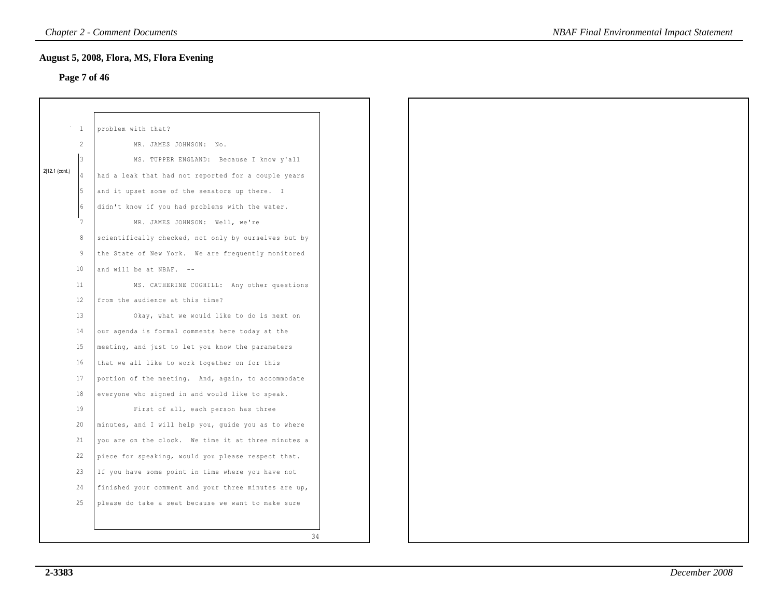## **Page 7 of 46**

|                |                 | August 5, 2008, Flora, MS, Flora Evening             |
|----------------|-----------------|------------------------------------------------------|
|                |                 | Page 7 of 46                                         |
|                |                 |                                                      |
|                |                 |                                                      |
|                | $\mathbf{1}$    | problem with that?                                   |
|                | 2               | MR. JAMES JOHNSON: No.                               |
|                | 3               | MS. TUPPER ENGLAND: Because I know y'all             |
| 2 12.1 (cont.) | $\overline{4}$  | had a leak that had not reported for a couple years  |
|                | 5               | and it upset some of the senators up there. I        |
|                | 6               | didn't know if you had problems with the water.      |
|                | $7\phantom{.0}$ | MR. JAMES JOHNSON: Well, we're                       |
|                | $^{\rm 8}$      | scientifically checked, not only by ourselves but by |
|                | $\overline{9}$  | the State of New York. We are frequently monitored   |
|                | 10              | and will be at NBAF. --                              |
|                | 11              | MS. CATHERINE COGHILL: Any other questions           |
|                | 12              | from the audience at this time?                      |
|                | 13              | Okay, what we would like to do is next on            |
|                | 14              | our agenda is formal comments here today at the      |
|                | 15              | meeting, and just to let you know the parameters     |
|                | 16              | that we all like to work together on for this        |
|                | 17              | portion of the meeting. And, again, to accommodate   |
|                | 18              | everyone who signed in and would like to speak.      |
|                | 19              | First of all, each person has three                  |
|                | 20              | minutes, and I will help you, guide you as to where  |
|                | 21              | you are on the clock. We time it at three minutes a  |
|                | 22              | piece for speaking, would you please respect that.   |
|                | 23              | If you have some point in time where you have not    |
|                | 24              | finished your comment and your three minutes are up, |
|                | 25              | please do take a seat because we want to make sure   |
|                |                 |                                                      |
|                |                 | 34                                                   |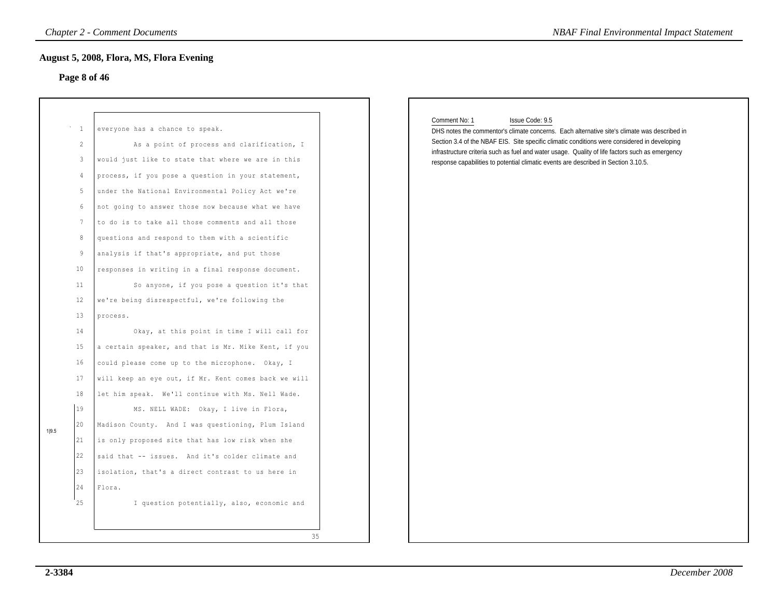## **Page 8 of 46**

|       | Page 8 of 46                                                                                                              | August 5, 2008, Flora, MS, Flora Evening                                                                                                                                                                                                                                                                                                                                                                                                                                                                                                                                                                                                                                                                                                                                                   |                                                                                                                                                                                                                                                                                                                                                                                                                            |
|-------|---------------------------------------------------------------------------------------------------------------------------|--------------------------------------------------------------------------------------------------------------------------------------------------------------------------------------------------------------------------------------------------------------------------------------------------------------------------------------------------------------------------------------------------------------------------------------------------------------------------------------------------------------------------------------------------------------------------------------------------------------------------------------------------------------------------------------------------------------------------------------------------------------------------------------------|----------------------------------------------------------------------------------------------------------------------------------------------------------------------------------------------------------------------------------------------------------------------------------------------------------------------------------------------------------------------------------------------------------------------------|
|       | $\mathbf{1}$<br>2<br>3<br>$\overline{4}$<br>5<br>6<br>$7\phantom{.0}$<br>8<br>9<br>10<br>11<br>12<br>13<br>14<br>15<br>16 | everyone has a chance to speak.<br>As a point of process and clarification, I<br>would just like to state that where we are in this<br>process, if you pose a question in your statement,<br>under the National Environmental Policy Act we're<br>not going to answer those now because what we have<br>to do is to take all those comments and all those<br>questions and respond to them with a scientific<br>analysis if that's appropriate, and put those<br>responses in writing in a final response document.<br>So anyone, if you pose a question it's that<br>we're being disrespectful, we're following the<br>process.<br>Okay, at this point in time I will call for<br>a certain speaker, and that is Mr. Mike Kent, if you<br>could please come up to the microphone. Okay, I | Comment No: 1<br>Issue Code: 9.5<br>DHS notes the commentor's climate concerns. Each alternative site's climate was described in<br>Section 3.4 of the NBAF EIS. Site specific climatic conditions were considered in developing<br>infrastructure criteria such as fuel and water usage. Quality of life factors such as emergency<br>response capabilities to potential climatic events are described in Section 3.10.5. |
|       | 17                                                                                                                        | will keep an eye out, if Mr. Kent comes back we will                                                                                                                                                                                                                                                                                                                                                                                                                                                                                                                                                                                                                                                                                                                                       |                                                                                                                                                                                                                                                                                                                                                                                                                            |
|       | 18<br>19                                                                                                                  | let him speak. We'll continue with Ms. Nell Wade.<br>MS. NELL WADE: Okay, I live in Flora,                                                                                                                                                                                                                                                                                                                                                                                                                                                                                                                                                                                                                                                                                                 |                                                                                                                                                                                                                                                                                                                                                                                                                            |
|       | 20                                                                                                                        | Madison County. And I was questioning, Plum Island                                                                                                                                                                                                                                                                                                                                                                                                                                                                                                                                                                                                                                                                                                                                         |                                                                                                                                                                                                                                                                                                                                                                                                                            |
| 1 9.5 | 21                                                                                                                        | is only proposed site that has low risk when she                                                                                                                                                                                                                                                                                                                                                                                                                                                                                                                                                                                                                                                                                                                                           |                                                                                                                                                                                                                                                                                                                                                                                                                            |
|       | 22                                                                                                                        | said that -- issues. And it's colder climate and                                                                                                                                                                                                                                                                                                                                                                                                                                                                                                                                                                                                                                                                                                                                           |                                                                                                                                                                                                                                                                                                                                                                                                                            |
|       | 23                                                                                                                        | isolation, that's a direct contrast to us here in                                                                                                                                                                                                                                                                                                                                                                                                                                                                                                                                                                                                                                                                                                                                          |                                                                                                                                                                                                                                                                                                                                                                                                                            |
|       | 24                                                                                                                        | Flora.                                                                                                                                                                                                                                                                                                                                                                                                                                                                                                                                                                                                                                                                                                                                                                                     |                                                                                                                                                                                                                                                                                                                                                                                                                            |
|       | 25                                                                                                                        | I question potentially, also, economic and                                                                                                                                                                                                                                                                                                                                                                                                                                                                                                                                                                                                                                                                                                                                                 |                                                                                                                                                                                                                                                                                                                                                                                                                            |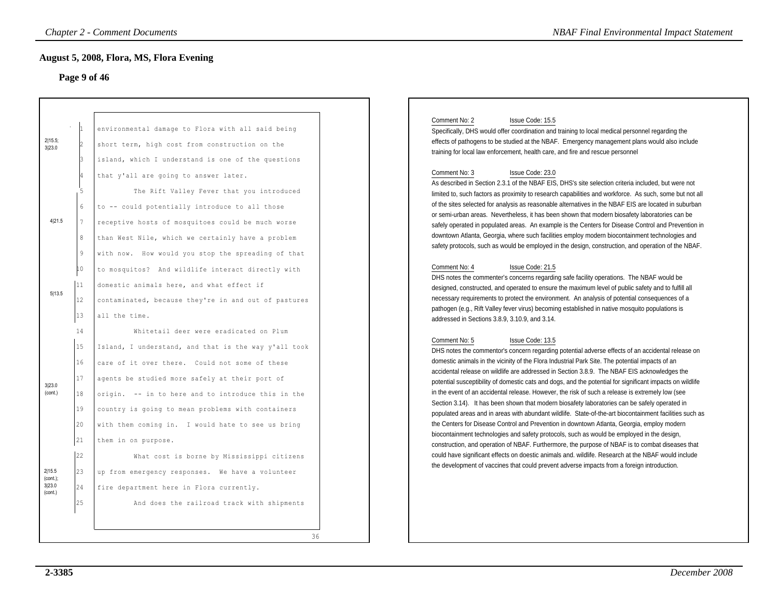## **Page 9 of 46**

|                                                                 |                                                                      | <b>Chapter 2 - Comment Documents</b>                                                                                                                                                                                                                                                                                                                                                                                                                                                                                                                                                  | <b>NBAF Final Environmental Impact Statement</b>                                                                                                                                                                                                                                                                                                                                                                                                                                                                                                                                                                                                                                                                                                                                                                                                                                                                                                                                                                                                                                                                                                                                                                                                                             |
|-----------------------------------------------------------------|----------------------------------------------------------------------|---------------------------------------------------------------------------------------------------------------------------------------------------------------------------------------------------------------------------------------------------------------------------------------------------------------------------------------------------------------------------------------------------------------------------------------------------------------------------------------------------------------------------------------------------------------------------------------|------------------------------------------------------------------------------------------------------------------------------------------------------------------------------------------------------------------------------------------------------------------------------------------------------------------------------------------------------------------------------------------------------------------------------------------------------------------------------------------------------------------------------------------------------------------------------------------------------------------------------------------------------------------------------------------------------------------------------------------------------------------------------------------------------------------------------------------------------------------------------------------------------------------------------------------------------------------------------------------------------------------------------------------------------------------------------------------------------------------------------------------------------------------------------------------------------------------------------------------------------------------------------|
|                                                                 | Page 9 of 46                                                         | August 5, 2008, Flora, MS, Flora Evening                                                                                                                                                                                                                                                                                                                                                                                                                                                                                                                                              |                                                                                                                                                                                                                                                                                                                                                                                                                                                                                                                                                                                                                                                                                                                                                                                                                                                                                                                                                                                                                                                                                                                                                                                                                                                                              |
| 2 15.5;<br>3 23.0<br>4 21.5                                     | 8                                                                    | environmental damage to Flora with all said being<br>short term, high cost from construction on the<br>island, which I understand is one of the questions<br>that y'all are going to answer later.<br>The Rift Valley Fever that you introduced<br>to -- could potentially introduce to all those<br>receptive hosts of mosquitoes could be much worse<br>than West Nile, which we certainly have a problem                                                                                                                                                                           | Comment No: 2<br>Issue Code: 15.5<br>Specifically, DHS would offer coordination and training to local medical personnel regarding the<br>effects of pathogens to be studied at the NBAF. Emergency management plans would also include<br>training for local law enforcement, health care, and fire and rescue personnel<br>Comment No: 3<br>Issue Code: 23.0<br>As described in Section 2.3.1 of the NBAF EIS, DHS's site selection criteria included, but were not<br>limited to, such factors as proximity to research capabilities and workforce. As such, some but not all<br>of the sites selected for analysis as reasonable alternatives in the NBAF EIS are located in suburban<br>or semi-urban areas. Nevertheless, it has been shown that modern biosafety laboratories can be<br>safely operated in populated areas. An example is the Centers for Disease Control and Prevention in<br>downtown Atlanta, Georgia, where such facilities employ modern biocontainment technologies and                                                                                                                                                                                                                                                                          |
| 5 13.5                                                          | 9<br>10<br> 11<br>12<br>13                                           | with now. How would you stop the spreading of that<br>to mosquitos? And wildlife interact directly with<br>domestic animals here, and what effect if<br>contaminated, because they're in and out of pastures<br>all the time.                                                                                                                                                                                                                                                                                                                                                         | safety protocols, such as would be employed in the design, construction, and operation of the NBAF.<br>Comment No: 4<br>Issue Code: 21.5<br>DHS notes the commenter's concerns regarding safe facility operations. The NBAF would be<br>designed, constructed, and operated to ensure the maximum level of public safety and to fulfill all<br>necessary requirements to protect the environment. An analysis of potential consequences of a<br>pathogen (e.g., Rift Valley fever virus) becoming established in native mosquito populations is<br>addressed in Sections 3.8.9, 3.10.9, and 3.14.                                                                                                                                                                                                                                                                                                                                                                                                                                                                                                                                                                                                                                                                            |
| 3 23.0<br>(cont.)<br>2 15.5<br>$(cont.)$ ;<br>3 23.0<br>(cont.) | 14<br>15<br>16<br>17<br>18<br>19<br>20<br>21<br>22<br>23<br>24<br>25 | Whitetail deer were eradicated on Plum<br>Island, I understand, and that is the way y'all took<br>care of it over there. Could not some of these<br>agents be studied more safely at their port of<br>origin. -- in to here and to introduce this in the<br>country is going to mean problems with containers<br>with them coming in. I would hate to see us bring<br>them in on purpose.<br>What cost is borne by Mississippi citizens<br>up from emergency responses. We have a volunteer<br>fire department here in Flora currently.<br>And does the railroad track with shipments | Comment No: 5<br>Issue Code: 13.5<br>DHS notes the commentor's concern regarding potential adverse effects of an accidental release on<br>domestic animals in the vicinity of the Flora Industrial Park Site. The potential impacts of an<br>accidental release on wildlife are addressed in Section 3.8.9. The NBAF EIS acknowledges the<br>potential susceptibility of domestic cats and dogs, and the potential for significant impacts on wildlife<br>in the event of an accidental release. However, the risk of such a release is extremely low (see<br>Section 3.14). It has been shown that modern biosafety laboratories can be safely operated in<br>populated areas and in areas with abundant wildlife. State-of-the-art biocontainment facilities such as<br>the Centers for Disease Control and Prevention in downtown Atlanta, Georgia, employ modern<br>biocontainment technologies and safety protocols, such as would be employed in the design,<br>construction, and operation of NBAF. Furthermore, the purpose of NBAF is to combat diseases that<br>could have significant effects on doestic animals and. wildlife. Research at the NBAF would include<br>the development of vaccines that could prevent adverse impacts from a foreign introduction. |
|                                                                 |                                                                      | 36                                                                                                                                                                                                                                                                                                                                                                                                                                                                                                                                                                                    |                                                                                                                                                                                                                                                                                                                                                                                                                                                                                                                                                                                                                                                                                                                                                                                                                                                                                                                                                                                                                                                                                                                                                                                                                                                                              |

#### Comment No: 2 Issue Code: 15.5

#### Comment No: 3 Issue Code: 23.0

#### Comment No: 4 Issue Code: 21.5

#### Comment No: 5 Issue Code: 13.5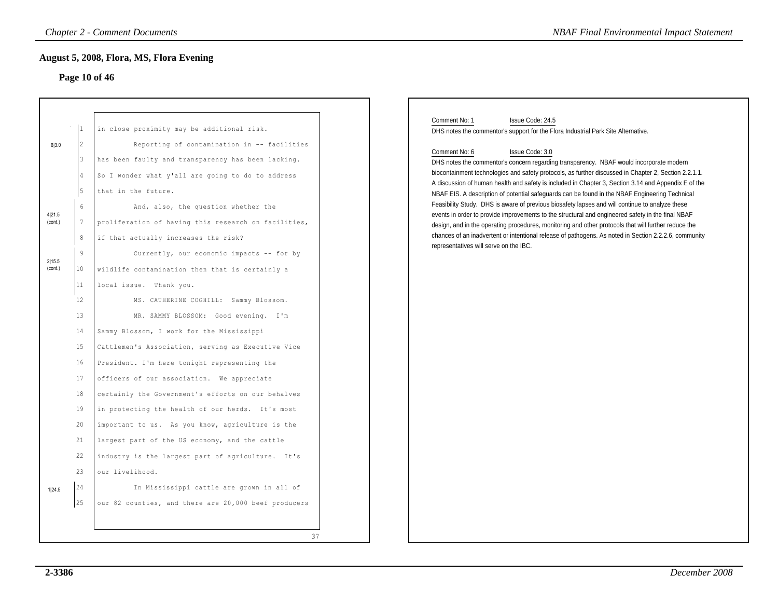# **Page 10 of 46**

|                                                 |                                                                                           | August 5, 2008, Flora, MS, Flora Evening<br>Page 10 of 46                                                                                                                                                                                                                                                                                                                                                                                                                                                                                                                                                                                                                         |
|-------------------------------------------------|-------------------------------------------------------------------------------------------|-----------------------------------------------------------------------------------------------------------------------------------------------------------------------------------------------------------------------------------------------------------------------------------------------------------------------------------------------------------------------------------------------------------------------------------------------------------------------------------------------------------------------------------------------------------------------------------------------------------------------------------------------------------------------------------|
| 6 3.0<br>4 21.5<br>(cont.)<br>2 15.5<br>(cont.) | 2<br>3<br>5<br>$\epsilon$<br>7<br>8<br>$\overline{9}$<br>10<br>11<br>12<br>13<br>14<br>15 | in close proximity may be additional risk.<br>Reporting of contamination in -- facilities<br>has been faulty and transparency has been lacking.<br>So I wonder what y'all are going to do to address<br>that in the future.<br>And, also, the question whether the<br>proliferation of having this research on facilities,<br>if that actually increases the risk?<br>Currently, our economic impacts -- for by<br>wildlife contamination then that is certainly a<br>local issue. Thank you.<br>MS. CATHERINE COGHILL: Sammy Blossom.<br>MR. SAMMY BLOSSOM: Good evening. I'm<br>Sammy Blossom, I work for the Mississippi<br>Cattlemen's Association, serving as Executive Vice |
| 1 24.5                                          | 16<br>17<br>18<br>19<br>20<br>21<br>22<br>23<br>24<br>$\frac{1}{25}$                      | President. I'm here tonight representing the<br>officers of our association. We appreciate<br>certainly the Government's efforts on our behalves<br>in protecting the health of our herds. It's most<br>important to us. As you know, agriculture is the<br>largest part of the US economy, and the cattle<br>industry is the largest part of agriculture. It's<br>our livelihood.<br>In Mississippi cattle are grown in all of<br>our 82 counties, and there are 20,000 beef producers                                                                                                                                                                                           |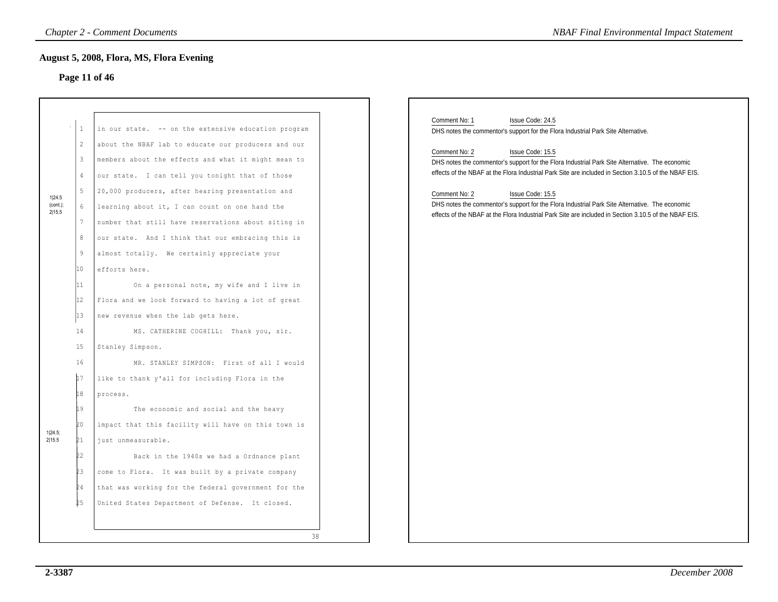# **Page 11 of 46**

| <b>August 5, 2008, Flora, MS, Flora Evening</b><br>in our state. -- on the extensive education program<br>about the NBAF lab to educate our producers and our<br>members about the effects and what it might mean to<br>our state. I can tell you tonight that of those<br>20,000 producers, after hearing presentation and<br>learning about it, I can count on one hand the<br>number that still have reservations about siting in             | Comment No: 1<br>Issue Code: 24.5<br>DHS notes the commentor's support for the Flora Industrial Park Site Alternative.<br>Comment No: 2<br>Issue Code: 15.5<br>DHS notes the commentor's support for the Flora Industrial Park Site Alternative. The economic<br>effects of the NBAF at the Flora Industrial Park Site are included in Section 3.10.5 of the NBAF EIS.<br>Comment No: 2<br>Issue Code: 15.5<br>DHS notes the commentor's support for the Flora Industrial Park Site Alternative. The economic |
|--------------------------------------------------------------------------------------------------------------------------------------------------------------------------------------------------------------------------------------------------------------------------------------------------------------------------------------------------------------------------------------------------------------------------------------------------|---------------------------------------------------------------------------------------------------------------------------------------------------------------------------------------------------------------------------------------------------------------------------------------------------------------------------------------------------------------------------------------------------------------------------------------------------------------------------------------------------------------|
|                                                                                                                                                                                                                                                                                                                                                                                                                                                  |                                                                                                                                                                                                                                                                                                                                                                                                                                                                                                               |
| our state. And I think that our embracing this is<br>almost totally. We certainly appreciate your<br>On a personal note, my wife and I live in<br>Flora and we look forward to having a lot of great<br>new revenue when the lab gets here.                                                                                                                                                                                                      | effects of the NBAF at the Flora Industrial Park Site are included in Section 3.10.5 of the NBAF EIS.                                                                                                                                                                                                                                                                                                                                                                                                         |
| Stanley Simpson.<br>MR. STANLEY SIMPSON: First of all I would<br>like to thank y'all for including Flora in the<br>The economic and social and the heavy<br>impact that this facility will have on this town is<br>just unmeasurable.<br>Back in the 1940s we had a Ordnance plant<br>come to Flora. It was built by a private company<br>that was working for the federal government for the<br>United States Department of Defense. It closed. |                                                                                                                                                                                                                                                                                                                                                                                                                                                                                                               |
|                                                                                                                                                                                                                                                                                                                                                                                                                                                  | MS. CATHERINE COGHILL: Thank you, sir.<br>38                                                                                                                                                                                                                                                                                                                                                                                                                                                                  |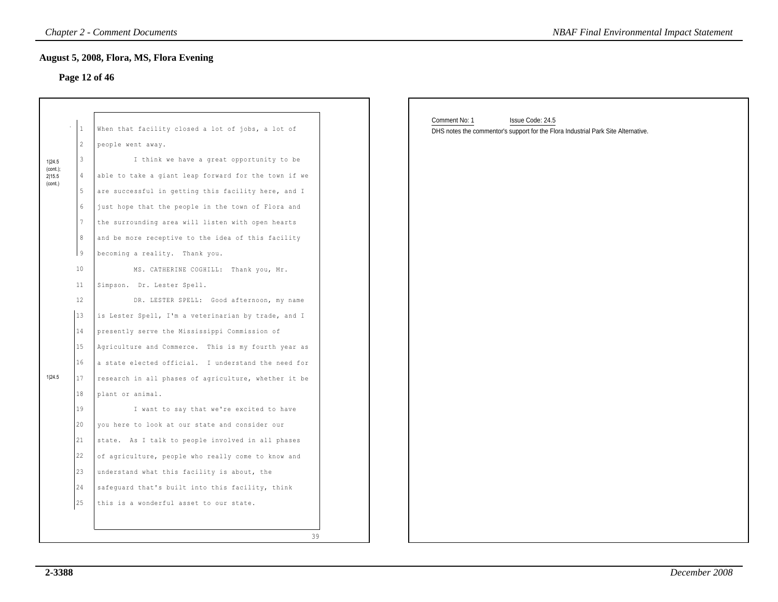## **Page 12 of 46**

|                       |                 | <b>Chapter 2 - Comment Documents</b>                 | <b>NBAF Final Environmental Impact Statement</b>                                                                       |
|-----------------------|-----------------|------------------------------------------------------|------------------------------------------------------------------------------------------------------------------------|
|                       |                 | August 5, 2008, Flora, MS, Flora Evening             |                                                                                                                        |
|                       |                 | Page 12 of 46                                        |                                                                                                                        |
|                       |                 |                                                      |                                                                                                                        |
|                       | $\mathbf{1}$    | When that facility closed a lot of jobs, a lot of    | Comment No: 1<br>Issue Code: 24.5<br>DHS notes the commentor's support for the Flora Industrial Park Site Alternative. |
|                       | $\overline{c}$  | people went away.                                    |                                                                                                                        |
| 1 24.5                | 3               | I think we have a great opportunity to be            |                                                                                                                        |
| $(cont.)$ ;<br>2 15.5 | $\overline{4}$  | able to take a giant leap forward for the town if we |                                                                                                                        |
| (cont.)               | $5\phantom{.0}$ | are successful in getting this facility here, and I  |                                                                                                                        |
|                       | $6\overline{6}$ | just hope that the people in the town of Flora and   |                                                                                                                        |
|                       | $7\phantom{.0}$ | the surrounding area will listen with open hearts    |                                                                                                                        |
|                       | 8               | and be more receptive to the idea of this facility   |                                                                                                                        |
|                       | l 9             | becoming a reality. Thank you.                       |                                                                                                                        |
|                       | 10              | MS. CATHERINE COGHILL: Thank you, Mr.                |                                                                                                                        |
|                       | 11              | Simpson. Dr. Lester Spell.                           |                                                                                                                        |
|                       | 12              | DR. LESTER SPELL: Good afternoon, my name            |                                                                                                                        |
|                       | 13              | is Lester Spell, I'm a veterinarian by trade, and I  |                                                                                                                        |
|                       | 14              | presently serve the Mississippi Commission of        |                                                                                                                        |
|                       | 15              | Agriculture and Commerce. This is my fourth year as  |                                                                                                                        |
|                       | 16              | a state elected official. I understand the need for  |                                                                                                                        |
| 1 24.5                | 17              | research in all phases of agriculture, whether it be |                                                                                                                        |
|                       | 18              | plant or animal.                                     |                                                                                                                        |
|                       | 19              | I want to say that we're excited to have             |                                                                                                                        |
|                       | 20              | you here to look at our state and consider our       |                                                                                                                        |
|                       | 21              | state. As I talk to people involved in all phases    |                                                                                                                        |
|                       | 22              | of agriculture, people who really come to know and   |                                                                                                                        |
|                       | 23              | understand what this facility is about, the          |                                                                                                                        |
|                       | 24              | safeguard that's built into this facility, think     |                                                                                                                        |
|                       | 25              | this is a wonderful asset to our state.              |                                                                                                                        |
|                       |                 | 39                                                   |                                                                                                                        |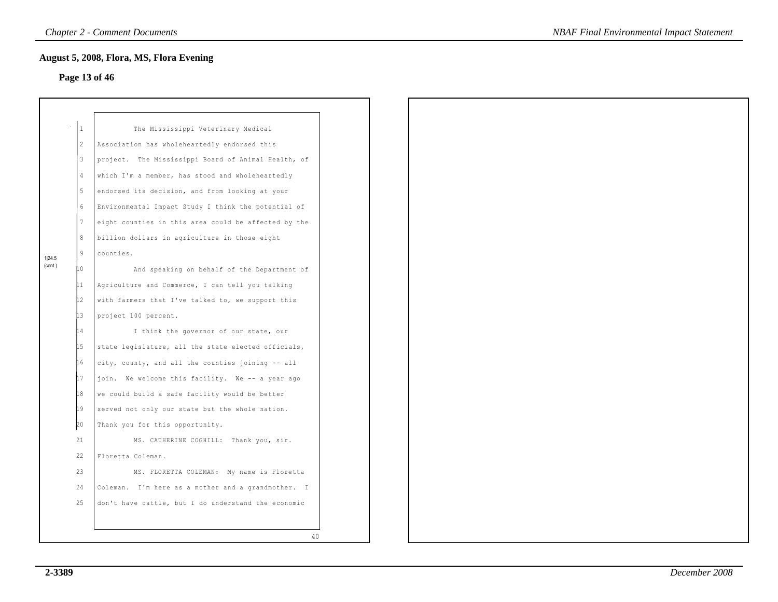## **Page 13 of 46**

|         | $\mathbf{1}$    | The Mississippi Veterinary Medical                   |
|---------|-----------------|------------------------------------------------------|
|         | 2               | Association has wholeheartedly endorsed this         |
|         | $\mathbf{3}$    | project. The Mississippi Board of Animal Health, of  |
|         | $\overline{4}$  | which I'm a member, has stood and wholeheartedly     |
|         | 5               | endorsed its decision, and from looking at your      |
|         | $6\phantom{.}$  | Environmental Impact Study I think the potential of  |
|         | $7\phantom{.0}$ | eight counties in this area could be affected by the |
|         | 8               | billion dollars in agriculture in those eight        |
| 1 24.5  | 9               | counties.                                            |
| (cont.) | 10              | And speaking on behalf of the Department of          |
|         | 11              | Agriculture and Commerce, I can tell you talking     |
|         | 12              | with farmers that I've talked to, we support this    |
|         | 13              | project 100 percent.                                 |
|         | 14              | I think the governor of our state, our               |
|         | 15              | state legislature, all the state elected officials,  |
|         | L 6             | city, county, and all the counties joining -- all    |
|         | 17              | join. We welcome this facility. We -- a year ago     |
|         | 18              | we could build a safe facility would be better       |
|         | 19              | served not only our state but the whole nation.      |
|         | 20              | Thank you for this opportunity.                      |
|         | 21              | MS. CATHERINE COGHILL: Thank you, sir.               |
|         | 22              | Floretta Coleman.                                    |
|         | 23              | MS. FLORETTA COLEMAN: My name is Floretta            |
|         | 24              | Coleman. I'm here as a mother and a grandmother. I   |
|         | 25              | don't have cattle, but I do understand the economic  |
|         |                 |                                                      |
|         |                 | 40                                                   |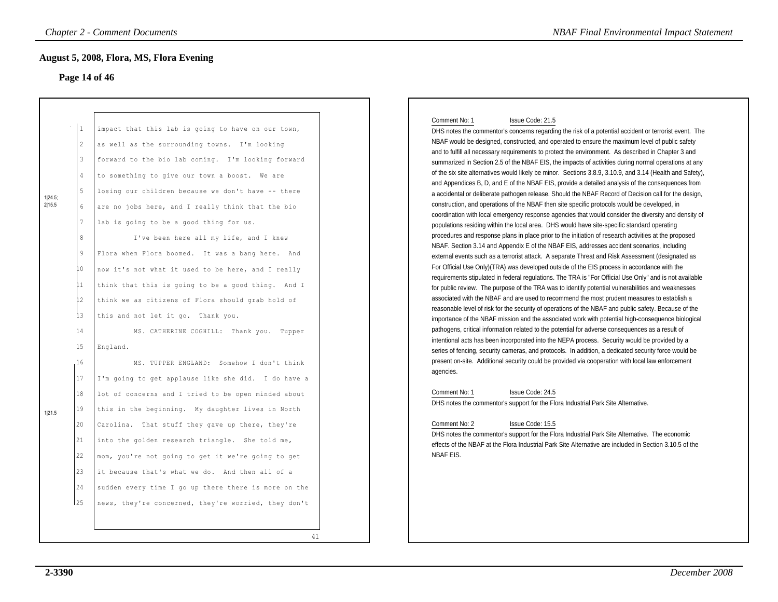## **Page 14 of 46**

|                          |                                                                                                                      | <b>Chapter 2 - Comment Documents</b>                                                                                                                                                                                                                                                                                                                                                                                                                                                                                                                                                                                                                                                            | <b>NBAF Final Environmental Impact Statement</b>                                                                                                                                                                                                                                                                                                                                                                                                                                                                                                                                                                                                                                                                                                                                                                                                                                                                                                                                                                                                                                                                                                                                                                                                                                                                                                                                                                                                                                                                                                                                                                                                                                                                       |
|--------------------------|----------------------------------------------------------------------------------------------------------------------|-------------------------------------------------------------------------------------------------------------------------------------------------------------------------------------------------------------------------------------------------------------------------------------------------------------------------------------------------------------------------------------------------------------------------------------------------------------------------------------------------------------------------------------------------------------------------------------------------------------------------------------------------------------------------------------------------|------------------------------------------------------------------------------------------------------------------------------------------------------------------------------------------------------------------------------------------------------------------------------------------------------------------------------------------------------------------------------------------------------------------------------------------------------------------------------------------------------------------------------------------------------------------------------------------------------------------------------------------------------------------------------------------------------------------------------------------------------------------------------------------------------------------------------------------------------------------------------------------------------------------------------------------------------------------------------------------------------------------------------------------------------------------------------------------------------------------------------------------------------------------------------------------------------------------------------------------------------------------------------------------------------------------------------------------------------------------------------------------------------------------------------------------------------------------------------------------------------------------------------------------------------------------------------------------------------------------------------------------------------------------------------------------------------------------------|
|                          |                                                                                                                      | August 5, 2008, Flora, MS, Flora Evening<br>Page 14 of 46                                                                                                                                                                                                                                                                                                                                                                                                                                                                                                                                                                                                                                       |                                                                                                                                                                                                                                                                                                                                                                                                                                                                                                                                                                                                                                                                                                                                                                                                                                                                                                                                                                                                                                                                                                                                                                                                                                                                                                                                                                                                                                                                                                                                                                                                                                                                                                                        |
| 1 24.5;<br>2 15.5        | $\mathbf{1}$<br>$\overline{c}$<br>$\mathbf{3}$<br>$\overline{4}$<br>5<br>6<br>$7\overline{ }$<br>8<br>9<br>LO.<br>11 | impact that this lab is going to have on our town,<br>as well as the surrounding towns. I'm looking<br>forward to the bio lab coming. I'm looking forward<br>to something to give our town a boost. We are<br>losing our children because we don't have -- there<br>are no jobs here, and I really think that the bio<br>lab is going to be a good thing for us.<br>I've been here all my life, and I knew<br>Flora when Flora boomed. It was a bang here. And<br>now it's not what it used to be here, and I really<br>think that this is going to be a good thing. And I                                                                                                                      | Comment No: 1<br>Issue Code: 21.5<br>DHS notes the commentor's concerns regarding the risk of a potential accident or terrorist event. The<br>NBAF would be designed, constructed, and operated to ensure the maximum level of public safety<br>and to fulfill all necessary requirements to protect the environment. As described in Chapter 3 and<br>summarized in Section 2.5 of the NBAF EIS, the impacts of activities during normal operations at any<br>of the six site alternatives would likely be minor. Sections 3.8.9, 3.10.9, and 3.14 (Health and Safety),<br>and Appendices B, D, and E of the NBAF EIS, provide a detailed analysis of the consequences from<br>a accidental or deliberate pathogen release. Should the NBAF Record of Decision call for the design,<br>construction, and operations of the NBAF then site specific protocols would be developed, in<br>coordination with local emergency response agencies that would consider the diversity and density of<br>populations residing within the local area. DHS would have site-specific standard operating<br>procedures and response plans in place prior to the initiation of research activities at the proposed<br>NBAF. Section 3.14 and Appendix E of the NBAF EIS, addresses accident scenarios, including<br>external events such as a terrorist attack. A separate Threat and Risk Assessment (designated as<br>For Official Use Only)(TRA) was developed outside of the EIS process in accordance with the<br>requirements stipulated in federal regulations. The TRA is "For Official Use Only" and is not available<br>for public review. The purpose of the TRA was to identify potential vulnerabilities and weaknesses |
| 15<br>16<br>1 21.5<br>25 | 12<br>13<br>14<br>17<br>18<br>19<br>20<br>21<br>22<br>$23\,$<br>24                                                   | think we as citizens of Flora should grab hold of<br>this and not let it go. Thank you.<br>MS. CATHERINE COGHILL: Thank you. Tupper<br>England.<br>MS. TUPPER ENGLAND: Somehow I don't think<br>I'm going to get applause like she did. I do have a<br>lot of concerns and I tried to be open minded about<br>this in the beginning. My daughter lives in North<br>Carolina. That stuff they gave up there, they're<br>into the golden research triangle. She told me,<br>mom, you're not going to get it we're going to get<br>it because that's what we do. And then all of a<br>sudden every time I go up there there is more on the<br>news, they're concerned, they're worried, they don't | associated with the NBAF and are used to recommend the most prudent measures to establish a<br>reasonable level of risk for the security of operations of the NBAF and public safety. Because of the<br>importance of the NBAF mission and the associated work with potential high-consequence biological<br>pathogens, critical information related to the potential for adverse consequences as a result of<br>intentional acts has been incorporated into the NEPA process. Security would be provided by a<br>series of fencing, security cameras, and protocols. In addition, a dedicated security force would be<br>present on-site. Additional security could be provided via cooperation with local law enforcement<br>agencies.<br>Comment No: 1<br>Issue Code: 24.5<br>DHS notes the commentor's support for the Flora Industrial Park Site Alternative.<br>Comment No: 2<br>Issue Code: 15.5<br>DHS notes the commentor's support for the Flora Industrial Park Site Alternative. The economic<br>effects of the NBAF at the Flora Industrial Park Site Alternative are included in Section 3.10.5 of the<br>NBAF EIS.                                                                                                                                                                                                                                                                                                                                                                                                                                                                                                                                                                                      |

#### Comment No: 1 Issue Code: 21.5

#### Comment No: 2 Issue Code: 15.5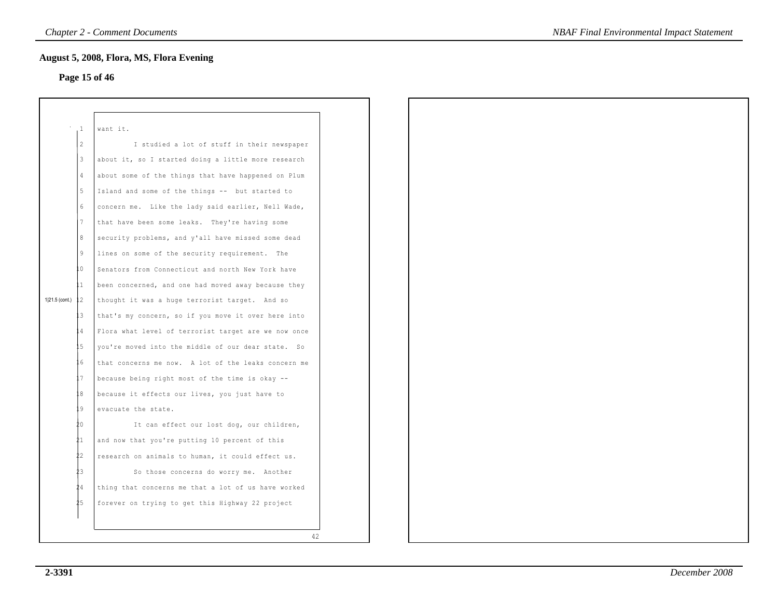## **Page 15 of 46**

|                | $\mathbf{1}$             | want it.                                              |
|----------------|--------------------------|-------------------------------------------------------|
|                | $\overline{\mathcal{L}}$ | I studied a lot of stuff in their newspaper           |
|                | 3                        | about it, so I started doing a little more research   |
|                | 4                        | about some of the things that have happened on Plum   |
|                | 5                        | Island and some of the things -- but started to       |
|                | 6                        | concern me. Like the lady said earlier, Nell Wade,    |
|                | 7                        | that have been some leaks. They're having some        |
|                | 8                        | security problems, and y'all have missed some dead    |
|                | 9                        | lines on some of the security requirement. The        |
|                | . 0                      | Senators from Connecticut and north New York have     |
|                | 11                       | been concerned, and one had moved away because they   |
| 1 21.5 (cont.) | 12                       | thought it was a huge terrorist target. And so        |
|                | 3                        | that's my concern, so if you move it over here into   |
|                | 4                        | Flora what level of terrorist target are we now once  |
|                | .5                       | you're moved into the middle of our dear state.<br>So |
|                | . 6                      | that concerns me now. A lot of the leaks concern me   |
|                | 7                        | because being right most of the time is okay --       |
|                | 8                        | because it effects our lives, you just have to        |
|                | 9                        | evacuate the state.                                   |
|                | ŧο                       | It can effect our lost dog, our children,             |
|                | 21                       | and now that you're putting 10 percent of this        |
|                | 22                       | research on animals to human, it could effect us.     |
|                | 23                       | So those concerns do worry me. Another                |
|                | 24                       | thing that concerns me that a lot of us have worked   |
|                | 25                       | forever on trying to get this Highway 22 project      |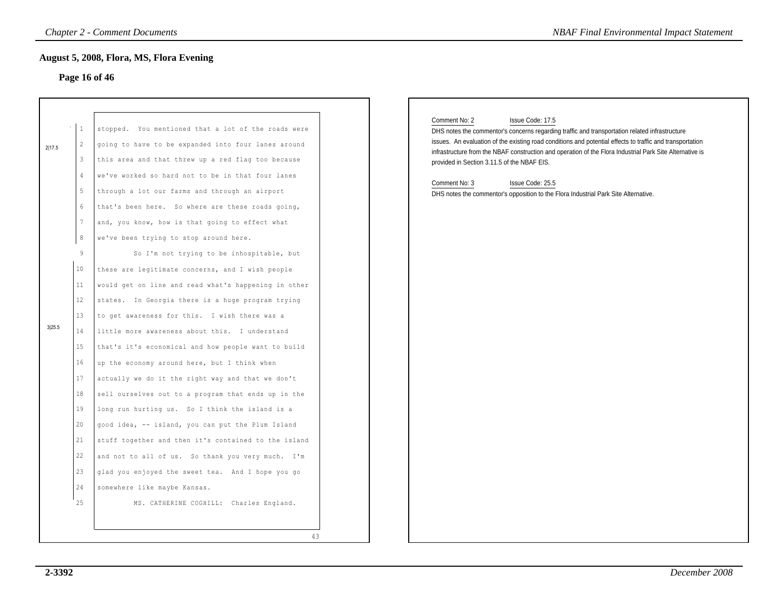## **Page 16 of 46**

| Page 16 of 46                                                                                                                                                                                                                                                                                                                                                                                                                                                                                                                                                                                                                                                                                                                                                                                                                                                                                           |                                                                                                                                                                                                                                                                                                                                                                                                                                                                                                                                         |
|---------------------------------------------------------------------------------------------------------------------------------------------------------------------------------------------------------------------------------------------------------------------------------------------------------------------------------------------------------------------------------------------------------------------------------------------------------------------------------------------------------------------------------------------------------------------------------------------------------------------------------------------------------------------------------------------------------------------------------------------------------------------------------------------------------------------------------------------------------------------------------------------------------|-----------------------------------------------------------------------------------------------------------------------------------------------------------------------------------------------------------------------------------------------------------------------------------------------------------------------------------------------------------------------------------------------------------------------------------------------------------------------------------------------------------------------------------------|
| stopped. You mentioned that a lot of the roads were<br>going to have to be expanded into four lanes around<br>this area and that threw up a red flag too because<br>we've worked so hard not to be in that four lanes<br>through a lot our farms and through an airport                                                                                                                                                                                                                                                                                                                                                                                                                                                                                                                                                                                                                                 | Comment No: 2<br>Issue Code: 17.5<br>DHS notes the commentor's concerns regarding traffic and transportation related infrastructure<br>issues. An evaluation of the existing road conditions and potential effects to traffic and transportation<br>infrastructure from the NBAF construction and operation of the Flora Industrial Park Site Alternative is<br>provided in Section 3.11.5 of the NBAF EIS.<br>Comment No: 3<br>Issue Code: 25.5<br>DHS notes the commentor's opposition to the Flora Industrial Park Site Alternative. |
| and, you know, how is that going to effect what<br>we've been trying to stop around here.<br>So I'm not trying to be inhospitable, but<br>these are legitimate concerns, and I wish people<br>would get on line and read what's happening in other<br>states. In Georgia there is a huge program trying<br>to get awareness for this. I wish there was a<br>little more awareness about this. I understand<br>that's it's economical and how people want to build<br>up the economy around here, but I think when<br>actually we do it the right way and that we don't<br>sell ourselves out to a program that ends up in the<br>long run hurting us. So I think the island is a<br>good idea, -- island, you can put the Plum Island<br>stuff together and then it's contained to the island<br>and not to all of us. So thank you very much. I'm<br>glad you enjoyed the sweet tea. And I hope you go |                                                                                                                                                                                                                                                                                                                                                                                                                                                                                                                                         |
|                                                                                                                                                                                                                                                                                                                                                                                                                                                                                                                                                                                                                                                                                                                                                                                                                                                                                                         | that's been here. So where are these roads going,                                                                                                                                                                                                                                                                                                                                                                                                                                                                                       |

#### Comment No: 2 Issue Code: 17.5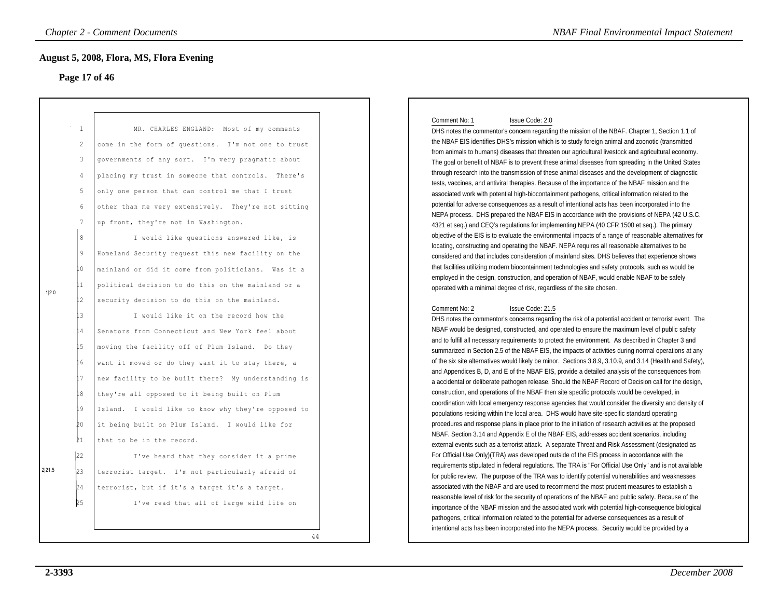#### **Page 17 of 46**

| <b>Chapter 2 - Comment Documents</b><br><b>NBAF Final Environmental Impact Statement</b> |                                                    |                                                                                                                                                                                                                                                                                                                                                                                                                    |                                                                                                                                                                                                                                                                                                                                                                                                                                                                                                                                                                                                                                                                                                                                                                                                                                                                                                                                                                                                                                                                                                                                           |  |
|------------------------------------------------------------------------------------------|----------------------------------------------------|--------------------------------------------------------------------------------------------------------------------------------------------------------------------------------------------------------------------------------------------------------------------------------------------------------------------------------------------------------------------------------------------------------------------|-------------------------------------------------------------------------------------------------------------------------------------------------------------------------------------------------------------------------------------------------------------------------------------------------------------------------------------------------------------------------------------------------------------------------------------------------------------------------------------------------------------------------------------------------------------------------------------------------------------------------------------------------------------------------------------------------------------------------------------------------------------------------------------------------------------------------------------------------------------------------------------------------------------------------------------------------------------------------------------------------------------------------------------------------------------------------------------------------------------------------------------------|--|
|                                                                                          |                                                    | <b>August 5, 2008, Flora, MS, Flora Evening</b>                                                                                                                                                                                                                                                                                                                                                                    |                                                                                                                                                                                                                                                                                                                                                                                                                                                                                                                                                                                                                                                                                                                                                                                                                                                                                                                                                                                                                                                                                                                                           |  |
|                                                                                          | $\mathbf{1}$<br>2<br>3<br>$\overline{4}$<br>5      | Page 17 of 46<br>MR. CHARLES ENGLAND: Most of my comments<br>come in the form of questions. I'm not one to trust<br>governments of any sort. I'm very pragmatic about<br>placing my trust in someone that controls. There's<br>only one person that can control me that I trust                                                                                                                                    | Comment No: 1<br>Issue Code: 2.0<br>DHS notes the commentor's concern regarding the mission of the NBAF. Chapter 1, Section 1.1 of<br>the NBAF EIS identifies DHS's mission which is to study foreign animal and zoonotic (transmitted<br>from animals to humans) diseases that threaten our agricultural livestock and agricultural economy.<br>The goal or benefit of NBAF is to prevent these animal diseases from spreading in the United States<br>through research into the transmission of these animal diseases and the development of diagnostic<br>tests, vaccines, and antiviral therapies. Because of the importance of the NBAF mission and the<br>associated work with potential high-biocontainment pathogens, critical information related to the                                                                                                                                                                                                                                                                                                                                                                         |  |
| 1 2.0                                                                                    | 6<br>7<br>$\,8\,$<br>$\overline{9}$<br>10<br>L1.   | other than me very extensively. They're not sitting<br>up front, they're not in Washington.<br>I would like questions answered like, is<br>Homeland Security request this new facility on the<br>mainland or did it come from politicians. Was it a<br>political decision to do this on the mainland or a                                                                                                          | potential for adverse consequences as a result of intentional acts has been incorporated into the<br>NEPA process. DHS prepared the NBAF EIS in accordance with the provisions of NEPA (42 U.S.C.<br>4321 et seq.) and CEQ's regulations for implementing NEPA (40 CFR 1500 et seq.). The primary<br>objective of the EIS is to evaluate the environmental impacts of a range of reasonable alternatives for<br>locating, constructing and operating the NBAF. NEPA requires all reasonable alternatives to be<br>considered and that includes consideration of mainland sites. DHS believes that experience shows<br>that facilities utilizing modern biocontainment technologies and safety protocols, such as would be<br>employed in the design, construction, and operation of NBAF, would enable NBAF to be safely<br>operated with a minimal degree of risk, regardless of the site chosen.                                                                                                                                                                                                                                        |  |
|                                                                                          | $12 \,$<br>13<br>L 4<br>15<br>16<br>L7<br>18<br>19 | security decision to do this on the mainland.<br>I would like it on the record how the<br>Senators from Connecticut and New York feel about<br>moving the facility off of Plum Island. Do they<br>want it moved or do they want it to stay there, a<br>new facility to be built there? My understanding is<br>they're all opposed to it being built on Plum<br>Island. I would like to know why they're opposed to | Comment No: 2<br>Issue Code: 21.5<br>DHS notes the commentor's concerns regarding the risk of a potential accident or terrorist event. The<br>NBAF would be designed, constructed, and operated to ensure the maximum level of public safety<br>and to fulfill all necessary requirements to protect the environment. As described in Chapter 3 and<br>summarized in Section 2.5 of the NBAF EIS, the impacts of activities during normal operations at any<br>of the six site alternatives would likely be minor. Sections 3.8.9, 3.10.9, and 3.14 (Health and Safety),<br>and Appendices B, D, and E of the NBAF EIS, provide a detailed analysis of the consequences from<br>a accidental or deliberate pathogen release. Should the NBAF Record of Decision call for the design,<br>construction, and operations of the NBAF then site specific protocols would be developed, in<br>coordination with local emergency response agencies that would consider the diversity and density of<br>populations residing within the local area. DHS would have site-specific standard operating                                               |  |
| 2 21.5                                                                                   | þΟ<br>Þ1<br>22<br>23<br>24<br>b5                   | it being built on Plum Island. I would like for<br>that to be in the record.<br>I've heard that they consider it a prime<br>terrorist target. I'm not particularly afraid of<br>terrorist, but if it's a target it's a target.<br>I've read that all of large wild life on<br>44                                                                                                                                   | procedures and response plans in place prior to the initiation of research activities at the proposed<br>NBAF. Section 3.14 and Appendix E of the NBAF EIS, addresses accident scenarios, including<br>external events such as a terrorist attack. A separate Threat and Risk Assessment (designated as<br>For Official Use Only)(TRA) was developed outside of the EIS process in accordance with the<br>requirements stipulated in federal regulations. The TRA is "For Official Use Only" and is not available<br>for public review. The purpose of the TRA was to identify potential vulnerabilities and weaknesses<br>associated with the NBAF and are used to recommend the most prudent measures to establish a<br>reasonable level of risk for the security of operations of the NBAF and public safety. Because of the<br>importance of the NBAF mission and the associated work with potential high-consequence biological<br>pathogens, critical information related to the potential for adverse consequences as a result of<br>intentional acts has been incorporated into the NEPA process. Security would be provided by a |  |

#### Comment No: 1 Issue Code: 2.0

#### Comment No: 2 Issue Code: 21.5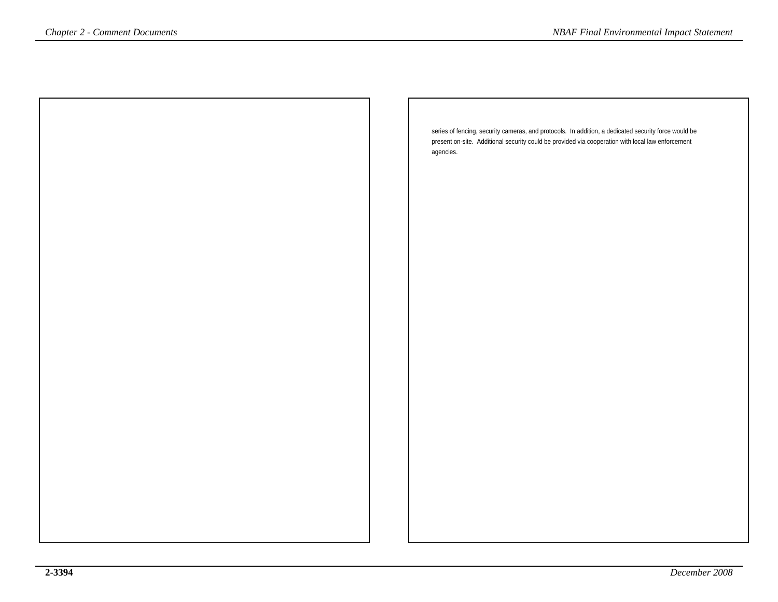| <i>Chapter 2 - Comment Documents</i> | <b>NBAF Final Environmental Impact Statement</b>                                                                                                                                                          |
|--------------------------------------|-----------------------------------------------------------------------------------------------------------------------------------------------------------------------------------------------------------|
|                                      |                                                                                                                                                                                                           |
|                                      |                                                                                                                                                                                                           |
|                                      |                                                                                                                                                                                                           |
|                                      |                                                                                                                                                                                                           |
|                                      | series of fencing, security cameras, and protocols. In addition, a dedicated security force would be<br>present on-site. Additional security could be provided via cooperation with local law enforcement |
|                                      | agencies.                                                                                                                                                                                                 |
|                                      |                                                                                                                                                                                                           |
|                                      |                                                                                                                                                                                                           |
|                                      |                                                                                                                                                                                                           |
|                                      |                                                                                                                                                                                                           |
|                                      |                                                                                                                                                                                                           |
|                                      |                                                                                                                                                                                                           |
|                                      |                                                                                                                                                                                                           |
|                                      |                                                                                                                                                                                                           |
|                                      |                                                                                                                                                                                                           |
|                                      |                                                                                                                                                                                                           |
|                                      |                                                                                                                                                                                                           |
|                                      |                                                                                                                                                                                                           |
|                                      |                                                                                                                                                                                                           |
|                                      |                                                                                                                                                                                                           |
|                                      |                                                                                                                                                                                                           |
|                                      |                                                                                                                                                                                                           |
|                                      |                                                                                                                                                                                                           |
|                                      |                                                                                                                                                                                                           |
|                                      |                                                                                                                                                                                                           |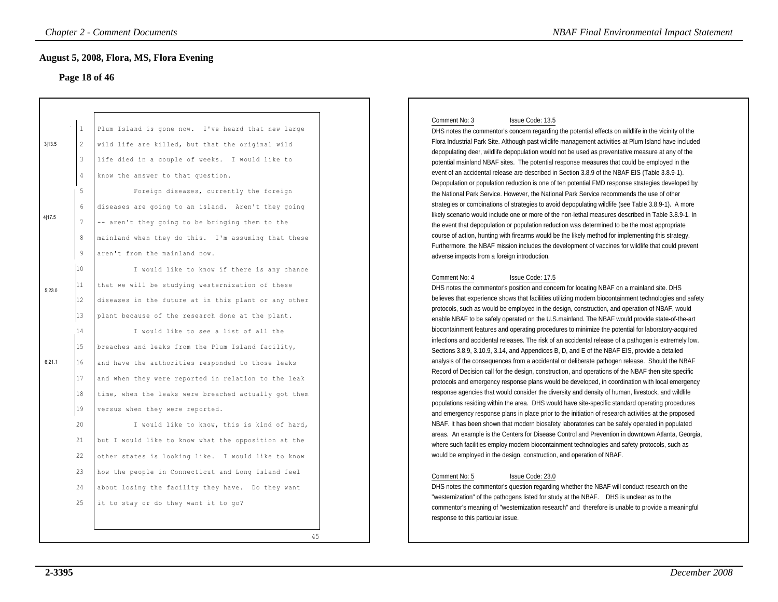#### **Page 18 of 46**

|                  |                                                                                                    | <b>Chapter 2 - Comment Documents</b>                                                                                                                                                                                                                                                                                                                                                                                                                                                                                                                                                                                   | <b>NBAF Final Environmental Impact Statement</b>                                                                                                                                                                                                                                                                                                                                                                                                                                                                                                                                                                                                                                                                                                                                                                                                                                                                                                                                                                                                                                                                                                                                                                                                                                                                                                                                                                                                                                                                                                                                                                                                                                                |
|------------------|----------------------------------------------------------------------------------------------------|------------------------------------------------------------------------------------------------------------------------------------------------------------------------------------------------------------------------------------------------------------------------------------------------------------------------------------------------------------------------------------------------------------------------------------------------------------------------------------------------------------------------------------------------------------------------------------------------------------------------|-------------------------------------------------------------------------------------------------------------------------------------------------------------------------------------------------------------------------------------------------------------------------------------------------------------------------------------------------------------------------------------------------------------------------------------------------------------------------------------------------------------------------------------------------------------------------------------------------------------------------------------------------------------------------------------------------------------------------------------------------------------------------------------------------------------------------------------------------------------------------------------------------------------------------------------------------------------------------------------------------------------------------------------------------------------------------------------------------------------------------------------------------------------------------------------------------------------------------------------------------------------------------------------------------------------------------------------------------------------------------------------------------------------------------------------------------------------------------------------------------------------------------------------------------------------------------------------------------------------------------------------------------------------------------------------------------|
|                  |                                                                                                    | <b>August 5, 2008, Flora, MS, Flora Evening</b><br>Page 18 of 46                                                                                                                                                                                                                                                                                                                                                                                                                                                                                                                                                       |                                                                                                                                                                                                                                                                                                                                                                                                                                                                                                                                                                                                                                                                                                                                                                                                                                                                                                                                                                                                                                                                                                                                                                                                                                                                                                                                                                                                                                                                                                                                                                                                                                                                                                 |
| 3113.5<br>4 17.5 | $\mathbf{1}$<br>2<br>$\mathbf{3}$<br>$\sqrt{4}$<br>5<br>$\epsilon$<br>$\overline{7}$<br>8<br>$\,9$ | Plum Island is gone now. I've heard that new large<br>wild life are killed, but that the original wild<br>life died in a couple of weeks. I would like to<br>know the answer to that question.<br>Foreign diseases, currently the foreign<br>diseases are going to an island. Aren't they going<br>-- aren't they going to be bringing them to the<br>mainland when they do this. I'm assuming that these<br>aren't from the mainland now.                                                                                                                                                                             | Comment No: 3<br>Issue Code: 13.5<br>DHS notes the commentor's concern regarding the potential effects on wildlife in the vicinity of the<br>Flora Industrial Park Site. Although past wildlife management activities at Plum Island have included<br>depopulating deer, wildlife depopulation would not be used as preventative measure at any of the<br>potential mainland NBAF sites. The potential response measures that could be employed in the<br>event of an accidental release are described in Section 3.8.9 of the NBAF EIS (Table 3.8.9-1).<br>Depopulation or population reduction is one of ten potential FMD response strategies developed by<br>the National Park Service. However, the National Park Service recommends the use of other<br>strategies or combinations of strategies to avoid depopulating wildlife (see Table 3.8.9-1). A more<br>likely scenario would include one or more of the non-lethal measures described in Table 3.8.9-1. In<br>the event that depopulation or population reduction was determined to be the most appropriate<br>course of action, hunting with firearms would be the likely method for implementing this strategy.<br>Furthermore, the NBAF mission includes the development of vaccines for wildlife that could prevent<br>adverse impacts from a foreign introduction.                                                                                                                                                                                                                                                                                                                                                           |
| 5 23.0<br>6 21.1 | 10<br>11<br>12<br>13<br>14<br>15<br>16<br>17<br>18<br>19<br>20<br>21                               | I would like to know if there is any chance<br>that we will be studying westernization of these<br>diseases in the future at in this plant or any other<br>plant because of the research done at the plant.<br>I would like to see a list of all the<br>breaches and leaks from the Plum Island facility,<br>and have the authorities responded to those leaks<br>and when they were reported in relation to the leak<br>time, when the leaks were breached actually got them<br>versus when they were reported.<br>I would like to know, this is kind of hard,<br>but I would like to know what the opposition at the | Comment No: 4<br>Issue Code: 17.5<br>DHS notes the commentor's position and concern for locating NBAF on a mainland site. DHS<br>believes that experience shows that facilities utilizing modern biocontainment technologies and safety<br>protocols, such as would be employed in the design, construction, and operation of NBAF, would<br>enable NBAF to be safely operated on the U.S.mainland. The NBAF would provide state-of-the-art<br>biocontainment features and operating procedures to minimize the potential for laboratory-acquired<br>infections and accidental releases. The risk of an accidental release of a pathogen is extremely low.<br>Sections 3.8.9, 3.10.9, 3.14, and Appendices B, D, and E of the NBAF EIS, provide a detailed<br>analysis of the consequences from a accidental or deliberate pathogen release. Should the NBAF<br>Record of Decision call for the design, construction, and operations of the NBAF then site specific<br>protocols and emergency response plans would be developed, in coordination with local emergency<br>response agencies that would consider the diversity and density of human, livestock, and wildlife<br>populations residing within the area. DHS would have site-specific standard operating procedures<br>and emergency response plans in place prior to the initiation of research activities at the proposed<br>NBAF. It has been shown that modern biosafety laboratories can be safely operated in populated<br>areas. An example is the Centers for Disease Control and Prevention in downtown Atlanta, Georgia,<br>where such facilities employ modern biocontainment technologies and safety protocols, such as |
|                  | 22<br>23<br>24<br>25                                                                               | other states is looking like. I would like to know<br>how the people in Connecticut and Long Island feel<br>about losing the facility they have. Do they want<br>it to stay or do they want it to go?<br>45                                                                                                                                                                                                                                                                                                                                                                                                            | would be employed in the design, construction, and operation of NBAF.<br>Comment No: 5<br>Issue Code: 23.0<br>DHS notes the commentor's question regarding whether the NBAF will conduct research on the<br>"westernization" of the pathogens listed for study at the NBAF.  DHS is unclear as to the<br>commentor's meaning of "westernization research" and therefore is unable to provide a meaningful<br>response to this particular issue.                                                                                                                                                                                                                                                                                                                                                                                                                                                                                                                                                                                                                                                                                                                                                                                                                                                                                                                                                                                                                                                                                                                                                                                                                                                 |

### Comment No: 3 Issue Code: 13.5

#### Comment No: 4 Issue Code: 17.5

#### Comment No: 5 Issue Code: 23.0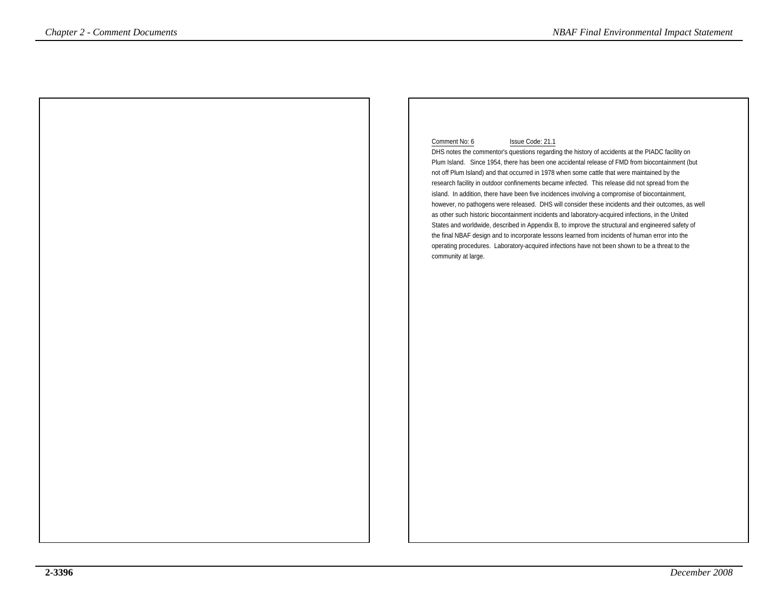#### Comment No: 6 Issue Code: 21.1

 DHS notes the commentor's questions regarding the history of accidents at the PIADC facility on Plum Island. Since 1954, there has been one accidental release of FMD from biocontainment (butnot off Plum Island) and that occurred in 1978 when some cattle that were maintained by the research facility in outdoor confinements became infected. This release did not spread from the island. In addition, there have been five incidences involving a compromise of biocontainment, however, no pathogens were released. DHS will consider these incidents and their outcomes, as wellas other such historic biocontainment incidents and laboratory-acquired infections, in the United States and worldwide, described in Appendix B, to improve the structural and engineered safety ofthe final NBAF design and to incorporate lessons learned from incidents of human error into the operating procedures. Laboratory-acquired infections have not been shown to be a threat to theComment Documents<br>
Comment <sup>Do</sup>c the RADC tastify on<br>
Distribute the comment <sup>b</sup>oc the RADC tastify on<br>
Distribute the commentation and the ABAF Final Environmental Impact Statement<br>
Pum listing is the relation of the ABA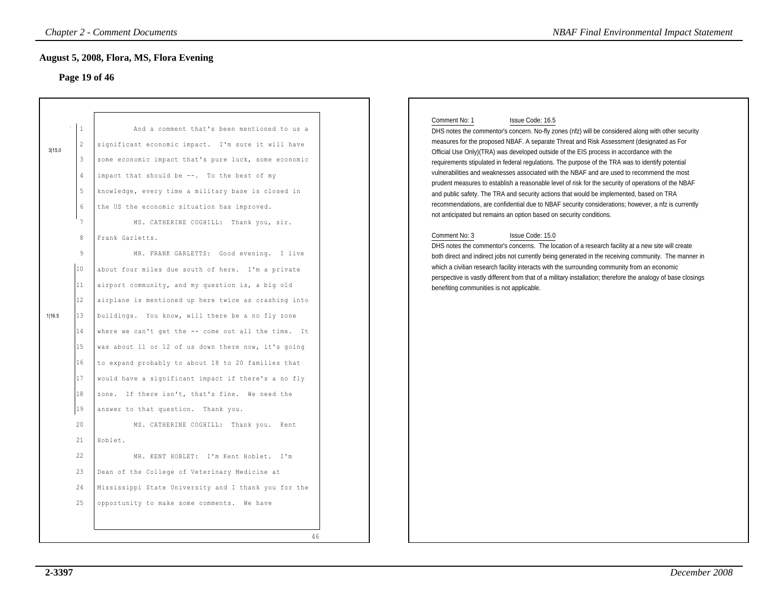### **Page 19 of 46**

|        |                                                                                                        | <b>Chapter 2 - Comment Documents</b>                                                                                                                                                                                                                                                                                                                                                                                                                                                                                                                                                                                                                                                                                                                                                       | <b>NBAF Final Environmental Impact Statement</b>                                                                                                                                                                                                                                                                                                                                                                                                                                                                                                                                                                                                                                                                                                                                                                                                                                                                                                                                                                                                                                                                                                                                                                                                                   |
|--------|--------------------------------------------------------------------------------------------------------|--------------------------------------------------------------------------------------------------------------------------------------------------------------------------------------------------------------------------------------------------------------------------------------------------------------------------------------------------------------------------------------------------------------------------------------------------------------------------------------------------------------------------------------------------------------------------------------------------------------------------------------------------------------------------------------------------------------------------------------------------------------------------------------------|--------------------------------------------------------------------------------------------------------------------------------------------------------------------------------------------------------------------------------------------------------------------------------------------------------------------------------------------------------------------------------------------------------------------------------------------------------------------------------------------------------------------------------------------------------------------------------------------------------------------------------------------------------------------------------------------------------------------------------------------------------------------------------------------------------------------------------------------------------------------------------------------------------------------------------------------------------------------------------------------------------------------------------------------------------------------------------------------------------------------------------------------------------------------------------------------------------------------------------------------------------------------|
|        |                                                                                                        | <b>August 5, 2008, Flora, MS, Flora Evening</b><br>Page 19 of 46                                                                                                                                                                                                                                                                                                                                                                                                                                                                                                                                                                                                                                                                                                                           |                                                                                                                                                                                                                                                                                                                                                                                                                                                                                                                                                                                                                                                                                                                                                                                                                                                                                                                                                                                                                                                                                                                                                                                                                                                                    |
| 3 15.0 | $\mathbf{1}$<br>2<br>$\mathbf{3}$<br>$\overline{4}$<br>5<br>$6\phantom{.}6$<br>7<br>8<br>9             | And a comment that's been mentioned to us a<br>significant economic impact. I'm sure it will have<br>some economic impact that's pure luck, some economic<br>impact that should be --. To the best of my<br>knowledge, every time a military base is closed in<br>the US the economic situation has improved.<br>MS. CATHERINE COGHILL: Thank you, sir.<br>Frank Garletts.<br>MR. FRANK GARLETTS: Good evening. I live                                                                                                                                                                                                                                                                                                                                                                     | Comment No: 1<br>Issue Code: 16.5<br>DHS notes the commentor's concern. No-fly zones (nfz) will be considered along with other security<br>measures for the proposed NBAF. A separate Threat and Risk Assessment (designated as For<br>Official Use Only)(TRA) was developed outside of the EIS process in accordance with the<br>requirements stipulated in federal regulations. The purpose of the TRA was to identify potential<br>vulnerabilities and weaknesses associated with the NBAF and are used to recommend the most<br>prudent measures to establish a reasonable level of risk for the security of operations of the NBAF<br>and public safety. The TRA and security actions that would be implemented, based on TRA<br>recommendations, are confidential due to NBAF security considerations; however, a nfz is currently<br>not anticipated but remains an option based on security conditions.<br>Comment No: 3<br>Issue Code: 15.0<br>DHS notes the commentor's concerns. The location of a research facility at a new site will create<br>both direct and indirect jobs not currently being generated in the receiving community. The manner in<br>which a civilian research facility interacts with the surrounding community from an economic |
| 1 16.5 | 10<br>11<br>12<br>$ 13\rangle$<br>14<br>15<br>16<br>17<br>18<br>19<br>20<br>21<br>22<br>23<br>24<br>25 | about four miles due south of here. I'm a private<br>airport community, and my question is, a big old<br>airplane is mentioned up here twice as crashing into<br>buildings. You know, will there be a no fly zone<br>where we can't get the -- come out all the time. It<br>was about 11 or 12 of us down there now, it's going<br>to expand probably to about 18 to 20 families that<br>would have a significant impact if there's a no fly<br>zone. If there isn't, that's fine. We need the<br>answer to that question. Thank you.<br>MS. CATHERINE COGHILL: Thank you. Kent<br>Hoblet.<br>MR. KENT HOBLET: I'm Kent Hoblet. I'm<br>Dean of the College of Veterinary Medicine at<br>Mississippi State University and I thank you for the<br>opportunity to make some comments. We have | perspective is vastly different from that of a military installation; therefore the analogy of base closings<br>benefiting communities is not applicable.                                                                                                                                                                                                                                                                                                                                                                                                                                                                                                                                                                                                                                                                                                                                                                                                                                                                                                                                                                                                                                                                                                          |
|        |                                                                                                        | 46                                                                                                                                                                                                                                                                                                                                                                                                                                                                                                                                                                                                                                                                                                                                                                                         |                                                                                                                                                                                                                                                                                                                                                                                                                                                                                                                                                                                                                                                                                                                                                                                                                                                                                                                                                                                                                                                                                                                                                                                                                                                                    |

#### Comment No: 1 Issue Code: 16.5

#### Comment No: 3 Issue Code: 15.0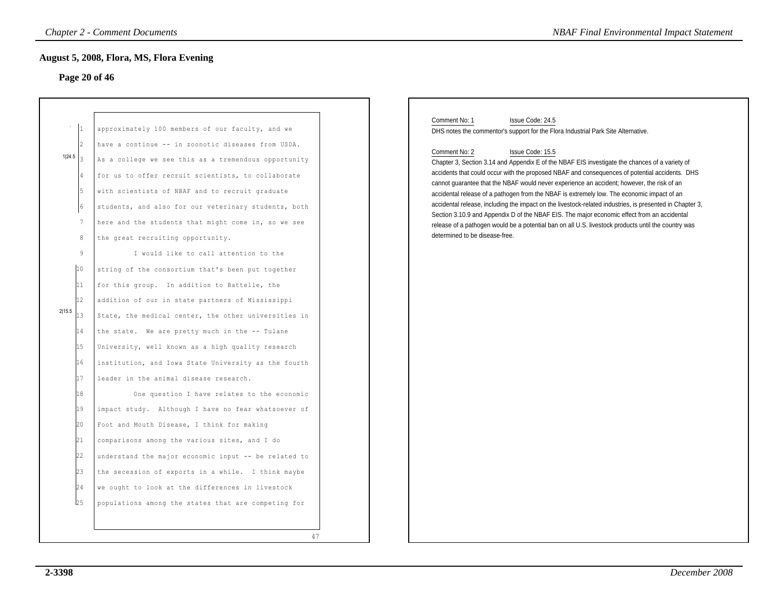## **Page 20 of 46**

|                      | <b>Chapter 2 - Comment Documents</b><br><b>August 5, 2008, Flora, MS, Flora Evening</b> |    | <b>NBAF Final Environmental Impact Statement</b>                                                                                                                                                   |
|----------------------|-----------------------------------------------------------------------------------------|----|----------------------------------------------------------------------------------------------------------------------------------------------------------------------------------------------------|
| Page 20 of 46        |                                                                                         |    | Comment No: 1<br>Issue Code: 24.5                                                                                                                                                                  |
| $\vert$ 1            | approximately 100 members of our faculty, and we                                        |    | DHS notes the commentor's support for the Flora Industrial Park Site Alternative.                                                                                                                  |
| $\vert$ <sub>2</sub> | have a continue -- in zoonotic diseases from USDA.                                      |    | Comment No: 2<br>Issue Code: 15.5                                                                                                                                                                  |
| 1 24.5               | As a college we see this as a tremendous opportunity                                    |    | Chapter 3, Section 3.14 and Appendix E of the NBAF EIS investigate the chances of a variety of                                                                                                     |
|                      | for us to offer recruit scientists, to collaborate                                      |    | accidents that could occur with the proposed NBAF and consequences of potential accidents. DHS<br>cannot quarantee that the NBAF would never experience an accident; however, the risk of an       |
| 15                   | with scientists of NBAF and to recruit graduate                                         |    | accidental release of a pathogen from the NBAF is extremely low. The economic impact of an                                                                                                         |
| 16                   | students, and also for our veterinary students, both                                    |    | accidental release, including the impact on the livestock-related industries, is presented in Chapter 3,                                                                                           |
| $7\phantom{.0}$      | here and the students that might come in, so we see                                     |    | Section 3.10.9 and Appendix D of the NBAF EIS. The major economic effect from an accidental<br>release of a pathogen would be a potential ban on all U.S. livestock products until the country was |
| $\,8\,$              | the great recruiting opportunity.                                                       |    | determined to be disease-free.                                                                                                                                                                     |
| 9                    | I would like to call attention to the                                                   |    |                                                                                                                                                                                                    |
| 10                   | string of the consortium that's been put together                                       |    |                                                                                                                                                                                                    |
| 11                   | for this group. In addition to Battelle, the                                            |    |                                                                                                                                                                                                    |
| 12                   | addition of our in state partners of Mississippi                                        |    |                                                                                                                                                                                                    |
| 2 15.5<br>13         | State, the medical center, the other universities in                                    |    |                                                                                                                                                                                                    |
| 14                   | the state. We are pretty much in the -- Tulane                                          |    |                                                                                                                                                                                                    |
| 15                   | University, well known as a high quality research                                       |    |                                                                                                                                                                                                    |
| 16                   | institution, and Iowa State University as the fourth                                    |    |                                                                                                                                                                                                    |
| 17                   | leader in the animal disease research.                                                  |    |                                                                                                                                                                                                    |
| 18                   | One question I have relates to the economic                                             |    |                                                                                                                                                                                                    |
| 19                   | impact study. Although I have no fear whatsoever of                                     |    |                                                                                                                                                                                                    |
| 20                   | Foot and Mouth Disease, I think for making                                              |    |                                                                                                                                                                                                    |
| 21                   | comparisons among the various sites, and I do                                           |    |                                                                                                                                                                                                    |
| 22                   | understand the major economic input -- be related to                                    |    |                                                                                                                                                                                                    |
| 23                   | the secession of exports in a while. I think maybe                                      |    |                                                                                                                                                                                                    |
| 24                   | we ought to look at the differences in livestock                                        |    |                                                                                                                                                                                                    |
| 25                   | populations among the states that are competing for                                     |    |                                                                                                                                                                                                    |
|                      |                                                                                         |    |                                                                                                                                                                                                    |
|                      |                                                                                         | 47 |                                                                                                                                                                                                    |
|                      |                                                                                         |    |                                                                                                                                                                                                    |

#### Comment No: 1 Issue Code: 24.5 DHS notes the commentor's support for the Flora Industrial Park Site Alternative.

#### Comment No: 2 Issue Code: 15.5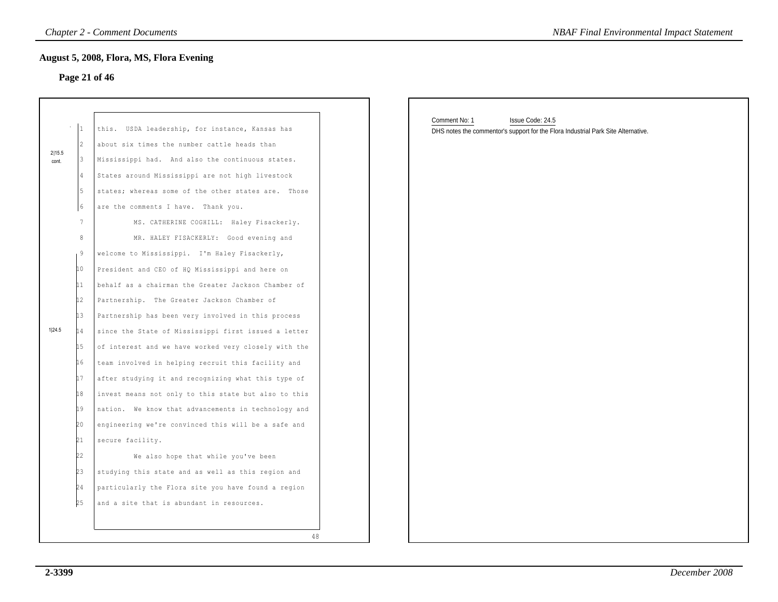## **Page 21 of 46**

|                 | $\overline{1}$ | USDA leadership, for instance, Kansas has<br>this.     |
|-----------------|----------------|--------------------------------------------------------|
|                 | $\overline{2}$ | about six times the number cattle heads than           |
| 2115.5<br>cont. | 3              | Mississippi had. And also the continuous states.       |
|                 | 4              | States around Mississippi are not high livestock       |
|                 | 5              | states; whereas some of the other states are.<br>Those |
|                 | 6              | are the comments I have. Thank you.                    |
|                 | 7              | MS. CATHERINE COGHILL: Haley Fisackerly.               |
|                 | 8              | MR. HALEY FISACKERLY: Good evening and                 |
|                 | 9              | welcome to Mississippi. I'm Haley Fisackerly,          |
|                 | 10             | President and CEO of HQ Mississippi and here on        |
|                 | 11             | behalf as a chairman the Greater Jackson Chamber of    |
|                 | 12             | Partnership. The Greater Jackson Chamber of            |
|                 | 13             | Partnership has been very involved in this process     |
| 1 24.5          | 14             | since the State of Mississippi first issued a letter   |
|                 | 15             | of interest and we have worked very closely with the   |
|                 | 16             | team involved in helping recruit this facility and     |
|                 | 17             | after studying it and recognizing what this type of    |
|                 | 18             | invest means not only to this state but also to this   |
|                 | 19             | nation. We know that advancements in technology and    |
|                 | 20             | engineering we're convinced this will be a safe and    |
|                 | 21             | secure facility.                                       |
|                 | 22             | We also hope that while you've been                    |
|                 | 23             | studying this state and as well as this region and     |
|                 | 24             | particularly the Flora site you have found a region    |
|                 | 25             | and a site that is abundant in resources.              |

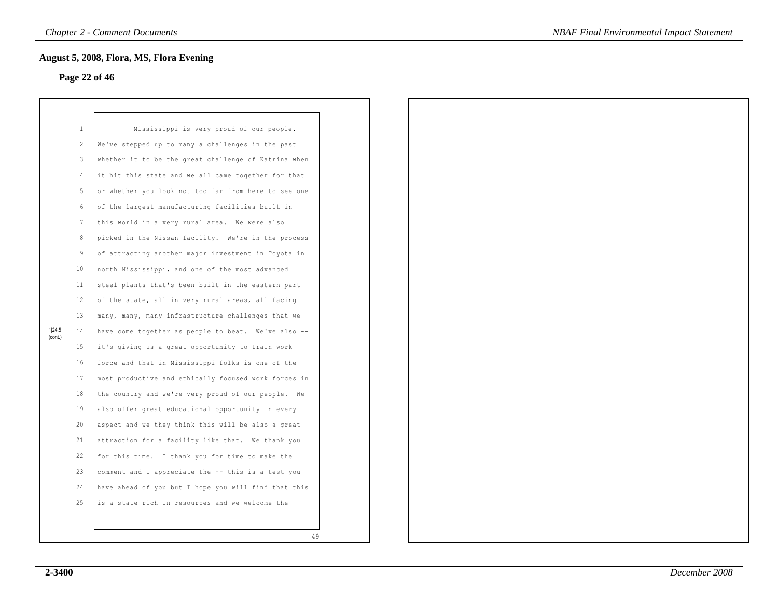## **Page 22 of 46**

|                   | 1   | Mississippi is very proud of our people.              |
|-------------------|-----|-------------------------------------------------------|
|                   | 2   | We've stepped up to many a challenges in the past     |
|                   | 3   | whether it to be the great challenge of Katrina when  |
|                   | 4   | it hit this state and we all came together for that   |
|                   | 5   | or whether you look not too far from here to see one  |
|                   | 6   | of the largest manufacturing facilities built in      |
|                   | 7   | this world in a very rural area. We were also         |
|                   | 8   | picked in the Nissan facility. We're in the process   |
|                   | 9   | of attracting another major investment in Toyota in   |
|                   | 0   | north Mississippi, and one of the most advanced       |
|                   | 11  | steel plants that's been built in the eastern part    |
|                   | l2  | of the state, all in very rural areas, all facing     |
|                   | L3  | many, many, many infrastructure challenges that we    |
| 1 24.5<br>(cont.) | 14  | have come together as people to beat. We've also --   |
|                   | L5  | it's giving us a great opportunity to train work      |
|                   | L 6 | force and that in Mississippi folks is one of the     |
|                   | L7  | most productive and ethically focused work forces in  |
|                   | 18  | the country and we're very proud of our people.<br>Wе |
|                   | İ9  | also offer great educational opportunity in every     |
|                   | 20  | aspect and we they think this will be also a great    |
|                   | 21  | attraction for a facility like that. We thank you     |
|                   | 22  | for this time. I thank you for time to make the       |
|                   | ŻЗ  | comment and I appreciate the -- this is a test you    |
|                   | 24  | have ahead of you but I hope you will find that this  |
|                   | 25  | is a state rich in resources and we welcome the       |
|                   |     |                                                       |
|                   |     |                                                       |

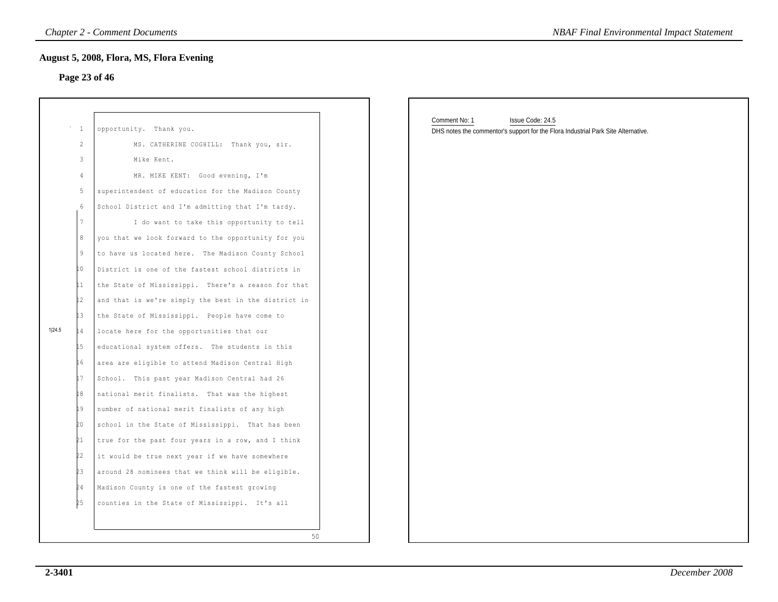## **Page 23 of 46**

|        |                 | <b>Chapter 2 - Comment Documents</b>                 | <b>NBAF Final Environmental Impact Statement</b>                                                                       |
|--------|-----------------|------------------------------------------------------|------------------------------------------------------------------------------------------------------------------------|
|        |                 | <b>August 5, 2008, Flora, MS, Flora Evening</b>      |                                                                                                                        |
|        |                 | Page 23 of 46                                        |                                                                                                                        |
|        |                 |                                                      |                                                                                                                        |
|        | $\cdots$ 1      | opportunity. Thank you.                              | Comment No: 1<br>Issue Code: 24.5<br>DHS notes the commentor's support for the Flora Industrial Park Site Alternative. |
|        | $\overline{c}$  | MS. CATHERINE COGHILL: Thank you, sir.               |                                                                                                                        |
|        | 3               | Mike Kent.                                           |                                                                                                                        |
|        | 4               | MR. MIKE KENT: Good evening, I'm                     |                                                                                                                        |
|        | 5               | superintendent of education for the Madison County   |                                                                                                                        |
|        | 6               | School District and I'm admitting that I'm tardy.    |                                                                                                                        |
|        | $7\overline{ }$ | I do want to take this opportunity to tell           |                                                                                                                        |
|        | 8               | you that we look forward to the opportunity for you  |                                                                                                                        |
|        | 9               | to have us located here. The Madison County School   |                                                                                                                        |
|        | İΟ.             | District is one of the fastest school districts in   |                                                                                                                        |
|        | $\mathbf{1}$    | the State of Mississippi. There's a reason for that  |                                                                                                                        |
|        | $\frac{1}{2}$   | and that is we're simply the best in the district in |                                                                                                                        |
|        | $\downarrow$ 3  | the State of Mississippi. People have come to        |                                                                                                                        |
| 1 24.5 | 14              | locate here for the opportunities that our           |                                                                                                                        |
|        | 15              | educational system offers. The students in this      |                                                                                                                        |
|        | 16              | area are eligible to attend Madison Central High     |                                                                                                                        |
|        | 17              | School. This past year Madison Central had 26        |                                                                                                                        |
|        | 18              | national merit finalists. That was the highest       |                                                                                                                        |
|        | 19              | number of national merit finalists of any high       |                                                                                                                        |
|        | 20              | school in the State of Mississippi. That has been    |                                                                                                                        |
|        | 21              | true for the past four years in a row, and I think   |                                                                                                                        |
|        | 22              | it would be true next year if we have somewhere      |                                                                                                                        |
|        | 23              | around 28 nominees that we think will be eligible.   |                                                                                                                        |
|        | 24              | Madison County is one of the fastest growing         |                                                                                                                        |
|        | 25              | counties in the State of Mississippi. It's all       |                                                                                                                        |
|        |                 |                                                      |                                                                                                                        |
|        |                 | 50                                                   |                                                                                                                        |
|        |                 |                                                      |                                                                                                                        |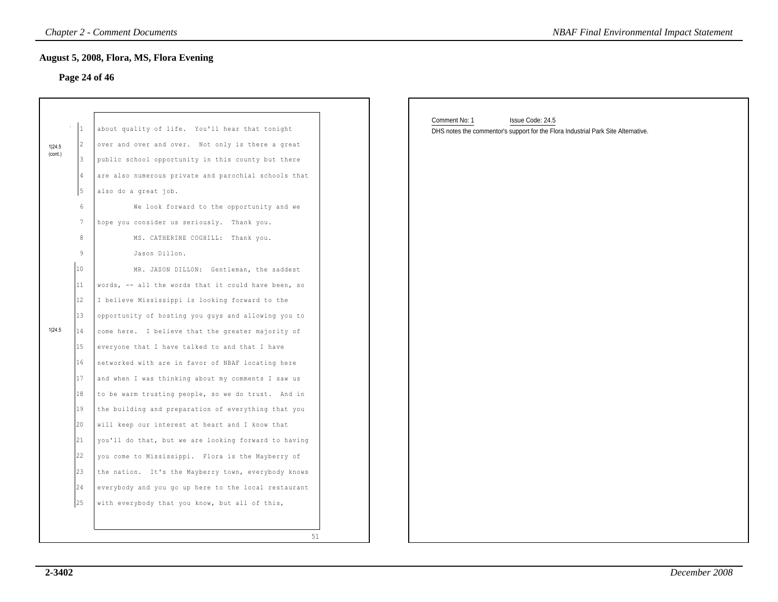## **Page 24 of 46**

|         |                 | <b>Chapter 2 - Comment Documents</b><br>August 5, 2008, Flora, MS, Flora Evening | <b>NBAF Final Environmental Impact Statement</b>                                                                       |
|---------|-----------------|----------------------------------------------------------------------------------|------------------------------------------------------------------------------------------------------------------------|
|         |                 | Page 24 of 46                                                                    |                                                                                                                        |
|         |                 |                                                                                  |                                                                                                                        |
|         | $\vert_1$       | about quality of life. You'll hear that tonight                                  | Comment No: 1<br>Issue Code: 24.5<br>DHS notes the commentor's support for the Flora Industrial Park Site Alternative. |
| 1 24.5  | 2               | over and over and over. Not only is there a great                                |                                                                                                                        |
| (cont.) | 3               | public school opportunity in this county but there                               |                                                                                                                        |
|         | $\vert 4 \vert$ | are also numerous private and parochial schools that                             |                                                                                                                        |
|         | 5               | also do a great job.                                                             |                                                                                                                        |
|         | 6               | We look forward to the opportunity and we                                        |                                                                                                                        |
|         | $7\phantom{.0}$ | hope you consider us seriously. Thank you.                                       |                                                                                                                        |
|         | $\,8\,$         | MS. CATHERINE COGHILL: Thank you.                                                |                                                                                                                        |
|         | $\overline{9}$  | Jason Dillon.                                                                    |                                                                                                                        |
|         | 10              | MR. JASON DILLON: Gentleman, the saddest                                         |                                                                                                                        |
|         | $ 11$           | words, -- all the words that it could have been, so                              |                                                                                                                        |
|         | 12              | I believe Mississippi is looking forward to the                                  |                                                                                                                        |
|         | $ 13\rangle$    | opportunity of hosting you guys and allowing you to                              |                                                                                                                        |
| 1 24.5  | 14              | come here. I believe that the greater majority of                                |                                                                                                                        |
|         | 15              | everyone that I have talked to and that I have                                   |                                                                                                                        |
|         | 16              | networked with are in favor of NBAF locating here                                |                                                                                                                        |
|         | 17              | and when I was thinking about my comments I saw us                               |                                                                                                                        |
|         | 18              | to be warm trusting people, so we do trust. And in                               |                                                                                                                        |
|         | 19              | the building and preparation of everything that you                              |                                                                                                                        |
|         | 20              | will keep our interest at heart and I know that                                  |                                                                                                                        |
|         | 21              | you'll do that, but we are looking forward to having                             |                                                                                                                        |
|         | 22              | you come to Mississippi. Flora is the Mayberry of                                |                                                                                                                        |
|         | 23              | the nation. It's the Mayberry town, everybody knows                              |                                                                                                                        |
|         | 24              | everybody and you go up here to the local restaurant                             |                                                                                                                        |
|         | 25              | with everybody that you know, but all of this,                                   |                                                                                                                        |
|         |                 |                                                                                  |                                                                                                                        |
|         |                 | 51                                                                               |                                                                                                                        |

| Issue Code: 24.5<br>DHS notes the commentor's support for the Flora Industrial Park Site Alternative. |
|-------------------------------------------------------------------------------------------------------|
|                                                                                                       |
|                                                                                                       |
|                                                                                                       |
|                                                                                                       |
|                                                                                                       |
|                                                                                                       |
|                                                                                                       |
|                                                                                                       |
|                                                                                                       |
|                                                                                                       |
|                                                                                                       |
|                                                                                                       |
|                                                                                                       |
|                                                                                                       |
|                                                                                                       |
|                                                                                                       |
|                                                                                                       |
|                                                                                                       |
|                                                                                                       |
|                                                                                                       |
|                                                                                                       |
|                                                                                                       |
|                                                                                                       |
|                                                                                                       |
|                                                                                                       |
|                                                                                                       |
|                                                                                                       |
|                                                                                                       |
|                                                                                                       |
|                                                                                                       |
|                                                                                                       |
|                                                                                                       |
|                                                                                                       |
|                                                                                                       |
|                                                                                                       |
|                                                                                                       |
|                                                                                                       |
|                                                                                                       |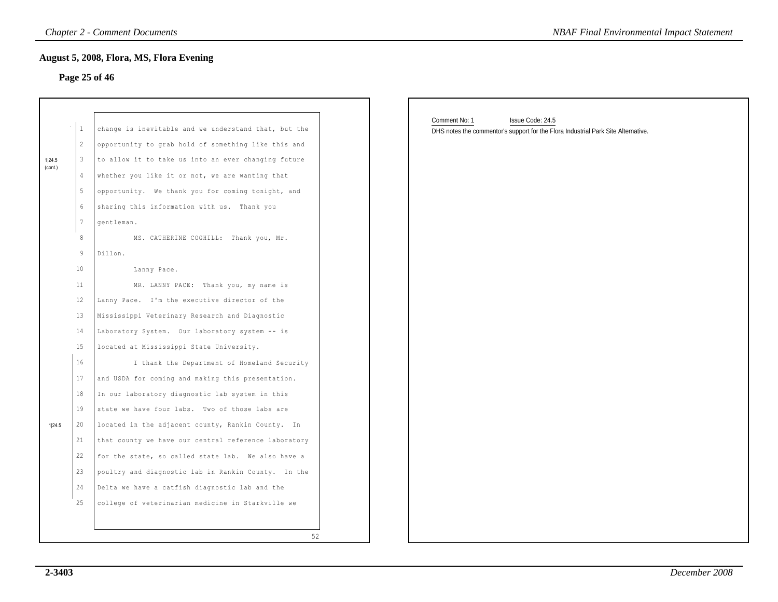## **Page 25 of 46**

|                   |                                                                                   | August 5, 2008, Flora, MS, Flora Evening<br>Page 25 of 46                                                                                                                                                                                                                                                                                                                                                            |                                                                                                                        |
|-------------------|-----------------------------------------------------------------------------------|----------------------------------------------------------------------------------------------------------------------------------------------------------------------------------------------------------------------------------------------------------------------------------------------------------------------------------------------------------------------------------------------------------------------|------------------------------------------------------------------------------------------------------------------------|
| 1 24.5<br>(cont.) | $\mathbf{1}$<br>$\overline{c}$<br>3<br>$\overline{4}$<br>5<br>6<br>$7\phantom{.}$ | change is inevitable and we understand that, but the<br>opportunity to grab hold of something like this and<br>to allow it to take us into an ever changing future<br>whether you like it or not, we are wanting that<br>opportunity. We thank you for coming tonight, and<br>sharing this information with us. Thank you<br>gentleman.                                                                              | Comment No: 1<br>Issue Code: 24.5<br>DHS notes the commentor's support for the Flora Industrial Park Site Alternative. |
|                   | 8<br>$\overline{9}$<br>10<br>11<br>12<br>13<br>14                                 | MS. CATHERINE COGHILL: Thank you, Mr.<br>Dillon.<br>Lanny Pace.<br>MR. LANNY PACE: Thank you, my name is<br>Lanny Pace. I'm the executive director of the<br>Mississippi Veterinary Research and Diagnostic<br>Laboratory System. Our laboratory system -- is                                                                                                                                                        |                                                                                                                        |
| 1 24.5            | 15<br>16<br>17<br>18<br>19<br>20<br>21<br>22                                      | located at Mississippi State University.<br>I thank the Department of Homeland Security<br>and USDA for coming and making this presentation.<br>In our laboratory diagnostic lab system in this<br>state we have four labs. Two of those labs are<br>located in the adjacent county, Rankin County. In<br>that county we have our central reference laboratory<br>for the state, so called state lab. We also have a |                                                                                                                        |
|                   | 23<br>24<br>25                                                                    | poultry and diagnostic lab in Rankin County. In the<br>Delta we have a catfish diagnostic lab and the<br>college of veterinarian medicine in Starkville we<br>52                                                                                                                                                                                                                                                     |                                                                                                                        |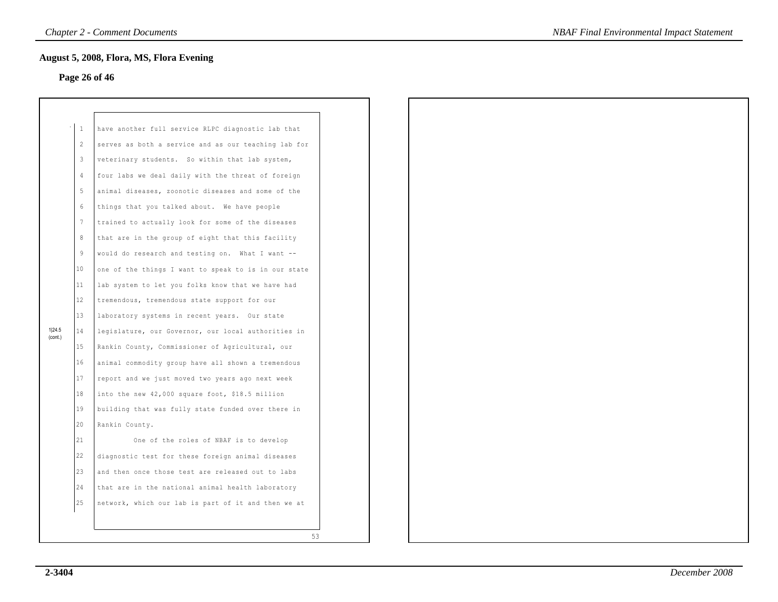## **Page 26 of 46**

|                   | 1              | have another full service RLPC diagnostic lab that   |
|-------------------|----------------|------------------------------------------------------|
|                   | $\overline{2}$ | serves as both a service and as our teaching lab for |
|                   | 3              | veterinary students. So within that lab system,      |
|                   | 4              | four labs we deal daily with the threat of foreign   |
|                   | 5              | animal diseases, zoonotic diseases and some of the   |
|                   | 6              | things that you talked about. We have people         |
|                   | 7              | trained to actually look for some of the diseases    |
|                   | 8              | that are in the group of eight that this facility    |
|                   | 9              | would do research and testing on. What I want --     |
|                   | 10             | one of the things I want to speak to is in our state |
|                   | 11             | lab system to let you folks know that we have had    |
|                   | 12             | tremendous, tremendous state support for our         |
|                   | 13             | laboratory systems in recent years. Our state        |
| 1 24.5<br>(cont.) | 14             | legislature, our Governor, our local authorities in  |
|                   | 15             | Rankin County, Commissioner of Agricultural, our     |
|                   | 16             | animal commodity group have all shown a tremendous   |
|                   | 17             | report and we just moved two years ago next week     |
|                   | 18             | into the new 42,000 square foot, \$18.5 million      |
|                   | 19             | building that was fully state funded over there in   |
|                   | 20             | Rankin County.                                       |
|                   | 21             | One of the roles of NBAF is to develop               |
|                   | 22.            | diagnostic test for these foreign animal diseases    |
|                   | 23             | and then once those test are released out to labs    |
|                   | 24             | that are in the national animal health laboratory    |
|                   | 25             | network, which our lab is part of it and then we at  |
|                   |                |                                                      |
|                   |                | 53                                                   |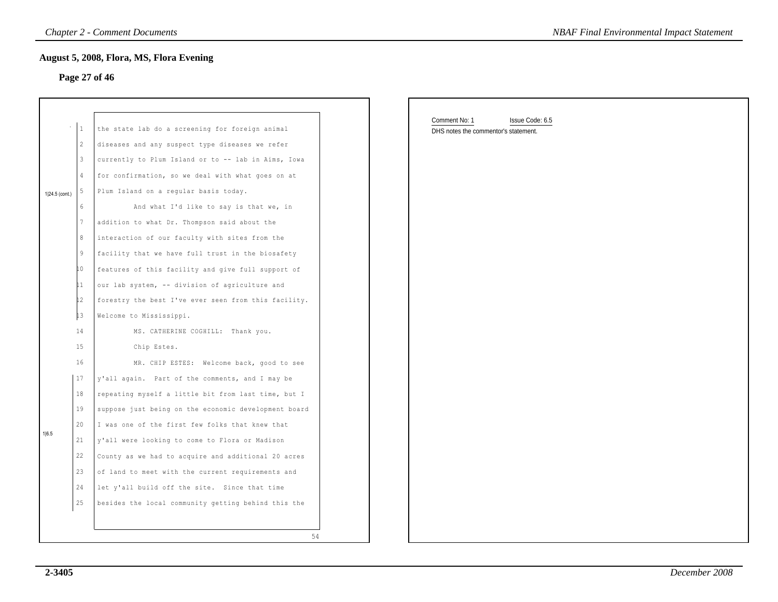## **Page 27 of 46**

|                |                 | <b>Chapter 2 - Comment Documents</b><br>August 5, 2008, Flora, MS, Flora Evening | <b>NBAF Final Environmental Impact Statement</b> |
|----------------|-----------------|----------------------------------------------------------------------------------|--------------------------------------------------|
|                |                 | Page 27 of 46                                                                    |                                                  |
|                |                 |                                                                                  | Comment No: 1<br>Issue Code: 6.5                 |
|                | $\mathbf{1}$    | the state lab do a screening for foreign animal                                  | DHS notes the commentor's statement.             |
|                | 2               | diseases and any suspect type diseases we refer                                  |                                                  |
|                | 3               | currently to Plum Island or to -- lab in Aims, Iowa                              |                                                  |
|                | $\overline{4}$  | for confirmation, so we deal with what goes on at                                |                                                  |
| 1 24.5 (cont.) | 5               | Plum Island on a regular basis today.                                            |                                                  |
|                | $6\phantom{.}6$ | And what I'd like to say is that we, in                                          |                                                  |
|                |                 | addition to what Dr. Thompson said about the                                     |                                                  |
|                | 8               | interaction of our faculty with sites from the                                   |                                                  |
|                | 9               | facility that we have full trust in the biosafety                                |                                                  |
|                | LO.             | features of this facility and give full support of                               |                                                  |
|                | 11              | our lab system, -- division of agriculture and                                   |                                                  |
|                | 12              | forestry the best I've ever seen from this facility.                             |                                                  |
|                | $\downarrow$ 3  | Welcome to Mississippi.                                                          |                                                  |
|                | 14              | MS. CATHERINE COGHILL: Thank you.                                                |                                                  |
|                | 15              | Chip Estes.                                                                      |                                                  |
|                | 16              | MR. CHIP ESTES: Welcome back, good to see                                        |                                                  |
|                | 17              | y'all again. Part of the comments, and I may be                                  |                                                  |
|                | 18              | repeating myself a little bit from last time, but I                              |                                                  |
|                | 19              | suppose just being on the economic development board                             |                                                  |
|                | 20              | I was one of the first few folks that knew that                                  |                                                  |
| 1 6.5          | 21              | y'all were looking to come to Flora or Madison                                   |                                                  |
|                | 22              | County as we had to acquire and additional 20 acres                              |                                                  |
|                | $23\,$          | of land to meet with the current requirements and                                |                                                  |
|                | 24              | let y'all build off the site. Since that time                                    |                                                  |
|                | 25              | besides the local community getting behind this the                              |                                                  |
|                |                 |                                                                                  |                                                  |
|                |                 | 54                                                                               |                                                  |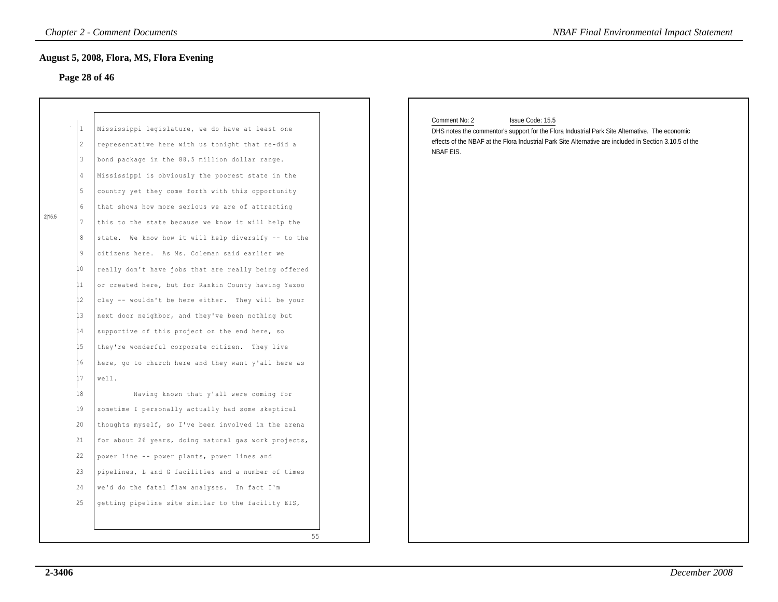## **Page 28 of 46**

| 2 15.5 | 1<br>2<br>3<br>4<br>5<br>6<br>7<br>8<br>9<br>. 0<br>L 1<br>.2<br>.3<br>$\overline{4}$<br>.5<br>L 6<br>L 7<br>18<br>19<br>20<br>21 | Mississippi legislature, we do have at least one<br>representative here with us tonight that re-did a<br>bond package in the 88.5 million dollar range.<br>Mississippi is obviously the poorest state in the<br>country yet they come forth with this opportunity<br>that shows how more serious we are of attracting<br>this to the state because we know it will help the<br>We know how it will help diversify -- to the<br>state.<br>citizens here. As Ms. Coleman said earlier we<br>really don't have jobs that are really being offered<br>or created here, but for Rankin County having Yazoo<br>clay -- wouldn't be here either. They will be your<br>next door neighbor, and they've been nothing but<br>supportive of this project on the end here, so<br>they're wonderful corporate citizen.<br>They live<br>here, go to church here and they want y'all here as<br>well.<br>Having known that y'all were coming for<br>sometime I personally actually had some skeptical<br>thoughts myself, so I've been involved in the arena<br>for about 26 years, doing natural gas work projects, |    |
|--------|-----------------------------------------------------------------------------------------------------------------------------------|-------------------------------------------------------------------------------------------------------------------------------------------------------------------------------------------------------------------------------------------------------------------------------------------------------------------------------------------------------------------------------------------------------------------------------------------------------------------------------------------------------------------------------------------------------------------------------------------------------------------------------------------------------------------------------------------------------------------------------------------------------------------------------------------------------------------------------------------------------------------------------------------------------------------------------------------------------------------------------------------------------------------------------------------------------------------------------------------------------|----|
|        |                                                                                                                                   |                                                                                                                                                                                                                                                                                                                                                                                                                                                                                                                                                                                                                                                                                                                                                                                                                                                                                                                                                                                                                                                                                                       |    |
|        |                                                                                                                                   |                                                                                                                                                                                                                                                                                                                                                                                                                                                                                                                                                                                                                                                                                                                                                                                                                                                                                                                                                                                                                                                                                                       |    |
|        |                                                                                                                                   |                                                                                                                                                                                                                                                                                                                                                                                                                                                                                                                                                                                                                                                                                                                                                                                                                                                                                                                                                                                                                                                                                                       |    |
|        |                                                                                                                                   |                                                                                                                                                                                                                                                                                                                                                                                                                                                                                                                                                                                                                                                                                                                                                                                                                                                                                                                                                                                                                                                                                                       |    |
|        |                                                                                                                                   |                                                                                                                                                                                                                                                                                                                                                                                                                                                                                                                                                                                                                                                                                                                                                                                                                                                                                                                                                                                                                                                                                                       |    |
|        |                                                                                                                                   |                                                                                                                                                                                                                                                                                                                                                                                                                                                                                                                                                                                                                                                                                                                                                                                                                                                                                                                                                                                                                                                                                                       |    |
|        |                                                                                                                                   |                                                                                                                                                                                                                                                                                                                                                                                                                                                                                                                                                                                                                                                                                                                                                                                                                                                                                                                                                                                                                                                                                                       |    |
|        |                                                                                                                                   |                                                                                                                                                                                                                                                                                                                                                                                                                                                                                                                                                                                                                                                                                                                                                                                                                                                                                                                                                                                                                                                                                                       |    |
|        |                                                                                                                                   |                                                                                                                                                                                                                                                                                                                                                                                                                                                                                                                                                                                                                                                                                                                                                                                                                                                                                                                                                                                                                                                                                                       |    |
|        |                                                                                                                                   |                                                                                                                                                                                                                                                                                                                                                                                                                                                                                                                                                                                                                                                                                                                                                                                                                                                                                                                                                                                                                                                                                                       |    |
|        | 22                                                                                                                                | power line -- power plants, power lines and                                                                                                                                                                                                                                                                                                                                                                                                                                                                                                                                                                                                                                                                                                                                                                                                                                                                                                                                                                                                                                                           |    |
|        | 23                                                                                                                                | pipelines, L and G facilities and a number of times                                                                                                                                                                                                                                                                                                                                                                                                                                                                                                                                                                                                                                                                                                                                                                                                                                                                                                                                                                                                                                                   |    |
|        | 24                                                                                                                                | we'd do the fatal flaw analyses. In fact I'm                                                                                                                                                                                                                                                                                                                                                                                                                                                                                                                                                                                                                                                                                                                                                                                                                                                                                                                                                                                                                                                          |    |
|        | 25                                                                                                                                | getting pipeline site similar to the facility EIS,                                                                                                                                                                                                                                                                                                                                                                                                                                                                                                                                                                                                                                                                                                                                                                                                                                                                                                                                                                                                                                                    |    |
|        |                                                                                                                                   |                                                                                                                                                                                                                                                                                                                                                                                                                                                                                                                                                                                                                                                                                                                                                                                                                                                                                                                                                                                                                                                                                                       |    |
|        |                                                                                                                                   |                                                                                                                                                                                                                                                                                                                                                                                                                                                                                                                                                                                                                                                                                                                                                                                                                                                                                                                                                                                                                                                                                                       |    |
|        |                                                                                                                                   |                                                                                                                                                                                                                                                                                                                                                                                                                                                                                                                                                                                                                                                                                                                                                                                                                                                                                                                                                                                                                                                                                                       | 55 |

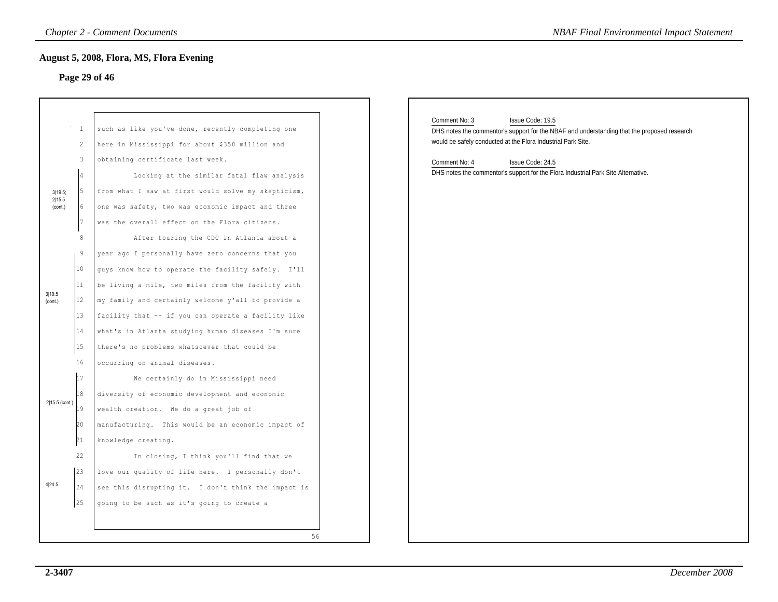## **Page 29 of 46**

|                              |                                                                                 | <b>Chapter 2 - Comment Documents</b>                                                                                                                                                                                                                                                                                                                                                                                                                                                                       | <b>NBAF Final Environmental Impact Statement</b>                                                                                                                                                                                                                                                                           |  |
|------------------------------|---------------------------------------------------------------------------------|------------------------------------------------------------------------------------------------------------------------------------------------------------------------------------------------------------------------------------------------------------------------------------------------------------------------------------------------------------------------------------------------------------------------------------------------------------------------------------------------------------|----------------------------------------------------------------------------------------------------------------------------------------------------------------------------------------------------------------------------------------------------------------------------------------------------------------------------|--|
|                              |                                                                                 | August 5, 2008, Flora, MS, Flora Evening<br>Page 29 of 46                                                                                                                                                                                                                                                                                                                                                                                                                                                  |                                                                                                                                                                                                                                                                                                                            |  |
| 3 19.5;<br>2 15.5<br>(cont.) | $\overline{1}$<br>2<br>3<br>4<br>5<br>16<br>17<br>8<br>9<br>$ 10\rangle$<br> 11 | such as like you've done, recently completing one<br>here in Mississippi for about \$350 million and<br>obtaining certificate last week.<br>Looking at the similar fatal flaw analysis<br>from what I saw at first would solve my skepticism,<br>one was safety, two was economic impact and three<br>was the overall effect on the Flora citizens.<br>After touring the CDC in Atlanta about a<br>year ago I personally have zero concerns that you<br>guys know how to operate the facility safely. I'll | Comment No: 3<br>Issue Code: 19.5<br>DHS notes the commentor's support for the NBAF and understanding that the proposed research<br>would be safely conducted at the Flora Industrial Park Site.<br>Comment No: 4<br>Issue Code: 24.5<br>DHS notes the commentor's support for the Flora Industrial Park Site Alternative. |  |
| 3 19.5<br>(cont.)            | 12<br> 13<br>14<br>15<br>16                                                     | be living a mile, two miles from the facility with<br>my family and certainly welcome y'all to provide a<br>facility that -- if you can operate a facility like<br>what's in Atlanta studying human diseases I'm sure<br>there's no problems whatsoever that could be<br>occurring on animal diseases.                                                                                                                                                                                                     |                                                                                                                                                                                                                                                                                                                            |  |
| 2 15.5 (cont.)               | 17<br>18<br>19<br>20<br>21                                                      | We certainly do in Mississippi need<br>diversity of economic development and economic<br>wealth creation. We do a great job of<br>manufacturing. This would be an economic impact of<br>knowledge creating.                                                                                                                                                                                                                                                                                                |                                                                                                                                                                                                                                                                                                                            |  |
| 4 24.5                       | 22<br> 23<br>24<br>25                                                           | In closing, I think you'll find that we<br>love our quality of life here. I personally don't<br>see this disrupting it. I don't think the impact is<br>going to be such as it's going to create a<br>56                                                                                                                                                                                                                                                                                                    |                                                                                                                                                                                                                                                                                                                            |  |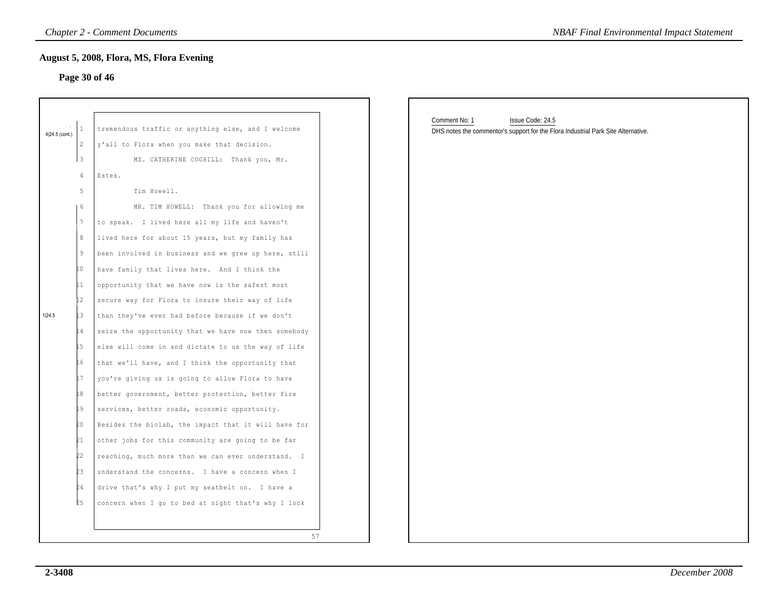## **Page 30 of 46**

|                |                         | Page 30 of 46                                                                                     |                                                                                                                        |
|----------------|-------------------------|---------------------------------------------------------------------------------------------------|------------------------------------------------------------------------------------------------------------------------|
| 4 24.5 (cont.) | 2                       | tremendous traffic or anything else, and I welcome<br>y'all to Flora when you make that decision. | Comment No: 1<br>Issue Code: 24.5<br>DHS notes the commentor's support for the Flora Industrial Park Site Alternative. |
|                | $\overline{\mathbf{3}}$ | MS. CATHERINE COGHILL: Thank you, Mr.                                                             |                                                                                                                        |
|                | 4                       | Estes.                                                                                            |                                                                                                                        |
|                | 5                       | Tim Howell.                                                                                       |                                                                                                                        |
|                | 6                       | MR. TIM HOWELL: Thank you for allowing me                                                         |                                                                                                                        |
|                | 7                       | to speak. I lived here all my life and haven't                                                    |                                                                                                                        |
|                | 8                       | lived here for about 15 years, but my family has                                                  |                                                                                                                        |
|                | 9                       | been involved in business and we grew up here, still                                              |                                                                                                                        |
|                | 10                      | have family that lives here. And I think the                                                      |                                                                                                                        |
|                |                         | opportunity that we have now is the safest most                                                   |                                                                                                                        |
|                | 12                      | secure way for Flora to insure their way of life                                                  |                                                                                                                        |
| 1 24.5         | 13                      | than they've ever had before because if we don't                                                  |                                                                                                                        |
|                | 14                      | seize the opportunity that we have now then somebody                                              |                                                                                                                        |
|                | 15                      | else will come in and dictate to us the way of life                                               |                                                                                                                        |
|                | 16                      | that we'll have, and I think the opportunity that                                                 |                                                                                                                        |
|                | 17                      | you're giving us is going to allow Flora to have                                                  |                                                                                                                        |
|                | 18                      | better government, better protection, better fire                                                 |                                                                                                                        |
|                | 19                      | services, better roads, economic opportunity.                                                     |                                                                                                                        |
|                | 20                      | Besides the biolab, the impact that it will have for                                              |                                                                                                                        |
|                | 21                      | other jobs for this community are going to be far                                                 |                                                                                                                        |
|                | 22                      | reaching, much more than we can ever understand. I                                                |                                                                                                                        |
|                | þз                      | understand the concerns. I have a concern when I                                                  |                                                                                                                        |
|                | 24                      | drive that's why I put my seatbelt on. I have a                                                   |                                                                                                                        |
|                | 25                      | concern when I go to bed at night that's why I lock                                               |                                                                                                                        |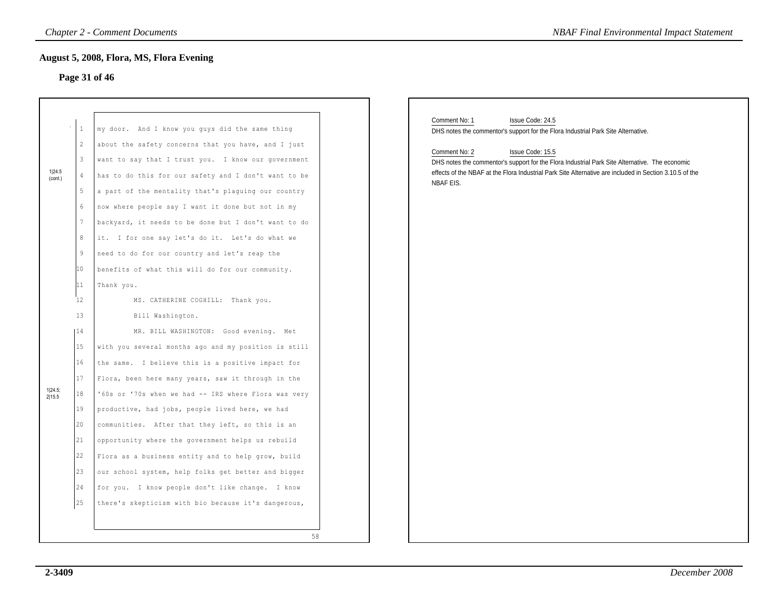# **Page 31 of 46**

|                   |                                                                                                                                                                  | <b>Chapter 2 - Comment Documents</b>                                                                                                                                                                                                                                                                                                                                                                                                                                                                                                                                                                                                                                                                           | <b>NBAF Final Environmental Impact Statement</b>                                                                                                                                                                                                                                                                                                                                      |
|-------------------|------------------------------------------------------------------------------------------------------------------------------------------------------------------|----------------------------------------------------------------------------------------------------------------------------------------------------------------------------------------------------------------------------------------------------------------------------------------------------------------------------------------------------------------------------------------------------------------------------------------------------------------------------------------------------------------------------------------------------------------------------------------------------------------------------------------------------------------------------------------------------------------|---------------------------------------------------------------------------------------------------------------------------------------------------------------------------------------------------------------------------------------------------------------------------------------------------------------------------------------------------------------------------------------|
|                   |                                                                                                                                                                  | August 5, 2008, Flora, MS, Flora Evening<br>Page 31 of 46                                                                                                                                                                                                                                                                                                                                                                                                                                                                                                                                                                                                                                                      |                                                                                                                                                                                                                                                                                                                                                                                       |
| 1 24.5<br>(cont.) | $\,1\,$<br>$\overline{2}$<br>$\mathbf{3}$<br>$\overline{4}$<br>$5\phantom{.0}$<br>$6\phantom{.}6$<br>$7\phantom{.0}$<br>$^{\rm 8}$<br>$\overline{9}$<br>10<br>11 | my door. And I know you guys did the same thing<br>about the safety concerns that you have, and I just<br>want to say that I trust you. I know our government<br>has to do this for our safety and I don't want to be<br>a part of the mentality that's plaguing our country<br>now where people say I want it done but not in my<br>backyard, it needs to be done but I don't want to do<br>it. I for one say let's do it. Let's do what we<br>need to do for our country and let's reap the<br>benefits of what this will do for our community.<br>Thank you.                                                                                                                                                | Comment No: 1<br>Issue Code: 24.5<br>DHS notes the commentor's support for the Flora Industrial Park Site Alternative.<br>Comment No: 2<br>Issue Code: 15.5<br>DHS notes the commentor's support for the Flora Industrial Park Site Alternative. The economic<br>effects of the NBAF at the Flora Industrial Park Site Alternative are included in Section 3.10.5 of the<br>NBAF EIS. |
| 1 24.5;<br>2 15.5 | 12<br>13<br>14<br>15<br>16<br>17<br>18<br>19<br>20<br>21<br>22<br>23<br>24<br>25                                                                                 | MS. CATHERINE COGHILL: Thank you.<br>Bill Washington.<br>MR. BILL WASHINGTON: Good evening. Met<br>with you several months ago and my position is still<br>the same. I believe this is a positive impact for<br>Flora, been here many years, saw it through in the<br>'60s or '70s when we had -- IRS where Flora was very<br>productive, had jobs, people lived here, we had<br>communities. After that they left, so this is an<br>opportunity where the government helps us rebuild<br>Flora as a business entity and to help grow, build<br>our school system, help folks get better and bigger<br>for you. I know people don't like change. I know<br>there's skepticism with bio because it's dangerous, |                                                                                                                                                                                                                                                                                                                                                                                       |
|                   |                                                                                                                                                                  | 58                                                                                                                                                                                                                                                                                                                                                                                                                                                                                                                                                                                                                                                                                                             |                                                                                                                                                                                                                                                                                                                                                                                       |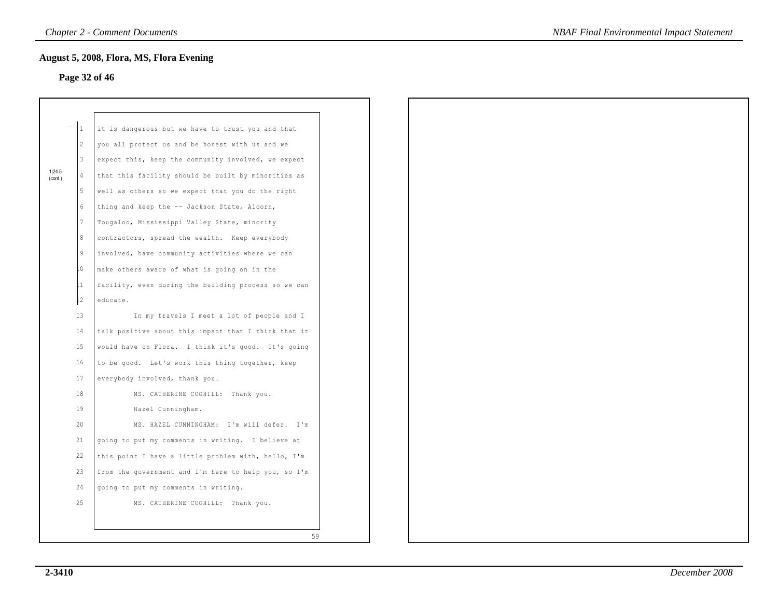## **Page 32 of 46**

|                   | $\mathbf{1}$    | it is dangerous but we have to trust you and that    |
|-------------------|-----------------|------------------------------------------------------|
|                   | $\mathbf{2}$    | you all protect us and be honest with us and we      |
|                   | 3               | expect this, keep the community involved, we expect  |
| 1 24.5<br>(cont.) | $\overline{4}$  | that this facility should be built by minorities as  |
|                   | 5               | well as others so we expect that you do the right    |
|                   | $6\phantom{.}$  | thing and keep the -- Jackson State, Alcorn,         |
|                   | $7\phantom{.0}$ | Tougaloo, Mississippi Valley State, minority         |
|                   | 8               | contractors, spread the wealth. Keep everybody       |
|                   | 9               | involved, have community activities where we can     |
|                   | L0.             | make others aware of what is going on in the         |
|                   | 11              | facility, even during the building process so we can |
|                   | $12^{\circ}$    | educate.                                             |
|                   | 13              | In my travels I meet a lot of people and I           |
|                   | 14              | talk positive about this impact that I think that it |
|                   | 15              | would have on Flora. I think it's good. It's going   |
|                   | 16              | to be good. Let's work this thing together, keep     |
|                   | 17              | everybody involved, thank you.                       |
|                   | 18              | MS. CATHERINE COGHILL: Thank you.                    |
|                   | 19              | Hazel Cunningham.                                    |
|                   | 20              | MS. HAZEL CUNNINGHAM: I'm will defer. I'm            |
|                   | 21              | going to put my comments in writing. I believe at    |
|                   | 22              | this point I have a little problem with, hello, I'm  |
|                   | 23              | from the government and I'm here to help you, so I'm |
|                   | 24              | going to put my comments in writing.                 |
|                   | 25              | MS. CATHERINE COGHILL: Thank you.                    |
|                   |                 |                                                      |
|                   |                 |                                                      |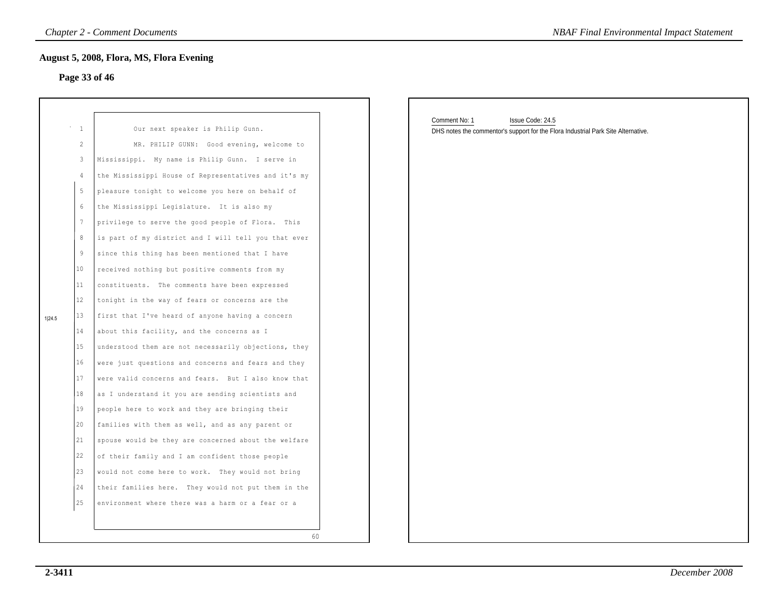## **Page 33 of 46**

|        | 1  | Our next speaker is Philip Gunn.                     |
|--------|----|------------------------------------------------------|
|        | 2  | MR. PHILIP GUNN: Good evening, welcome to            |
|        | 3  | Mississippi. My name is Philip Gunn. I serve in      |
|        | 4  | the Mississippi House of Representatives and it's my |
|        | 5  | pleasure tonight to welcome you here on behalf of    |
|        | 6  | the Mississippi Legislature. It is also my           |
|        | 7  | privilege to serve the good people of Flora.<br>This |
|        | 8  | is part of my district and I will tell you that ever |
|        | 9  | since this thing has been mentioned that I have      |
|        | 10 | received nothing but positive comments from my       |
|        | 11 | The comments have been expressed<br>constituents.    |
|        | 12 | tonight in the way of fears or concerns are the      |
|        | 13 | first that I've heard of anyone having a concern     |
| 1 24.5 | 14 | about this facility, and the concerns as I           |
|        | 15 | understood them are not necessarily objections, they |
|        | 16 | were just questions and concerns and fears and they  |
|        | 17 | were valid concerns and fears. But I also know that  |
|        | 18 |                                                      |
|        | 19 | as I understand it you are sending scientists and    |
|        | 20 | people here to work and they are bringing their      |
|        |    | families with them as well, and as any parent or     |
|        | 21 | spouse would be they are concerned about the welfare |
|        | 22 | of their family and I am confident those people      |
|        | 23 | would not come here to work. They would not bring    |
|        | 24 | their families here. They would not put them in the  |
|        | 25 | environment where there was a harm or a fear or a    |
|        |    |                                                      |
|        |    | 60                                                   |

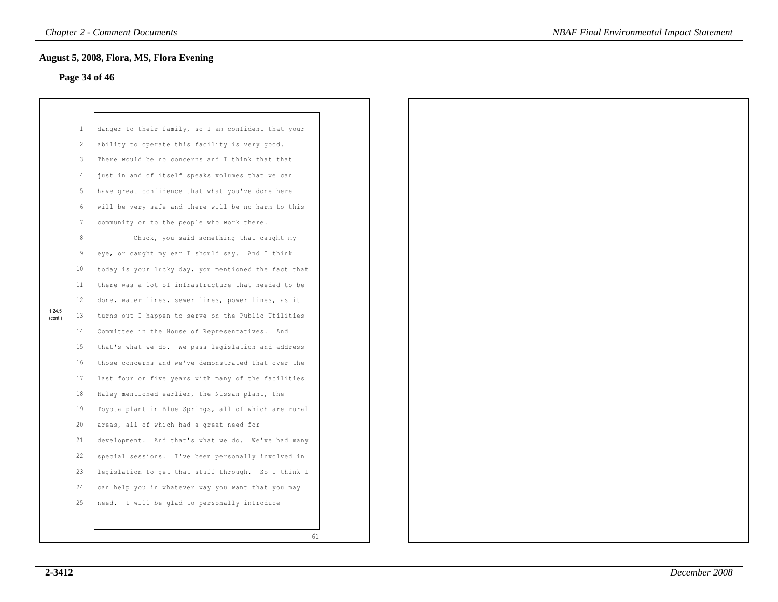## **Page 34 of 46**

|                   | $\mathbf{1}$ | danger to their family, so I am confident that your    |
|-------------------|--------------|--------------------------------------------------------|
|                   | 2            | ability to operate this facility is very good.         |
|                   | 3            | There would be no concerns and I think that that       |
|                   | 4            | just in and of itself speaks volumes that we can       |
|                   | 5            | have great confidence that what you've done here       |
|                   | 6            | will be very safe and there will be no harm to this    |
|                   | 7            | community or to the people who work there.             |
|                   | 8            | Chuck, you said something that caught my               |
|                   | 9            | eye, or caught my ear I should say. And I think        |
|                   | LO           | today is your lucky day, you mentioned the fact that   |
|                   | 11           | there was a lot of infrastructure that needed to be    |
|                   | 12           | done, water lines, sewer lines, power lines, as it     |
| 1 24.5<br>(cont.) | LЗ           | turns out I happen to serve on the Public Utilities    |
|                   | 14           | Committee in the House of Representatives.<br>And      |
|                   | 15           | that's what we do. We pass legislation and address     |
|                   | L6           | those concerns and we've demonstrated that over the    |
|                   | L7           | last four or five years with many of the facilities    |
|                   | 18           | Haley mentioned earlier, the Nissan plant, the         |
|                   | 19           | Toyota plant in Blue Springs, all of which are rural   |
|                   | Þ0           | areas, all of which had a great need for               |
|                   | 21           | development. And that's what we do. We've had many     |
|                   | Þ2           | special sessions. I've been personally involved in     |
|                   | 23           | legislation to get that stuff through.<br>So I think I |
|                   | 24           | can help you in whatever way you want that you may     |
|                   | 25           | need. I will be glad to personally introduce           |
|                   |              |                                                        |
|                   |              | 61                                                     |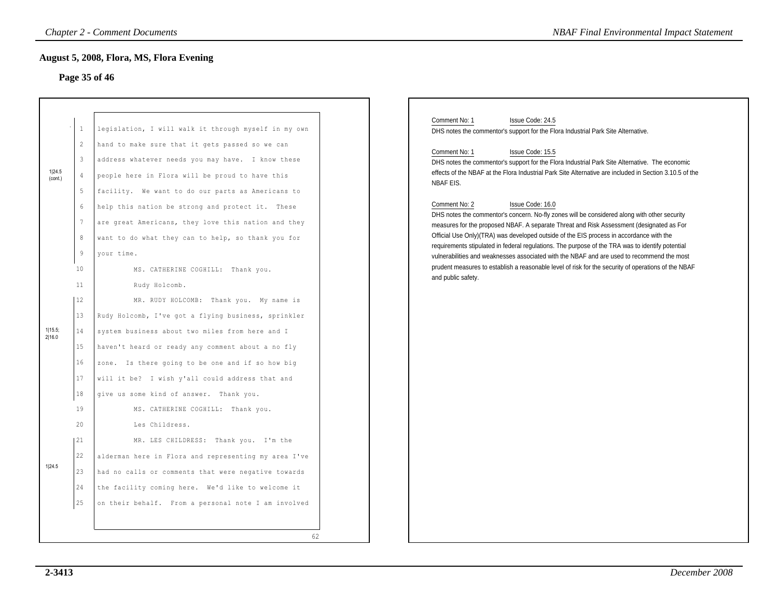### **Page 35 of 46**

|                   |                                                                                                                     | <b>Chapter 2 - Comment Documents</b>                                                                                                                                                                                                                                                                                                                                                                                                                | <b>NBAF Final Environmental Impact Statement</b>                                                                                                                                                                                                                                                                                                                                                                                                                                                                                                                                                                                                                                                                                                                                                                                                                                                                           |
|-------------------|---------------------------------------------------------------------------------------------------------------------|-----------------------------------------------------------------------------------------------------------------------------------------------------------------------------------------------------------------------------------------------------------------------------------------------------------------------------------------------------------------------------------------------------------------------------------------------------|----------------------------------------------------------------------------------------------------------------------------------------------------------------------------------------------------------------------------------------------------------------------------------------------------------------------------------------------------------------------------------------------------------------------------------------------------------------------------------------------------------------------------------------------------------------------------------------------------------------------------------------------------------------------------------------------------------------------------------------------------------------------------------------------------------------------------------------------------------------------------------------------------------------------------|
|                   |                                                                                                                     | August 5, 2008, Flora, MS, Flora Evening<br>Page 35 of 46                                                                                                                                                                                                                                                                                                                                                                                           |                                                                                                                                                                                                                                                                                                                                                                                                                                                                                                                                                                                                                                                                                                                                                                                                                                                                                                                            |
| 1 24.5<br>(cont.) | $\mathbf{1}$<br>$\overline{c}$<br>$\mathbf{3}$<br>$\frac{4}{3}$<br>5<br>6<br>$7\phantom{.0}$<br>8<br>$\overline{9}$ | legislation, I will walk it through myself in my own<br>hand to make sure that it gets passed so we can<br>address whatever needs you may have. I know these<br>people here in Flora will be proud to have this<br>facility. We want to do our parts as Americans to<br>help this nation be strong and protect it. These<br>are great Americans, they love this nation and they<br>want to do what they can to help, so thank you for<br>vour time. | Comment No: 1<br>Issue Code: 24.5<br>DHS notes the commentor's support for the Flora Industrial Park Site Alternative.<br>Comment No: 1<br>Issue Code: 15.5<br>DHS notes the commentor's support for the Flora Industrial Park Site Alternative. The economic<br>effects of the NBAF at the Flora Industrial Park Site Alternative are included in Section 3.10.5 of the<br><b>NBAF EIS.</b><br>Issue Code: 16.0<br>Comment No: 2<br>DHS notes the commentor's concern. No-fly zones will be considered along with other security<br>measures for the proposed NBAF. A separate Threat and Risk Assessment (designated as For<br>Official Use Only)(TRA) was developed outside of the EIS process in accordance with the<br>requirements stipulated in federal regulations. The purpose of the TRA was to identify potential<br>vulnerabilities and weaknesses associated with the NBAF and are used to recommend the most |
| 1 15.5;<br>2 16.0 | 10<br>11<br>12<br>13<br>14<br>15<br>16<br>17<br>18                                                                  | MS. CATHERINE COGHILL: Thank you.<br>Rudy Holcomb.<br>MR. RUDY HOLCOMB: Thank you. My name is<br>Rudy Holcomb, I've got a flying business, sprinkler<br>system business about two miles from here and I<br>haven't heard or ready any comment about a no fly<br>zone. Is there going to be one and if so how big<br>will it be? I wish y'all could address that and<br>give us some kind of answer. Thank you.                                      | prudent measures to establish a reasonable level of risk for the security of operations of the NBAF<br>and public safety.                                                                                                                                                                                                                                                                                                                                                                                                                                                                                                                                                                                                                                                                                                                                                                                                  |
| 1 24.5            | 19<br>20<br>  21<br>22<br>23<br>24<br>25                                                                            | MS. CATHERINE COGHILL: Thank you.<br>Les Childress.<br>MR. LES CHILDRESS: Thank you. I'm the<br>alderman here in Flora and representing my area I've<br>had no calls or comments that were negative towards<br>the facility coming here. We'd like to welcome it<br>on their behalf. From a personal note I am involved<br>62                                                                                                                       |                                                                                                                                                                                                                                                                                                                                                                                                                                                                                                                                                                                                                                                                                                                                                                                                                                                                                                                            |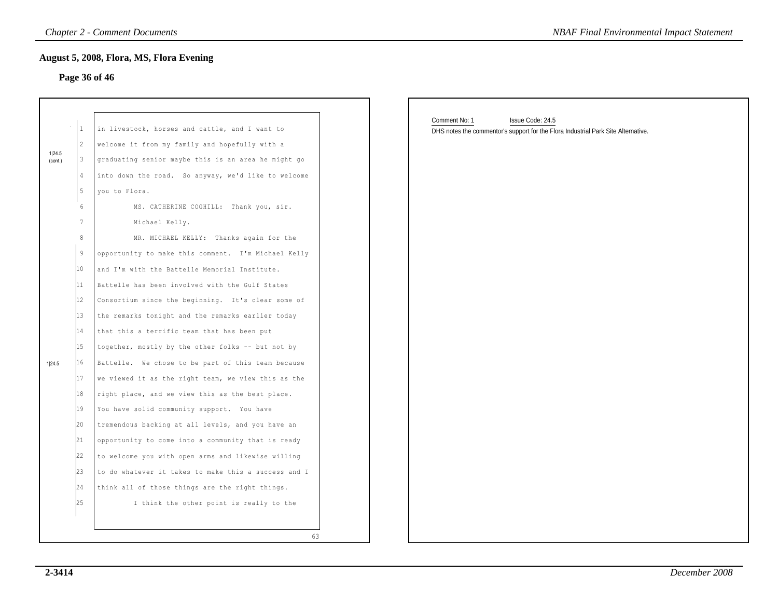#### **Page 36 of 46**

|                   | 1              | in livestock, horses and cattle, and I want to       |
|-------------------|----------------|------------------------------------------------------|
|                   | $\overline{2}$ | welcome it from my family and hopefully with a       |
| 1 24.5<br>(cont.) | 3              | graduating senior maybe this is an area he might go  |
|                   | 4              | into down the road. So anyway, we'd like to welcome  |
|                   | 5              | you to Flora.                                        |
|                   | 6              | MS. CATHERINE COGHILL: Thank you, sir.               |
|                   | 7              | Michael Kelly.                                       |
|                   | 8              | MR. MICHAEL KELLY:<br>Thanks again for the           |
|                   | 9              | opportunity to make this comment. I'm Michael Kelly  |
|                   | 10             | and I'm with the Battelle Memorial Institute.        |
|                   | 11             | Battelle has been involved with the Gulf States      |
|                   | 12             | Consortium since the beginning. It's clear some of   |
|                   | 13             | the remarks tonight and the remarks earlier today    |
|                   | 14             | that this a terrific team that has been put          |
|                   | 15             | together, mostly by the other folks -- but not by    |
| 1 24.5            | 16             | Battelle. We chose to be part of this team because   |
|                   | 17             | we viewed it as the right team, we view this as the  |
|                   | 18             | right place, and we view this as the best place.     |
|                   | 19             | You have solid community support. You have           |
|                   | 20             | tremendous backing at all levels, and you have an    |
|                   | 21             | opportunity to come into a community that is ready   |
|                   | 22             | to welcome you with open arms and likewise willing   |
|                   | 23             | to do whatever it takes to make this a success and I |
|                   | 24             | think all of those things are the right things.      |
|                   | 25             | I think the other point is really to the             |

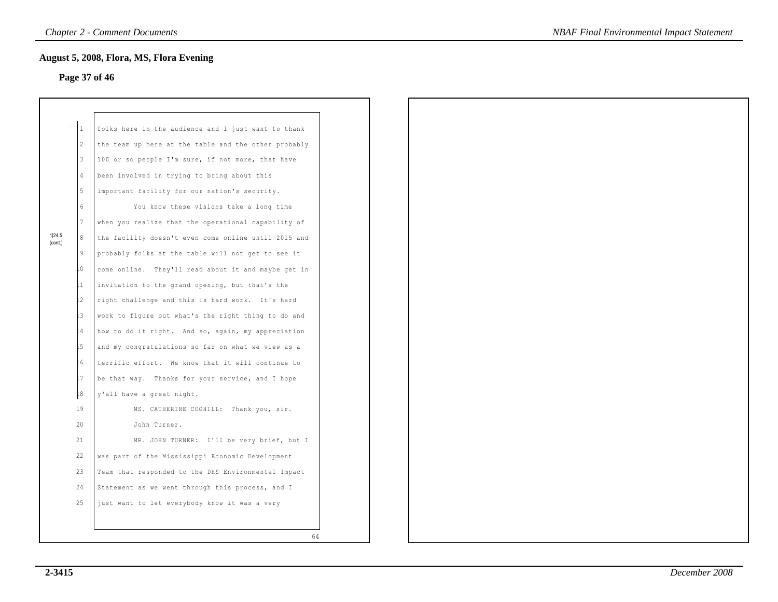### **Page 37 of 46**

|                   | 1              | folks here in the audience and I just want to thank  |
|-------------------|----------------|------------------------------------------------------|
|                   | $\overline{2}$ | the team up here at the table and the other probably |
|                   | 3              | 100 or so people I'm sure, if not more, that have    |
|                   | 4              | been involved in trying to bring about this          |
|                   | 5              | important facility for our nation's security.        |
|                   | 6              | You know these visions take a long time              |
|                   | 7              | when you realize that the operational capability of  |
| 1 24.5<br>(cont.) | 8              | the facility doesn't even come online until 2015 and |
|                   | 9              | probably folks at the table will not get to see it   |
|                   | 0              | come online. They'll read about it and maybe get in  |
|                   | 11             | invitation to the grand opening, but that's the      |
|                   | $\overline{c}$ | right challenge and this is hard work. It's hard     |
|                   | .3             | work to figure out what's the right thing to do and  |
|                   | $\overline{4}$ | how to do it right. And so, again, my appreciation   |
|                   | .5             | and my congratulations so far on what we view as a   |
|                   | . 6            | terrific effort. We know that it will continue to    |
|                   | .7             | be that way. Thanks for your service, and I hope     |
|                   | 18             | y'all have a great night.                            |
|                   | 19             | MS. CATHERINE COGHILL: Thank you, sir.               |
|                   | 20             | John Turner.                                         |
|                   | 21             | MR. JOHN TURNER: I'll be very brief, but I           |
|                   | 22             | was part of the Mississippi Economic Development     |
|                   | 23             | Team that responded to the DHS Environmental Impact  |
|                   | 24             | Statement as we went through this process, and I     |
|                   | 25             | just want to let everybody know it was a very        |
|                   |                |                                                      |
|                   |                | 64                                                   |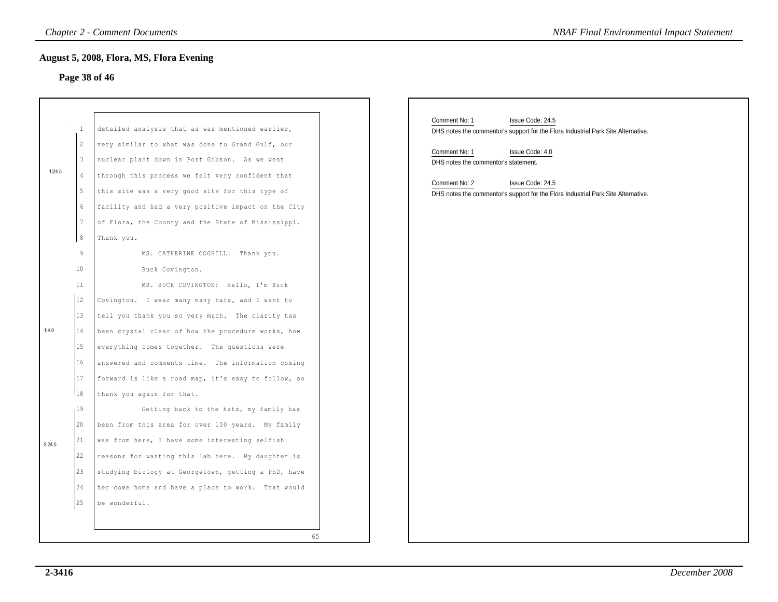### **Page 38 of 46**

|        |                                                                                                          | <b>Chapter 2 - Comment Documents</b>                                                                                                                                                                                                                                                                                                                                                                                                                                                           | <b>NBAF Final Environmental Impact Statement</b>                                                                                                                                                                                                                                                                             |
|--------|----------------------------------------------------------------------------------------------------------|------------------------------------------------------------------------------------------------------------------------------------------------------------------------------------------------------------------------------------------------------------------------------------------------------------------------------------------------------------------------------------------------------------------------------------------------------------------------------------------------|------------------------------------------------------------------------------------------------------------------------------------------------------------------------------------------------------------------------------------------------------------------------------------------------------------------------------|
|        |                                                                                                          | August 5, 2008, Flora, MS, Flora Evening<br>Page 38 of 46                                                                                                                                                                                                                                                                                                                                                                                                                                      |                                                                                                                                                                                                                                                                                                                              |
| 1 24.5 | $\overline{1}$<br>$\overline{2}$<br>$\mathbf{3}$<br>$\overline{4}$<br>$5 -$<br>6<br>$7\phantom{.0}$<br>8 | detailed analysis that as was mentioned earlier,<br>very similar to what was done to Grand Gulf, our<br>nuclear plant down in Port Gibson. As we went<br>through this process we felt very confident that<br>this site was a very good site for this type of<br>facility and had a very positive impact on the City<br>of Flora, the County and the State of Mississippi.<br>Thank you.                                                                                                        | Comment No: 1<br>Issue Code: 24.5<br>DHS notes the commentor's support for the Flora Industrial Park Site Alternative.<br>Comment No: 1<br>Issue Code: 4.0<br>DHS notes the commentor's statement.<br>Comment No: 2<br>Issue Code: 24.5<br>DHS notes the commentor's support for the Flora Industrial Park Site Alternative. |
| 1 4.0  | $\overline{9}$<br>10<br>11<br>12<br>13<br>14<br>15<br>16<br>17<br>18<br>19                               | MS. CATHERINE COGHILL: Thank you.<br>Buck Covington.<br>MR. BUCK COVINGTON: Hello, I'm Buck<br>Covington. I wear many many hats, and I want to<br>tell you thank you so very much. The clarity has<br>been crystal clear of how the procedure works, how<br>everything comes together. The questions were<br>answered and comments time. The information coming<br>forward is like a road map, it's easy to follow, so<br>thank you again for that.<br>Getting back to the hats, my family has |                                                                                                                                                                                                                                                                                                                              |
| 2 24.5 | 20<br>21<br>22<br>$ 23\rangle$<br>24<br>25                                                               | been from this area for over 100 years. My family<br>was from here, I have some interesting selfish<br>reasons for wanting this lab here. My daughter is<br>studying biology at Georgetown, getting a PhD, have<br>her come home and have a place to work. That would<br>be wonderful.<br>65                                                                                                                                                                                                   |                                                                                                                                                                                                                                                                                                                              |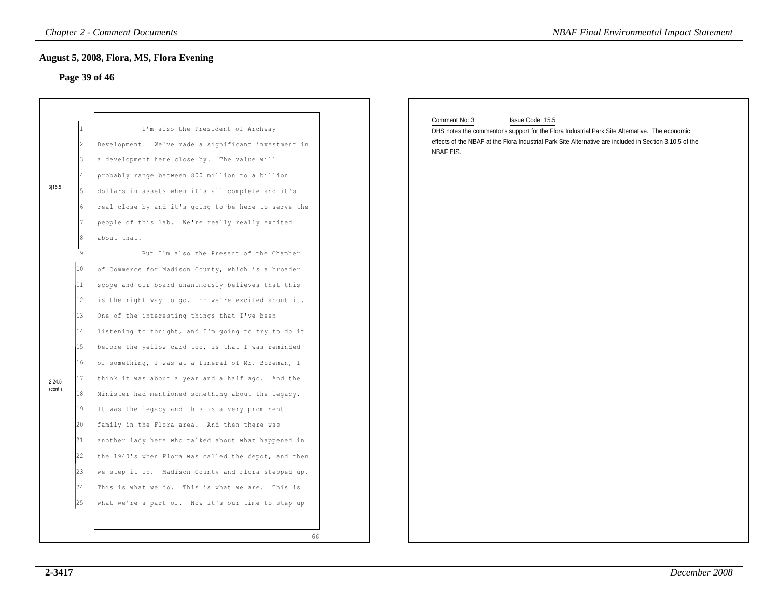### **Page 39 of 46**

|                                                                                                                            | Page 39 of 46                                                                                                                                                                                                                                                                                                                                                                                                                                                                                                                                                                                                                                                                                                                                                                                                                                                                                                             |                                                                                                                                                                                                                                                             |
|----------------------------------------------------------------------------------------------------------------------------|---------------------------------------------------------------------------------------------------------------------------------------------------------------------------------------------------------------------------------------------------------------------------------------------------------------------------------------------------------------------------------------------------------------------------------------------------------------------------------------------------------------------------------------------------------------------------------------------------------------------------------------------------------------------------------------------------------------------------------------------------------------------------------------------------------------------------------------------------------------------------------------------------------------------------|-------------------------------------------------------------------------------------------------------------------------------------------------------------------------------------------------------------------------------------------------------------|
| 12.<br>3<br>3 15.5<br>5<br>l۶.                                                                                             | I'm also the President of Archway<br>Development. We've made a significant investment in<br>a development here close by. The value will<br>probably range between 800 million to a billion<br>dollars in assets when it's all complete and it's<br>real close by and it's going to be here to serve the<br>people of this lab. We're really really excited<br>about that.                                                                                                                                                                                                                                                                                                                                                                                                                                                                                                                                                 | Comment No: 3<br>Issue Code: 15.5<br>DHS notes the commentor's support for the Flora Industrial Park Site Alternative. The economic<br>effects of the NBAF at the Flora Industrial Park Site Alternative are included in Section 3.10.5 of the<br>NBAF EIS. |
| 9<br>10<br>11<br>12<br>13<br>14<br>15<br>16<br>17<br>2 24.5<br>(cont.)<br>18<br>19<br>20<br> 21 <br> 22 <br>23<br>24<br>25 | But I'm also the Present of the Chamber<br>of Commerce for Madison County, which is a broader<br>scope and our board unanimously believes that this<br>is the right way to go. -- we're excited about it.<br>One of the interesting things that I've been<br>listening to tonight, and I'm going to try to do it<br>before the yellow card too, is that I was reminded<br>of something, I was at a funeral of Mr. Bozeman, I<br>think it was about a year and a half ago. And the<br>Minister had mentioned something about the legacy.<br>It was the legacy and this is a very prominent<br>family in the Flora area. And then there was<br>another lady here who talked about what happened in<br>the 1940's when Flora was called the depot, and then<br>we step it up. Madison County and Flora stepped up.<br>This is what we do. This is what we are. This is<br>what we're a part of. Now it's our time to step up |                                                                                                                                                                                                                                                             |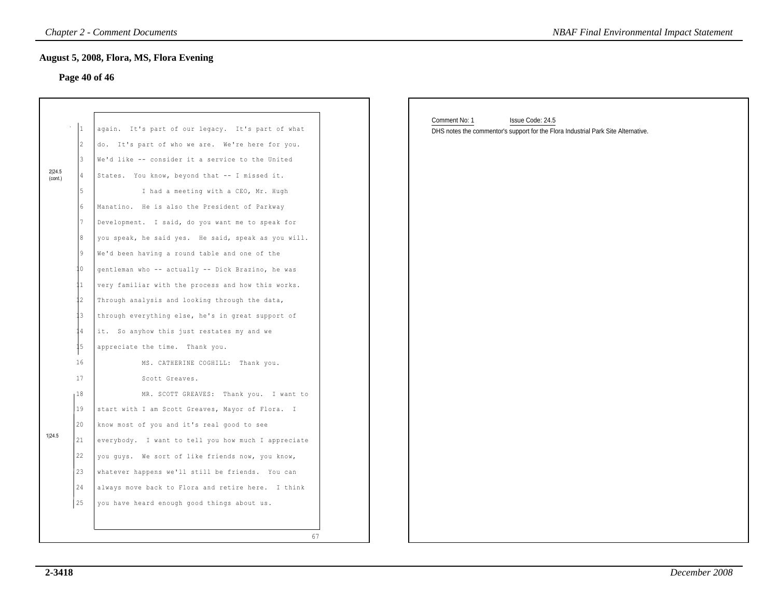#### **Page 40 of 46**

|                   | $\mathbf{1}$ | again.<br>It's part of our legacy. It's part of what |
|-------------------|--------------|------------------------------------------------------|
|                   | 2            | It's part of who we are. We're here for you.<br>do.  |
|                   | 3            | We'd like -- consider it a service to the United     |
| 2 24.5<br>(cont.) | 4            | States. You know, beyond that -- I missed it.        |
|                   | 5            | I had a meeting with a CEO, Mr. Hugh                 |
|                   | 6            | He is also the President of Parkway<br>Manatino.     |
|                   | 7            | Development. I said, do you want me to speak for     |
|                   | 8            | you speak, he said yes. He said, speak as you will.  |
|                   | 9            | We'd been having a round table and one of the        |
|                   | 0            | gentleman who -- actually -- Dick Brazino, he was    |
|                   | 11           | very familiar with the process and how this works.   |
|                   | 12           | Through analysis and looking through the data,       |
|                   | 13           | through everything else, he's in great support of    |
|                   | 14           | So anyhow this just restates my and we<br>it.        |
|                   | 15           | appreciate the time. Thank you.                      |
|                   | 16           | MS. CATHERINE COGHILL: Thank you.                    |
|                   | 17           | Scott Greaves.                                       |
|                   | 18           | MR. SCOTT GREAVES:<br>Thank you.<br>I want to        |
|                   | 19           | start with I am Scott Greaves, Mayor of Flora.<br>Ι  |
|                   | 20           | know most of you and it's real good to see           |
| 1 24.5            | 21           | everybody. I want to tell you how much I appreciate  |
|                   | 22           | you guys. We sort of like friends now, you know,     |
|                   | 23           | whatever happens we'll still be friends.<br>You can  |
|                   | 24           | always move back to Flora and retire here. I think   |
|                   | 25           | you have heard enough good things about us.          |
|                   |              |                                                      |
|                   |              | 67                                                   |

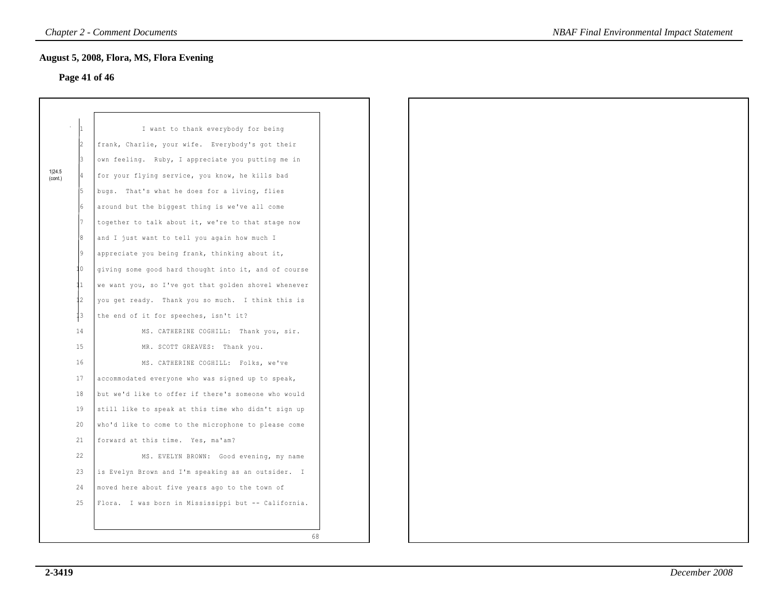### **Page 41 of 46**

|                   |                | I want to thank everybody for being                  |  |
|-------------------|----------------|------------------------------------------------------|--|
|                   | l2             | frank, Charlie, your wife. Everybody's got their     |  |
|                   | 3              | own feeling. Ruby, I appreciate you putting me in    |  |
| 1 24.5<br>(cont.) | 4              | for your flying service, you know, he kills bad      |  |
|                   | 5              | bugs. That's what he does for a living, flies        |  |
|                   | 6              | around but the biggest thing is we've all come       |  |
|                   | 7              | together to talk about it, we're to that stage now   |  |
|                   | 8              | and I just want to tell you again how much I         |  |
|                   | $\overline{9}$ | appreciate you being frank, thinking about it,       |  |
|                   | 0              | giving some good hard thought into it, and of course |  |
|                   | 11             | we want you, so I've got that golden shovel whenever |  |
|                   | 12             | you get ready. Thank you so much. I think this is    |  |
|                   | 1 <sup>3</sup> | the end of it for speeches, isn't it?                |  |
|                   | 14             | MS. CATHERINE COGHILL: Thank you, sir.               |  |
|                   | 15             | MR. SCOTT GREAVES: Thank you.                        |  |
|                   | 16             | MS. CATHERINE COGHILL: Folks, we've                  |  |
|                   | 17             | accommodated everyone who was signed up to speak,    |  |
|                   | 18             | but we'd like to offer if there's someone who would  |  |
|                   | 19             | still like to speak at this time who didn't sign up  |  |
|                   | 20             | who'd like to come to the microphone to please come  |  |
|                   | 21             | forward at this time. Yes, ma'am?                    |  |
|                   | 22             | MS. EVELYN BROWN: Good evening, my name              |  |
|                   | 23             | is Evelyn Brown and I'm speaking as an outsider. I   |  |
|                   | 24             | moved here about five years ago to the town of       |  |
|                   | 25             | Flora. I was born in Mississippi but -- California.  |  |
|                   |                |                                                      |  |
|                   |                | 68                                                   |  |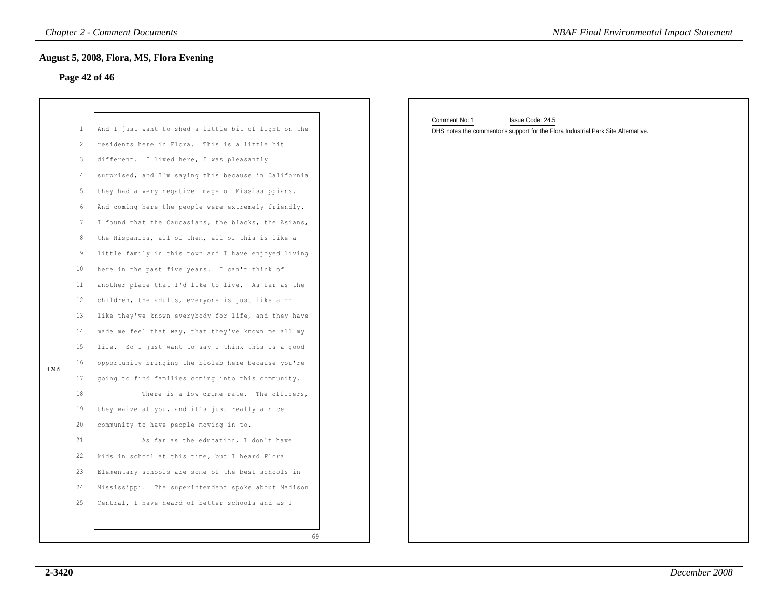#### **Page 42 of 46**

|        | $\mathbf{1}$<br>2 | And I just want to shed a little bit of light on the<br>residents here in Flora. This is a little bit |    |
|--------|-------------------|-------------------------------------------------------------------------------------------------------|----|
|        | 3                 | different. I lived here, I was pleasantly                                                             |    |
|        | 4                 | surprised, and I'm saying this because in California                                                  |    |
|        | 5                 | they had a very negative image of Mississippians.                                                     |    |
|        | 6                 | And coming here the people were extremely friendly.                                                   |    |
|        | $7\phantom{.0}$   | I found that the Caucasians, the blacks, the Asians,                                                  |    |
|        | 8                 | the Hispanics, all of them, all of this is like a                                                     |    |
|        | 9                 | little family in this town and I have enjoyed living                                                  |    |
|        | 10                | here in the past five years. I can't think of                                                         |    |
|        | 11                | another place that I'd like to live. As far as the                                                    |    |
|        | l2                | children, the adults, everyone is just like a --                                                      |    |
|        | 13                | like they've known everybody for life, and they have                                                  |    |
|        | 14                | made me feel that way, that they've known me all my                                                   |    |
|        | 15                | life. So I just want to say I think this is a good                                                    |    |
| 1 24.5 | 16                | opportunity bringing the biolab here because you're                                                   |    |
|        | 17                | going to find families coming into this community.                                                    |    |
|        | 18                | There is a low crime rate. The officers,                                                              |    |
|        | 19                | they waive at you, and it's just really a nice                                                        |    |
|        | 20                | community to have people moving in to.                                                                |    |
|        | 21                | As far as the education, I don't have                                                                 |    |
|        | 22                | kids in school at this time, but I heard Flora                                                        |    |
|        | ÞЗ                | Elementary schools are some of the best schools in                                                    |    |
|        | 24                | The superintendent spoke about Madison<br>Mississippi.                                                |    |
|        | Þ5                | Central, I have heard of better schools and as I                                                      |    |
|        |                   |                                                                                                       |    |
|        |                   |                                                                                                       | 69 |
|        |                   |                                                                                                       |    |

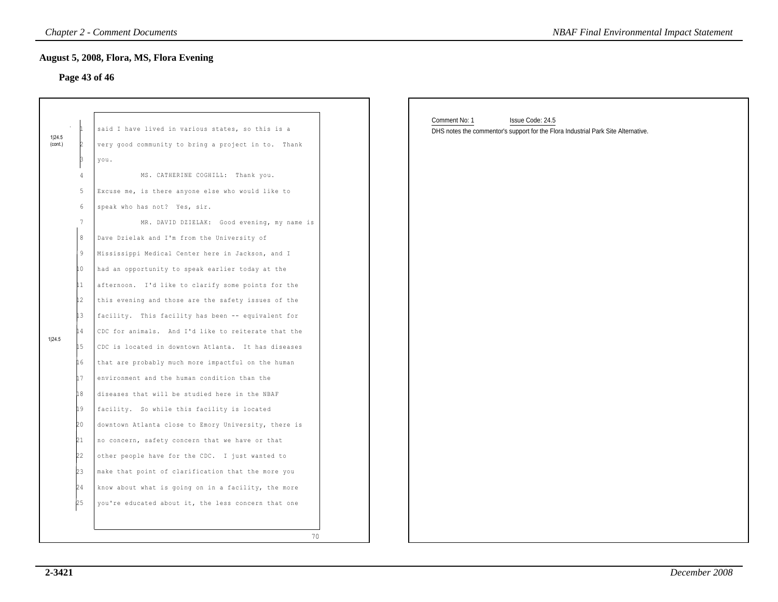### **Page 43 of 46**

|                   | <b>Chapter 2 - Comment Documents</b><br><b>NBAF Final Environmental Impact Statement</b> |                                                                                                                                                                                                                                                                                                                                                                                                                                                                                                                                                                                                                                                                                                                                                                                                                        |                                                                                                                        |
|-------------------|------------------------------------------------------------------------------------------|------------------------------------------------------------------------------------------------------------------------------------------------------------------------------------------------------------------------------------------------------------------------------------------------------------------------------------------------------------------------------------------------------------------------------------------------------------------------------------------------------------------------------------------------------------------------------------------------------------------------------------------------------------------------------------------------------------------------------------------------------------------------------------------------------------------------|------------------------------------------------------------------------------------------------------------------------|
|                   |                                                                                          | <b>August 5, 2008, Flora, MS, Flora Evening</b><br>Page 43 of 46                                                                                                                                                                                                                                                                                                                                                                                                                                                                                                                                                                                                                                                                                                                                                       |                                                                                                                        |
| 1 24.5<br>(cont.) | 4<br>5<br>6<br>$7\phantom{.0}$<br>8<br>9<br>10                                           | said I have lived in various states, so this is a<br>very good community to bring a project in to. Thank<br>you.<br>MS. CATHERINE COGHILL: Thank you.<br>Excuse me, is there anyone else who would like to<br>speak who has not? Yes, sir.<br>MR. DAVID DZIELAK: Good evening, my name is<br>Dave Dzielak and I'm from the University of<br>Mississippi Medical Center here in Jackson, and I<br>had an opportunity to speak earlier today at the                                                                                                                                                                                                                                                                                                                                                                      | Comment No: 1<br>Issue Code: 24.5<br>DHS notes the commentor's support for the Flora Industrial Park Site Alternative. |
| 1 24.5            | 11<br>12<br>lЗ<br>14<br>15<br>16<br>17<br>18<br>19<br>20<br>21<br>22<br>23<br>24<br>25   | afternoon. I'd like to clarify some points for the<br>this evening and those are the safety issues of the<br>facility. This facility has been -- equivalent for<br>CDC for animals. And I'd like to reiterate that the<br>CDC is located in downtown Atlanta. It has diseases<br>that are probably much more impactful on the human<br>environment and the human condition than the<br>diseases that will be studied here in the NBAF<br>facility. So while this facility is located<br>downtown Atlanta close to Emory University, there is<br>no concern, safety concern that we have or that<br>other people have for the CDC. I just wanted to<br>make that point of clarification that the more you<br>know about what is going on in a facility, the more<br>you're educated about it, the less concern that one |                                                                                                                        |
|                   |                                                                                          | 70                                                                                                                                                                                                                                                                                                                                                                                                                                                                                                                                                                                                                                                                                                                                                                                                                     |                                                                                                                        |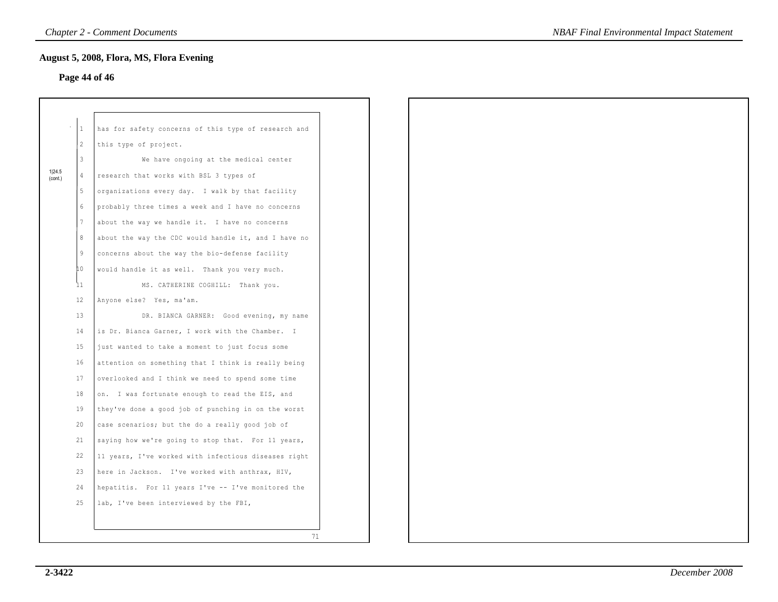### **Page 44 of 46**

|                   | $\mathbf{1}$    | has for safety concerns of this type of research and           |
|-------------------|-----------------|----------------------------------------------------------------|
|                   | $\mathbf{2}$    | this type of project.                                          |
|                   | 3               | We have ongoing at the medical center                          |
| 1 24.5<br>(cont.) | 4               | research that works with BSL 3 types of                        |
|                   | 5               | organizations every day. I walk by that facility               |
|                   | 6               | probably three times a week and I have no concerns             |
|                   | $7\phantom{.0}$ | about the way we handle it. I have no concerns                 |
|                   | 8               | about the way the CDC would handle it, and I have no           |
|                   | 9               | concerns about the way the bio-defense facility                |
|                   | 10              | would handle it as well. Thank you very much.                  |
|                   | 11              | MS. CATHERINE COGHILL: Thank you.                              |
|                   | 12              | Anyone else? Yes, ma'am.                                       |
|                   | 13              | DR. BIANCA GARNER: Good evening, my name                       |
|                   | 14              | is Dr. Bianca Garner, I work with the Chamber.<br>$\mathbb{I}$ |
|                   | 15              | just wanted to take a moment to just focus some                |
|                   | 16              | attention on something that I think is really being            |
|                   | 17              | overlooked and I think we need to spend some time              |
|                   | 18              | on. I was fortunate enough to read the EIS, and                |
|                   | 19              | they've done a good job of punching in on the worst            |
|                   | 20              | case scenarios; but the do a really good job of                |
|                   | 21              | saying how we're going to stop that. For 11 years,             |
|                   | 22              | 11 years, I've worked with infectious diseases right           |
|                   | 23              | here in Jackson. I've worked with anthrax, HIV,                |
|                   | 24              | hepatitis. For 11 years I've -- I've monitored the             |
|                   | 25              | lab, I've been interviewed by the FBI,                         |
|                   |                 |                                                                |
|                   |                 | 71                                                             |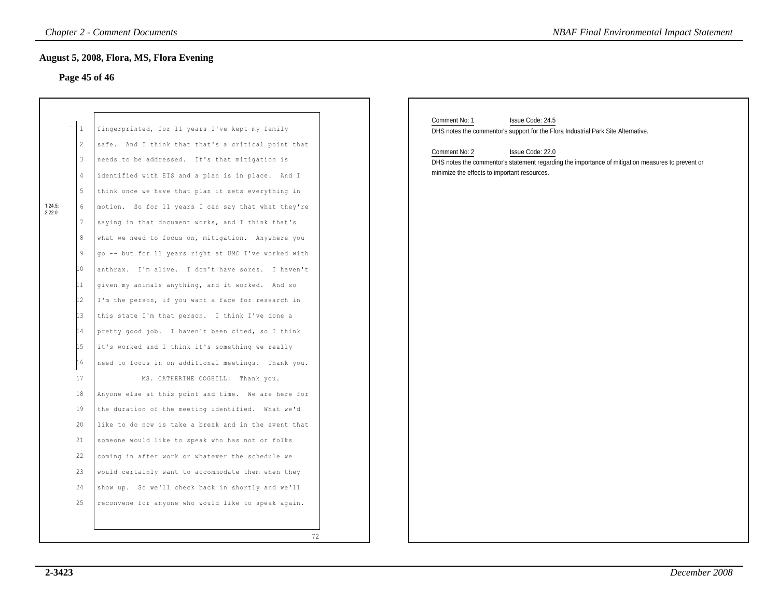### **Page 45 of 46**

|                   | $\mathbf{1}$ | fingerprinted, for 11 years I've kept my family      |
|-------------------|--------------|------------------------------------------------------|
|                   | 2            | safe. And I think that that's a critical point that  |
|                   | 3            | needs to be addressed. It's that mitigation is       |
|                   | 4            | identified with EIS and a plan is in place.<br>And I |
|                   | 5            | think once we have that plan it sets everything in   |
| 1 24.5;<br>2 22.0 | 6            | motion. So for 11 years I can say that what they're  |
|                   | 7            | saying in that document works, and I think that's    |
|                   | 8            | what we need to focus on, mitigation. Anywhere you   |
|                   | 9            | qo -- but for 11 years right at UMC I've worked with |
|                   | 10           | anthrax. I'm alive. I don't have sores. I haven't    |
|                   | 11           | given my animals anything, and it worked. And so     |
|                   | 12           | I'm the person, if you want a face for research in   |
|                   | İЗ           | this state I'm that person. I think I've done a      |
|                   | h 4          | pretty good job. I haven't been cited, so I think    |
|                   | L5           | it's worked and I think it's something we really     |
|                   | 16           | need to focus in on additional meetings. Thank you.  |
|                   | 17           | MS. CATHERINE COGHILL: Thank you.                    |
|                   | 18           | Anyone else at this point and time. We are here for  |
|                   | 19           | the duration of the meeting identified. What we'd    |
|                   | 20           | like to do now is take a break and in the event that |
|                   | 21           | someone would like to speak who has not or folks     |
|                   | 22           | coming in after work or whatever the schedule we     |
|                   | 23           | would certainly want to accommodate them when they   |
|                   | 24           | show up. So we'll check back in shortly and we'll    |
|                   | 25           | reconvene for anyone who would like to speak again.  |
|                   |              |                                                      |
|                   |              | 72                                                   |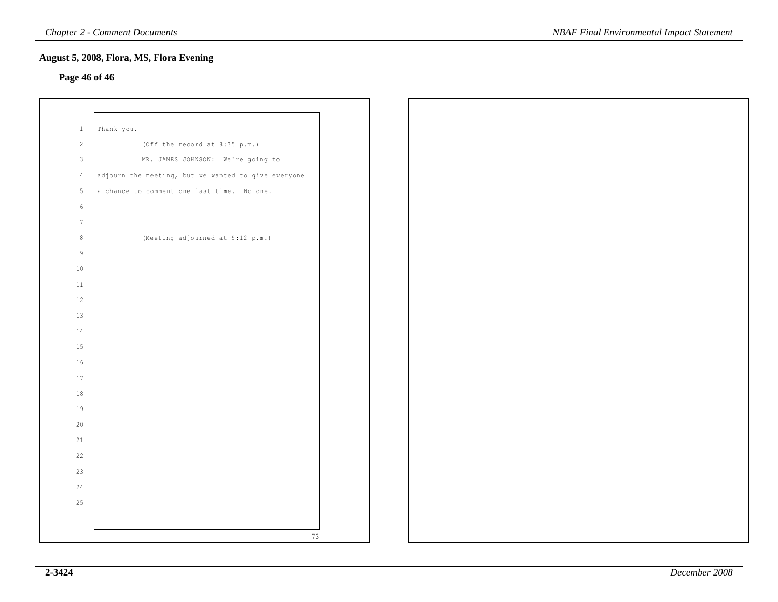### **Page 46 of 46**

| $\triangleq -1$ | Thank you.                                          |  |
|-----------------|-----------------------------------------------------|--|
| $2^{\circ}$     | (Off the record at $8:35$ p.m.)                     |  |
| $\overline{3}$  | MR. JAMES JOHNSON: We're going to                   |  |
| $\sqrt{4}$      | adjourn the meeting, but we wanted to give everyone |  |
| $5 -$           | a chance to comment one last time. No one.          |  |
| $6\,$           |                                                     |  |
| $7\overline{ }$ |                                                     |  |
| $\,8\,$         | (Meeting adjourned at 9:12 p.m.)                    |  |
| $\overline{9}$  |                                                     |  |
| $10$            |                                                     |  |
| $11\,$          |                                                     |  |
| 12              |                                                     |  |
| 13              |                                                     |  |
| 14              |                                                     |  |
| 15              |                                                     |  |
| $16$            |                                                     |  |
| 17              |                                                     |  |
| 18              |                                                     |  |
| 19              |                                                     |  |
| 20              |                                                     |  |
| 21              |                                                     |  |
| 22              |                                                     |  |
| 23              |                                                     |  |
| 24              |                                                     |  |
| 25              |                                                     |  |
|                 |                                                     |  |
|                 |                                                     |  |
|                 | 73                                                  |  |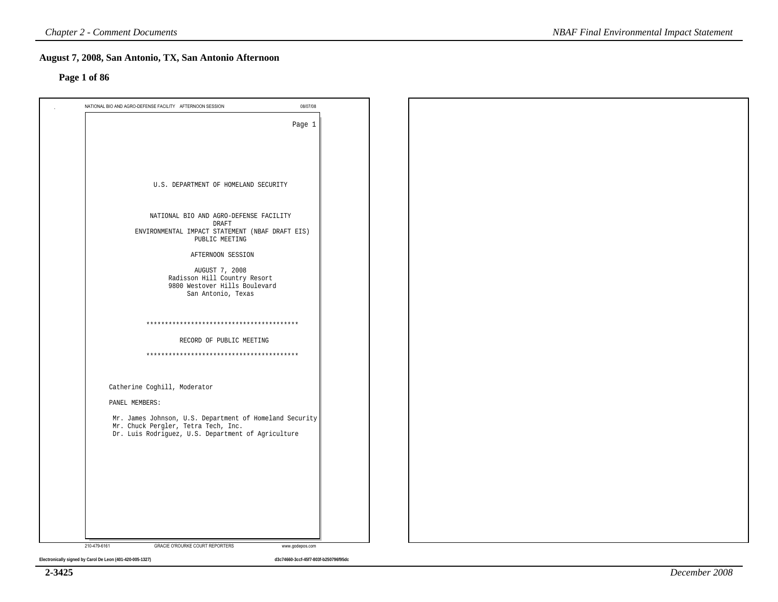#### **Page 1 of 86**

| 08/07/08<br>NATIONAL BIO AND AGRO-DEFENSE FACILITY AFTERNOON SESSION |  |  |
|----------------------------------------------------------------------|--|--|
|                                                                      |  |  |
| Page 1                                                               |  |  |
|                                                                      |  |  |
|                                                                      |  |  |
|                                                                      |  |  |
| U.S. DEPARTMENT OF HOMELAND SECURITY                                 |  |  |
|                                                                      |  |  |
|                                                                      |  |  |
| NATIONAL BIO AND AGRO-DEFENSE FACILITY<br>DRAFT                      |  |  |
| ENVIRONMENTAL IMPACT STATEMENT (NBAF DRAFT EIS)                      |  |  |
| PUBLIC MEETING                                                       |  |  |
| AFTERNOON SESSION                                                    |  |  |
| AUGUST 7, 2008                                                       |  |  |
| Radisson Hill Country Resort<br>9800 Westover Hills Boulevard        |  |  |
| San Antonio, Texas                                                   |  |  |
|                                                                      |  |  |
|                                                                      |  |  |
| RECORD OF PUBLIC MEETING                                             |  |  |
|                                                                      |  |  |
|                                                                      |  |  |
|                                                                      |  |  |
| Catherine Coghill, Moderator                                         |  |  |
| PANEL MEMBERS:                                                       |  |  |
| Mr. James Johnson, U.S. Department of Homeland Security              |  |  |
| Mr. Chuck Pergler, Tetra Tech, Inc.                                  |  |  |
| Dr. Luis Rodriguez, U.S. Department of Agriculture                   |  |  |
|                                                                      |  |  |
|                                                                      |  |  |
|                                                                      |  |  |
|                                                                      |  |  |
|                                                                      |  |  |
|                                                                      |  |  |
|                                                                      |  |  |
| 210-479-6161<br>GRACIE O'ROURKE COURT REPORTERS<br>www.godepos.com   |  |  |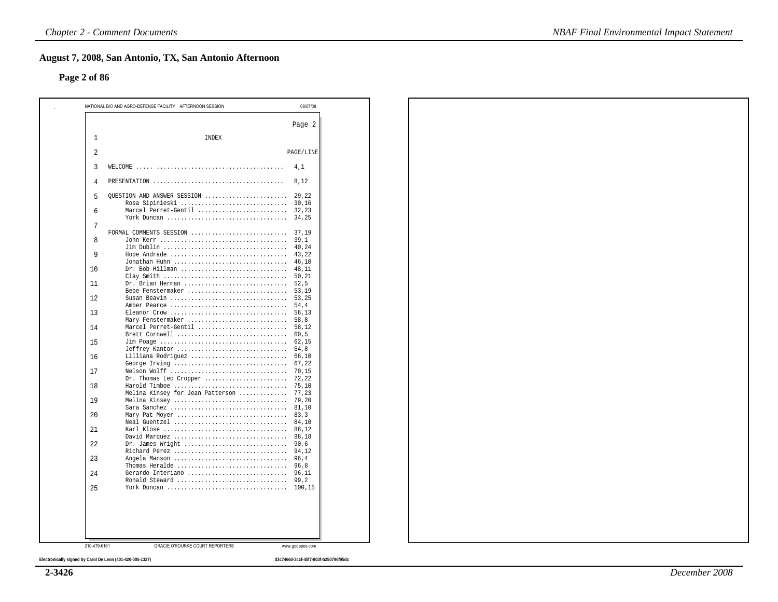#### **Page 2 of 86**

| Page 2<br>INDEX<br>1<br>2<br>3<br>4,1<br>4<br>8,12<br>QUESTION AND ANSWER SESSION<br>29,22<br>5<br>Rosa Sipinieski<br>30,16<br>Marcel Perret-Gentil<br>32,23<br>6<br>York Duncan<br>34,25<br>7<br>FORMAL COMMENTS SESSION<br>37,19<br>8<br>39,1<br>40,24<br>Hope Andrade<br>9<br>43,22<br>Jonathan Huhn<br>46,10<br>$Dr. Bob Hillman$<br>48,11<br>10<br>Clay Smith<br>50,21<br>Dr. Brian Herman<br>52,5<br>11<br>Bebe Fenstermaker<br>53,19<br>Susan Beavin<br>12<br>53,25<br>54,4<br>Amber Pearce<br>Eleanor Crow<br>56,13<br>13<br>Mary Fenstermaker<br>58,8<br>Marcel Perret-Gentil<br>58,12<br>14<br>Brett Cornwell<br>60, 5<br>15<br>62,15<br>Jeffrey Kantor<br>64.8<br>16<br>Lilliana Rodriguez<br>66,10<br>67,22<br>George Irving<br>17<br>Nelson Wolff<br>70,15<br>Dr. Thomas Leo Cropper<br>72,22<br>75,10<br>18<br>Harold Timboe<br>Melina Kinsey for Jean Patterson<br>77,23<br>79,20<br>19<br>Melina Kinsey<br>Sara Sanchez<br>81,10<br>Mary Pat Moyer<br>83, 3<br>20<br>Neal Guentzel<br>84,10<br>86.12<br>21<br>David Marquez<br>88,18<br>Dr. James Wright<br>90,6<br>22<br>Richard Perez<br>94,12<br>23<br>Angela Manson<br>96,4<br>Thomas Heralde<br>96,8<br>Gerardo Interiano<br>24<br>96,11<br>Ronald Steward<br>99,2<br>25<br>100,15<br><b>GRACIE O'ROURKE COURT REPORTERS</b><br>210-479-6161<br>www.godepos.com | NATIONAL BIO AND AGRO-DEFENSE FACILITY AFTERNOON SESSION | 08/07/08  |
|--------------------------------------------------------------------------------------------------------------------------------------------------------------------------------------------------------------------------------------------------------------------------------------------------------------------------------------------------------------------------------------------------------------------------------------------------------------------------------------------------------------------------------------------------------------------------------------------------------------------------------------------------------------------------------------------------------------------------------------------------------------------------------------------------------------------------------------------------------------------------------------------------------------------------------------------------------------------------------------------------------------------------------------------------------------------------------------------------------------------------------------------------------------------------------------------------------------------------------------------------------------------------------------------------------------------------------------|----------------------------------------------------------|-----------|
|                                                                                                                                                                                                                                                                                                                                                                                                                                                                                                                                                                                                                                                                                                                                                                                                                                                                                                                                                                                                                                                                                                                                                                                                                                                                                                                                      |                                                          |           |
|                                                                                                                                                                                                                                                                                                                                                                                                                                                                                                                                                                                                                                                                                                                                                                                                                                                                                                                                                                                                                                                                                                                                                                                                                                                                                                                                      |                                                          |           |
|                                                                                                                                                                                                                                                                                                                                                                                                                                                                                                                                                                                                                                                                                                                                                                                                                                                                                                                                                                                                                                                                                                                                                                                                                                                                                                                                      |                                                          | PAGE/LINE |
|                                                                                                                                                                                                                                                                                                                                                                                                                                                                                                                                                                                                                                                                                                                                                                                                                                                                                                                                                                                                                                                                                                                                                                                                                                                                                                                                      |                                                          |           |
|                                                                                                                                                                                                                                                                                                                                                                                                                                                                                                                                                                                                                                                                                                                                                                                                                                                                                                                                                                                                                                                                                                                                                                                                                                                                                                                                      |                                                          |           |
|                                                                                                                                                                                                                                                                                                                                                                                                                                                                                                                                                                                                                                                                                                                                                                                                                                                                                                                                                                                                                                                                                                                                                                                                                                                                                                                                      |                                                          |           |
|                                                                                                                                                                                                                                                                                                                                                                                                                                                                                                                                                                                                                                                                                                                                                                                                                                                                                                                                                                                                                                                                                                                                                                                                                                                                                                                                      |                                                          |           |
|                                                                                                                                                                                                                                                                                                                                                                                                                                                                                                                                                                                                                                                                                                                                                                                                                                                                                                                                                                                                                                                                                                                                                                                                                                                                                                                                      |                                                          |           |
|                                                                                                                                                                                                                                                                                                                                                                                                                                                                                                                                                                                                                                                                                                                                                                                                                                                                                                                                                                                                                                                                                                                                                                                                                                                                                                                                      |                                                          |           |
|                                                                                                                                                                                                                                                                                                                                                                                                                                                                                                                                                                                                                                                                                                                                                                                                                                                                                                                                                                                                                                                                                                                                                                                                                                                                                                                                      |                                                          |           |
|                                                                                                                                                                                                                                                                                                                                                                                                                                                                                                                                                                                                                                                                                                                                                                                                                                                                                                                                                                                                                                                                                                                                                                                                                                                                                                                                      |                                                          |           |
|                                                                                                                                                                                                                                                                                                                                                                                                                                                                                                                                                                                                                                                                                                                                                                                                                                                                                                                                                                                                                                                                                                                                                                                                                                                                                                                                      |                                                          |           |
|                                                                                                                                                                                                                                                                                                                                                                                                                                                                                                                                                                                                                                                                                                                                                                                                                                                                                                                                                                                                                                                                                                                                                                                                                                                                                                                                      |                                                          |           |
|                                                                                                                                                                                                                                                                                                                                                                                                                                                                                                                                                                                                                                                                                                                                                                                                                                                                                                                                                                                                                                                                                                                                                                                                                                                                                                                                      |                                                          |           |
|                                                                                                                                                                                                                                                                                                                                                                                                                                                                                                                                                                                                                                                                                                                                                                                                                                                                                                                                                                                                                                                                                                                                                                                                                                                                                                                                      |                                                          |           |
|                                                                                                                                                                                                                                                                                                                                                                                                                                                                                                                                                                                                                                                                                                                                                                                                                                                                                                                                                                                                                                                                                                                                                                                                                                                                                                                                      |                                                          |           |
|                                                                                                                                                                                                                                                                                                                                                                                                                                                                                                                                                                                                                                                                                                                                                                                                                                                                                                                                                                                                                                                                                                                                                                                                                                                                                                                                      |                                                          |           |
|                                                                                                                                                                                                                                                                                                                                                                                                                                                                                                                                                                                                                                                                                                                                                                                                                                                                                                                                                                                                                                                                                                                                                                                                                                                                                                                                      |                                                          |           |
|                                                                                                                                                                                                                                                                                                                                                                                                                                                                                                                                                                                                                                                                                                                                                                                                                                                                                                                                                                                                                                                                                                                                                                                                                                                                                                                                      |                                                          |           |
|                                                                                                                                                                                                                                                                                                                                                                                                                                                                                                                                                                                                                                                                                                                                                                                                                                                                                                                                                                                                                                                                                                                                                                                                                                                                                                                                      |                                                          |           |
|                                                                                                                                                                                                                                                                                                                                                                                                                                                                                                                                                                                                                                                                                                                                                                                                                                                                                                                                                                                                                                                                                                                                                                                                                                                                                                                                      |                                                          |           |
|                                                                                                                                                                                                                                                                                                                                                                                                                                                                                                                                                                                                                                                                                                                                                                                                                                                                                                                                                                                                                                                                                                                                                                                                                                                                                                                                      |                                                          |           |
|                                                                                                                                                                                                                                                                                                                                                                                                                                                                                                                                                                                                                                                                                                                                                                                                                                                                                                                                                                                                                                                                                                                                                                                                                                                                                                                                      |                                                          |           |
|                                                                                                                                                                                                                                                                                                                                                                                                                                                                                                                                                                                                                                                                                                                                                                                                                                                                                                                                                                                                                                                                                                                                                                                                                                                                                                                                      |                                                          |           |
|                                                                                                                                                                                                                                                                                                                                                                                                                                                                                                                                                                                                                                                                                                                                                                                                                                                                                                                                                                                                                                                                                                                                                                                                                                                                                                                                      |                                                          |           |
|                                                                                                                                                                                                                                                                                                                                                                                                                                                                                                                                                                                                                                                                                                                                                                                                                                                                                                                                                                                                                                                                                                                                                                                                                                                                                                                                      |                                                          |           |
|                                                                                                                                                                                                                                                                                                                                                                                                                                                                                                                                                                                                                                                                                                                                                                                                                                                                                                                                                                                                                                                                                                                                                                                                                                                                                                                                      |                                                          |           |
|                                                                                                                                                                                                                                                                                                                                                                                                                                                                                                                                                                                                                                                                                                                                                                                                                                                                                                                                                                                                                                                                                                                                                                                                                                                                                                                                      |                                                          |           |
|                                                                                                                                                                                                                                                                                                                                                                                                                                                                                                                                                                                                                                                                                                                                                                                                                                                                                                                                                                                                                                                                                                                                                                                                                                                                                                                                      |                                                          |           |
|                                                                                                                                                                                                                                                                                                                                                                                                                                                                                                                                                                                                                                                                                                                                                                                                                                                                                                                                                                                                                                                                                                                                                                                                                                                                                                                                      |                                                          |           |
|                                                                                                                                                                                                                                                                                                                                                                                                                                                                                                                                                                                                                                                                                                                                                                                                                                                                                                                                                                                                                                                                                                                                                                                                                                                                                                                                      |                                                          |           |
|                                                                                                                                                                                                                                                                                                                                                                                                                                                                                                                                                                                                                                                                                                                                                                                                                                                                                                                                                                                                                                                                                                                                                                                                                                                                                                                                      |                                                          |           |
|                                                                                                                                                                                                                                                                                                                                                                                                                                                                                                                                                                                                                                                                                                                                                                                                                                                                                                                                                                                                                                                                                                                                                                                                                                                                                                                                      |                                                          |           |
|                                                                                                                                                                                                                                                                                                                                                                                                                                                                                                                                                                                                                                                                                                                                                                                                                                                                                                                                                                                                                                                                                                                                                                                                                                                                                                                                      |                                                          |           |
|                                                                                                                                                                                                                                                                                                                                                                                                                                                                                                                                                                                                                                                                                                                                                                                                                                                                                                                                                                                                                                                                                                                                                                                                                                                                                                                                      |                                                          |           |
|                                                                                                                                                                                                                                                                                                                                                                                                                                                                                                                                                                                                                                                                                                                                                                                                                                                                                                                                                                                                                                                                                                                                                                                                                                                                                                                                      |                                                          |           |
|                                                                                                                                                                                                                                                                                                                                                                                                                                                                                                                                                                                                                                                                                                                                                                                                                                                                                                                                                                                                                                                                                                                                                                                                                                                                                                                                      |                                                          |           |
|                                                                                                                                                                                                                                                                                                                                                                                                                                                                                                                                                                                                                                                                                                                                                                                                                                                                                                                                                                                                                                                                                                                                                                                                                                                                                                                                      |                                                          |           |
|                                                                                                                                                                                                                                                                                                                                                                                                                                                                                                                                                                                                                                                                                                                                                                                                                                                                                                                                                                                                                                                                                                                                                                                                                                                                                                                                      |                                                          |           |
|                                                                                                                                                                                                                                                                                                                                                                                                                                                                                                                                                                                                                                                                                                                                                                                                                                                                                                                                                                                                                                                                                                                                                                                                                                                                                                                                      |                                                          |           |
|                                                                                                                                                                                                                                                                                                                                                                                                                                                                                                                                                                                                                                                                                                                                                                                                                                                                                                                                                                                                                                                                                                                                                                                                                                                                                                                                      |                                                          |           |
|                                                                                                                                                                                                                                                                                                                                                                                                                                                                                                                                                                                                                                                                                                                                                                                                                                                                                                                                                                                                                                                                                                                                                                                                                                                                                                                                      |                                                          |           |

**Electronically signed by Carol De Leon (401-420-005-1327) d3c74660-3ccf-45f7-803f-b250796f95dc**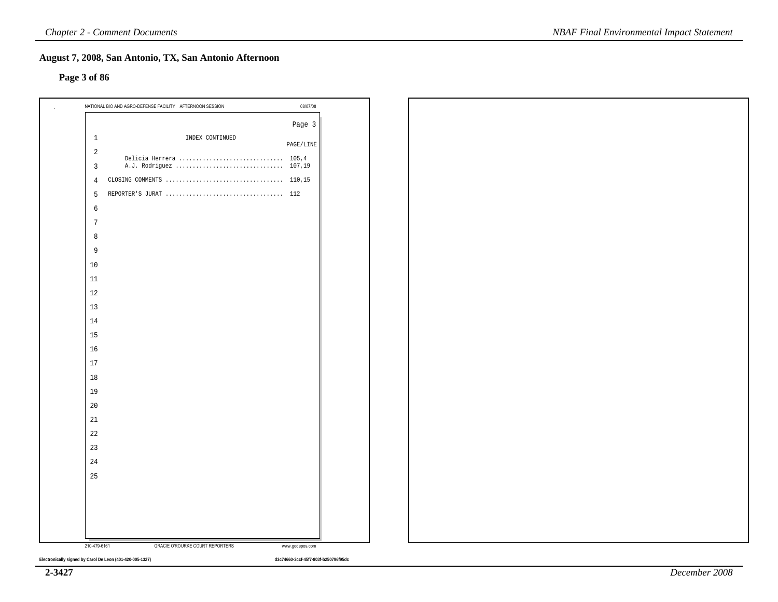#### **Page 3 of 86**

|                | NATIONAL BIO AND AGRO-DEFENSE FACILITY AFTERNOON SESSION | 08/07/08             |  |
|----------------|----------------------------------------------------------|----------------------|--|
|                |                                                          | Page 3               |  |
| $\mathbf{1}$   | INDEX CONTINUED                                          | $\texttt{PAGE/LINE}$ |  |
| 2              | Delicia Herrera  105,4                                   |                      |  |
| 3              | A.J. Rodriguez  107,19                                   |                      |  |
| $\overline{4}$ |                                                          |                      |  |
| 5              |                                                          |                      |  |
| 6              |                                                          |                      |  |
| $7\phantom{.}$ |                                                          |                      |  |
| 8              |                                                          |                      |  |
| 9              |                                                          |                      |  |
| 10             |                                                          |                      |  |
| 11             |                                                          |                      |  |
| 12             |                                                          |                      |  |
| 13             |                                                          |                      |  |
| 14             |                                                          |                      |  |
| 15             |                                                          |                      |  |
| 16             |                                                          |                      |  |
| 17             |                                                          |                      |  |
| 18             |                                                          |                      |  |
| 19             |                                                          |                      |  |
| 20             |                                                          |                      |  |
| 21             |                                                          |                      |  |
| 22             |                                                          |                      |  |
| 23             |                                                          |                      |  |
| 24             |                                                          |                      |  |
| 25             |                                                          |                      |  |
|                |                                                          |                      |  |
|                |                                                          |                      |  |
|                |                                                          |                      |  |
|                |                                                          |                      |  |
| 210-479-6161   | GRACIE O'ROURKE COURT REPORTERS                          | www.godepos.com      |  |

**Electronically signed by Carol De Leon (401-420-005-1327) d3c74660-3ccf-45f7-803f-b250796f95dc**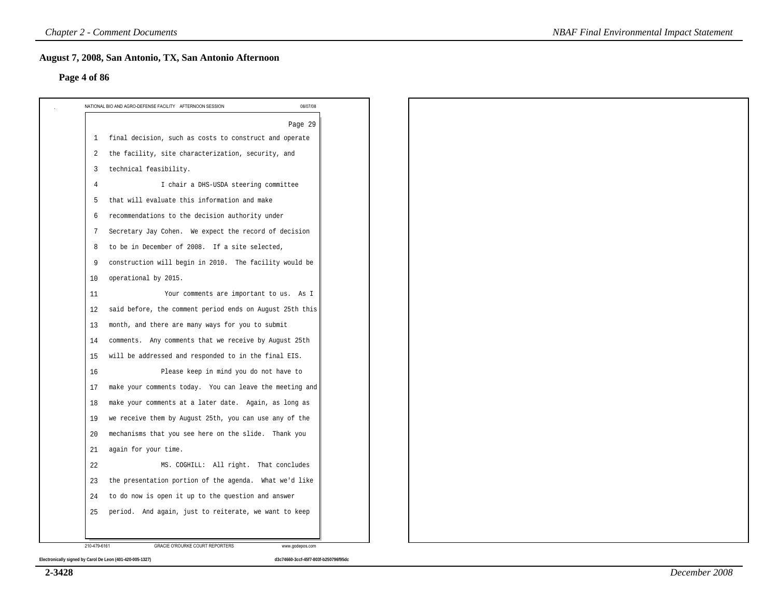#### **Page 4 of 86**

|                | 08/07/08<br>NATIONAL BIO AND AGRO-DEFENSE FACILITY AFTERNOON SESSION |
|----------------|----------------------------------------------------------------------|
|                | Page 29                                                              |
| 1              | final decision, such as costs to construct and operate               |
| 2              | the facility, site characterization, security, and                   |
| $\overline{3}$ | technical feasibility.                                               |
| $\overline{4}$ | I chair a DHS-USDA steering committee                                |
| 5              | that will evaluate this information and make                         |
| 6              | recommendations to the decision authority under                      |
| 7              | Secretary Jay Cohen. We expect the record of decision                |
| 8              | to be in December of 2008. If a site selected,                       |
| 9              | construction will begin in 2010. The facility would be               |
| 10             | operational by 2015.                                                 |
| 11             | Your comments are important to us. As I                              |
| 12             | said before, the comment period ends on August 25th this             |
| 13             | month, and there are many ways for you to submit                     |
| 14             | comments. Any comments that we receive by August 25th                |
| 15             | will be addressed and responded to in the final EIS.                 |
| 16             | Please keep in mind you do not have to                               |
| 17             | make your comments today. You can leave the meeting and              |
| 18             | make your comments at a later date. Again, as long as                |
| 19             | we receive them by August 25th, you can use any of the               |
| 20             | mechanisms that you see here on the slide. Thank you                 |
| 21             | again for your time.                                                 |
| 22             | MS. COGHILL: All right. That concludes                               |
| 23             | the presentation portion of the agenda. What we'd like               |
| 24             | to do now is open it up to the question and answer                   |
| 25             | period. And again, just to reiterate, we want to keep                |
|                |                                                                      |
| 210-479-6161   | <b>GRACIE O'ROURKE COURT REPORTERS</b><br>www.godepos.com            |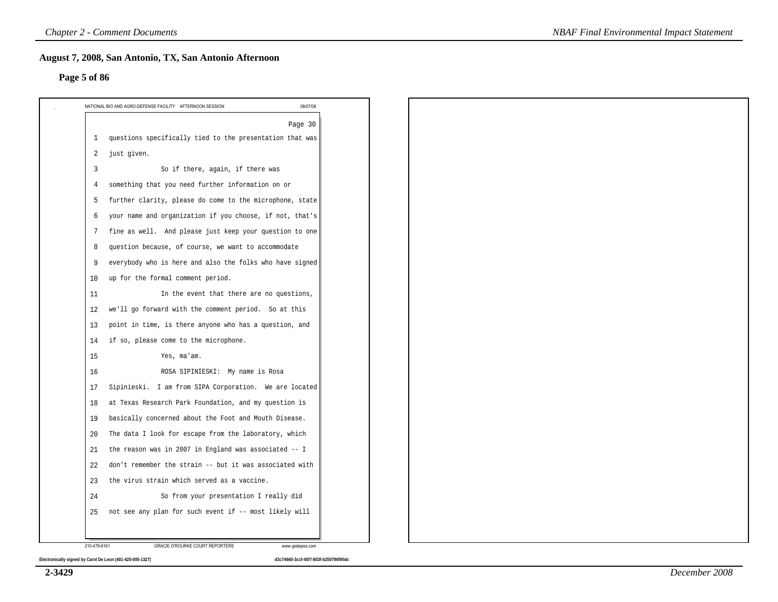#### **Page 5 of 86**

|                | NATIONAL BIO AND AGRO-DEFENSE FACILITY AFTERNOON SESSION<br>08/07/08 |
|----------------|----------------------------------------------------------------------|
|                | Page 30                                                              |
| 1              | questions specifically tied to the presentation that was             |
| $\overline{2}$ | just given.                                                          |
| 3              | So if there, again, if there was                                     |
| 4              | something that you need further information on or                    |
| 5              | further clarity, please do come to the microphone, state             |
| 6              | your name and organization if you choose, if not, that's             |
| 7              | fine as well. And please just keep your question to one              |
| 8              | question because, of course, we want to accommodate                  |
| 9              | everybody who is here and also the folks who have signed             |
| 10             | up for the formal comment period.                                    |
| 11             | In the event that there are no questions,                            |
| 12             | we'll go forward with the comment period. So at this                 |
| 13             | point in time, is there anyone who has a question, and               |
| 14             | if so, please come to the microphone.                                |
| 15             | Yes, ma'am.                                                          |
| 16             | ROSA SIPINIESKI: My name is Rosa                                     |
| 17             | Sipinieski. I am from SIPA Corporation. We are located               |
| 18             | at Texas Research Park Foundation, and my question is                |
| 19             | basically concerned about the Foot and Mouth Disease.                |
| 20             | The data I look for escape from the laboratory, which                |
| 21             | the reason was in 2007 in England was associated -- I                |
| 22             | don't remember the strain -- but it was associated with              |
| 23             | the virus strain which served as a vaccine.                          |
| 24             | So from your presentation I really did                               |
| 25             | not see any plan for such event if -- most likely will               |
|                |                                                                      |
| 210-479-6161   | <b>GRACIE O'ROURKE COURT REPORTERS</b><br>www.godepos.com            |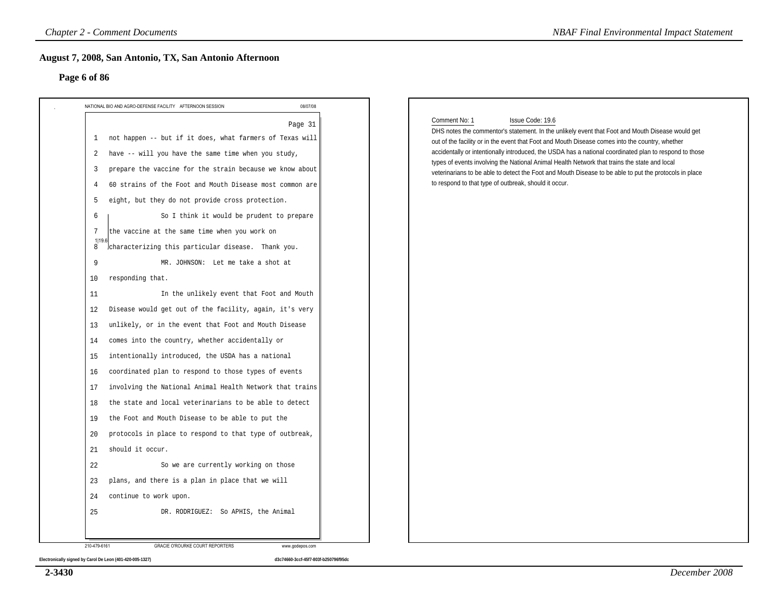#### **Page 6 of 86**

| NATIONAL BIO AND AGRO-DEFENSE FACILITY AFTERNOON SESSION                                                                                                                                                                                                                                                                                                                                                                                                                                                                                                                                                                                                                                                                                                                                                                                                                                                                                                                                                                                                                                                                                                                                                                                                                                                                                                                | 08/07/08 |                                                                                                                                                                                                                                                                                                                                                                                                                                                                                                                                                                                                                       |
|-------------------------------------------------------------------------------------------------------------------------------------------------------------------------------------------------------------------------------------------------------------------------------------------------------------------------------------------------------------------------------------------------------------------------------------------------------------------------------------------------------------------------------------------------------------------------------------------------------------------------------------------------------------------------------------------------------------------------------------------------------------------------------------------------------------------------------------------------------------------------------------------------------------------------------------------------------------------------------------------------------------------------------------------------------------------------------------------------------------------------------------------------------------------------------------------------------------------------------------------------------------------------------------------------------------------------------------------------------------------------|----------|-----------------------------------------------------------------------------------------------------------------------------------------------------------------------------------------------------------------------------------------------------------------------------------------------------------------------------------------------------------------------------------------------------------------------------------------------------------------------------------------------------------------------------------------------------------------------------------------------------------------------|
| 1 not happen -- but if it does, what farmers of Texas will<br>have -- will you have the same time when you study,<br>2<br>prepare the vaccine for the strain because we know about<br>3<br>60 strains of the Foot and Mouth Disease most common are<br>4<br>eight, but they do not provide cross protection.<br>5<br>So I think it would be prudent to prepare<br>6<br>the vaccine at the same time when you work on<br>7<br>1 19.6<br>characterizing this particular disease. Thank you.<br>8<br>9<br>MR. JOHNSON: Let me take a shot at<br>responding that.<br>10<br>In the unlikely event that Foot and Mouth<br>11<br>Disease would get out of the facility, again, it's very<br>12<br>unlikely, or in the event that Foot and Mouth Disease<br>13<br>comes into the country, whether accidentally or<br>14<br>intentionally introduced, the USDA has a national<br>15<br>coordinated plan to respond to those types of events<br>16<br>involving the National Animal Health Network that trains<br>17<br>the state and local veterinarians to be able to detect<br>18<br>the Foot and Mouth Disease to be able to put the<br>19<br>protocols in place to respond to that type of outbreak,<br>20<br>should it occur.<br>21<br>22<br>So we are currently working on those<br>plans, and there is a plan in place that we will<br>23<br>continue to work upon.<br>24 | Page 31  | Issue Code: 19.6<br>Comment No: 1<br>DHS notes the commentor's statement. In the unlikely event that Foot and Mouth Disease would get<br>out of the facility or in the event that Foot and Mouth Disease comes into the country, whether<br>accidentally or intentionally introduced, the USDA has a national coordinated plan to respond to those<br>types of events involving the National Animal Health Network that trains the state and local<br>veterinarians to be able to detect the Foot and Mouth Disease to be able to put the protocols in place<br>to respond to that type of outbreak, should it occur. |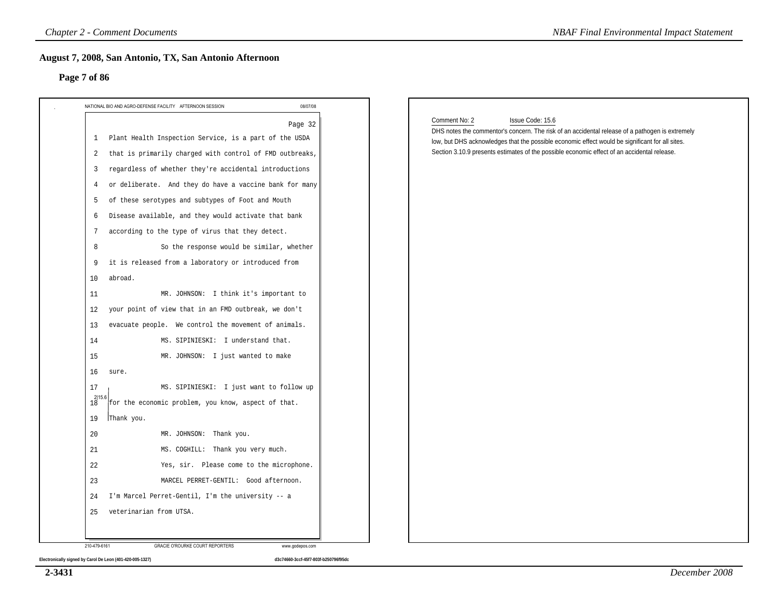#### **Page 7 of 86**

| NATIONAL BIO AND AGRO-DEFENSE FACILITY AFTERNOON SESSION<br>08/07/08                                                                                                                  |                                                                                                                                                                                                                                                                                                                                        |
|---------------------------------------------------------------------------------------------------------------------------------------------------------------------------------------|----------------------------------------------------------------------------------------------------------------------------------------------------------------------------------------------------------------------------------------------------------------------------------------------------------------------------------------|
| Page 32<br>Plant Health Inspection Service, is a part of the USDA<br>$\mathbf{1}$<br>that is primarily charged with control of FMD outbreaks,<br>2                                    | Comment No: 2<br>Issue Code: 15.6<br>DHS notes the commentor's concern. The risk of an accidental release of a pathogen is extremely<br>low, but DHS acknowledges that the possible economic effect would be significant for all sites.<br>Section 3.10.9 presents estimates of the possible economic effect of an accidental release. |
| regardless of whether they're accidental introductions<br>3<br>or deliberate. And they do have a vaccine bank for many<br>4<br>of these serotypes and subtypes of Foot and Mouth<br>5 |                                                                                                                                                                                                                                                                                                                                        |
| Disease available, and they would activate that bank<br>6<br>according to the type of virus that they detect.<br>7<br>So the response would be similar, whether<br>8                  |                                                                                                                                                                                                                                                                                                                                        |
| it is released from a laboratory or introduced from<br>9<br>abroad.<br>10<br>MR. JOHNSON: I think it's important to<br>11                                                             |                                                                                                                                                                                                                                                                                                                                        |
| your point of view that in an FMD outbreak, we don't<br>12<br>evacuate people. We control the movement of animals.<br>13                                                              |                                                                                                                                                                                                                                                                                                                                        |
| MS. SIPINIESKI: I understand that.<br>14<br>MR. JOHNSON: I just wanted to make<br>15<br>16<br>sure.                                                                                   |                                                                                                                                                                                                                                                                                                                                        |
| MS. SIPINIESKI: I just want to follow up<br>17<br>$18^{2 15}$<br>for the economic problem, you know, aspect of that.<br>19<br>Thank you.                                              |                                                                                                                                                                                                                                                                                                                                        |
| 20<br>MR. JOHNSON: Thank you.<br>MS. COGHILL: Thank you very much.<br>21                                                                                                              |                                                                                                                                                                                                                                                                                                                                        |
| 22<br>Yes, sir. Please come to the microphone.<br>23<br>MARCEL PERRET-GENTIL: Good afternoon.                                                                                         |                                                                                                                                                                                                                                                                                                                                        |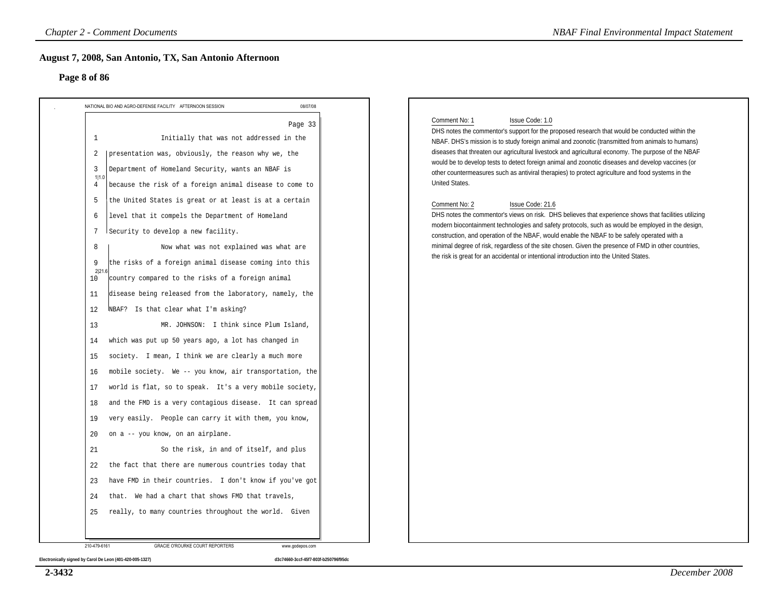#### **Page 8 of 86**

| Page 8 of 86                                                                                                                                                                                                                                                                                                                                                                                                                                                                                                                                                                                                                                                                                                                                                                                                                                                                                                                                                                                                                                                                                                                                                                                                                                                                                                                                                                                                                                                                                                         |          |                                                                                                                                                                                                                                                                                                                                                                                                                                                                                                                                                                                                                                                                                                                                                                                                                                                                                                                                                                                                                                                                                                                                |
|----------------------------------------------------------------------------------------------------------------------------------------------------------------------------------------------------------------------------------------------------------------------------------------------------------------------------------------------------------------------------------------------------------------------------------------------------------------------------------------------------------------------------------------------------------------------------------------------------------------------------------------------------------------------------------------------------------------------------------------------------------------------------------------------------------------------------------------------------------------------------------------------------------------------------------------------------------------------------------------------------------------------------------------------------------------------------------------------------------------------------------------------------------------------------------------------------------------------------------------------------------------------------------------------------------------------------------------------------------------------------------------------------------------------------------------------------------------------------------------------------------------------|----------|--------------------------------------------------------------------------------------------------------------------------------------------------------------------------------------------------------------------------------------------------------------------------------------------------------------------------------------------------------------------------------------------------------------------------------------------------------------------------------------------------------------------------------------------------------------------------------------------------------------------------------------------------------------------------------------------------------------------------------------------------------------------------------------------------------------------------------------------------------------------------------------------------------------------------------------------------------------------------------------------------------------------------------------------------------------------------------------------------------------------------------|
| NATIONAL BIO AND AGRO-DEFENSE FACILITY AFTERNOON SESSION                                                                                                                                                                                                                                                                                                                                                                                                                                                                                                                                                                                                                                                                                                                                                                                                                                                                                                                                                                                                                                                                                                                                                                                                                                                                                                                                                                                                                                                             | 08/07/08 |                                                                                                                                                                                                                                                                                                                                                                                                                                                                                                                                                                                                                                                                                                                                                                                                                                                                                                                                                                                                                                                                                                                                |
| Initially that was not addressed in the<br>1<br>presentation was, obviously, the reason why we, the<br>2<br>Department of Homeland Security, wants an NBAF is<br>3<br>1 1.0<br>because the risk of a foreign animal disease to come to<br>4<br>the United States is great or at least is at a certain<br>5<br>level that it compels the Department of Homeland<br>6<br>Security to develop a new facility.<br>7<br>Now what was not explained was what are<br>8<br>the risks of a foreign animal disease coming into this<br>-9<br>2 21<br>country compared to the risks of a foreign animal<br>10<br>disease being released from the laboratory, namely, the<br>11<br>NBAF? Is that clear what I'm asking?<br>12<br>MR. JOHNSON: I think since Plum Island,<br>13<br>which was put up 50 years ago, a lot has changed in<br>14<br>society. I mean, I think we are clearly a much more<br>15<br>mobile society. We -- you know, air transportation, the<br>16<br>world is flat, so to speak. It's a very mobile society,<br>17<br>and the FMD is a very contagious disease. It can spread<br>18<br>very easily. People can carry it with them, you know,<br>19<br>on a -- you know, on an airplane.<br>20<br>So the risk, in and of itself, and plus<br>21<br>the fact that there are numerous countries today that<br>22<br>have FMD in their countries. I don't know if you've got<br>23<br>that. We had a chart that shows FMD that travels,<br>24<br>really, to many countries throughout the world. Given<br>25 | Page 33  | Comment No: 1<br>Issue Code: 1.0<br>DHS notes the commentor's support for the proposed research that would be conducted within the<br>NBAF. DHS's mission is to study foreign animal and zoonotic (transmitted from animals to humans)<br>diseases that threaten our agricultural livestock and agricultural economy. The purpose of the NBAF<br>would be to develop tests to detect foreign animal and zoonotic diseases and develop vaccines (or<br>other countermeasures such as antiviral therapies) to protect agriculture and food systems in the<br>United States.<br>Issue Code: 21.6<br>Comment No: 2<br>DHS notes the commentor's views on risk. DHS believes that experience shows that facilities utilizing<br>modern biocontainment technologies and safety protocols, such as would be employed in the design,<br>construction, and operation of the NBAF, would enable the NBAF to be safely operated with a<br>minimal degree of risk, regardless of the site chosen. Given the presence of FMD in other countries,<br>the risk is great for an accidental or intentional introduction into the United States. |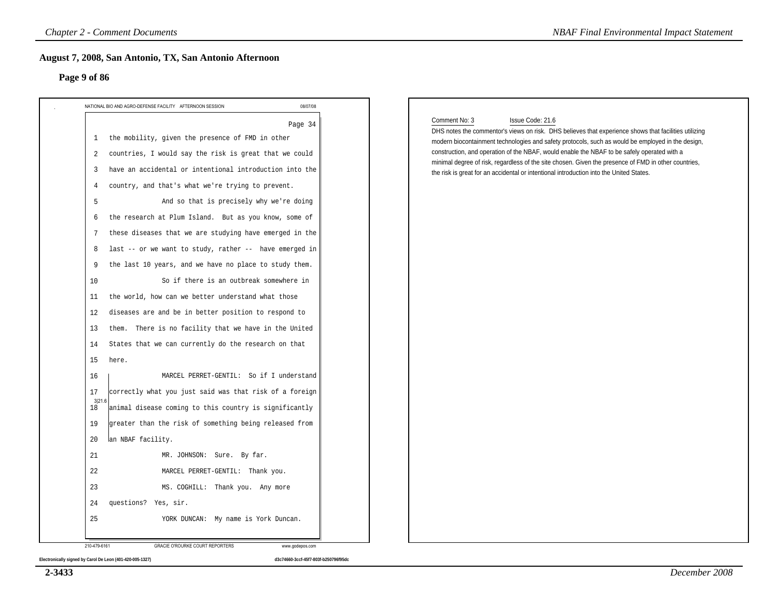#### **Page 9 of 86**

| Page 9 of 86                                                                                                                                                                                                                                                                                                                                                                                                                                                                                                                                                                                                                                                                                                                                                                                                                                                                                                                                                                                                                                                                                                                                                                                                                                                                |          |                                                                                                                                                                                                                                                                                                                                                                                                                                                                                                                                                   |  |
|-----------------------------------------------------------------------------------------------------------------------------------------------------------------------------------------------------------------------------------------------------------------------------------------------------------------------------------------------------------------------------------------------------------------------------------------------------------------------------------------------------------------------------------------------------------------------------------------------------------------------------------------------------------------------------------------------------------------------------------------------------------------------------------------------------------------------------------------------------------------------------------------------------------------------------------------------------------------------------------------------------------------------------------------------------------------------------------------------------------------------------------------------------------------------------------------------------------------------------------------------------------------------------|----------|---------------------------------------------------------------------------------------------------------------------------------------------------------------------------------------------------------------------------------------------------------------------------------------------------------------------------------------------------------------------------------------------------------------------------------------------------------------------------------------------------------------------------------------------------|--|
|                                                                                                                                                                                                                                                                                                                                                                                                                                                                                                                                                                                                                                                                                                                                                                                                                                                                                                                                                                                                                                                                                                                                                                                                                                                                             | 08/07/08 |                                                                                                                                                                                                                                                                                                                                                                                                                                                                                                                                                   |  |
| NATIONAL BIO AND AGRO-DEFENSE FACILITY AFTERNOON SESSION<br>the mobility, given the presence of FMD in other<br>1<br>countries, I would say the risk is great that we could<br>2<br>have an accidental or intentional introduction into the<br>3<br>country, and that's what we're trying to prevent.<br>4<br>And so that is precisely why we're doing<br>5<br>the research at Plum Island. But as you know, some of<br>6<br>these diseases that we are studying have emerged in the<br>7<br>last -- or we want to study, rather -- have emerged in<br>8<br>the last 10 years, and we have no place to study them.<br>9<br>So if there is an outbreak somewhere in<br>10<br>the world, how can we better understand what those<br>11<br>diseases are and be in better position to respond to<br>12<br>them. There is no facility that we have in the United<br>13<br>States that we can currently do the research on that<br>14<br>15<br>here.<br>MARCEL PERRET-GENTIL: So if I understand<br>16<br>correctly what you just said was that risk of a foreign<br>17<br>3 21.6<br>animal disease coming to this country is significantly<br>18<br>greater than the risk of something being released from<br>19<br>20<br>lan NBAF facility.<br>21<br>MR. JOHNSON: Sure. By far. | Page 34  | Issue Code: 21.6<br>Comment No: 3<br>DHS notes the commentor's views on risk. DHS believes that experience shows that facilities utilizing<br>modern biocontainment technologies and safety protocols, such as would be employed in the design,<br>construction, and operation of the NBAF, would enable the NBAF to be safely operated with a<br>minimal degree of risk, regardless of the site chosen. Given the presence of FMD in other countries,<br>the risk is great for an accidental or intentional introduction into the United States. |  |
| 22<br>MARCEL PERRET-GENTIL: Thank you.                                                                                                                                                                                                                                                                                                                                                                                                                                                                                                                                                                                                                                                                                                                                                                                                                                                                                                                                                                                                                                                                                                                                                                                                                                      |          |                                                                                                                                                                                                                                                                                                                                                                                                                                                                                                                                                   |  |
| 23<br>MS. COGHILL: Thank you. Any more                                                                                                                                                                                                                                                                                                                                                                                                                                                                                                                                                                                                                                                                                                                                                                                                                                                                                                                                                                                                                                                                                                                                                                                                                                      |          |                                                                                                                                                                                                                                                                                                                                                                                                                                                                                                                                                   |  |
| questions? Yes, sir.<br>24                                                                                                                                                                                                                                                                                                                                                                                                                                                                                                                                                                                                                                                                                                                                                                                                                                                                                                                                                                                                                                                                                                                                                                                                                                                  |          |                                                                                                                                                                                                                                                                                                                                                                                                                                                                                                                                                   |  |

**2-3433**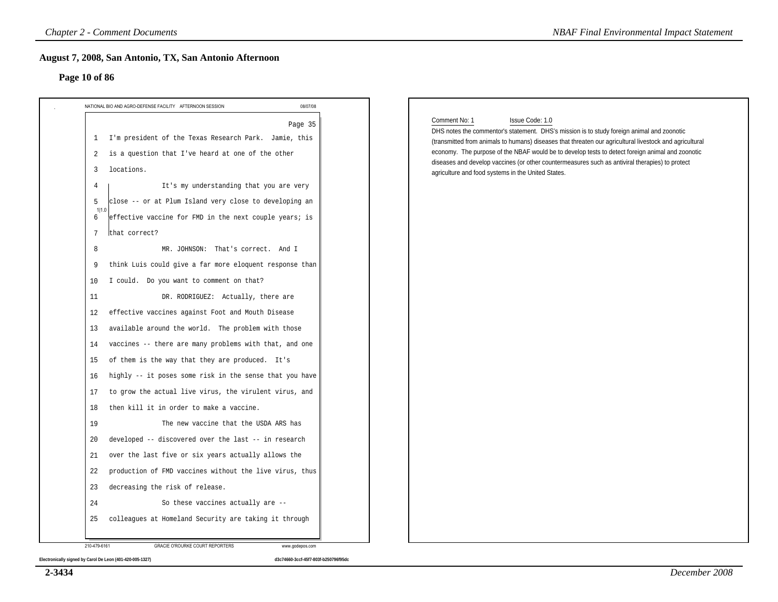#### **Page 10 of 86**

| NATIONAL BIO AND AGRO-DEFENSE FACILITY AFTERNOON SESSION                                                                                                                                                                                                                                                                                                                                                                                                                                                                                                                                                                                                                                                                                                                                                                                                                                                                                                                                                                                                                                                                                                                                                                                                                          | 08/07/08 |                                                                                                                                                                                                                                                                                                                                                                                                                                                                                                        |
|-----------------------------------------------------------------------------------------------------------------------------------------------------------------------------------------------------------------------------------------------------------------------------------------------------------------------------------------------------------------------------------------------------------------------------------------------------------------------------------------------------------------------------------------------------------------------------------------------------------------------------------------------------------------------------------------------------------------------------------------------------------------------------------------------------------------------------------------------------------------------------------------------------------------------------------------------------------------------------------------------------------------------------------------------------------------------------------------------------------------------------------------------------------------------------------------------------------------------------------------------------------------------------------|----------|--------------------------------------------------------------------------------------------------------------------------------------------------------------------------------------------------------------------------------------------------------------------------------------------------------------------------------------------------------------------------------------------------------------------------------------------------------------------------------------------------------|
| 1 I'm president of the Texas Research Park. Jamie, this<br>is a question that I've heard at one of the other<br>2<br>locations.<br>3<br>It's my understanding that you are very<br>4<br>close -- or at Plum Island very close to developing an<br>5<br>1 1.0<br>effective vaccine for FMD in the next couple years; is<br>6<br>that correct?<br>7<br>MR. JOHNSON: That's correct. And I<br>8<br>think Luis could give a far more eloquent response than<br>9<br>I could. Do you want to comment on that?<br>10<br>DR. RODRIGUEZ: Actually, there are<br>11<br>effective vaccines against Foot and Mouth Disease<br>12<br>available around the world. The problem with those<br>13<br>vaccines -- there are many problems with that, and one<br>14<br>of them is the way that they are produced. It's<br>15<br>highly -- it poses some risk in the sense that you have<br>16<br>to grow the actual live virus, the virulent virus, and<br>17<br>then kill it in order to make a vaccine.<br>18<br>19<br>The new vaccine that the USDA ARS has<br>developed -- discovered over the last -- in research<br>20<br>over the last five or six years actually allows the<br>21<br>22<br>production of FMD vaccines without the live virus, thus<br>decreasing the risk of release.<br>23 | Page 35  | Comment No: 1<br>Issue Code: 1.0<br>DHS notes the commentor's statement. DHS's mission is to study foreign animal and zoonotic<br>(transmitted from animals to humans) diseases that threaten our agricultural livestock and agricultural<br>economy. The purpose of the NBAF would be to develop tests to detect foreign animal and zoonotic<br>diseases and develop vaccines (or other countermeasures such as antiviral therapies) to protect<br>agriculture and food systems in the United States. |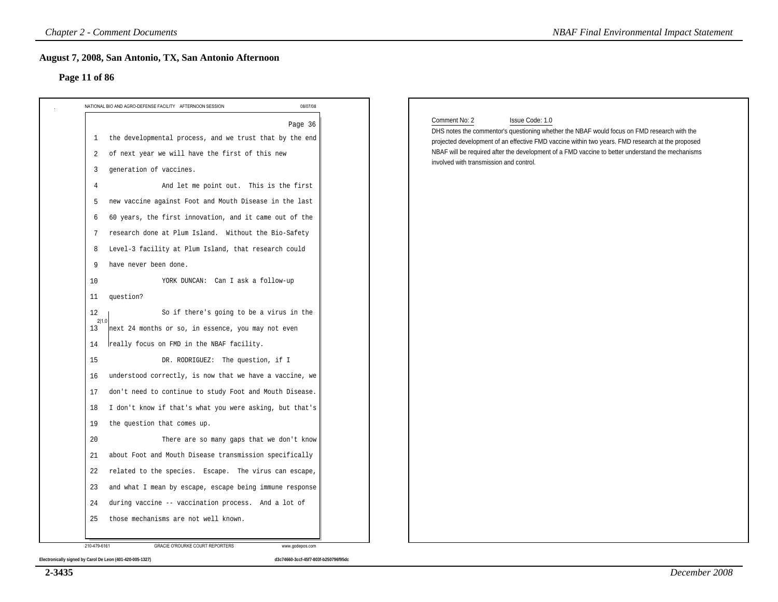#### **Page 11 of 86**

| 08/07/08<br>NATIONAL BIO AND AGRO-DEFENSE FACILITY AFTERNOON SESSION |                                                                                                                                             |
|----------------------------------------------------------------------|---------------------------------------------------------------------------------------------------------------------------------------------|
| Page 36                                                              | Issue Code: 1.0<br>Comment No: 2<br>DHS notes the commentor's questioning whether the NBAF would focus on FMD research with the             |
| the developmental process, and we trust that by the end<br>1         | projected development of an effective FMD vaccine within two years. FMD research at the proposed                                            |
| of next year we will have the first of this new<br>2                 | NBAF will be required after the development of a FMD vaccine to better understand the mechanisms<br>involved with transmission and control. |
| generation of vaccines.<br>3                                         |                                                                                                                                             |
| $\overline{4}$<br>And let me point out. This is the first            |                                                                                                                                             |
| new vaccine against Foot and Mouth Disease in the last<br>5          |                                                                                                                                             |
| 60 years, the first innovation, and it came out of the<br>6          |                                                                                                                                             |
| research done at Plum Island. Without the Bio-Safety<br>7            |                                                                                                                                             |
| Level-3 facility at Plum Island, that research could<br>8            |                                                                                                                                             |
| have never been done.<br>9                                           |                                                                                                                                             |
| YORK DUNCAN: Can I ask a follow-up<br>10                             |                                                                                                                                             |
| question?<br>11                                                      |                                                                                                                                             |
| So if there's going to be a virus in the<br>12<br>2 1.0              |                                                                                                                                             |
| next 24 months or so, in essence, you may not even<br>13             |                                                                                                                                             |
| really focus on FMD in the NBAF facility.<br>14                      |                                                                                                                                             |
| 15<br>DR. RODRIGUEZ: The question, if I                              |                                                                                                                                             |
| understood correctly, is now that we have a vaccine, we<br>16        |                                                                                                                                             |
| don't need to continue to study Foot and Mouth Disease.<br>17        |                                                                                                                                             |
| I don't know if that's what you were asking, but that's<br>18        |                                                                                                                                             |
| the question that comes up.<br>19                                    |                                                                                                                                             |
| 20<br>There are so many gaps that we don't know                      |                                                                                                                                             |
| about Foot and Mouth Disease transmission specifically<br>21         |                                                                                                                                             |
| 22<br>related to the species. Escape. The virus can escape,          |                                                                                                                                             |
| and what I mean by escape, escape being immune response<br>23        |                                                                                                                                             |
| during vaccine -- vaccination process. And a lot of<br>24            |                                                                                                                                             |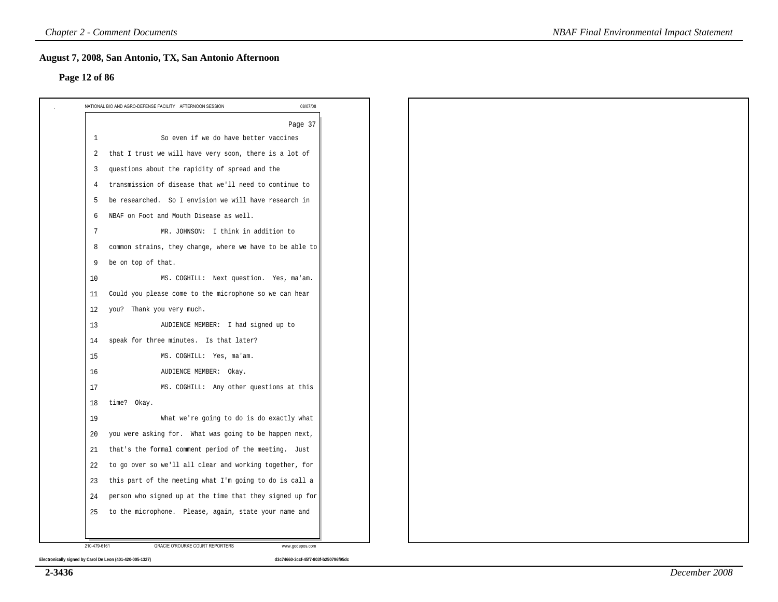#### **Page 12 of 86**

|              | NATIONAL BIO AND AGRO-DEFENSE FACILITY AFTERNOON SESSION<br>08/07/08 |
|--------------|----------------------------------------------------------------------|
|              | Page 37                                                              |
| 1            | So even if we do have better vaccines                                |
| 2            | that I trust we will have very soon, there is a lot of               |
| 3            | questions about the rapidity of spread and the                       |
| 4            | transmission of disease that we'll need to continue to               |
| 5            | be researched. So I envision we will have research in                |
| $\sqrt{2}$   | NBAF on Foot and Mouth Disease as well.                              |
| 7            | MR. JOHNSON: I think in addition to                                  |
| 8            | common strains, they change, where we have to be able to             |
| 9            | be on top of that.                                                   |
| 10           | MS. COGHILL: Next question. Yes, ma'am.                              |
| 11           | Could you please come to the microphone so we can hear               |
| 12           | you? Thank you very much.                                            |
| 13           | AUDIENCE MEMBER: I had signed up to                                  |
| 14           | speak for three minutes. Is that later?                              |
| 15           | MS. COGHILL: Yes, ma'am.                                             |
| 16           | AUDIENCE MEMBER: Okay.                                               |
| 17           | MS. COGHILL: Any other questions at this                             |
| 18           | time? Okay.                                                          |
| 19           | What we're going to do is do exactly what                            |
| 20           | you were asking for. What was going to be happen next,               |
| 21           | that's the formal comment period of the meeting. Just                |
| 22           | to go over so we'll all clear and working together, for              |
| 23           | this part of the meeting what I'm going to do is call a              |
| 24           | person who signed up at the time that they signed up for             |
| 25           | to the microphone. Please, again, state your name and                |
|              |                                                                      |
| 210-479-6161 | GRACIE O'ROURKE COURT REPORTERS<br>www.godepos.com                   |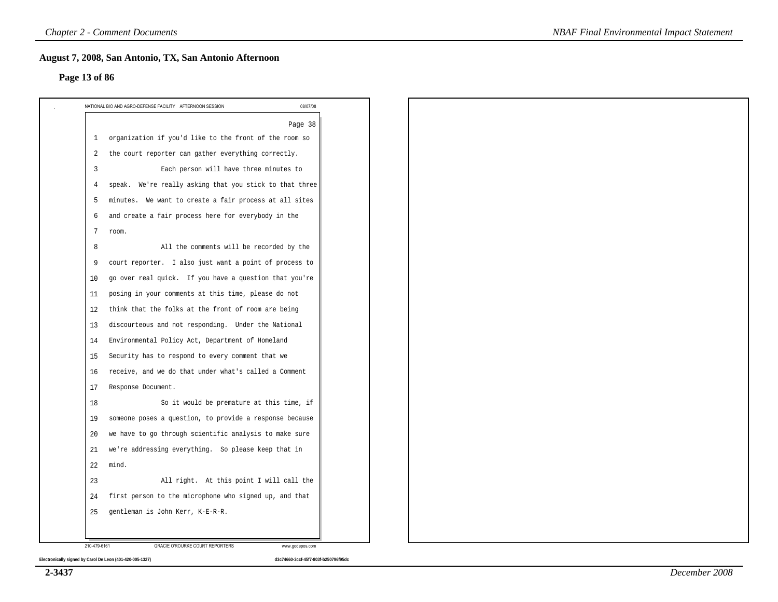#### **Page 13 of 86**

|                | 08/07/08<br>NATIONAL BIO AND AGRO-DEFENSE FACILITY AFTERNOON SESSION |
|----------------|----------------------------------------------------------------------|
|                | Page 38                                                              |
| 1              | organization if you'd like to the front of the room so               |
| 2              | the court reporter can gather everything correctly.                  |
| 3              | Each person will have three minutes to                               |
| $\overline{4}$ | speak. We're really asking that you stick to that three              |
| 5              | minutes. We want to create a fair process at all sites               |
| 6              | and create a fair process here for everybody in the                  |
| 7              | room.                                                                |
| 8              | All the comments will be recorded by the                             |
| 9              | court reporter. I also just want a point of process to               |
| 10             | go over real quick. If you have a question that you're               |
| 11             | posing in your comments at this time, please do not                  |
| 12             | think that the folks at the front of room are being                  |
| 13             | discourteous and not responding. Under the National                  |
| 14             | Environmental Policy Act, Department of Homeland                     |
| 15             | Security has to respond to every comment that we                     |
| 16             | receive, and we do that under what's called a Comment                |
| 17             | Response Document.                                                   |
| 18             | So it would be premature at this time, if                            |
| 19             | someone poses a question, to provide a response because              |
| 20             | we have to go through scientific analysis to make sure               |
| 21             | we're addressing everything. So please keep that in                  |
| 22             | mind.                                                                |
| 23             | All right. At this point I will call the                             |
| 24             | first person to the microphone who signed up, and that               |
| 25             | gentleman is John Kerr, K-E-R-R.                                     |
|                |                                                                      |
| 210-479-6161   | GRACIE O'ROURKE COURT REPORTERS<br>www.godepos.com                   |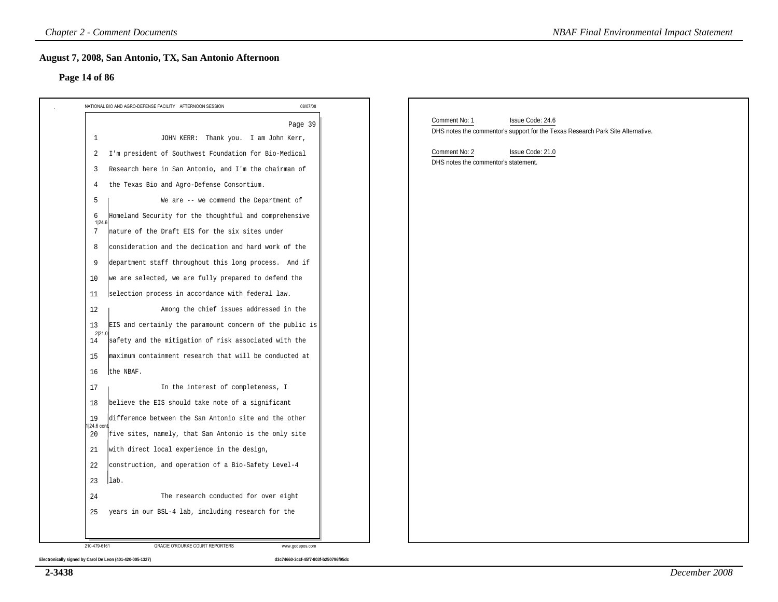#### **Page 14 of 86**

| Page 14 of 86                                                                                                                                                                                                                                                                                                                                                                                                                                                                                                                                                                                                                                                                                                                                                                                                                                                                |                                                                                                                      |
|------------------------------------------------------------------------------------------------------------------------------------------------------------------------------------------------------------------------------------------------------------------------------------------------------------------------------------------------------------------------------------------------------------------------------------------------------------------------------------------------------------------------------------------------------------------------------------------------------------------------------------------------------------------------------------------------------------------------------------------------------------------------------------------------------------------------------------------------------------------------------|----------------------------------------------------------------------------------------------------------------------|
| NATIONAL BIO AND AGRO-DEFENSE FACILITY AFTERNOON SESSION<br>08/07/08                                                                                                                                                                                                                                                                                                                                                                                                                                                                                                                                                                                                                                                                                                                                                                                                         |                                                                                                                      |
| Page 39<br>$\mathbf{1}$<br>JOHN KERR: Thank you. I am John Kerr,                                                                                                                                                                                                                                                                                                                                                                                                                                                                                                                                                                                                                                                                                                                                                                                                             | Comment No: 1<br>Issue Code: 24.6<br>DHS notes the commentor's support for the Texas Research Park Site Alternative. |
| I'm president of Southwest Foundation for Bio-Medical<br>2<br>Research here in San Antonio, and I'm the chairman of<br>-3<br>the Texas Bio and Agro-Defense Consortium.<br>4<br>5<br>We are -- we commend the Department of<br>Homeland Security for the thoughtful and comprehensive<br>6<br>1 24.6<br>7<br>nature of the Draft EIS for the six sites under<br>consideration and the dedication and hard work of the<br>8<br>department staff throughout this long process. And if<br>9<br>we are selected, we are fully prepared to defend the<br>10<br>selection process in accordance with federal law.<br>11<br>Among the chief issues addressed in the<br>12<br>EIS and certainly the paramount concern of the public is<br>13<br>2 21.<br>safety and the mitigation of risk associated with the<br>14<br>maximum containment research that will be conducted at<br>15 | Comment No: 2<br>Issue Code: 21.0<br>DHS notes the commentor's statement.                                            |
| the NBAF.<br>16<br>In the interest of completeness, I<br>17<br>believe the EIS should take note of a significant<br>18<br>difference between the San Antonio site and the other<br>19<br>1 24.6 cont<br>five sites, namely, that San Antonio is the only site<br>20<br>with direct local experience in the design,<br>21<br>construction, and operation of a Bio-Safety Level-4<br>22<br>lab.<br>23<br>The research conducted for over eight<br>24                                                                                                                                                                                                                                                                                                                                                                                                                           |                                                                                                                      |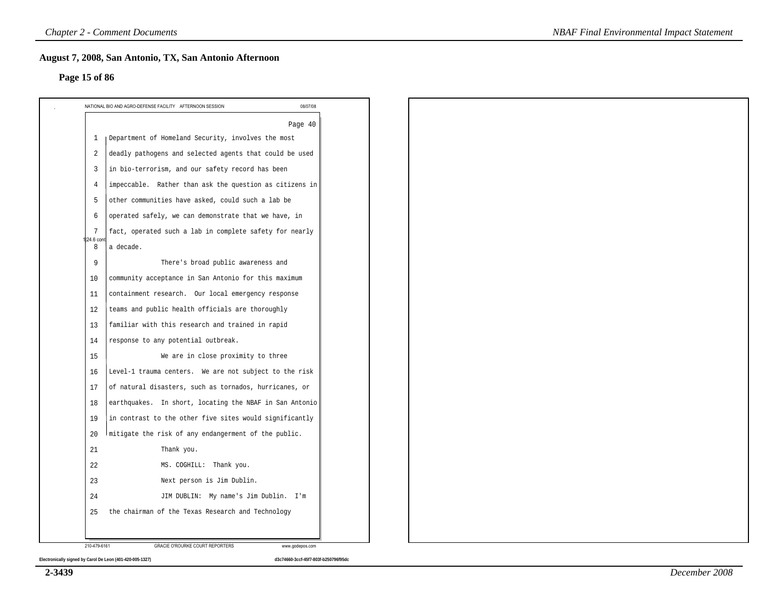#### **Page 15 of 86**

|                | Page 40                                                 |  |  |  |
|----------------|---------------------------------------------------------|--|--|--|
| 1              | Department of Homeland Security, involves the most      |  |  |  |
| 2              | deadly pathogens and selected agents that could be used |  |  |  |
| $\overline{3}$ | in bio-terrorism, and our safety record has been        |  |  |  |
| $\overline{4}$ | impeccable. Rather than ask the question as citizens in |  |  |  |
| 5              | other communities have asked, could such a lab be       |  |  |  |
| 6              | operated safely, we can demonstrate that we have, in    |  |  |  |
| 7<br>24.6 cont | fact, operated such a lab in complete safety for nearly |  |  |  |
| 8              | a decade.                                               |  |  |  |
| 9              | There's broad public awareness and                      |  |  |  |
| 10             | community acceptance in San Antonio for this maximum    |  |  |  |
| 11             | containment research. Our local emergency response      |  |  |  |
| 12             | teams and public health officials are thoroughly        |  |  |  |
| 13             | familiar with this research and trained in rapid        |  |  |  |
| 14             | response to any potential outbreak.                     |  |  |  |
| 15             | We are in close proximity to three                      |  |  |  |
| 16             | Level-1 trauma centers. We are not subject to the risk  |  |  |  |
| 17             | of natural disasters, such as tornados, hurricanes, or  |  |  |  |
| 18             | earthquakes. In short, locating the NBAF in San Antonio |  |  |  |
| 19             | in contrast to the other five sites would significantly |  |  |  |
| 20             | mitigate the risk of any endangerment of the public.    |  |  |  |
| 21             | Thank you.                                              |  |  |  |
| 22             | MS. COGHILL: Thank you.                                 |  |  |  |
| 23             | Next person is Jim Dublin.                              |  |  |  |
| 24             | JIM DUBLIN: My name's Jim Dublin. I'm                   |  |  |  |
| 25             | the chairman of the Texas Research and Technology       |  |  |  |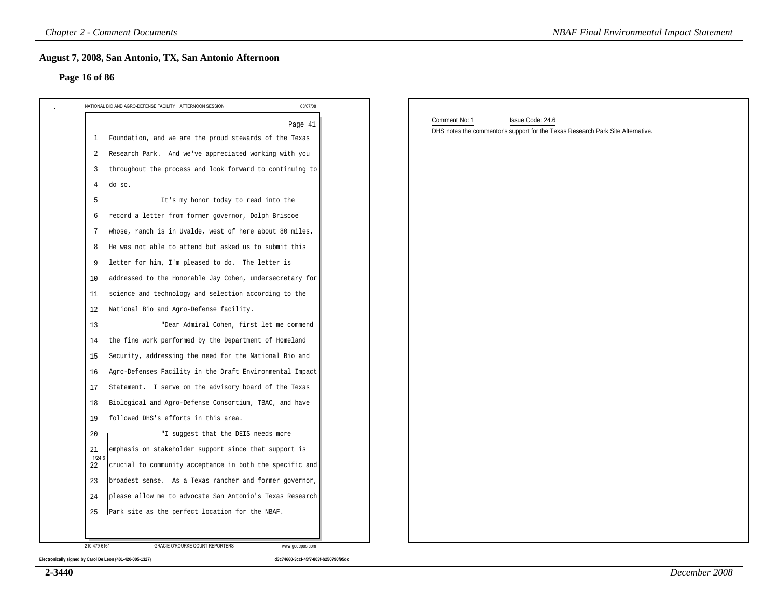#### **Page 16 of 86**

| 08/07/08<br>NATIONAL BIO AND AGRO-DEFENSE FACILITY AFTERNOON SESSION  |                                                                                 |
|-----------------------------------------------------------------------|---------------------------------------------------------------------------------|
| Page 41                                                               | Comment No: 1<br>Issue Code: 24.6                                               |
| Foundation, and we are the proud stewards of the Texas<br>1           | DHS notes the commentor's support for the Texas Research Park Site Alternative. |
| Research Park. And we've appreciated working with you<br>2            |                                                                                 |
| throughout the process and look forward to continuing to<br>3         |                                                                                 |
| do so.<br>4                                                           |                                                                                 |
| It's my honor today to read into the<br>5                             |                                                                                 |
| record a letter from former governor, Dolph Briscoe<br>6              |                                                                                 |
| whose, ranch is in Uvalde, west of here about 80 miles.<br>7          |                                                                                 |
| He was not able to attend but asked us to submit this<br>8            |                                                                                 |
| letter for him, I'm pleased to do. The letter is<br>9                 |                                                                                 |
| addressed to the Honorable Jay Cohen, undersecretary for<br>10        |                                                                                 |
| science and technology and selection according to the<br>11           |                                                                                 |
| National Bio and Agro-Defense facility.<br>12                         |                                                                                 |
| "Dear Admiral Cohen, first let me commend<br>13                       |                                                                                 |
| the fine work performed by the Department of Homeland<br>14           |                                                                                 |
| Security, addressing the need for the National Bio and<br>15          |                                                                                 |
| Agro-Defenses Facility in the Draft Environmental Impact<br>16        |                                                                                 |
| Statement. I serve on the advisory board of the Texas<br>17           |                                                                                 |
| Biological and Agro-Defense Consortium, TBAC, and have<br>18          |                                                                                 |
| followed DHS's efforts in this area.<br>19                            |                                                                                 |
| "I suggest that the DEIS needs more<br>20                             |                                                                                 |
| emphasis on stakeholder support since that support is<br>21<br>1/24.6 |                                                                                 |
| crucial to community acceptance in both the specific and<br>22        |                                                                                 |
| broadest sense. As a Texas rancher and former governor,<br>23         |                                                                                 |
| 24<br>please allow me to advocate San Antonio's Texas Research        |                                                                                 |

**2-3440**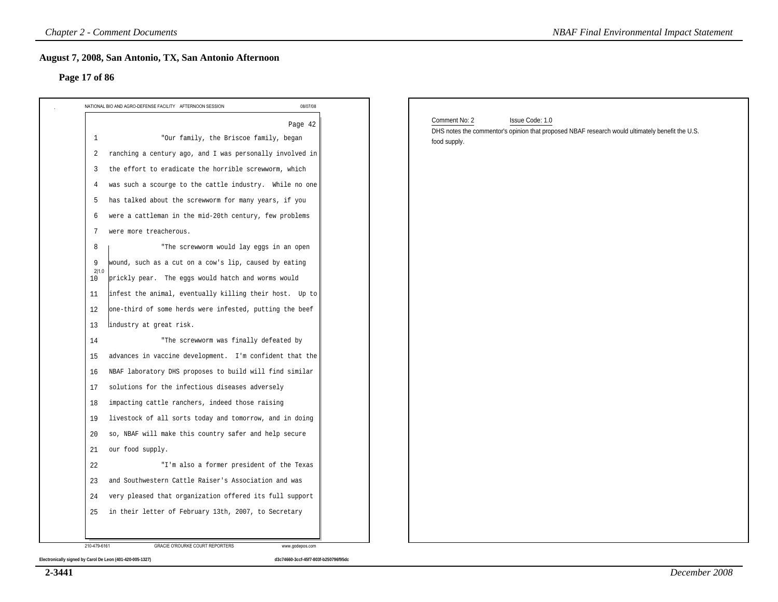#### **Page 17 of 86**

| 08/07/08<br>NATIONAL BIO AND AGRO-DEFENSE FACILITY AFTERNOON SESSION      |                                                                                                                                                     |
|---------------------------------------------------------------------------|-----------------------------------------------------------------------------------------------------------------------------------------------------|
| Page 42<br>"Our family, the Briscoe family, began<br>1                    | Comment No: 2<br>Issue Code: 1.0<br>DHS notes the commentor's opinion that proposed NBAF research would ultimately benefit the U.S.<br>food supply. |
| ranching a century ago, and I was personally involved in<br>2             |                                                                                                                                                     |
| the effort to eradicate the horrible screwworm, which<br>3                |                                                                                                                                                     |
| was such a scourge to the cattle industry. While no one<br>$\overline{4}$ |                                                                                                                                                     |
| has talked about the screwworm for many years, if you<br>-5               |                                                                                                                                                     |
| were a cattleman in the mid-20th century, few problems<br>6               |                                                                                                                                                     |
| were more treacherous.<br>7                                               |                                                                                                                                                     |
| "The screwworm would lay eggs in an open<br>8                             |                                                                                                                                                     |
| wound, such as a cut on a cow's lip, caused by eating<br>9<br>2 1.0       |                                                                                                                                                     |
| prickly pear. The eggs would hatch and worms would<br>10                  |                                                                                                                                                     |
| infest the animal, eventually killing their host. Up to<br>11             |                                                                                                                                                     |
| one-third of some herds were infested, putting the beef<br>12             |                                                                                                                                                     |
| lindustry at great risk.<br>13                                            |                                                                                                                                                     |
| "The screwworm was finally defeated by<br>14                              |                                                                                                                                                     |
| advances in vaccine development. I'm confident that the<br>15             |                                                                                                                                                     |
| NBAF laboratory DHS proposes to build will find similar<br>16             |                                                                                                                                                     |
| solutions for the infectious diseases adversely<br>17                     |                                                                                                                                                     |
| impacting cattle ranchers, indeed those raising<br>18                     |                                                                                                                                                     |
| livestock of all sorts today and tomorrow, and in doing<br>19             |                                                                                                                                                     |
| so, NBAF will make this country safer and help secure<br>20               |                                                                                                                                                     |
| our food supply.<br>21                                                    |                                                                                                                                                     |
| 22<br>"I'm also a former president of the Texas                           |                                                                                                                                                     |
| and Southwestern Cattle Raiser's Association and was<br>23                |                                                                                                                                                     |
| very pleased that organization offered its full support<br>24             |                                                                                                                                                     |

**2-3441**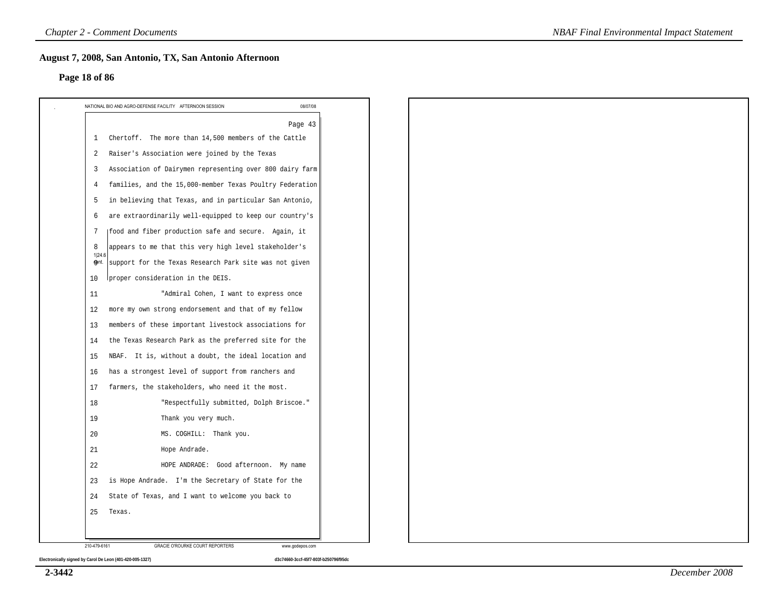#### **Page 18 of 86**

|              | NATIONAL BIO AND AGRO-DEFENSE FACILITY AFTERNOON SESSION<br>08/07/08 |
|--------------|----------------------------------------------------------------------|
|              | Page 43                                                              |
| 1            | Chertoff. The more than 14,500 members of the Cattle                 |
| 2            | Raiser's Association were joined by the Texas                        |
| 3            | Association of Dairymen representing over 800 dairy farm             |
| 4            | families, and the 15,000-member Texas Poultry Federation             |
| 5            | in believing that Texas, and in particular San Antonio,              |
| 6            | are extraordinarily well-equipped to keep our country's              |
| 7            | (food and fiber production safe and secure. Again, it                |
| 8<br>1 24.6  | appears to me that this very high level stakeholder's                |
| ஞ0nt.        | support for the Texas Research Park site was not given               |
| 10           | proper consideration in the DEIS.                                    |
| 11           | "Admiral Cohen, I want to express once                               |
| 12           | more my own strong endorsement and that of my fellow                 |
| 13           | members of these important livestock associations for                |
| 14           | the Texas Research Park as the preferred site for the                |
| 15           | NBAF. It is, without a doubt, the ideal location and                 |
| 16           | has a strongest level of support from ranchers and                   |
| 17           | farmers, the stakeholders, who need it the most.                     |
| 18           | "Respectfully submitted, Dolph Briscoe."                             |
| 19           | Thank you very much.                                                 |
| 20           | MS. COGHILL: Thank you.                                              |
| 21           | Hope Andrade.                                                        |
| 22           | HOPE ANDRADE: Good afternoon. My name                                |
| 23           | is Hope Andrade. I'm the Secretary of State for the                  |
| 24           | State of Texas, and I want to welcome you back to                    |
| 25           | Texas.                                                               |
|              |                                                                      |
| 210-479-6161 | GRACIE O'ROURKE COURT REPORTERS<br>www.godepos.com                   |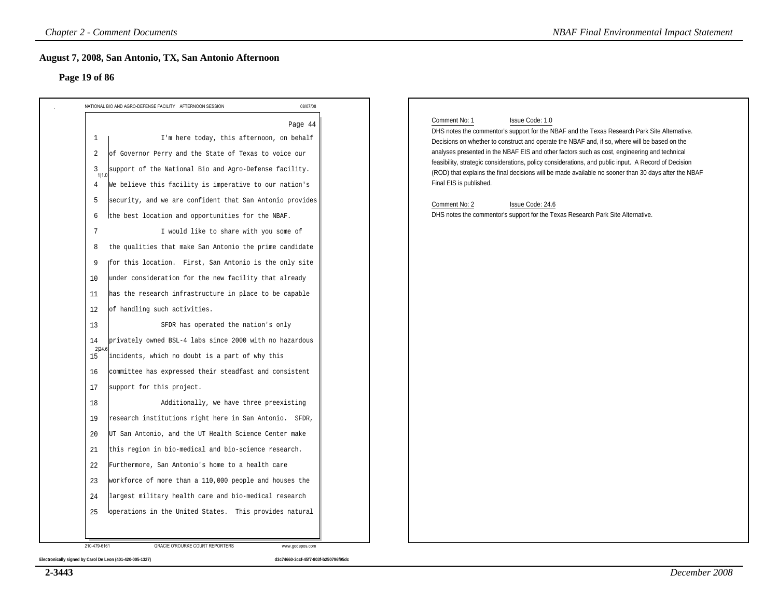#### **Page 19 of 86**

| Page 19 of 86                                                                                                                                                                                                                                                                                                                                                                                                                                                                                                                                                                                                                                                                                                                                                                                                                                                                                                                                                                                                                                                                                                                      |          |                                                                                                                                                                                                                                                                                                                                                                                                                                                                                                                                                                                                                                                                                                      |
|------------------------------------------------------------------------------------------------------------------------------------------------------------------------------------------------------------------------------------------------------------------------------------------------------------------------------------------------------------------------------------------------------------------------------------------------------------------------------------------------------------------------------------------------------------------------------------------------------------------------------------------------------------------------------------------------------------------------------------------------------------------------------------------------------------------------------------------------------------------------------------------------------------------------------------------------------------------------------------------------------------------------------------------------------------------------------------------------------------------------------------|----------|------------------------------------------------------------------------------------------------------------------------------------------------------------------------------------------------------------------------------------------------------------------------------------------------------------------------------------------------------------------------------------------------------------------------------------------------------------------------------------------------------------------------------------------------------------------------------------------------------------------------------------------------------------------------------------------------------|
|                                                                                                                                                                                                                                                                                                                                                                                                                                                                                                                                                                                                                                                                                                                                                                                                                                                                                                                                                                                                                                                                                                                                    | 08/07/08 |                                                                                                                                                                                                                                                                                                                                                                                                                                                                                                                                                                                                                                                                                                      |
| NATIONAL BIO AND AGRO-DEFENSE FACILITY AFTERNOON SESSION<br>I'm here today, this afternoon, on behalf<br>1<br>of Governor Perry and the State of Texas to voice our<br>2<br>support of the National Bio and Agro-Defense facility.<br>3<br>1 1.0<br>We believe this facility is imperative to our nation's<br>4<br>security, and we are confident that San Antonio provides<br>5<br>the best location and opportunities for the NBAF.<br>6<br>I would like to share with you some of<br>7<br>the qualities that make San Antonio the prime candidate<br>8<br>for this location. First, San Antonio is the only site<br>9<br>under consideration for the new facility that already<br>10<br>has the research infrastructure in place to be capable<br>11<br>of handling such activities.<br>12<br>SFDR has operated the nation's only<br>13<br>privately owned BSL-4 labs since 2000 with no hazardous<br>14<br>2 24.6<br>incidents, which no doubt is a part of why this<br>15<br>committee has expressed their steadfast and consistent<br>16<br>support for this project.<br>17<br>Additionally, we have three preexisting<br>18 | Page 44  | Issue Code: 1.0<br>Comment No: 1<br>DHS notes the commentor's support for the NBAF and the Texas Research Park Site Alternative.<br>Decisions on whether to construct and operate the NBAF and, if so, where will be based on the<br>analyses presented in the NBAF EIS and other factors such as cost, engineering and technical<br>feasibility, strategic considerations, policy considerations, and public input. A Record of Decision<br>(ROD) that explains the final decisions will be made available no sooner than 30 days after the NBAF<br>Final EIS is published.<br>Comment No: 2<br>Issue Code: 24.6<br>DHS notes the commentor's support for the Texas Research Park Site Alternative. |
| 19<br>research institutions right here in San Antonio. SFDR,                                                                                                                                                                                                                                                                                                                                                                                                                                                                                                                                                                                                                                                                                                                                                                                                                                                                                                                                                                                                                                                                       |          |                                                                                                                                                                                                                                                                                                                                                                                                                                                                                                                                                                                                                                                                                                      |
| UT San Antonio, and the UT Health Science Center make<br>20                                                                                                                                                                                                                                                                                                                                                                                                                                                                                                                                                                                                                                                                                                                                                                                                                                                                                                                                                                                                                                                                        |          |                                                                                                                                                                                                                                                                                                                                                                                                                                                                                                                                                                                                                                                                                                      |
| this region in bio-medical and bio-science research.<br>21                                                                                                                                                                                                                                                                                                                                                                                                                                                                                                                                                                                                                                                                                                                                                                                                                                                                                                                                                                                                                                                                         |          |                                                                                                                                                                                                                                                                                                                                                                                                                                                                                                                                                                                                                                                                                                      |
| 22<br>Furthermore, San Antonio's home to a health care                                                                                                                                                                                                                                                                                                                                                                                                                                                                                                                                                                                                                                                                                                                                                                                                                                                                                                                                                                                                                                                                             |          |                                                                                                                                                                                                                                                                                                                                                                                                                                                                                                                                                                                                                                                                                                      |
| workforce of more than a 110,000 people and houses the<br>23                                                                                                                                                                                                                                                                                                                                                                                                                                                                                                                                                                                                                                                                                                                                                                                                                                                                                                                                                                                                                                                                       |          |                                                                                                                                                                                                                                                                                                                                                                                                                                                                                                                                                                                                                                                                                                      |
| largest military health care and bio-medical research<br>24                                                                                                                                                                                                                                                                                                                                                                                                                                                                                                                                                                                                                                                                                                                                                                                                                                                                                                                                                                                                                                                                        |          |                                                                                                                                                                                                                                                                                                                                                                                                                                                                                                                                                                                                                                                                                                      |

**2-3443**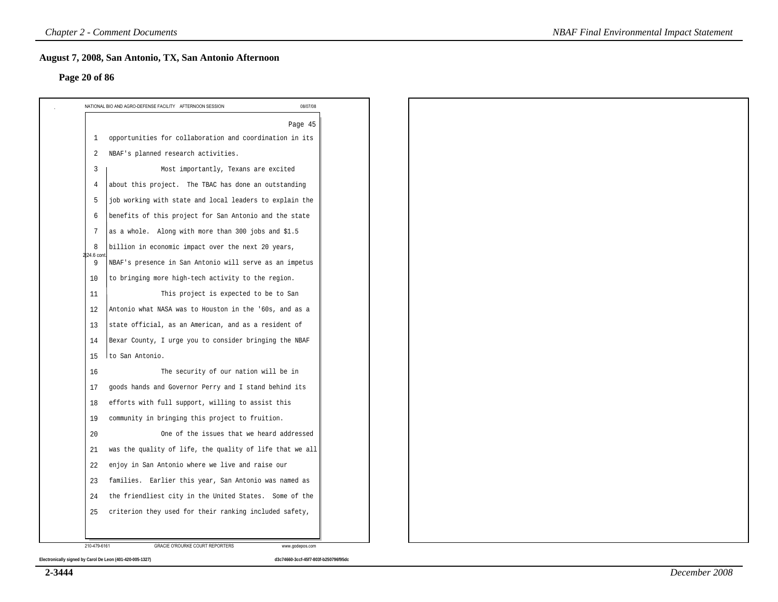#### **Page 20 of 86**

|                 | Page 45                                                  |
|-----------------|----------------------------------------------------------|
| 1               | opportunities for collaboration and coordination in its  |
| $\overline{2}$  | NBAF's planned research activities.                      |
| $\overline{3}$  | Most importantly, Texans are excited                     |
| $\overline{4}$  | about this project. The TBAC has done an outstanding     |
| 5               | job working with state and local leaders to explain the  |
| 6               | benefits of this project for San Antonio and the state   |
| $7\phantom{.0}$ | as a whole. Along with more than 300 jobs and \$1.5      |
| 8<br>224.6 con  | billion in economic impact over the next 20 years,       |
| 9               | NBAF's presence in San Antonio will serve as an impetus  |
| 10              | to bringing more high-tech activity to the region.       |
| 11              | This project is expected to be to San                    |
| 12              | Antonio what NASA was to Houston in the '60s, and as a   |
| 13              | state official, as an American, and as a resident of     |
| 14              | Bexar County, I urge you to consider bringing the NBAF   |
| 15              | to San Antonio.                                          |
| 16              | The security of our nation will be in                    |
| 17              | goods hands and Governor Perry and I stand behind its    |
| 18              | efforts with full support, willing to assist this        |
| 19              | community in bringing this project to fruition.          |
| 20              | One of the issues that we heard addressed                |
| 21              | was the quality of life, the quality of life that we all |
| 22              | enjoy in San Antonio where we live and raise our         |
| 23              | families. Earlier this year, San Antonio was named as    |
| 24              | the friendliest city in the United States. Some of the   |
| 25              | criterion they used for their ranking included safety,   |
|                 |                                                          |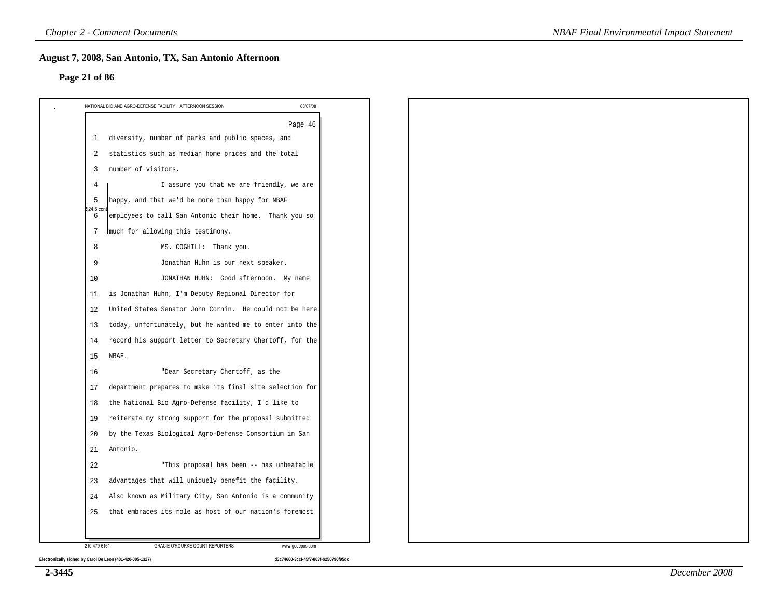#### **Page 21 of 86**

|                | Page 46                                                  |
|----------------|----------------------------------------------------------|
| 1              | diversity, number of parks and public spaces, and        |
| 2              | statistics such as median home prices and the total      |
| 3              | number of visitors.                                      |
| $\overline{4}$ | I assure you that we are friendly, we are                |
| 5              | happy, and that we'd be more than happy for NBAF         |
| 24.6 cor<br>6  | employees to call San Antonio their home. Thank you so   |
| 7              | much for allowing this testimony.                        |
| 8              | MS. COGHILL: Thank you.                                  |
| 9              | Jonathan Huhn is our next speaker.                       |
| 10             | JONATHAN HUHN: Good afternoon. My name                   |
| 11             | is Jonathan Huhn, I'm Deputy Regional Director for       |
| 12             | United States Senator John Cornin. He could not be here  |
| 13             | today, unfortunately, but he wanted me to enter into the |
| 14             | record his support letter to Secretary Chertoff, for the |
| 15             | NBAF.                                                    |
| 16             | "Dear Secretary Chertoff, as the                         |
| 17             | department prepares to make its final site selection for |
| 18             | the National Bio Agro-Defense facility, I'd like to      |
| 19             | reiterate my strong support for the proposal submitted   |
| 20             | by the Texas Biological Agro-Defense Consortium in San   |
| 21             | Antonio.                                                 |
| 22             | "This proposal has been -- has unbeatable                |
| 23             | advantages that will uniquely benefit the facility.      |
| 24             | Also known as Military City, San Antonio is a community  |
| 25             | that embraces its role as host of our nation's foremost  |

**2-3445**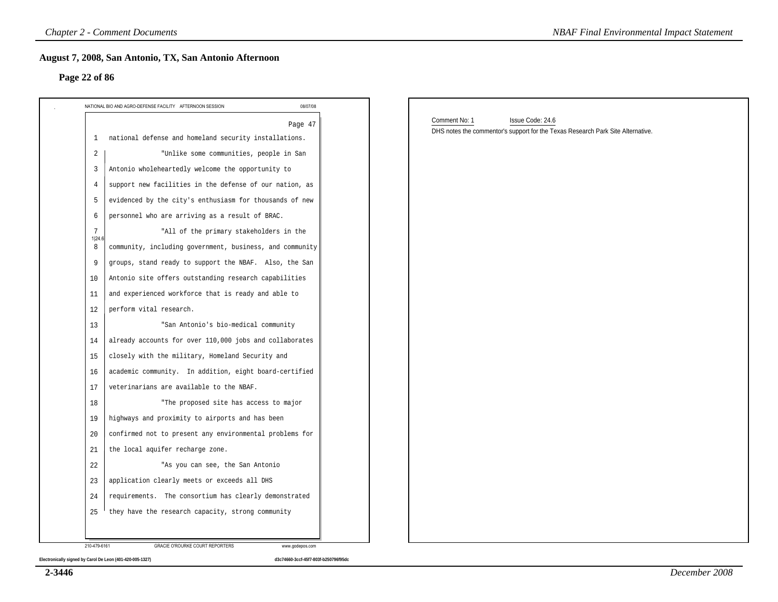#### **Page 22 of 86**

|                | NATIONAL BIO AND AGRO-DEFENSE FACILITY AFTERNOON SESSION<br>08/07/08 |                                                                                 |
|----------------|----------------------------------------------------------------------|---------------------------------------------------------------------------------|
|                |                                                                      | Comment No: 1<br>Issue Code: 24.6                                               |
| 1              | Page 47<br>national defense and homeland security installations.     | DHS notes the commentor's support for the Texas Research Park Site Alternative. |
| 2              | "Unlike some communities, people in San                              |                                                                                 |
| $\overline{3}$ | Antonio wholeheartedly welcome the opportunity to                    |                                                                                 |
| $\overline{4}$ | support new facilities in the defense of our nation, as              |                                                                                 |
| 5              | evidenced by the city's enthusiasm for thousands of new              |                                                                                 |
| 6              | personnel who are arriving as a result of BRAC.                      |                                                                                 |
| 7              | "All of the primary stakeholders in the                              |                                                                                 |
| 1 24.6<br>8    | community, including government, business, and community             |                                                                                 |
| 9              | groups, stand ready to support the NBAF. Also, the San               |                                                                                 |
| 10             | Antonio site offers outstanding research capabilities                |                                                                                 |
| 11             | and experienced workforce that is ready and able to                  |                                                                                 |
| 12             | perform vital research.                                              |                                                                                 |
| 13             | "San Antonio's bio-medical community                                 |                                                                                 |
| 14             | already accounts for over 110,000 jobs and collaborates              |                                                                                 |
| 15             | closely with the military, Homeland Security and                     |                                                                                 |
| 16             | academic community. In addition, eight board-certified               |                                                                                 |
| 17             | veterinarians are available to the NBAF.                             |                                                                                 |
| 18             | "The proposed site has access to major                               |                                                                                 |
| 19             | highways and proximity to airports and has been                      |                                                                                 |
| 20             | confirmed not to present any environmental problems for              |                                                                                 |
| 21             | the local aquifer recharge zone.                                     |                                                                                 |
| 22             | "As you can see, the San Antonio                                     |                                                                                 |
| 23             | application clearly meets or exceeds all DHS                         |                                                                                 |
| 24             | requirements. The consortium has clearly demonstrated                |                                                                                 |

**2-3446**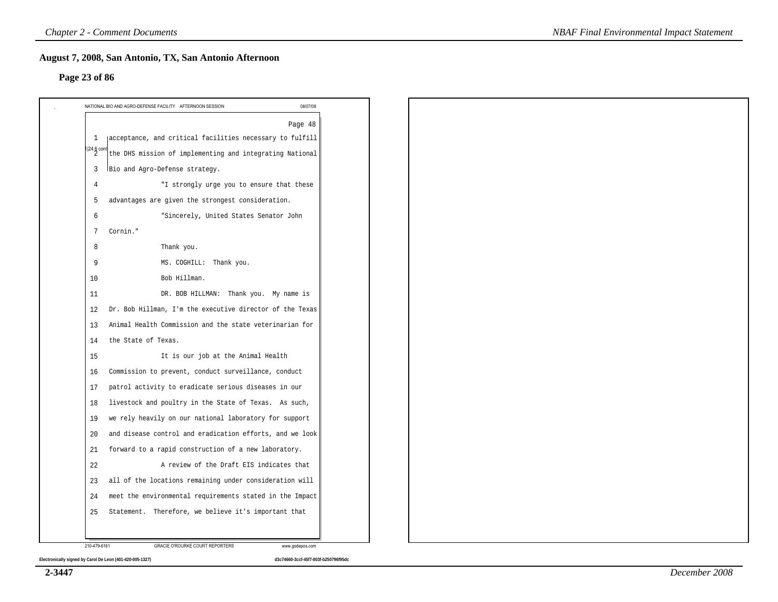#### **Page 23 of 86**

|                        | Page 48                                                   |
|------------------------|-----------------------------------------------------------|
| 1                      | jacceptance, and critical facilities necessary to fulfill |
| $\frac{1}{2}$ 24.6 con | the DHS mission of implementing and integrating National  |
| 3                      | Bio and Agro-Defense strategy.                            |
| 4                      | "I strongly urge you to ensure that these                 |
| 5                      | advantages are given the strongest consideration.         |
| 6                      | "Sincerely, United States Senator John                    |
| 7                      | Cornin."                                                  |
| 8                      | Thank you.                                                |
| 9                      | MS. COGHILL: Thank you.                                   |
| 10                     | Bob Hillman.                                              |
| 11                     | DR. BOB HILLMAN: Thank you. My name is                    |
| 12                     | Dr. Bob Hillman, I'm the executive director of the Texas  |
| 13                     | Animal Health Commission and the state veterinarian for   |
| 14                     | the State of Texas.                                       |
| 15                     | It is our job at the Animal Health                        |
| 16                     | Commission to prevent, conduct surveillance, conduct      |
| 17                     | patrol activity to eradicate serious diseases in our      |
| 18                     | livestock and poultry in the State of Texas. As such,     |
| 19                     | we rely heavily on our national laboratory for support    |
| 20                     | and disease control and eradication efforts, and we look  |
| 21                     | forward to a rapid construction of a new laboratory.      |
| 22                     | A review of the Draft EIS indicates that                  |
| 23                     | all of the locations remaining under consideration will   |
| 24                     | meet the environmental requirements stated in the Impact  |
| 25                     | Statement. Therefore, we believe it's important that      |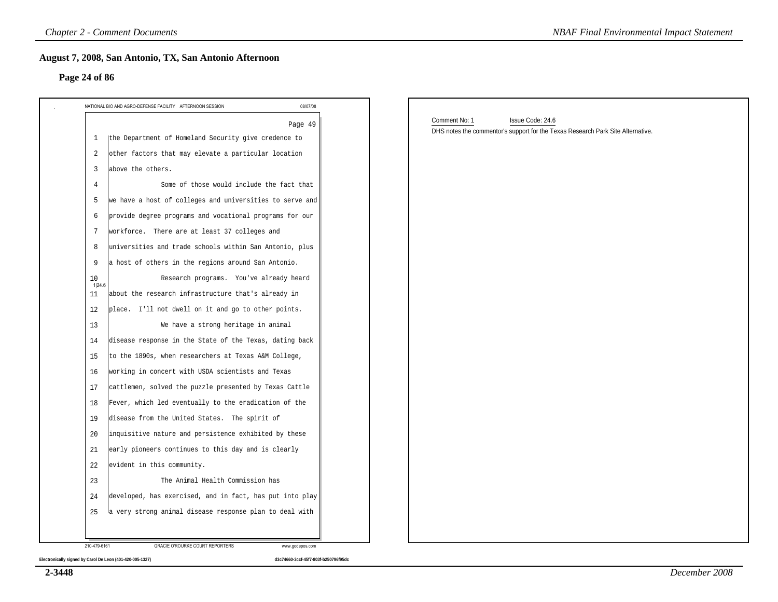#### **Page 24 of 86**

| 08/07/08<br>NATIONAL BIO AND AGRO-DEFENSE FACILITY AFTERNOON SESSION |                                                                                                                      |
|----------------------------------------------------------------------|----------------------------------------------------------------------------------------------------------------------|
| Page 49                                                              | Comment No: 1<br>Issue Code: 24.6<br>DHS notes the commentor's support for the Texas Research Park Site Alternative. |
| the Department of Homeland Security give credence to<br>1            |                                                                                                                      |
| other factors that may elevate a particular location<br>2            |                                                                                                                      |
| above the others.<br>3                                               |                                                                                                                      |
| Some of those would include the fact that<br>$\overline{4}$          |                                                                                                                      |
| we have a host of colleges and universities to serve and<br>5        |                                                                                                                      |
| provide degree programs and vocational programs for our<br>6         |                                                                                                                      |
| workforce. There are at least 37 colleges and<br>7                   |                                                                                                                      |
| universities and trade schools within San Antonio, plus<br>8         |                                                                                                                      |
| a host of others in the regions around San Antonio.<br>9             |                                                                                                                      |
| Research programs. You've already heard<br>10<br>1 24.6              |                                                                                                                      |
| about the research infrastructure that's already in<br>11            |                                                                                                                      |
| place. I'll not dwell on it and go to other points.<br>12            |                                                                                                                      |
| We have a strong heritage in animal<br>13                            |                                                                                                                      |
| disease response in the State of the Texas, dating back<br>14        |                                                                                                                      |
| to the 1890s, when researchers at Texas A&M College,<br>15           |                                                                                                                      |
| working in concert with USDA scientists and Texas<br>16              |                                                                                                                      |
| cattlemen, solved the puzzle presented by Texas Cattle<br>17         |                                                                                                                      |
| Fever, which led eventually to the eradication of the<br>18          |                                                                                                                      |
| disease from the United States. The spirit of<br>19                  |                                                                                                                      |
| inquisitive nature and persistence exhibited by these<br>20          |                                                                                                                      |
| early pioneers continues to this day and is clearly<br>21            |                                                                                                                      |
| 22<br>evident in this community.                                     |                                                                                                                      |
| 23<br>The Animal Health Commission has                               |                                                                                                                      |
| developed, has exercised, and in fact, has put into play<br>24       |                                                                                                                      |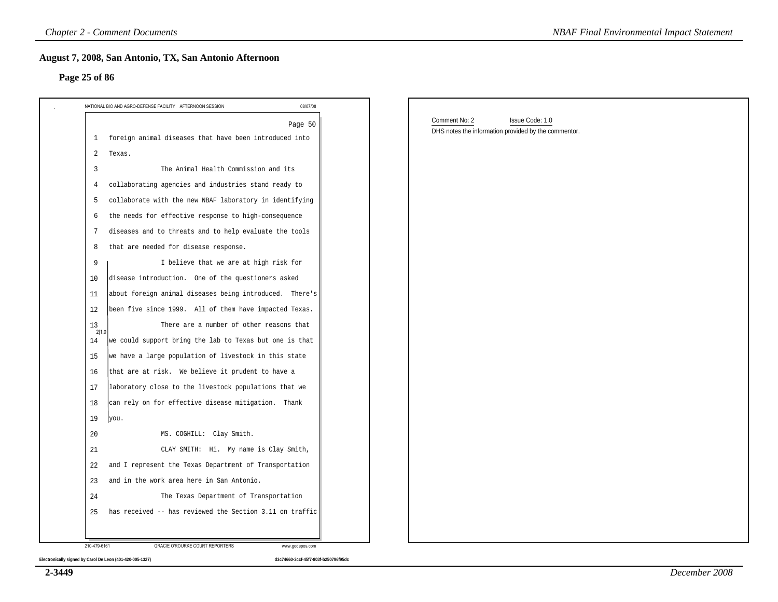#### **Page 25 of 86**

| Page 25 of 86                                                  |          |                                                      |  |
|----------------------------------------------------------------|----------|------------------------------------------------------|--|
| NATIONAL BIO AND AGRO-DEFENSE FACILITY AFTERNOON SESSION       | 08/07/08 |                                                      |  |
|                                                                | Page 50  | Comment No: 2<br>Issue Code: 1.0                     |  |
| 1 foreign animal diseases that have been introduced into       |          | DHS notes the information provided by the commentor. |  |
| $\overline{a}$<br>Texas.                                       |          |                                                      |  |
| The Animal Health Commission and its<br>3                      |          |                                                      |  |
| collaborating agencies and industries stand ready to<br>4      |          |                                                      |  |
| collaborate with the new NBAF laboratory in identifying<br>5   |          |                                                      |  |
| the needs for effective response to high-consequence<br>6      |          |                                                      |  |
| diseases and to threats and to help evaluate the tools<br>7    |          |                                                      |  |
| that are needed for disease response.<br>8                     |          |                                                      |  |
| 9<br>I believe that we are at high risk for                    |          |                                                      |  |
| disease introduction. One of the questioners asked<br>10       |          |                                                      |  |
| about foreign animal diseases being introduced. There's<br>11  |          |                                                      |  |
| 12<br>been five since 1999. All of them have impacted Texas.   |          |                                                      |  |
| There are a number of other reasons that<br>13<br>2 1.0        |          |                                                      |  |
| we could support bring the lab to Texas but one is that<br>14  |          |                                                      |  |
| we have a large population of livestock in this state<br>15    |          |                                                      |  |
| that are at risk. We believe it prudent to have a<br>16        |          |                                                      |  |
| laboratory close to the livestock populations that we<br>17    |          |                                                      |  |
| can rely on for effective disease mitigation. Thank<br>18      |          |                                                      |  |
| 19<br>you.                                                     |          |                                                      |  |
| 20<br>MS. COGHILL: Clay Smith.                                 |          |                                                      |  |
| CLAY SMITH: Hi. My name is Clay Smith,<br>21                   |          |                                                      |  |
| and I represent the Texas Department of Transportation<br>22   |          |                                                      |  |
| and in the work area here in San Antonio.<br>23                |          |                                                      |  |
| The Texas Department of Transportation<br>24                   |          |                                                      |  |
| has received -- has reviewed the Section 3.11 on traffic<br>25 |          |                                                      |  |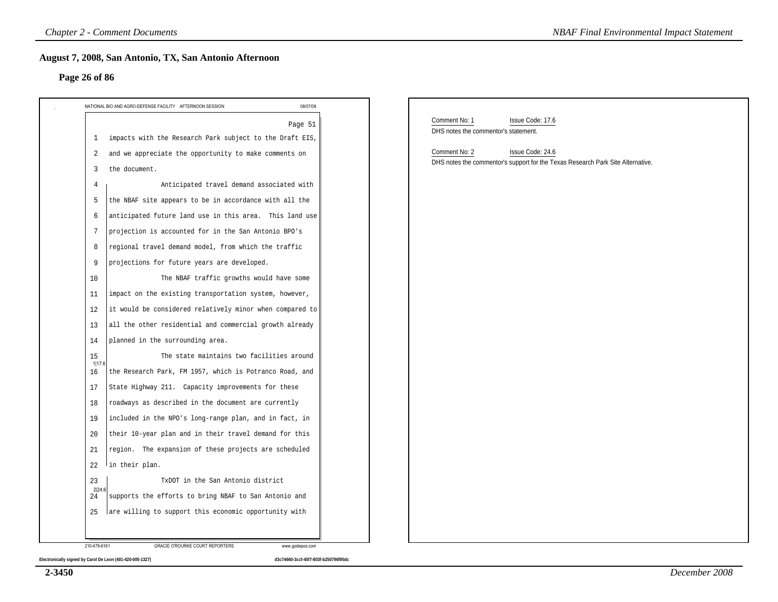#### **Page 26 of 86**

| 08/07/08<br>NATIONAL BIO AND AGRO-DEFENSE FACILITY AFTERNOON SESSION             |                                                                                                                      |
|----------------------------------------------------------------------------------|----------------------------------------------------------------------------------------------------------------------|
| Page 51                                                                          | Comment No: 1<br>Issue Code: 17.6<br>DHS notes the commentor's statement.                                            |
| impacts with the Research Park subject to the Draft EIS,<br>$\mathbf{1}$         |                                                                                                                      |
| and we appreciate the opportunity to make comments on<br>2<br>the document.<br>3 | Comment No: 2<br>Issue Code: 24.6<br>DHS notes the commentor's support for the Texas Research Park Site Alternative. |
| Anticipated travel demand associated with<br>4                                   |                                                                                                                      |
| the NBAF site appears to be in accordance with all the<br>5                      |                                                                                                                      |
| anticipated future land use in this area. This land use<br>6                     |                                                                                                                      |
| projection is accounted for in the San Antonio BPO's<br>7                        |                                                                                                                      |
| regional travel demand model, from which the traffic<br>8                        |                                                                                                                      |
| projections for future years are developed.<br>9                                 |                                                                                                                      |
| 10<br>The NBAF traffic growths would have some                                   |                                                                                                                      |
| impact on the existing transportation system, however,<br>11                     |                                                                                                                      |
| it would be considered relatively minor when compared to<br>12                   |                                                                                                                      |
| all the other residential and commercial growth already<br>13                    |                                                                                                                      |
| planned in the surrounding area.<br>14                                           |                                                                                                                      |
| The state maintains two facilities around<br>15                                  |                                                                                                                      |
| 1 17.6<br>the Research Park, FM 1957, which is Potranco Road, and<br>16          |                                                                                                                      |
| State Highway 211. Capacity improvements for these<br>17                         |                                                                                                                      |
| roadways as described in the document are currently<br>18                        |                                                                                                                      |
| included in the NPO's long-range plan, and in fact, in<br>19                     |                                                                                                                      |
| their 10-year plan and in their travel demand for this<br>20                     |                                                                                                                      |
| region. The expansion of these projects are scheduled<br>21                      |                                                                                                                      |
| 22<br>In their plan.                                                             |                                                                                                                      |
| 23<br>TxDOT in the San Antonio district                                          |                                                                                                                      |
| 2 24.6<br>supports the efforts to bring NBAF to San Antonio and<br>24            |                                                                                                                      |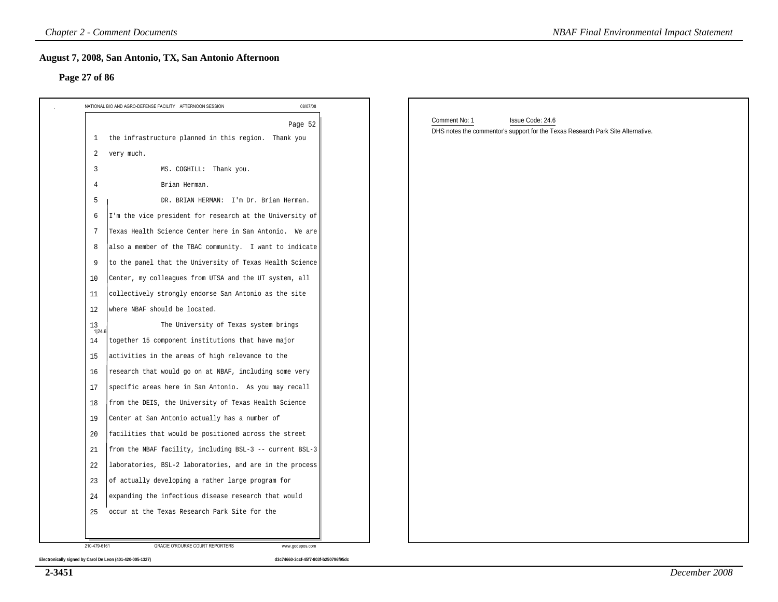#### **Page 27 of 86**

| NATIONAL BIO AND AGRO-DEFENSE FACILITY AFTERNOON SESSION       | 08/07/08                 |                                                                                 |
|----------------------------------------------------------------|--------------------------|---------------------------------------------------------------------------------|
|                                                                | Comment No: 1<br>Page 52 | Issue Code: 24.6                                                                |
| the infrastructure planned in this region. Thank you<br>1      |                          | DHS notes the commentor's support for the Texas Research Park Site Alternative. |
| very much.<br>2                                                |                          |                                                                                 |
| MS. COGHILL: Thank you.<br>3                                   |                          |                                                                                 |
| Brian Herman.<br>4                                             |                          |                                                                                 |
| 5<br>DR. BRIAN HERMAN: I'm Dr. Brian Herman.                   |                          |                                                                                 |
| I'm the vice president for research at the University of<br>6  |                          |                                                                                 |
| Texas Health Science Center here in San Antonio. We are<br>7   |                          |                                                                                 |
| also a member of the TBAC community. I want to indicate<br>8   |                          |                                                                                 |
| to the panel that the University of Texas Health Science<br>9  |                          |                                                                                 |
| Center, my colleagues from UTSA and the UT system, all<br>10   |                          |                                                                                 |
| collectively strongly endorse San Antonio as the site<br>11    |                          |                                                                                 |
| where NBAF should be located.<br>12                            |                          |                                                                                 |
| 13<br>The University of Texas system brings<br>1 24.6          |                          |                                                                                 |
| together 15 component institutions that have major<br>14       |                          |                                                                                 |
| activities in the areas of high relevance to the<br>15         |                          |                                                                                 |
| research that would go on at NBAF, including some very<br>16   |                          |                                                                                 |
| specific areas here in San Antonio. As you may recall<br>17    |                          |                                                                                 |
| from the DEIS, the University of Texas Health Science<br>18    |                          |                                                                                 |
| Center at San Antonio actually has a number of<br>19           |                          |                                                                                 |
| facilities that would be positioned across the street<br>20    |                          |                                                                                 |
| from the NBAF facility, including BSL-3 -- current BSL-3<br>21 |                          |                                                                                 |
| 22<br>laboratories, BSL-2 laboratories, and are in the process |                          |                                                                                 |
| of actually developing a rather large program for<br>23        |                          |                                                                                 |
| expanding the infectious disease research that would<br>24     |                          |                                                                                 |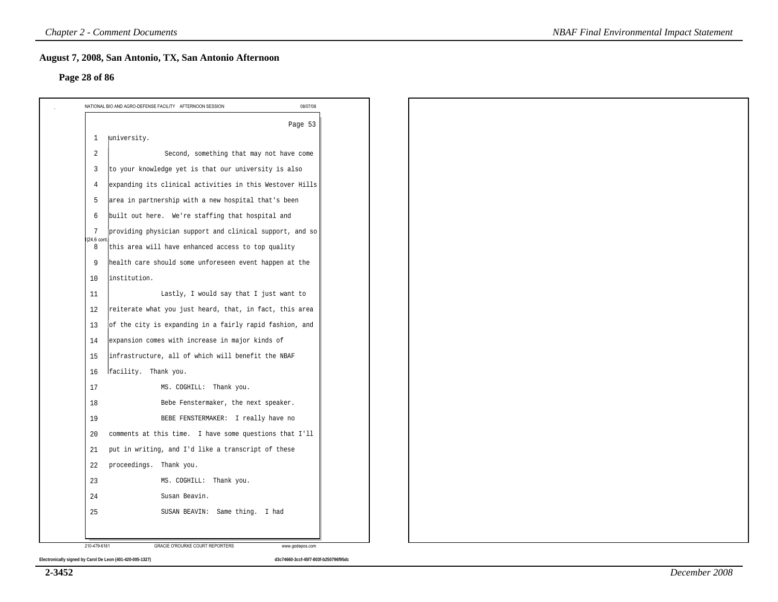#### **Page 28 of 86**

|                   | NATIONAL BIO AND AGRO-DEFENSE FACILITY AFTERNOON SESSION<br>08/07/08 |
|-------------------|----------------------------------------------------------------------|
|                   | Page 53                                                              |
| 1                 | university.                                                          |
| 2                 | Second, something that may not have come                             |
| $\overline{3}$    | to your knowledge yet is that our university is also                 |
| $\overline{4}$    | expanding its clinical activities in this Westover Hills             |
| 5                 | area in partnership with a new hospital that's been                  |
| 6                 | built out here. We're staffing that hospital and                     |
| 7                 | providing physician support and clinical support, and so             |
| $ 24.6$ cont<br>8 | this area will have enhanced access to top quality                   |
| 9                 | health care should some unforeseen event happen at the               |
| 10                | institution.                                                         |
| 11                | Lastly, I would say that I just want to                              |
| 12                | reiterate what you just heard, that, in fact, this area              |
| 13                | of the city is expanding in a fairly rapid fashion, and              |
| 14                | expansion comes with increase in major kinds of                      |
| 15                | infrastructure, all of which will benefit the NBAF                   |
| 16                | facility. Thank you.                                                 |
| 17                | MS. COGHILL: Thank you.                                              |
| 18                | Bebe Fenstermaker, the next speaker.                                 |
| 19                | BEBE FENSTERMAKER: I really have no                                  |
| 20                | comments at this time. I have some questions that I'll               |
| 21                | put in writing, and I'd like a transcript of these                   |
| 22                | proceedings. Thank you.                                              |
| 23                | MS. COGHILL: Thank you.                                              |
| 24                | Susan Beavin.                                                        |
| 25                | SUSAN BEAVIN: Same thing. I had                                      |
|                   |                                                                      |
| 210-479-6161      | GRACIE O'ROURKE COURT REPORTERS<br>www.godepos.com                   |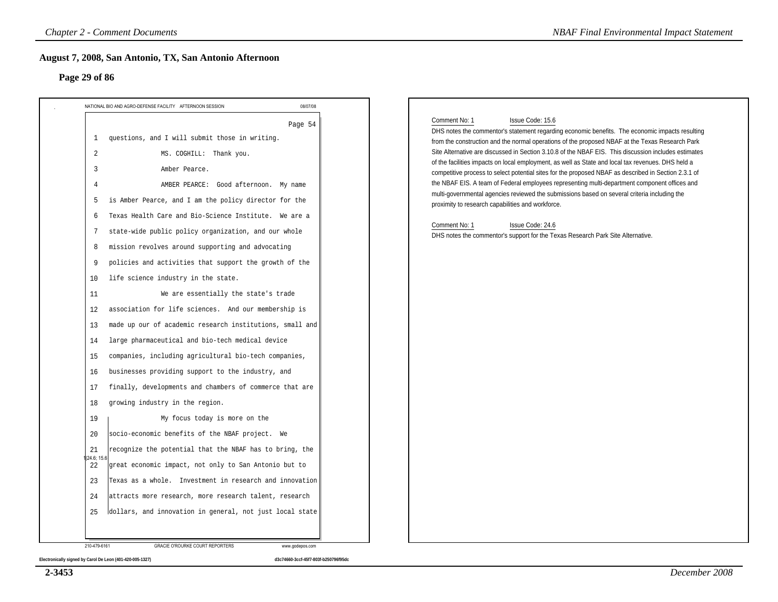#### **Page 29 of 86**

| NATIONAL BIO AND AGRO-DEFENSE FACILITY AFTERNOON SESSION                                                                                                                                                                                                                                                                                                                                                                                                                                                                                                                                                                                                                                                                                                                                                                                                                                                                                                                                                                                                                                                                                                                                                                                                                                                                                                                                                                                                       | 08/07/08 |                                                                                                                                                                                                                                                                                                                                                                                                                                                                                                                                                                                                                                                                                                                                                                                                                                                                                                                                             |
|----------------------------------------------------------------------------------------------------------------------------------------------------------------------------------------------------------------------------------------------------------------------------------------------------------------------------------------------------------------------------------------------------------------------------------------------------------------------------------------------------------------------------------------------------------------------------------------------------------------------------------------------------------------------------------------------------------------------------------------------------------------------------------------------------------------------------------------------------------------------------------------------------------------------------------------------------------------------------------------------------------------------------------------------------------------------------------------------------------------------------------------------------------------------------------------------------------------------------------------------------------------------------------------------------------------------------------------------------------------------------------------------------------------------------------------------------------------|----------|---------------------------------------------------------------------------------------------------------------------------------------------------------------------------------------------------------------------------------------------------------------------------------------------------------------------------------------------------------------------------------------------------------------------------------------------------------------------------------------------------------------------------------------------------------------------------------------------------------------------------------------------------------------------------------------------------------------------------------------------------------------------------------------------------------------------------------------------------------------------------------------------------------------------------------------------|
| questions, and I will submit those in writing.<br>$\mathbf{1}$<br>2<br>MS. COGHILL: Thank you.<br>3<br>Amber Pearce.<br>4<br>AMBER PEARCE: Good afternoon. My name<br>is Amber Pearce, and I am the policy director for the<br>5<br>Texas Health Care and Bio-Science Institute. We are a<br>6<br>state-wide public policy organization, and our whole<br>7<br>mission revolves around supporting and advocating<br>8<br>policies and activities that support the growth of the<br>9<br>life science industry in the state.<br>10<br>11<br>We are essentially the state's trade<br>association for life sciences. And our membership is<br>12<br>made up our of academic research institutions, small and<br>13<br>large pharmaceutical and bio-tech medical device<br>14<br>companies, including agricultural bio-tech companies,<br>15<br>businesses providing support to the industry, and<br>16<br>finally, developments and chambers of commerce that are<br>17<br>growing industry in the region.<br>18<br>My focus today is more on the<br>19<br>socio-economic benefits of the NBAF project. We<br>20<br>recognize the potential that the NBAF has to bring, the<br>21<br>24.6; 15.6<br>great economic impact, not only to San Antonio but to<br>22<br>Texas as a whole. Investment in research and innovation<br>23<br>attracts more research, more research talent, research<br>24<br>dollars, and innovation in general, not just local state<br>25 | Page 54  | Comment No: 1<br>Issue Code: 15.6<br>DHS notes the commentor's statement regarding economic benefits. The economic impacts resulting<br>from the construction and the normal operations of the proposed NBAF at the Texas Research Park<br>Site Alternative are discussed in Section 3.10.8 of the NBAF EIS. This discussion includes estimates<br>of the facilities impacts on local employment, as well as State and local tax revenues. DHS held a<br>competitive process to select potential sites for the proposed NBAF as described in Section 2.3.1 of<br>the NBAF EIS. A team of Federal employees representing multi-department component offices and<br>multi-governmental agencies reviewed the submissions based on several criteria including the<br>proximity to research capabilities and workforce.<br>Comment No: 1<br>Issue Code: 24.6<br>DHS notes the commentor's support for the Texas Research Park Site Alternative. |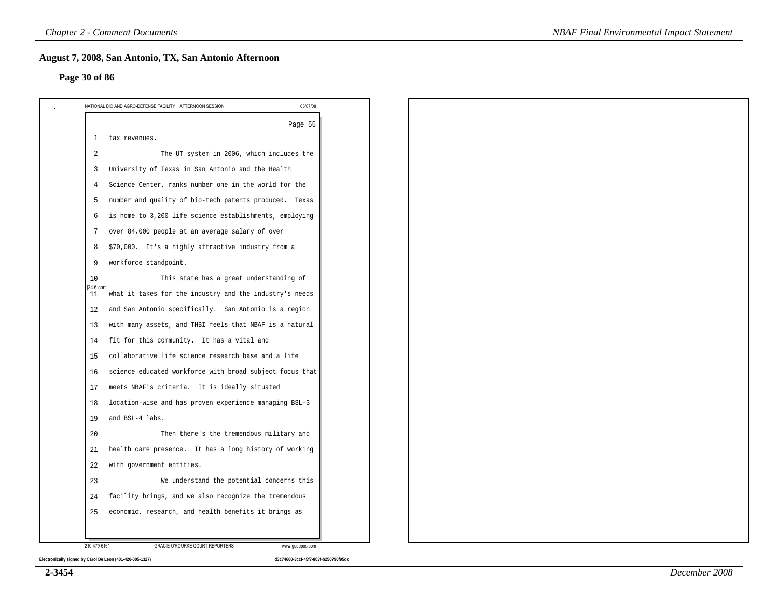#### **Page 30 of 86**

|                 | Page 55                                                  |  |  |
|-----------------|----------------------------------------------------------|--|--|
| 1               | Itax revenues.                                           |  |  |
| 2               | The UT system in 2006, which includes the                |  |  |
| 3               | University of Texas in San Antonio and the Health        |  |  |
| 4               | Science Center, ranks number one in the world for the    |  |  |
| 5               | number and quality of bio-tech patents produced. Texas   |  |  |
| 6               | is home to 3,200 life science establishments, employing  |  |  |
| 7               | over 84,000 people at an average salary of over          |  |  |
| 8               | \$70,000. It's a highly attractive industry from a       |  |  |
| 9               | workforce standpoint.                                    |  |  |
| 10              | This state has a great understanding of                  |  |  |
| 24.6 cont<br>11 | what it takes for the industry and the industry's needs  |  |  |
| 12              | and San Antonio specifically. San Antonio is a region    |  |  |
| 13              | with many assets, and THBI feels that NBAF is a natural  |  |  |
| 14              | fit for this community. It has a vital and               |  |  |
| 15              | collaborative life science research base and a life      |  |  |
| 16              | science educated workforce with broad subject focus that |  |  |
| 17              | meets NBAF's criteria. It is ideally situated            |  |  |
| 18              | location-wise and has proven experience managing BSL-3   |  |  |
| 19              | and BSL-4 labs.                                          |  |  |
| 20              | Then there's the tremendous military and                 |  |  |
| 21              | health care presence. It has a long history of working   |  |  |
| 22              | with government entities.                                |  |  |
| 23              | We understand the potential concerns this                |  |  |
| -24             | facility brings, and we also recognize the tremendous    |  |  |
| 25              | economic, research, and health benefits it brings as     |  |  |

*NBAF Final Environmental Impact Statement*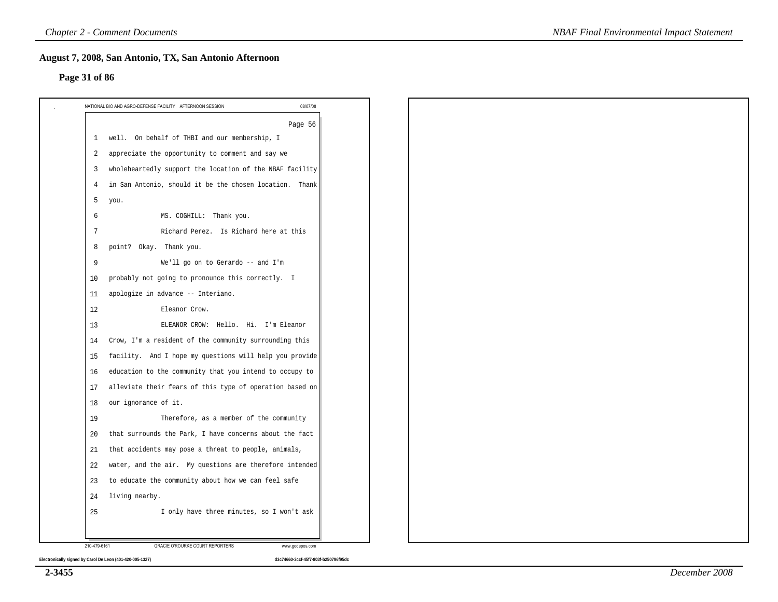#### **Page 31 of 86**

|              | 08/07/08<br>NATIONAL BIO AND AGRO-DEFENSE FACILITY AFTERNOON SESSION |
|--------------|----------------------------------------------------------------------|
|              | Page 56                                                              |
| 1            | well. On behalf of THBI and our membership, I                        |
| 2            | appreciate the opportunity to comment and say we                     |
| 3            | wholeheartedly support the location of the NBAF facility             |
| 4            | in San Antonio, should it be the chosen location. Thank              |
| 5            | you.                                                                 |
| 6            | MS. COGHILL: Thank you.                                              |
| 7            | Richard Perez. Is Richard here at this                               |
| 8            | point? Okay. Thank you.                                              |
| 9            | We'll go on to Gerardo -- and I'm                                    |
| 10           | probably not going to pronounce this correctly. I                    |
| 11           | apologize in advance -- Interiano.                                   |
| 12           | Eleanor Crow.                                                        |
| 13           | ELEANOR CROW: Hello. Hi. I'm Eleanor                                 |
| 14           | Crow, I'm a resident of the community surrounding this               |
| 15           | facility. And I hope my questions will help you provide              |
| 16           | education to the community that you intend to occupy to              |
| 17           | alleviate their fears of this type of operation based on             |
| 18           | our ignorance of it.                                                 |
| 19           | Therefore, as a member of the community                              |
| 20           | that surrounds the Park, I have concerns about the fact              |
| 21           | that accidents may pose a threat to people, animals,                 |
| 22           | water, and the air. My questions are therefore intended              |
| 23           | to educate the community about how we can feel safe                  |
| 24           | living nearby.                                                       |
| 25           | I only have three minutes, so I won't ask                            |
|              |                                                                      |
| 210-479-6161 | <b>GRACIE O'ROURKE COURT REPORTERS</b><br>www.godepos.com            |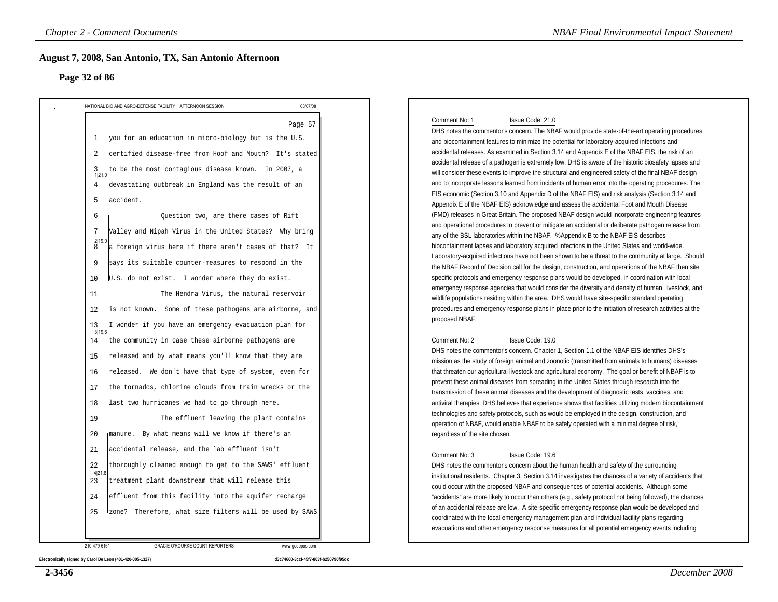#### **Page 32 of 86**

| August 7, 2008, San Antonio, TX, San Antonio Afternoon<br>Page 32 of 86                                                                                                                                                                                                                                                                                                                                                                                                                                                                                                                                                                                                                                             |                                                                                                                                                                                                                                                                                                                                                                                                                                                                                                                                                                                                                                                                                                                                                                                                                                                                                                                                                                                                                                                                                                                                                                                                                                                                                                                                                                                                                                                                                                                                                                                                                                                                                                                                                                                                                                                                                                                              |
|---------------------------------------------------------------------------------------------------------------------------------------------------------------------------------------------------------------------------------------------------------------------------------------------------------------------------------------------------------------------------------------------------------------------------------------------------------------------------------------------------------------------------------------------------------------------------------------------------------------------------------------------------------------------------------------------------------------------|------------------------------------------------------------------------------------------------------------------------------------------------------------------------------------------------------------------------------------------------------------------------------------------------------------------------------------------------------------------------------------------------------------------------------------------------------------------------------------------------------------------------------------------------------------------------------------------------------------------------------------------------------------------------------------------------------------------------------------------------------------------------------------------------------------------------------------------------------------------------------------------------------------------------------------------------------------------------------------------------------------------------------------------------------------------------------------------------------------------------------------------------------------------------------------------------------------------------------------------------------------------------------------------------------------------------------------------------------------------------------------------------------------------------------------------------------------------------------------------------------------------------------------------------------------------------------------------------------------------------------------------------------------------------------------------------------------------------------------------------------------------------------------------------------------------------------------------------------------------------------------------------------------------------------|
| NATIONAL BIO AND AGRO-DEFENSE FACILITY AFTERNOON SESSION                                                                                                                                                                                                                                                                                                                                                                                                                                                                                                                                                                                                                                                            | 08/07/08                                                                                                                                                                                                                                                                                                                                                                                                                                                                                                                                                                                                                                                                                                                                                                                                                                                                                                                                                                                                                                                                                                                                                                                                                                                                                                                                                                                                                                                                                                                                                                                                                                                                                                                                                                                                                                                                                                                     |
| 1 you for an education in micro-biology but is the U.S.<br>certified disease-free from Hoof and Mouth? It's stated<br>2<br>to be the most contagious disease known. In 2007, a<br>3<br>1 21.0<br>devastating outbreak in England was the result of an<br>4<br>laccident.<br>5<br>6<br>Question two, are there cases of Rift<br>7<br>Valley and Nipah Virus in the United States? Why bring<br>$\frac{2 19.0}{8}$<br>a foreign virus here if there aren't cases of that? It<br>says its suitable counter-measures to respond in the<br>9<br>U.S. do not exist. I wonder where they do exist.<br>10<br>11<br>The Hendra Virus, the natural reservoir<br>is not known. Some of these pathogens are airborne, and<br>12 | Comment No: 1<br>Issue Code: 21.0<br>Page 57<br>DHS notes the commentor's concern. The NBAF would provide state-of-the-art operating procedures<br>and biocontainment features to minimize the potential for laboratory-acquired infections and<br>accidental releases. As examined in Section 3.14 and Appendix E of the NBAF EIS, the risk of an<br>accidental release of a pathogen is extremely low. DHS is aware of the historic biosafety lapses and<br>will consider these events to improve the structural and engineered safety of the final NBAF design<br>and to incorporate lessons learned from incidents of human error into the operating procedures. The<br>EIS economic (Section 3.10 and Appendix D of the NBAF EIS) and risk analysis (Section 3.14 and<br>Appendix E of the NBAF EIS) acknowledge and assess the accidental Foot and Mouth Disease<br>(FMD) releases in Great Britain. The proposed NBAF design would incorporate engineering features<br>and operational procedures to prevent or mitigate an accidental or deliberate pathogen release from<br>any of the BSL laboratories within the NBAF. %Appendix B to the NBAF EIS describes<br>biocontainment lapses and laboratory acquired infections in the United States and world-wide.<br>Laboratory-acquired infections have not been shown to be a threat to the community at large. Should<br>the NBAF Record of Decision call for the design, construction, and operations of the NBAF then site<br>specific protocols and emergency response plans would be developed, in coordination with local<br>emergency response agencies that would consider the diversity and density of human, livestock, and<br>wildlife populations residing within the area. DHS would have site-specific standard operating<br>procedures and emergency response plans in place prior to the initiation of research activities at the<br>proposed NBAF. |
| I wonder if you have an emergency evacuation plan for<br>13<br>3 19.6<br>the community in case these airborne pathogens are<br>14                                                                                                                                                                                                                                                                                                                                                                                                                                                                                                                                                                                   | Comment No: 2<br>Issue Code: 19.0                                                                                                                                                                                                                                                                                                                                                                                                                                                                                                                                                                                                                                                                                                                                                                                                                                                                                                                                                                                                                                                                                                                                                                                                                                                                                                                                                                                                                                                                                                                                                                                                                                                                                                                                                                                                                                                                                            |
| released and by what means you'll know that they are<br>15                                                                                                                                                                                                                                                                                                                                                                                                                                                                                                                                                                                                                                                          | DHS notes the commentor's concern. Chapter 1, Section 1.1 of the NBAF EIS identifies DHS's<br>mission as the study of foreign animal and zoonotic (transmitted from animals to humans) diseases                                                                                                                                                                                                                                                                                                                                                                                                                                                                                                                                                                                                                                                                                                                                                                                                                                                                                                                                                                                                                                                                                                                                                                                                                                                                                                                                                                                                                                                                                                                                                                                                                                                                                                                              |
| released. We don't have that type of system, even for<br>16                                                                                                                                                                                                                                                                                                                                                                                                                                                                                                                                                                                                                                                         | that threaten our agricultural livestock and agricultural economy. The goal or benefit of NBAF is to                                                                                                                                                                                                                                                                                                                                                                                                                                                                                                                                                                                                                                                                                                                                                                                                                                                                                                                                                                                                                                                                                                                                                                                                                                                                                                                                                                                                                                                                                                                                                                                                                                                                                                                                                                                                                         |
| the tornados, chlorine clouds from train wrecks or the<br>17                                                                                                                                                                                                                                                                                                                                                                                                                                                                                                                                                                                                                                                        | prevent these animal diseases from spreading in the United States through research into the<br>transmission of these animal diseases and the development of diagnostic tests, vaccines, and                                                                                                                                                                                                                                                                                                                                                                                                                                                                                                                                                                                                                                                                                                                                                                                                                                                                                                                                                                                                                                                                                                                                                                                                                                                                                                                                                                                                                                                                                                                                                                                                                                                                                                                                  |
| last two hurricanes we had to go through here.<br>18                                                                                                                                                                                                                                                                                                                                                                                                                                                                                                                                                                                                                                                                | antiviral therapies. DHS believes that experience shows that facilities utilizing modern biocontainment                                                                                                                                                                                                                                                                                                                                                                                                                                                                                                                                                                                                                                                                                                                                                                                                                                                                                                                                                                                                                                                                                                                                                                                                                                                                                                                                                                                                                                                                                                                                                                                                                                                                                                                                                                                                                      |
| The effluent leaving the plant contains<br>19                                                                                                                                                                                                                                                                                                                                                                                                                                                                                                                                                                                                                                                                       | technologies and safety protocols, such as would be employed in the design, construction, and<br>operation of NBAF, would enable NBAF to be safely operated with a minimal degree of risk,                                                                                                                                                                                                                                                                                                                                                                                                                                                                                                                                                                                                                                                                                                                                                                                                                                                                                                                                                                                                                                                                                                                                                                                                                                                                                                                                                                                                                                                                                                                                                                                                                                                                                                                                   |
| manure. By what means will we know if there's an<br>20                                                                                                                                                                                                                                                                                                                                                                                                                                                                                                                                                                                                                                                              | regardless of the site chosen.                                                                                                                                                                                                                                                                                                                                                                                                                                                                                                                                                                                                                                                                                                                                                                                                                                                                                                                                                                                                                                                                                                                                                                                                                                                                                                                                                                                                                                                                                                                                                                                                                                                                                                                                                                                                                                                                                               |
| 21<br>accidental release, and the lab effluent isn't                                                                                                                                                                                                                                                                                                                                                                                                                                                                                                                                                                                                                                                                |                                                                                                                                                                                                                                                                                                                                                                                                                                                                                                                                                                                                                                                                                                                                                                                                                                                                                                                                                                                                                                                                                                                                                                                                                                                                                                                                                                                                                                                                                                                                                                                                                                                                                                                                                                                                                                                                                                                              |
| thoroughly cleaned enough to get to the SAWS' effluent<br>22<br>4 21.6                                                                                                                                                                                                                                                                                                                                                                                                                                                                                                                                                                                                                                              | Comment No: 3<br>Issue Code: 19.6<br>DHS notes the commentor's concern about the human health and safety of the surrounding                                                                                                                                                                                                                                                                                                                                                                                                                                                                                                                                                                                                                                                                                                                                                                                                                                                                                                                                                                                                                                                                                                                                                                                                                                                                                                                                                                                                                                                                                                                                                                                                                                                                                                                                                                                                  |
| treatment plant downstream that will release this<br>23                                                                                                                                                                                                                                                                                                                                                                                                                                                                                                                                                                                                                                                             | institutional residents. Chapter 3, Section 3.14 investigates the chances of a variety of accidents that<br>could occur with the proposed NBAF and consequences of potential accidents. Although some                                                                                                                                                                                                                                                                                                                                                                                                                                                                                                                                                                                                                                                                                                                                                                                                                                                                                                                                                                                                                                                                                                                                                                                                                                                                                                                                                                                                                                                                                                                                                                                                                                                                                                                        |
| effluent from this facility into the aquifer recharge<br>24                                                                                                                                                                                                                                                                                                                                                                                                                                                                                                                                                                                                                                                         | "accidents" are more likely to occur than others (e.g., safety protocol not being followed), the chances                                                                                                                                                                                                                                                                                                                                                                                                                                                                                                                                                                                                                                                                                                                                                                                                                                                                                                                                                                                                                                                                                                                                                                                                                                                                                                                                                                                                                                                                                                                                                                                                                                                                                                                                                                                                                     |
| zone? Therefore, what size filters will be used by SAWS<br>25                                                                                                                                                                                                                                                                                                                                                                                                                                                                                                                                                                                                                                                       | of an accidental release are low. A site-specific emergency response plan would be developed and<br>coordinated with the local emergency management plan and individual facility plans regarding<br>evacuations and other emergency response measures for all potential emergency events including                                                                                                                                                                                                                                                                                                                                                                                                                                                                                                                                                                                                                                                                                                                                                                                                                                                                                                                                                                                                                                                                                                                                                                                                                                                                                                                                                                                                                                                                                                                                                                                                                           |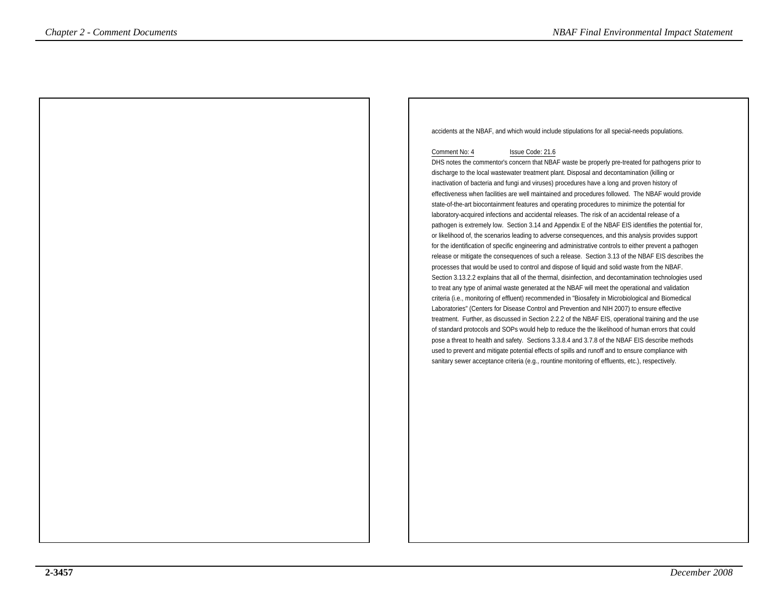accidents at the NBAF, and which would include stipulations for all special-needs populations.

#### Comment No: 4 Issue Code: 21.6

 DHS notes the commentor's concern that NBAF waste be properly pre-treated for pathogens prior todischarge to the local wastewater treatment plant. Disposal and decontamination (killing or inactivation of bacteria and fungi and viruses) procedures have a long and proven history of effectiveness when facilities are well maintained and procedures followed. The NBAF would providestate-of-the-art biocontainment features and operating procedures to minimize the potential forlaboratory-acquired infections and accidental releases. The risk of an accidental release of a pathogen is extremely low. Section 3.14 and Appendix E of the NBAF EIS identifies the potential for,or likelihood of, the scenarios leading to adverse consequences, and this analysis provides support for the identification of specific engineering and administrative controls to either prevent a pathogen release or mitigate the consequences of such a release. Section 3.13 of the NBAF EIS describes theprocesses that would be used to control and dispose of liquid and solid waste from the NBAF. Section 3.13.2.2 explains that all of the thermal, disinfection, and decontamination technologies usedto treat any type of animal waste generated at the NBAF will meet the operational and validation criteria (i.e., monitoring of effluent) recommended in "Biosafety in Microbiological and BiomedicalLaboratories" (Centers for Disease Control and Prevention and NIH 2007) to ensure effective treatment. Further, as discussed in Section 2.2.2 of the NBAF EIS, operational training and the use of standard protocols and SOPs would help to reduce the the likelihood of human errors that could pose a threat to health and safety. Sections 3.3.8.4 and 3.7.8 of the NBAF EIS describe methodsused to prevent and mitigate potential effects of spills and runoff and to ensure compliance withsance of the criteria (e.g., rounded acceptance criteria (e.g., rounded acceptance criteria (e.g., rounded acceptance commental acceptance commental in the criteria (e.g., rounded acceptance commental acceptance commental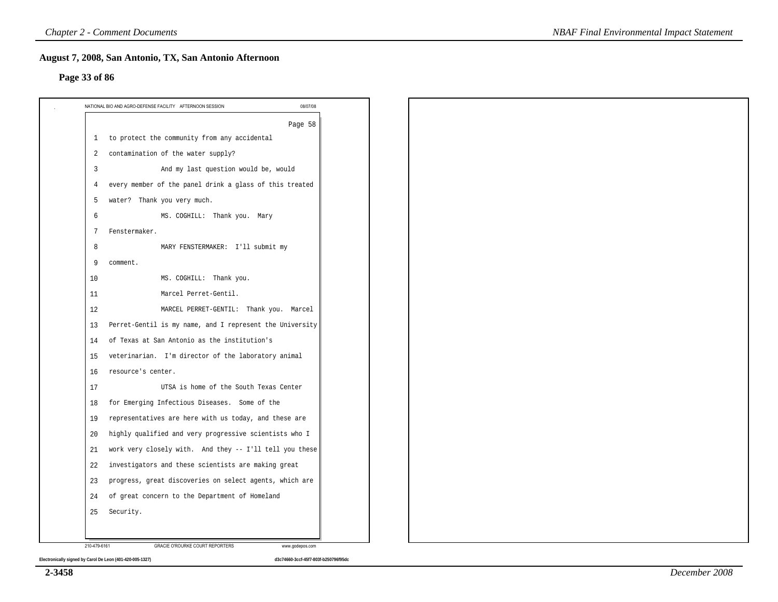#### **Page 33 of 86**

|                | 08/07/08<br>NATIONAL BIO AND AGRO-DEFENSE FACILITY AFTERNOON SESSION |
|----------------|----------------------------------------------------------------------|
|                | Page 58                                                              |
|                | 1 to protect the community from any accidental                       |
| 2              | contamination of the water supply?                                   |
| $\overline{3}$ | And my last question would be, would                                 |
| 4              | every member of the panel drink a glass of this treated              |
| 5              | water? Thank you very much.                                          |
| 6              | MS. COGHILL: Thank you. Mary                                         |
| 7              | Fenstermaker.                                                        |
| 8              | MARY FENSTERMAKER: I'll submit my                                    |
| 9              | comment.                                                             |
| 10             | MS. COGHILL: Thank you.                                              |
| 11             | Marcel Perret-Gentil.                                                |
| 12             | MARCEL PERRET-GENTIL: Thank you. Marcel                              |
| 13             | Perret-Gentil is my name, and I represent the University             |
| 14             | of Texas at San Antonio as the institution's                         |
| 15             | veterinarian. I'm director of the laboratory animal                  |
| 16             | resource's center.                                                   |
| 17             | UTSA is home of the South Texas Center                               |
| 18             | for Emerging Infectious Diseases. Some of the                        |
| 19             | representatives are here with us today, and these are                |
| 20             | highly qualified and very progressive scientists who I               |
| 21             | work very closely with. And they -- I'll tell you these              |
| 22             | investigators and these scientists are making great                  |
| 23             | progress, great discoveries on select agents, which are              |
| 24             | of great concern to the Department of Homeland                       |
| 25             | Security.                                                            |
|                |                                                                      |
| 210-479-6161   | GRACIE O'ROURKE COURT REPORTERS<br>www.godepos.com                   |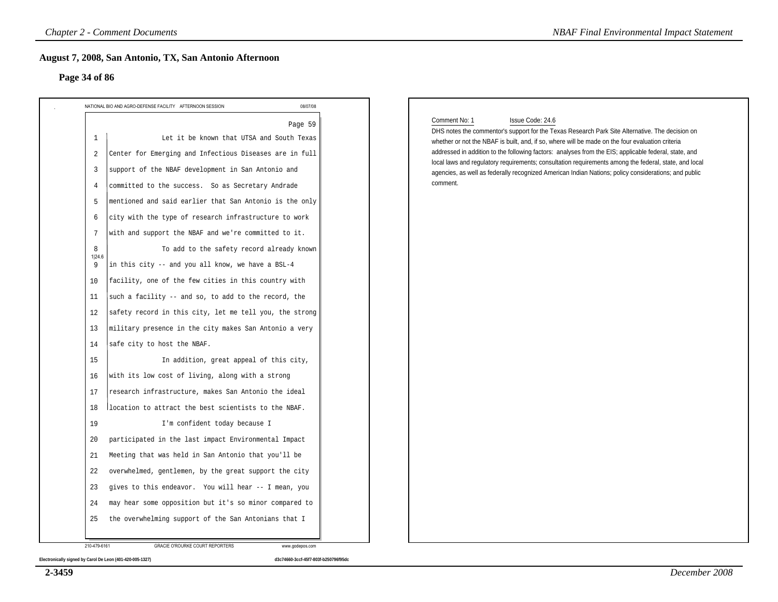#### **Page 34 of 86**

| 08/07/08<br>NATIONAL BIO AND AGRO-DEFENSE FACILITY AFTERNOON SESSION                                                                                                                                                                                                                                                                                                                                                                                                                                                                                                                                                                                                                                                                                                                                                                                                                                                                                                                                                                                               |                                                                                                                                                                                                                                                                                                                                                                                                                                                                                                                                                                                |
|--------------------------------------------------------------------------------------------------------------------------------------------------------------------------------------------------------------------------------------------------------------------------------------------------------------------------------------------------------------------------------------------------------------------------------------------------------------------------------------------------------------------------------------------------------------------------------------------------------------------------------------------------------------------------------------------------------------------------------------------------------------------------------------------------------------------------------------------------------------------------------------------------------------------------------------------------------------------------------------------------------------------------------------------------------------------|--------------------------------------------------------------------------------------------------------------------------------------------------------------------------------------------------------------------------------------------------------------------------------------------------------------------------------------------------------------------------------------------------------------------------------------------------------------------------------------------------------------------------------------------------------------------------------|
| Page 59<br>$\mathbf{1}$<br>Let it be known that UTSA and South Texas<br>2<br>Center for Emerging and Infectious Diseases are in full<br>$\overline{3}$<br>support of the NBAF development in San Antonio and<br>committed to the success. So as Secretary Andrade<br>4<br>mentioned and said earlier that San Antonio is the only<br>5<br>city with the type of research infrastructure to work<br>6<br>with and support the NBAF and we're committed to it.<br>7<br>To add to the safety record already known<br>8<br>1 24.6<br>in this city -- and you all know, we have a BSL-4<br>9<br>facility, one of the few cities in this country with<br>10<br>such a facility -- and so, to add to the record, the<br>11<br>safety record in this city, let me tell you, the strong<br>12<br>military presence in the city makes San Antonio a very<br>13<br>safe city to host the NBAF.<br>14<br>In addition, great appeal of this city,<br>15<br>with its low cost of living, along with a strong<br>16<br>research infrastructure, makes San Antonio the ideal<br>17 | Comment No: 1<br>Issue Code: 24.6<br>DHS notes the commentor's support for the Texas Research Park Site Alternative. The decision on<br>whether or not the NBAF is built, and, if so, where will be made on the four evaluation criteria<br>addressed in addition to the following factors: analyses from the EIS; applicable federal, state, and<br>local laws and regulatory requirements; consultation requirements among the federal, state, and local<br>agencies, as well as federally recognized American Indian Nations; policy considerations; and public<br>comment. |
| location to attract the best scientists to the NBAF.<br>18<br>19<br>I'm confident today because I<br>participated in the last impact Environmental Impact<br>20<br>Meeting that was held in San Antonio that you'll be<br>21<br>22<br>overwhelmed, gentlemen, by the great support the city<br>gives to this endeavor. You will hear -- I mean, you<br>23<br>may hear some opposition but it's so minor compared to<br>24<br>the overwhelming support of the San Antonians that I<br>25                                                                                                                                                                                                                                                                                                                                                                                                                                                                                                                                                                            |                                                                                                                                                                                                                                                                                                                                                                                                                                                                                                                                                                                |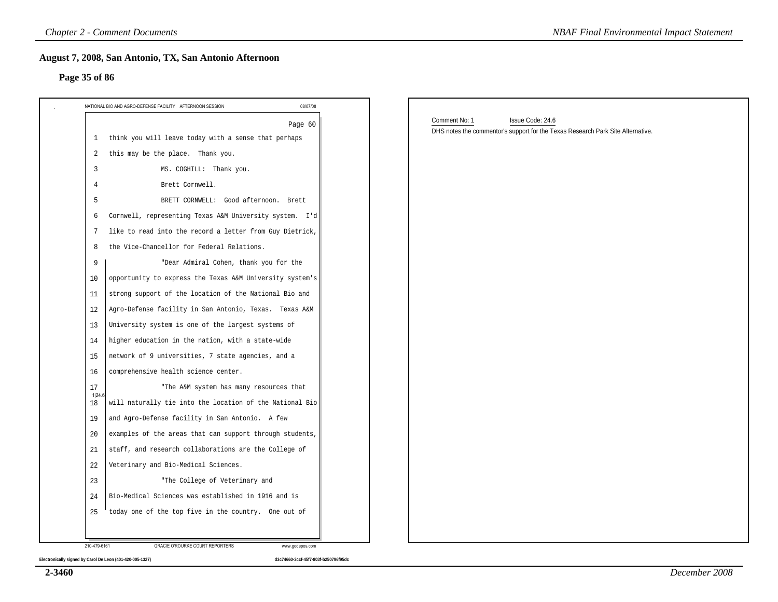#### **Page 35 of 86**

| NATIONAL BIO AND AGRO-DEFENSE FACILITY AFTERNOON SESSION<br>1<br>2<br>3<br>4<br>5<br>6<br>7<br>8<br>9<br>10<br>11<br>12<br>13<br>14<br>15<br>16<br>17<br>1 24.6<br>18<br>19<br>20<br>21<br>22<br>23<br>24 | August 7, 2008, San Antonio, TX, San Antonio Afternoon   |          |                                                                                                                      |
|-----------------------------------------------------------------------------------------------------------------------------------------------------------------------------------------------------------|----------------------------------------------------------|----------|----------------------------------------------------------------------------------------------------------------------|
|                                                                                                                                                                                                           |                                                          | 08/07/08 |                                                                                                                      |
|                                                                                                                                                                                                           | think you will leave today with a sense that perhaps     | Page 60  | Comment No: 1<br>Issue Code: 24.6<br>DHS notes the commentor's support for the Texas Research Park Site Alternative. |
|                                                                                                                                                                                                           | this may be the place. Thank you.                        |          |                                                                                                                      |
|                                                                                                                                                                                                           | MS. COGHILL: Thank you.                                  |          |                                                                                                                      |
|                                                                                                                                                                                                           | Brett Cornwell.                                          |          |                                                                                                                      |
|                                                                                                                                                                                                           | BRETT CORNWELL: Good afternoon. Brett                    |          |                                                                                                                      |
|                                                                                                                                                                                                           | Cornwell, representing Texas A&M University system. I'd  |          |                                                                                                                      |
|                                                                                                                                                                                                           | like to read into the record a letter from Guy Dietrick, |          |                                                                                                                      |
|                                                                                                                                                                                                           | the Vice-Chancellor for Federal Relations.               |          |                                                                                                                      |
|                                                                                                                                                                                                           | "Dear Admiral Cohen, thank you for the                   |          |                                                                                                                      |
|                                                                                                                                                                                                           | opportunity to express the Texas A&M University system's |          |                                                                                                                      |
|                                                                                                                                                                                                           | strong support of the location of the National Bio and   |          |                                                                                                                      |
|                                                                                                                                                                                                           | Agro-Defense facility in San Antonio, Texas. Texas A&M   |          |                                                                                                                      |
|                                                                                                                                                                                                           | University system is one of the largest systems of       |          |                                                                                                                      |
|                                                                                                                                                                                                           | higher education in the nation, with a state-wide        |          |                                                                                                                      |
|                                                                                                                                                                                                           | network of 9 universities, 7 state agencies, and a       |          |                                                                                                                      |
|                                                                                                                                                                                                           | comprehensive health science center.                     |          |                                                                                                                      |
|                                                                                                                                                                                                           | "The A&M system has many resources that                  |          |                                                                                                                      |
|                                                                                                                                                                                                           | will naturally tie into the location of the National Bio |          |                                                                                                                      |
|                                                                                                                                                                                                           | and Agro-Defense facility in San Antonio. A few          |          |                                                                                                                      |
|                                                                                                                                                                                                           | examples of the areas that can support through students, |          |                                                                                                                      |
|                                                                                                                                                                                                           | staff, and research collaborations are the College of    |          |                                                                                                                      |
|                                                                                                                                                                                                           | Veterinary and Bio-Medical Sciences.                     |          |                                                                                                                      |
|                                                                                                                                                                                                           | "The College of Veterinary and                           |          |                                                                                                                      |
|                                                                                                                                                                                                           | Bio-Medical Sciences was established in 1916 and is      |          |                                                                                                                      |
| 25                                                                                                                                                                                                        | today one of the top five in the country. One out of     |          |                                                                                                                      |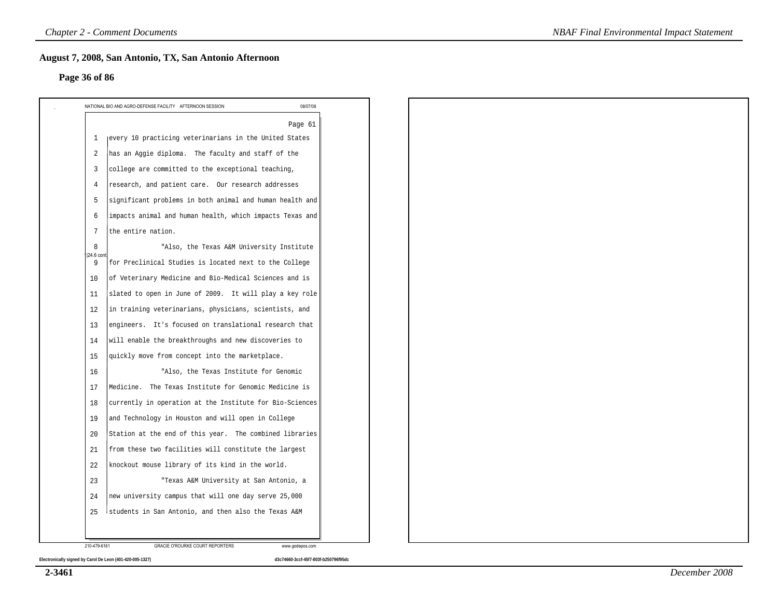#### **Page 36 of 86**

|                | Page 61                                                  |  |  |  |
|----------------|----------------------------------------------------------|--|--|--|
| 1              | every 10 practicing veterinarians in the United States   |  |  |  |
| $\overline{2}$ | has an Aggie diploma. The faculty and staff of the       |  |  |  |
| $\overline{3}$ | college are committed to the exceptional teaching,       |  |  |  |
| 4              | research, and patient care. Our research addresses       |  |  |  |
| 5              | significant problems in both animal and human health and |  |  |  |
| 6              | impacts animal and human health, which impacts Texas and |  |  |  |
| 7              | the entire nation.                                       |  |  |  |
| 8<br>24.6 con  | "Also, the Texas A&M University Institute                |  |  |  |
| 9              | for Preclinical Studies is located next to the College   |  |  |  |
| 10             | of Veterinary Medicine and Bio-Medical Sciences and is   |  |  |  |
| 11             | slated to open in June of 2009. It will play a key role  |  |  |  |
| 12             | in training veterinarians, physicians, scientists, and   |  |  |  |
| 13             | engineers. It's focused on translational research that   |  |  |  |
| 14             | will enable the breakthroughs and new discoveries to     |  |  |  |
| 15             | quickly move from concept into the marketplace.          |  |  |  |
| 16             | "Also, the Texas Institute for Genomic                   |  |  |  |
| 17             | Medicine. The Texas Institute for Genomic Medicine is    |  |  |  |
| 18             | currently in operation at the Institute for Bio-Sciences |  |  |  |
| 19             | and Technology in Houston and will open in College       |  |  |  |
| 20             | Station at the end of this year. The combined libraries  |  |  |  |
| 21             | from these two facilities will constitute the largest    |  |  |  |
| 22             | knockout mouse library of its kind in the world.         |  |  |  |
| 23             | "Texas A&M University at San Antonio, a                  |  |  |  |
| 24             | new university campus that will one day serve 25,000     |  |  |  |
| 25             | students in San Antonio, and then also the Texas A&M     |  |  |  |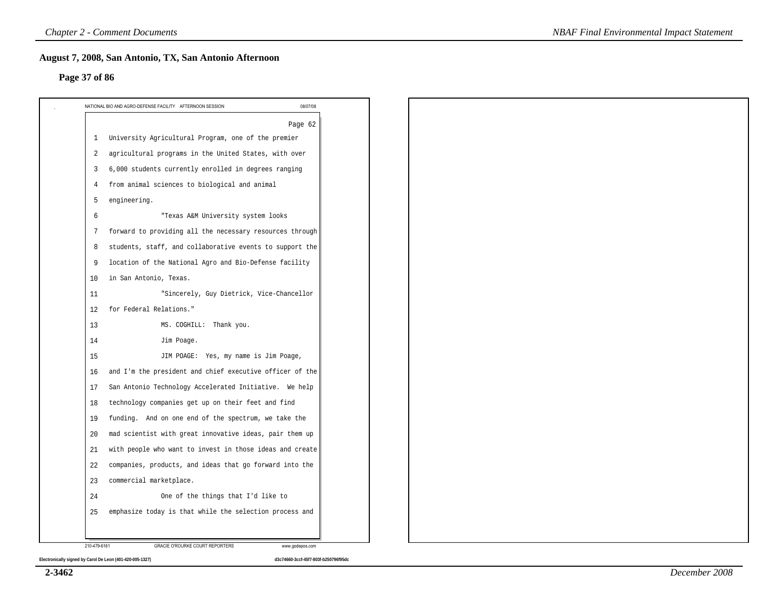#### **Page 37 of 86**

|                | Page 62                                                  |
|----------------|----------------------------------------------------------|
| 1              | University Agricultural Program, one of the premier      |
| 2              | agricultural programs in the United States, with over    |
| $\overline{3}$ | 6,000 students currently enrolled in degrees ranging     |
| $\overline{4}$ | from animal sciences to biological and animal            |
| 5              | engineering.                                             |
| 6              | "Texas A&M University system looks                       |
| 7              | forward to providing all the necessary resources through |
| 8              | students, staff, and collaborative events to support the |
| 9              | location of the National Agro and Bio-Defense facility   |
| 10             | in San Antonio, Texas.                                   |
| 11             | "Sincerely, Guy Dietrick, Vice-Chancellor                |
| 12             | for Federal Relations."                                  |
| 13             | MS. COGHILL: Thank you.                                  |
| 14             | Jim Poage.                                               |
| 15             | JIM POAGE: Yes, my name is Jim Poage,                    |
| 16             | and I'm the president and chief executive officer of the |
| 17             | San Antonio Technology Accelerated Initiative. We help   |
| 18             | technology companies get up on their feet and find       |
| 19             | funding. And on one end of the spectrum, we take the     |
| 20             | mad scientist with great innovative ideas, pair them up  |
| 21             | with people who want to invest in those ideas and create |
| 22             | companies, products, and ideas that go forward into the  |
| 23             | commercial marketplace.                                  |
| 24             | One of the things that I'd like to                       |
| 25             | emphasize today is that while the selection process and  |
|                |                                                          |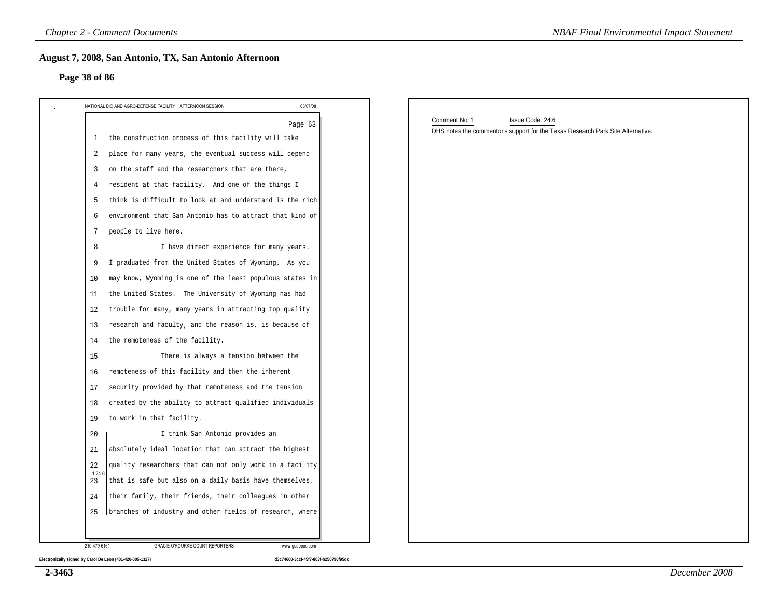#### **Page 38 of 86**

| NATIONAL BIO AND AGRO-DEFENSE FACILITY AFTERNOON SESSION                | 08/07/08 |                                                                                                                      |
|-------------------------------------------------------------------------|----------|----------------------------------------------------------------------------------------------------------------------|
|                                                                         | Page 63  | Comment No: 1<br>Issue Code: 24.6<br>DHS notes the commentor's support for the Texas Research Park Site Alternative. |
| 1 the construction process of this facility will take                   |          |                                                                                                                      |
| place for many years, the eventual success will depend<br>2             |          |                                                                                                                      |
| on the staff and the researchers that are there,<br>3                   |          |                                                                                                                      |
| resident at that facility. And one of the things I<br>4                 |          |                                                                                                                      |
| think is difficult to look at and understand is the rich<br>-5          |          |                                                                                                                      |
| environment that San Antonio has to attract that kind of<br>6           |          |                                                                                                                      |
| people to live here.<br>7                                               |          |                                                                                                                      |
| I have direct experience for many years.<br>8                           |          |                                                                                                                      |
| I graduated from the United States of Wyoming. As you<br>9              |          |                                                                                                                      |
| may know, Wyoming is one of the least populous states in<br>10          |          |                                                                                                                      |
| the United States. The University of Wyoming has had<br>11              |          |                                                                                                                      |
| trouble for many, many years in attracting top quality<br>12            |          |                                                                                                                      |
| research and faculty, and the reason is, is because of<br>13            |          |                                                                                                                      |
| the remoteness of the facility.<br>14                                   |          |                                                                                                                      |
| There is always a tension between the<br>15                             |          |                                                                                                                      |
| remoteness of this facility and then the inherent<br>16                 |          |                                                                                                                      |
| security provided by that remoteness and the tension<br>17              |          |                                                                                                                      |
| created by the ability to attract qualified individuals<br>18           |          |                                                                                                                      |
| to work in that facility.<br>19                                         |          |                                                                                                                      |
| I think San Antonio provides an<br>20                                   |          |                                                                                                                      |
| absolutely ideal location that can attract the highest<br>21            |          |                                                                                                                      |
| 22<br>quality researchers that can not only work in a facility          |          |                                                                                                                      |
| 1 24.6<br>that is safe but also on a daily basis have themselves,<br>23 |          |                                                                                                                      |
| their family, their friends, their colleagues in other<br>24            |          |                                                                                                                      |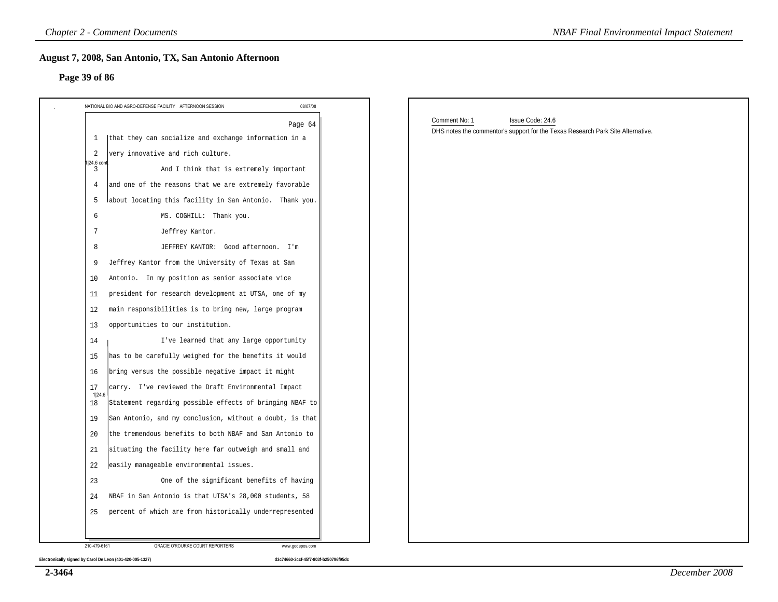#### **Page 39 of 86**

|                  | NATIONAL BIO AND AGRO-DEFENSE FACILITY AFTERNOON SESSION<br>08/07/08 |                                                                                 |  |
|------------------|----------------------------------------------------------------------|---------------------------------------------------------------------------------|--|
|                  |                                                                      | Comment No: 1<br>Issue Code: 24.6                                               |  |
| 1                | Page 64<br>that they can socialize and exchange information in a     | DHS notes the commentor's support for the Texas Research Park Site Alternative. |  |
| 2                | very innovative and rich culture.                                    |                                                                                 |  |
| 1 24.6 cont<br>3 | And I think that is extremely important                              |                                                                                 |  |
| 4                | and one of the reasons that we are extremely favorable               |                                                                                 |  |
| -5               | about locating this facility in San Antonio. Thank you.              |                                                                                 |  |
| 6                | MS. COGHILL: Thank you.                                              |                                                                                 |  |
| 7                | Jeffrey Kantor.                                                      |                                                                                 |  |
| 8                | JEFFREY KANTOR: Good afternoon. I'm                                  |                                                                                 |  |
| 9                | Jeffrey Kantor from the University of Texas at San                   |                                                                                 |  |
| 10               | Antonio. In my position as senior associate vice                     |                                                                                 |  |
| 11               | president for research development at UTSA, one of my                |                                                                                 |  |
| 12               | main responsibilities is to bring new, large program                 |                                                                                 |  |
| 13               | opportunities to our institution.                                    |                                                                                 |  |
| 14               | I've learned that any large opportunity                              |                                                                                 |  |
| 15               | has to be carefully weighed for the benefits it would                |                                                                                 |  |
| 16               | bring versus the possible negative impact it might                   |                                                                                 |  |
| 17<br>1 24.6     | carry. I've reviewed the Draft Environmental Impact                  |                                                                                 |  |
| 18               | Statement regarding possible effects of bringing NBAF to             |                                                                                 |  |
| 19               | San Antonio, and my conclusion, without a doubt, is that             |                                                                                 |  |
| 20               | the tremendous benefits to both NBAF and San Antonio to              |                                                                                 |  |
| 21               | situating the facility here far outweigh and small and               |                                                                                 |  |
| 22               | easily manageable environmental issues.                              |                                                                                 |  |
| 23               | One of the significant benefits of having                            |                                                                                 |  |
| 24               | NBAF in San Antonio is that UTSA's 28,000 students, 58               |                                                                                 |  |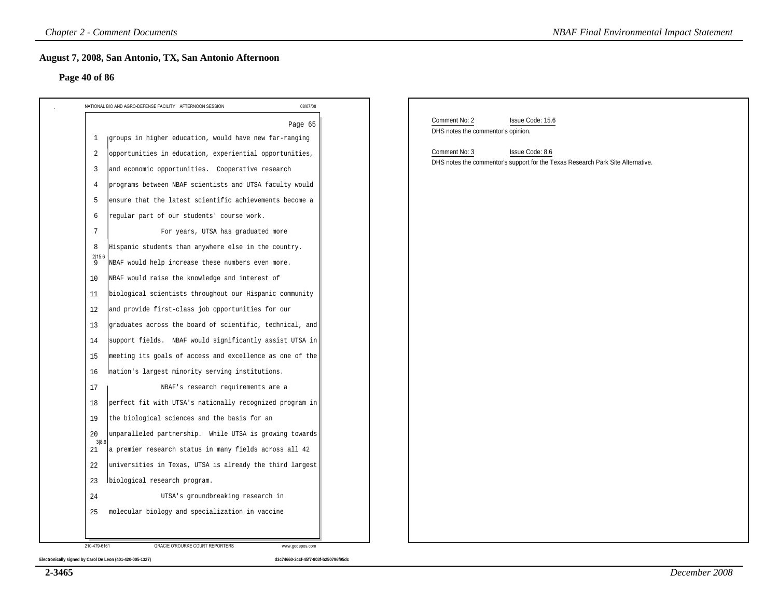#### **Page 40 of 86**

| Page 40 of 86                                                                                                                                                                                    |                                                                                                                                                                                                |
|--------------------------------------------------------------------------------------------------------------------------------------------------------------------------------------------------|------------------------------------------------------------------------------------------------------------------------------------------------------------------------------------------------|
| 08/07/08<br>NATIONAL BIO AND AGRO-DEFENSE FACILITY AFTERNOON SESSION                                                                                                                             |                                                                                                                                                                                                |
| Page 65<br>groups in higher education, would have new far-ranging<br>-1<br>opportunities in education, experiential opportunities,<br>2<br>and economic opportunities. Cooperative research<br>3 | Comment No: 2<br>Issue Code: 15.6<br>DHS notes the commentor's opinion.<br>Comment No: 3<br>Issue Code: 8.6<br>DHS notes the commentor's support for the Texas Research Park Site Alternative. |
| programs between NBAF scientists and UTSA faculty would<br>4<br>ensure that the latest scientific achievements become a<br>5                                                                     |                                                                                                                                                                                                |
| regular part of our students' course work.<br>6<br>7<br>For years, UTSA has graduated more<br>Hispanic students than anywhere else in the country.<br>8                                          |                                                                                                                                                                                                |
| $\frac{2 15.6}{9}$<br>NBAF would help increase these numbers even more.<br>NBAF would raise the knowledge and interest of<br>10<br>biological scientists throughout our Hispanic community<br>11 |                                                                                                                                                                                                |
| and provide first-class job opportunities for our<br>12<br>graduates across the board of scientific, technical, and<br>13                                                                        |                                                                                                                                                                                                |
| support fields. NBAF would significantly assist UTSA in<br>14<br>meeting its goals of access and excellence as one of the<br>15<br>Ination's largest minority serving institutions.<br>16        |                                                                                                                                                                                                |
| NBAF's research requirements are a<br>17<br>perfect fit with UTSA's nationally recognized program in<br>18<br>the biological sciences and the basis for an<br>19                                 |                                                                                                                                                                                                |
| unparalleled partnership. While UTSA is growing towards<br>20<br>3 8.6<br>a premier research status in many fields across all 42<br>21                                                           |                                                                                                                                                                                                |
| universities in Texas, UTSA is already the third largest<br>22<br>biological research program.<br>23                                                                                             |                                                                                                                                                                                                |
| UTSA's groundbreaking research in<br>24                                                                                                                                                          |                                                                                                                                                                                                |

**2-3465**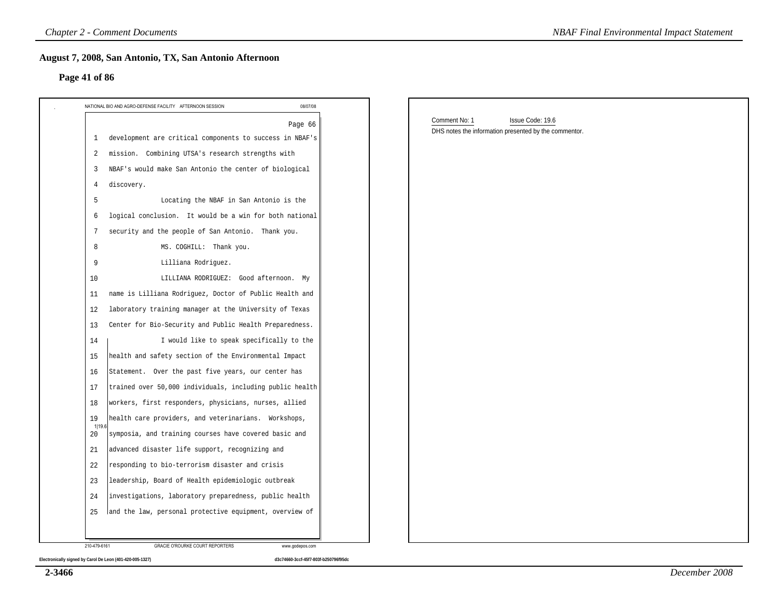#### **Page 41 of 86**

| Page 41 of 86                                                            |                                                                                            |  |
|--------------------------------------------------------------------------|--------------------------------------------------------------------------------------------|--|
| 08/07/08<br>NATIONAL BIO AND AGRO-DEFENSE FACILITY AFTERNOON SESSION     |                                                                                            |  |
| Page 66<br>development are critical components to success in NBAF's<br>1 | Comment No: 1<br>Issue Code: 19.6<br>DHS notes the information presented by the commentor. |  |
| mission. Combining UTSA's research strengths with<br>2                   |                                                                                            |  |
| NBAF's would make San Antonio the center of biological<br>3              |                                                                                            |  |
| discovery.<br>4                                                          |                                                                                            |  |
| 5<br>Locating the NBAF in San Antonio is the                             |                                                                                            |  |
| logical conclusion. It would be a win for both national<br>6             |                                                                                            |  |
| security and the people of San Antonio. Thank you.<br>7                  |                                                                                            |  |
| 8<br>MS. COGHILL: Thank you.                                             |                                                                                            |  |
| Lilliana Rodriguez.<br>9                                                 |                                                                                            |  |
| LILLIANA RODRIGUEZ: Good afternoon. My<br>10                             |                                                                                            |  |
| name is Lilliana Rodriguez, Doctor of Public Health and<br>11            |                                                                                            |  |
| laboratory training manager at the University of Texas<br>12             |                                                                                            |  |
| Center for Bio-Security and Public Health Preparedness.<br>13            |                                                                                            |  |
| I would like to speak specifically to the<br>14                          |                                                                                            |  |
| health and safety section of the Environmental Impact<br>15              |                                                                                            |  |
| Statement. Over the past five years, our center has<br>16                |                                                                                            |  |
| trained over 50,000 individuals, including public health<br>17           |                                                                                            |  |
| workers, first responders, physicians, nurses, allied<br>18              |                                                                                            |  |
| health care providers, and veterinarians. Workshops,<br>19               |                                                                                            |  |
| 1 19.6<br>symposia, and training courses have covered basic and<br>20    |                                                                                            |  |
| advanced disaster life support, recognizing and<br>21                    |                                                                                            |  |
| responding to bio-terrorism disaster and crisis<br>22                    |                                                                                            |  |
| leadership, Board of Health epidemiologic outbreak<br>23                 |                                                                                            |  |
| investigations, laboratory preparedness, public health<br>24             |                                                                                            |  |
| and the law, personal protective equipment, overview of<br>25            |                                                                                            |  |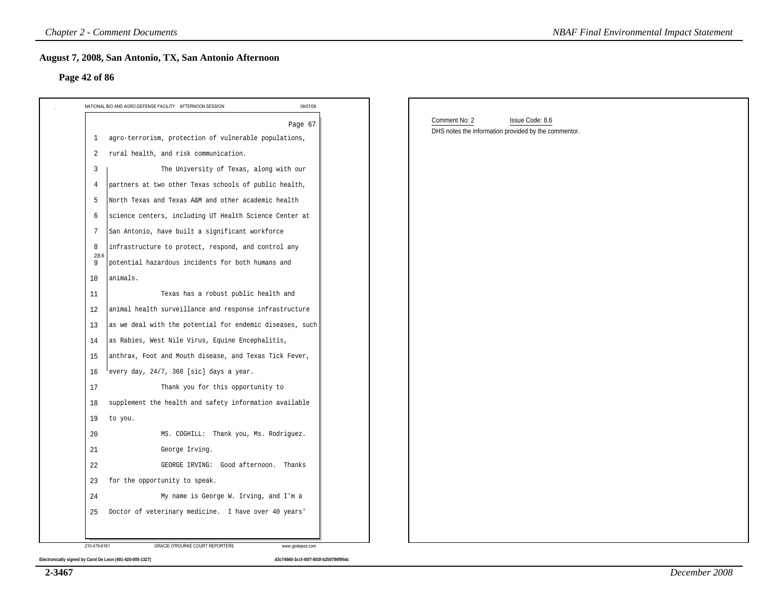#### **Page 42 of 86**

| NATIONAL BIO AND AGRO-DEFENSE FACILITY AFTERNOON SESSION              | 08/07/08 |                                                                                          |  |
|-----------------------------------------------------------------------|----------|------------------------------------------------------------------------------------------|--|
|                                                                       | Page 67  | Comment No: 2<br>Issue Code: 8.6<br>DHS notes the information provided by the commentor. |  |
| agro-terrorism, protection of vulnerable populations,<br>$\mathbf{1}$ |          |                                                                                          |  |
| rural health, and risk communication.<br>2                            |          |                                                                                          |  |
| The University of Texas, along with our<br>3                          |          |                                                                                          |  |
| partners at two other Texas schools of public health,<br>4            |          |                                                                                          |  |
| North Texas and Texas A&M and other academic health<br>5              |          |                                                                                          |  |
| science centers, including UT Health Science Center at<br>6           |          |                                                                                          |  |
| San Antonio, have built a significant workforce<br>7                  |          |                                                                                          |  |
| infrastructure to protect, respond, and control any<br>8<br>2 8.6     |          |                                                                                          |  |
| 9<br>potential hazardous incidents for both humans and                |          |                                                                                          |  |
| 10<br>animals.                                                        |          |                                                                                          |  |
| Texas has a robust public health and<br>11                            |          |                                                                                          |  |
| animal health surveillance and response infrastructure<br>12          |          |                                                                                          |  |
| as we deal with the potential for endemic diseases, such<br>13        |          |                                                                                          |  |
| as Rabies, West Nile Virus, Equine Encephalitis,<br>14                |          |                                                                                          |  |
| anthrax, Foot and Mouth disease, and Texas Tick Fever,<br>15          |          |                                                                                          |  |
| every day, 24/7, 360 [sic] days a year.<br>16                         |          |                                                                                          |  |
| 17<br>Thank you for this opportunity to                               |          |                                                                                          |  |
| supplement the health and safety information available<br>18          |          |                                                                                          |  |
| 19<br>to you.                                                         |          |                                                                                          |  |
| 20<br>MS. COGHILL: Thank you, Ms. Rodriguez.                          |          |                                                                                          |  |
| 21<br>George Irving.                                                  |          |                                                                                          |  |
| 22<br>GEORGE IRVING: Good afternoon. Thanks                           |          |                                                                                          |  |
| for the opportunity to speak.<br>23                                   |          |                                                                                          |  |
| My name is George W. Irving, and I'm a<br>24                          |          |                                                                                          |  |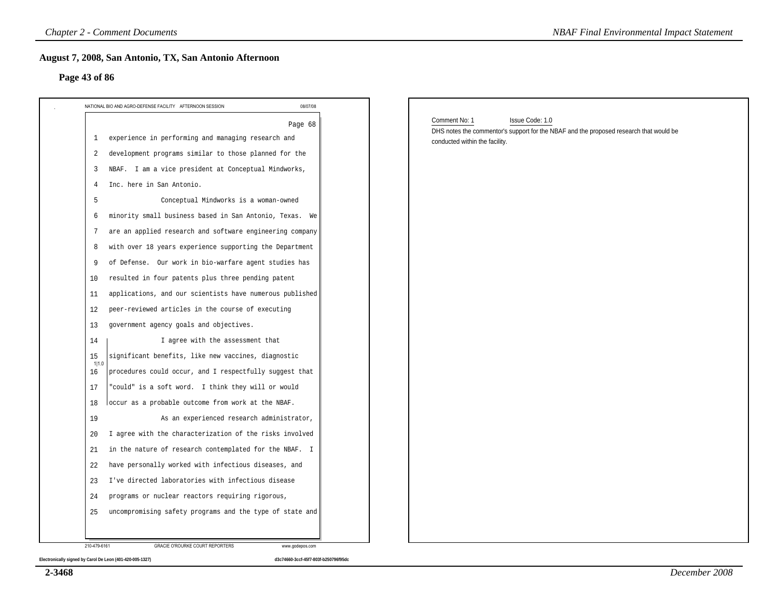#### **Page 43 of 86**

| 08/07/08<br>NATIONAL BIO AND AGRO-DEFENSE FACILITY AFTERNOON SESSION                                                                                                                                                                                                                                                                                                                                                                                                                                                                              |                                                                                                                                                              |
|---------------------------------------------------------------------------------------------------------------------------------------------------------------------------------------------------------------------------------------------------------------------------------------------------------------------------------------------------------------------------------------------------------------------------------------------------------------------------------------------------------------------------------------------------|--------------------------------------------------------------------------------------------------------------------------------------------------------------|
| Page 68<br>experience in performing and managing research and<br>1<br>development programs similar to those planned for the<br>2<br>NBAF. I am a vice president at Conceptual Mindworks,<br>3<br>Inc. here in San Antonio.<br>4<br>Conceptual Mindworks is a woman-owned<br>5<br>minority small business based in San Antonio, Texas. We<br>6<br>are an applied research and software engineering company<br>7<br>with over 18 years experience supporting the Department<br>8                                                                    | Issue Code: 1.0<br>Comment No: 1<br>DHS notes the commentor's support for the NBAF and the proposed research that would be<br>conducted within the facility. |
| of Defense. Our work in bio-warfare agent studies has<br>9<br>resulted in four patents plus three pending patent<br>10<br>applications, and our scientists have numerous published<br>11<br>peer-reviewed articles in the course of executing<br>12<br>government agency goals and objectives.<br>13<br>14<br>I agree with the assessment that<br>significant benefits, like new vaccines, diagnostic<br>15<br>1 1.0<br>procedures could occur, and I respectfully suggest that<br>16<br>"could" is a soft word. I think they will or would<br>17 |                                                                                                                                                              |
| occur as a probable outcome from work at the NBAF.<br>18<br>As an experienced research administrator,<br>19<br>I agree with the characterization of the risks involved<br>20<br>in the nature of research contemplated for the NBAF. I<br>21<br>have personally worked with infectious diseases, and<br>22<br>I've directed laboratories with infectious disease<br>23<br>programs or nuclear reactors requiring rigorous,<br>24<br>uncompromising safety programs and the type of state and<br>25                                                |                                                                                                                                                              |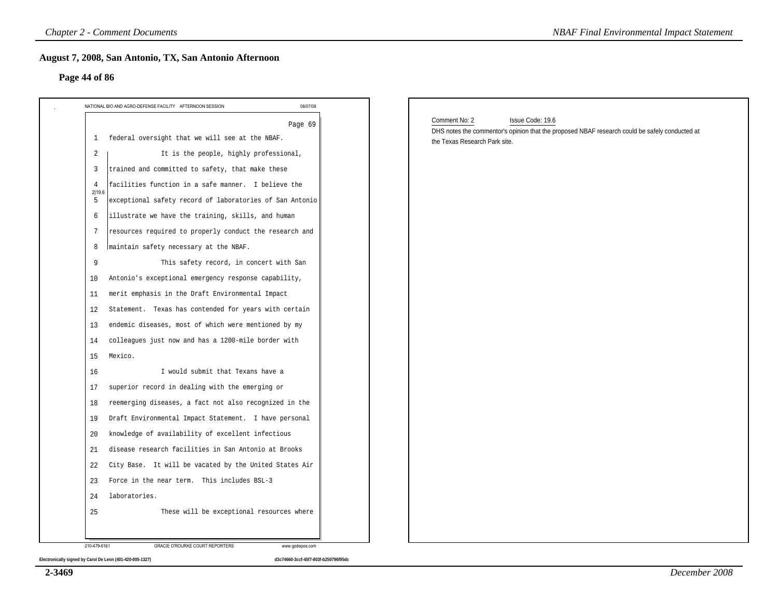# **Page 44 of 86**

| federal oversight that we will see at the NBAF.<br>$\mathbf{1}$                                                                                                                                                                                                      | Page 69 |                                                                                                                                                                      |
|----------------------------------------------------------------------------------------------------------------------------------------------------------------------------------------------------------------------------------------------------------------------|---------|----------------------------------------------------------------------------------------------------------------------------------------------------------------------|
| It is the people, highly professional,<br>2                                                                                                                                                                                                                          |         | Comment No: 2<br>Issue Code: 19.6<br>DHS notes the commentor's opinion that the proposed NBAF research could be safely conducted at<br>the Texas Research Park site. |
| trained and committed to safety, that make these<br>3<br>facilities function in a safe manner. I believe the<br>$\overline{4}$<br>2 19.6<br>exceptional safety record of laboratories of San Antonio<br>5<br>illustrate we have the training, skills, and human<br>6 |         |                                                                                                                                                                      |
| resources required to properly conduct the research and<br>7<br>maintain safety necessary at the NBAF.<br>8<br>This safety record, in concert with San<br>9                                                                                                          |         |                                                                                                                                                                      |
| Antonio's exceptional emergency response capability,<br>10<br>merit emphasis in the Draft Environmental Impact<br>11<br>Statement. Texas has contended for years with certain<br>12<br>endemic diseases, most of which were mentioned by my<br>13                    |         |                                                                                                                                                                      |
| colleagues just now and has a 1200-mile border with<br>14<br>15<br>Mexico.<br>I would submit that Texans have a<br>16                                                                                                                                                |         |                                                                                                                                                                      |
| superior record in dealing with the emerging or<br>17<br>reemerging diseases, a fact not also recognized in the<br>18<br>Draft Environmental Impact Statement. I have personal<br>19                                                                                 |         |                                                                                                                                                                      |
| knowledge of availability of excellent infectious<br>20<br>disease research facilities in San Antonio at Brooks<br>21<br>City Base. It will be vacated by the United States Air<br>22                                                                                |         |                                                                                                                                                                      |
| 23 Force in the near term. This includes BSL-3<br>laboratories.<br>24                                                                                                                                                                                                |         |                                                                                                                                                                      |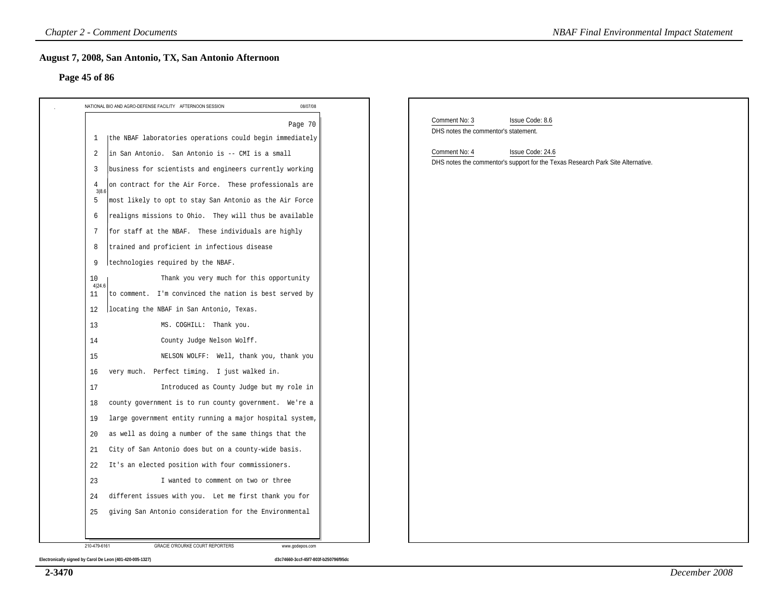#### **Page 45 of 86**

| 08/07/08<br>NATIONAL BIO AND AGRO-DEFENSE FACILITY AFTERNOON SESSION                                                                                                 | Comment No: 3<br>Issue Code: 8.6                                                                                     |
|----------------------------------------------------------------------------------------------------------------------------------------------------------------------|----------------------------------------------------------------------------------------------------------------------|
| Page 70<br>(the NBAF laboratories operations could begin immediately<br>1                                                                                            | DHS notes the commentor's statement.                                                                                 |
| in San Antonio. San Antonio is -- CMI is a small<br>2<br>business for scientists and engineers currently working<br>3                                                | Comment No: 4<br>Issue Code: 24.6<br>DHS notes the commentor's support for the Texas Research Park Site Alternative. |
| on contract for the Air Force. These professionals are<br>4<br>3 8.6                                                                                                 |                                                                                                                      |
| most likely to opt to stay San Antonio as the Air Force<br>5<br>realigns missions to Ohio. They will thus be available<br>6                                          |                                                                                                                      |
| for staff at the NBAF. These individuals are highly<br>-7                                                                                                            |                                                                                                                      |
| trained and proficient in infectious disease<br>8<br>technologies required by the NBAF.<br>9                                                                         |                                                                                                                      |
| Thank you very much for this opportunity<br>10<br>4 24.6<br>to comment. I'm convinced the nation is best served by<br>11<br>locating the NBAF in San Antonio, Texas. |                                                                                                                      |
| 12<br>MS. COGHILL: Thank you.<br>13                                                                                                                                  |                                                                                                                      |
| County Judge Nelson Wolff.<br>14<br>15<br>NELSON WOLFF: Well, thank you, thank you                                                                                   |                                                                                                                      |
| very much. Perfect timing. I just walked in.<br>16                                                                                                                   |                                                                                                                      |
| Introduced as County Judge but my role in<br>17<br>county government is to run county government. We're a<br>18                                                      |                                                                                                                      |
| large government entity running a major hospital system,<br>19                                                                                                       |                                                                                                                      |
| as well as doing a number of the same things that the<br>20<br>City of San Antonio does but on a county-wide basis.<br>21                                            |                                                                                                                      |
| It's an elected position with four commissioners.<br>22                                                                                                              |                                                                                                                      |
| 23<br>I wanted to comment on two or three                                                                                                                            | different issues with you. Let me first thank you for                                                                |

**2-3470**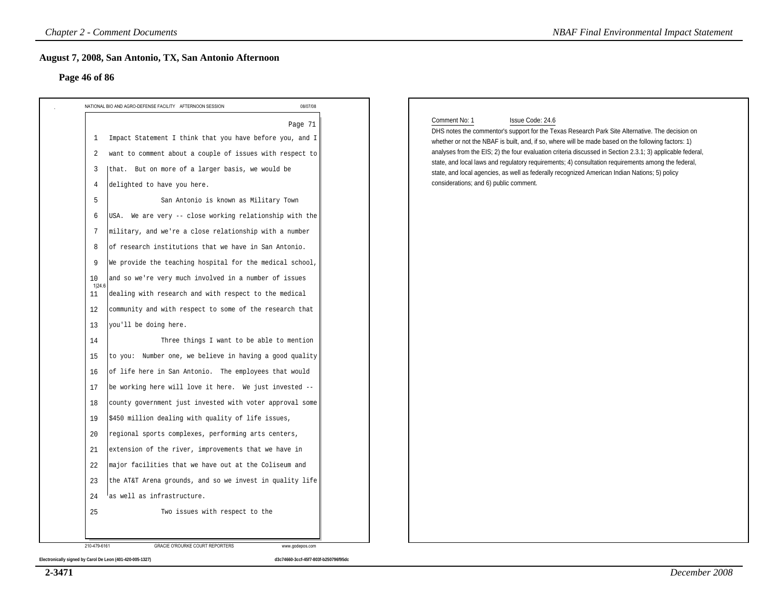#### **Page 46 of 86**

| Page 46 of 86                                                         |          |                                                                                                                                                                                                                  |
|-----------------------------------------------------------------------|----------|------------------------------------------------------------------------------------------------------------------------------------------------------------------------------------------------------------------|
| NATIONAL BIO AND AGRO-DEFENSE FACILITY AFTERNOON SESSION              | 08/07/08 |                                                                                                                                                                                                                  |
| Impact Statement I think that you have before you, and I<br>1         | Page 71  | Comment No: 1<br>Issue Code: 24.6<br>DHS notes the commentor's support for the Texas Research Park Site Alternative. The decision on                                                                             |
| want to comment about a couple of issues with respect to<br>2         |          | whether or not the NBAF is built, and, if so, where will be made based on the following factors: 1)<br>analyses from the EIS; 2) the four evaluation criteria discussed in Section 2.3.1; 3) applicable federal, |
| that. But on more of a larger basis, we would be<br>3                 |          | state, and local laws and regulatory requirements; 4) consultation requirements among the federal,<br>state, and local agencies, as well as federally recognized American Indian Nations; 5) policy              |
| delighted to have you here.<br>4                                      |          | considerations; and 6) public comment.                                                                                                                                                                           |
| San Antonio is known as Military Town<br>5                            |          |                                                                                                                                                                                                                  |
| USA. We are very -- close working relationship with the<br>6          |          |                                                                                                                                                                                                                  |
| 7<br>military, and we're a close relationship with a number           |          |                                                                                                                                                                                                                  |
| of research institutions that we have in San Antonio.<br>8            |          |                                                                                                                                                                                                                  |
| We provide the teaching hospital for the medical school,<br>9         |          |                                                                                                                                                                                                                  |
| and so we're very much involved in a number of issues<br>10           |          |                                                                                                                                                                                                                  |
| 1 24.6<br>dealing with research and with respect to the medical<br>11 |          |                                                                                                                                                                                                                  |
| community and with respect to some of the research that<br>12         |          |                                                                                                                                                                                                                  |
| you'll be doing here.<br>13                                           |          |                                                                                                                                                                                                                  |
| Three things I want to be able to mention<br>14                       |          |                                                                                                                                                                                                                  |
| to you: Number one, we believe in having a good quality<br>15         |          |                                                                                                                                                                                                                  |
| of life here in San Antonio. The employees that would<br>16           |          |                                                                                                                                                                                                                  |
| be working here will love it here. We just invested --<br>17          |          |                                                                                                                                                                                                                  |
| county government just invested with voter approval some<br>18        |          |                                                                                                                                                                                                                  |
| \$450 million dealing with quality of life issues,<br>19              |          |                                                                                                                                                                                                                  |
| regional sports complexes, performing arts centers,<br>20             |          |                                                                                                                                                                                                                  |
| extension of the river, improvements that we have in<br>21            |          |                                                                                                                                                                                                                  |
| major facilities that we have out at the Coliseum and<br>22           |          |                                                                                                                                                                                                                  |
| the AT&T Arena grounds, and so we invest in quality life<br>23        |          |                                                                                                                                                                                                                  |
| as well as infrastructure.<br>24                                      |          |                                                                                                                                                                                                                  |
| Two issues with respect to the<br>25                                  |          |                                                                                                                                                                                                                  |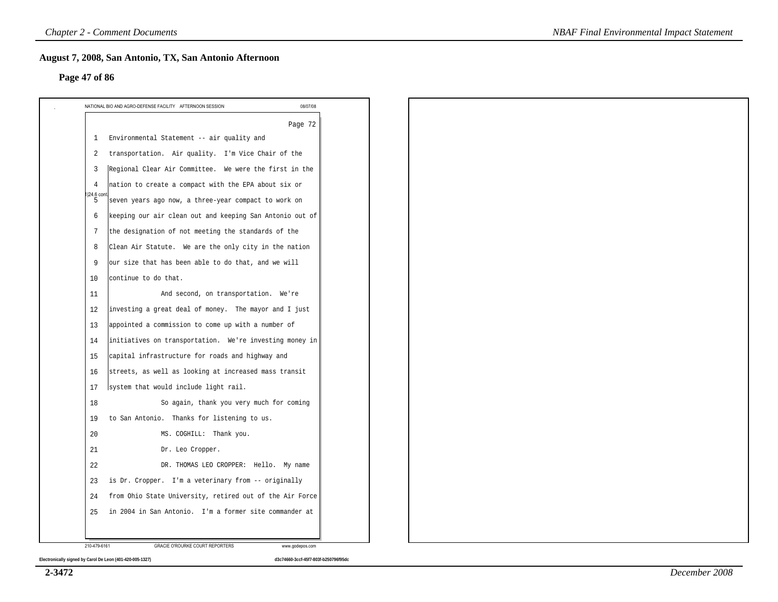#### **Page 47 of 86**

|                               | 08/07/08<br>NATIONAL BIO AND AGRO-DEFENSE FACILITY AFTERNOON SESSION |  |  |  |  |  |
|-------------------------------|----------------------------------------------------------------------|--|--|--|--|--|
|                               | Page 72                                                              |  |  |  |  |  |
| -1                            | Environmental Statement -- air quality and                           |  |  |  |  |  |
| 2                             | transportation. Air quality. I'm Vice Chair of the                   |  |  |  |  |  |
| $\overline{3}$                | Regional Clear Air Committee. We were the first in the               |  |  |  |  |  |
| $\overline{4}$<br>I 24.6 cont | nation to create a compact with the EPA about six or                 |  |  |  |  |  |
| -5                            | seven years ago now, a three-year compact to work on                 |  |  |  |  |  |
| 6                             | keeping our air clean out and keeping San Antonio out of             |  |  |  |  |  |
| 7                             | the designation of not meeting the standards of the                  |  |  |  |  |  |
| 8                             | Clean Air Statute. We are the only city in the nation                |  |  |  |  |  |
| 9                             | our size that has been able to do that, and we will                  |  |  |  |  |  |
| 10                            | continue to do that.                                                 |  |  |  |  |  |
| 11                            | And second, on transportation. We're                                 |  |  |  |  |  |
| 12                            | investing a great deal of money. The mayor and I just                |  |  |  |  |  |
| 13                            | appointed a commission to come up with a number of                   |  |  |  |  |  |
| 14                            | initiatives on transportation. We're investing money in              |  |  |  |  |  |
| 15                            | capital infrastructure for roads and highway and                     |  |  |  |  |  |
| 16                            | streets, as well as looking at increased mass transit                |  |  |  |  |  |
| 17                            | system that would include light rail.                                |  |  |  |  |  |
| 18                            | So again, thank you very much for coming                             |  |  |  |  |  |
| 19                            | to San Antonio. Thanks for listening to us.                          |  |  |  |  |  |
| 20                            | MS. COGHILL: Thank you.                                              |  |  |  |  |  |
| 21                            | Dr. Leo Cropper.                                                     |  |  |  |  |  |
| 22                            | DR. THOMAS LEO CROPPER: Hello. My name                               |  |  |  |  |  |
| 23                            | is Dr. Cropper. I'm a veterinary from -- originally                  |  |  |  |  |  |
| 24                            | from Ohio State University, retired out of the Air Force             |  |  |  |  |  |
| 25                            | in 2004 in San Antonio. I'm a former site commander at               |  |  |  |  |  |
|                               |                                                                      |  |  |  |  |  |
| 210-479-6161                  | <b>GRACIE O'ROURKE COURT REPORTERS</b><br>www.godepos.com            |  |  |  |  |  |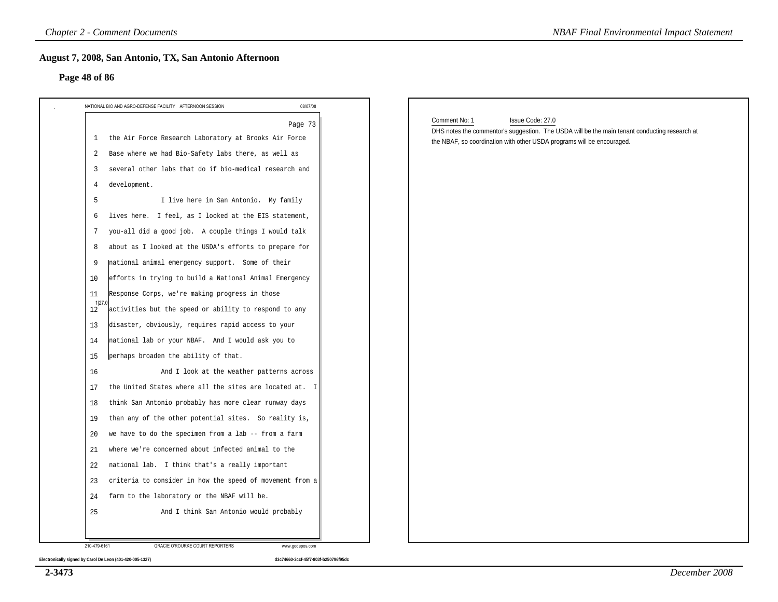#### **Page 48 of 86**

| Page 48 of 86                                                        |          |                                                                                                                                                                                                              |
|----------------------------------------------------------------------|----------|--------------------------------------------------------------------------------------------------------------------------------------------------------------------------------------------------------------|
| NATIONAL BIO AND AGRO-DEFENSE FACILITY AFTERNOON SESSION             | 08/07/08 |                                                                                                                                                                                                              |
| the Air Force Research Laboratory at Brooks Air Force<br>-1          | Page 73  | Comment No: 1<br>Issue Code: 27.0<br>DHS notes the commentor's suggestion. The USDA will be the main tenant conducting research at<br>the NBAF, so coordination with other USDA programs will be encouraged. |
| Base where we had Bio-Safety labs there, as well as<br>2             |          |                                                                                                                                                                                                              |
| several other labs that do if bio-medical research and<br>3          |          |                                                                                                                                                                                                              |
| development.<br>4                                                    |          |                                                                                                                                                                                                              |
| 5<br>I live here in San Antonio. My family                           |          |                                                                                                                                                                                                              |
| lives here. I feel, as I looked at the EIS statement,<br>6           |          |                                                                                                                                                                                                              |
| you-all did a good job. A couple things I would talk<br>7            |          |                                                                                                                                                                                                              |
| about as I looked at the USDA's efforts to prepare for<br>8          |          |                                                                                                                                                                                                              |
| national animal emergency support. Some of their<br>9                |          |                                                                                                                                                                                                              |
| efforts in trying to build a National Animal Emergency<br>10         |          |                                                                                                                                                                                                              |
| Response Corps, we're making progress in those<br>11                 |          |                                                                                                                                                                                                              |
| 1 27.<br>activities but the speed or ability to respond to any<br>12 |          |                                                                                                                                                                                                              |
| disaster, obviously, requires rapid access to your<br>13             |          |                                                                                                                                                                                                              |
| national lab or your NBAF. And I would ask you to<br>14              |          |                                                                                                                                                                                                              |
| perhaps broaden the ability of that.<br>15                           |          |                                                                                                                                                                                                              |
| And I look at the weather patterns across<br>16                      |          |                                                                                                                                                                                                              |
| the United States where all the sites are located at. I<br>17        |          |                                                                                                                                                                                                              |
| think San Antonio probably has more clear runway days<br>18          |          |                                                                                                                                                                                                              |
| than any of the other potential sites. So reality is,<br>19          |          |                                                                                                                                                                                                              |
| we have to do the specimen from a lab -- from a farm<br>20           |          |                                                                                                                                                                                                              |
| where we're concerned about infected animal to the<br>21             |          |                                                                                                                                                                                                              |
| national lab. I think that's a really important<br>22                |          |                                                                                                                                                                                                              |
| criteria to consider in how the speed of movement from a<br>23       |          |                                                                                                                                                                                                              |
| farm to the laboratory or the NBAF will be.<br>24                    |          |                                                                                                                                                                                                              |
| 25<br>And I think San Antonio would probably                         |          |                                                                                                                                                                                                              |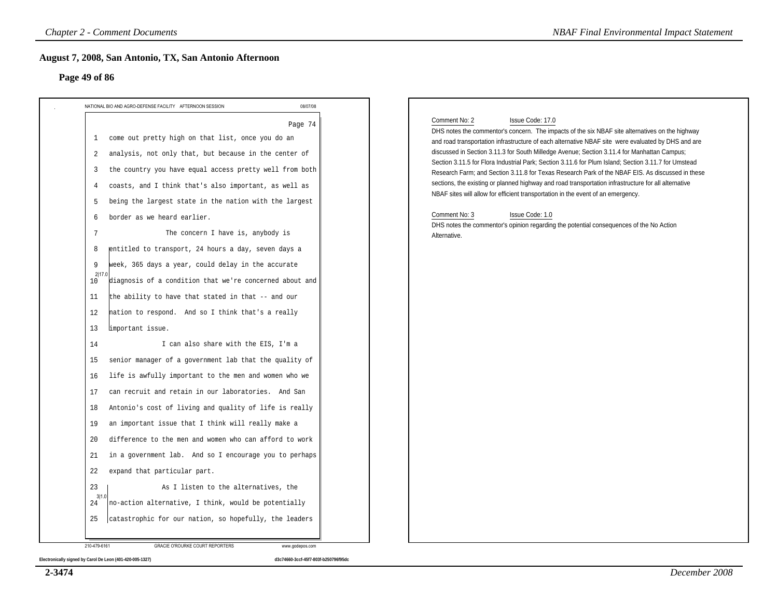#### **Page 49 of 86**

| NATIONAL BIO AND AGRO-DEFENSE FACILITY AFTERNOON SESSION<br>come out pretty high on that list, once you do an<br>1<br>analysis, not only that, but because in the center of<br>2<br>the country you have equal access pretty well from both<br>3<br>coasts, and I think that's also important, as well as<br>4<br>being the largest state in the nation with the largest<br>5                                                                                                                                                                                                                                                                                                                                                                                                                                                                                                                                                                                              | 08/07/08<br>Page 74 | Issue Code: 17.0<br>Comment No: 2<br>DHS notes the commentor's concern. The impacts of the six NBAF site alternatives on the highway<br>and road transportation infrastructure of each alternative NBAF site were evaluated by DHS and are<br>discussed in Section 3.11.3 for South Milledge Avenue; Section 3.11.4 for Manhattan Campus;<br>Section 3.11.5 for Flora Industrial Park; Section 3.11.6 for Plum Island; Section 3.11.7 for Umstead |
|----------------------------------------------------------------------------------------------------------------------------------------------------------------------------------------------------------------------------------------------------------------------------------------------------------------------------------------------------------------------------------------------------------------------------------------------------------------------------------------------------------------------------------------------------------------------------------------------------------------------------------------------------------------------------------------------------------------------------------------------------------------------------------------------------------------------------------------------------------------------------------------------------------------------------------------------------------------------------|---------------------|---------------------------------------------------------------------------------------------------------------------------------------------------------------------------------------------------------------------------------------------------------------------------------------------------------------------------------------------------------------------------------------------------------------------------------------------------|
|                                                                                                                                                                                                                                                                                                                                                                                                                                                                                                                                                                                                                                                                                                                                                                                                                                                                                                                                                                            |                     |                                                                                                                                                                                                                                                                                                                                                                                                                                                   |
| border as we heard earlier.<br>6<br>The concern I have is, anybody is<br>7<br>entitled to transport, 24 hours a day, seven days a<br>8<br>week, 365 days a year, could delay in the accurate<br>9<br>2 17.0<br>diagnosis of a condition that we're concerned about and<br>10<br>the ability to have that stated in that -- and our<br>11<br>hation to respond. And so I think that's a really<br>12<br>limportant issue.<br>13<br>I can also share with the EIS, I'm a<br>14<br>senior manager of a government lab that the quality of<br>15<br>life is awfully important to the men and women who we<br>16<br>can recruit and retain in our laboratories. And San<br>17<br>Antonio's cost of living and quality of life is really<br>18<br>an important issue that I think will really make a<br>19<br>difference to the men and women who can afford to work<br>20<br>in a government lab. And so I encourage you to perhaps<br>21<br>22<br>expand that particular part. |                     | Research Farm; and Section 3.11.8 for Texas Research Park of the NBAF EIS. As discussed in these<br>sections, the existing or planned highway and road transportation infrastructure for all alternative<br>NBAF sites will allow for efficient transportation in the event of an emergency.<br>Comment No: 3<br>Issue Code: 1.0<br>DHS notes the commentor's opinion regarding the potential consequences of the No Action<br>Alternative.       |
| 23<br>As I listen to the alternatives, the<br>3 1.0<br>no-action alternative, I think, would be potentially<br>24                                                                                                                                                                                                                                                                                                                                                                                                                                                                                                                                                                                                                                                                                                                                                                                                                                                          |                     |                                                                                                                                                                                                                                                                                                                                                                                                                                                   |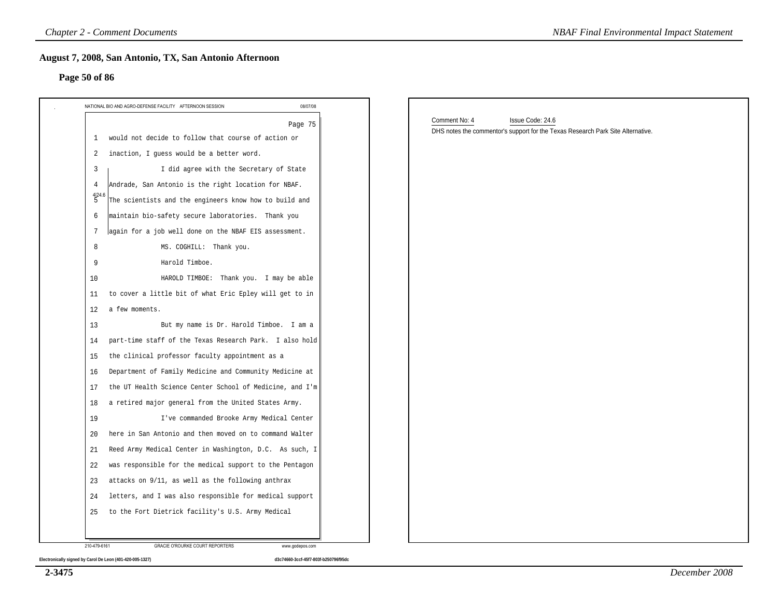# **Page 50 of 86**

| Page 50 of 86                                                        |                                                                                                                      |
|----------------------------------------------------------------------|----------------------------------------------------------------------------------------------------------------------|
| 08/07/08<br>NATIONAL BIO AND AGRO-DEFENSE FACILITY AFTERNOON SESSION |                                                                                                                      |
| Page 75<br>would not decide to follow that course of action or<br>1  | Comment No: 4<br>Issue Code: 24.6<br>DHS notes the commentor's support for the Texas Research Park Site Alternative. |
| inaction, I guess would be a better word.<br>2                       |                                                                                                                      |
| I did agree with the Secretary of State<br>$\overline{3}$            |                                                                                                                      |
| Andrade, San Antonio is the right location for NBAF.<br>4            |                                                                                                                      |
| 4 24.6<br>The scientists and the engineers know how to build and     |                                                                                                                      |
| maintain bio-safety secure laboratories. Thank you<br>6              |                                                                                                                      |
| again for a job well done on the NBAF EIS assessment.<br>7           |                                                                                                                      |
| 8<br>MS. COGHILL: Thank you.                                         |                                                                                                                      |
| Harold Timboe.<br>9                                                  |                                                                                                                      |
| 10<br>HAROLD TIMBOE: Thank you. I may be able                        |                                                                                                                      |
| to cover a little bit of what Eric Epley will get to in<br>11        |                                                                                                                      |
| a few moments.<br>12                                                 |                                                                                                                      |
| But my name is Dr. Harold Timboe. I am a<br>13                       |                                                                                                                      |
| part-time staff of the Texas Research Park. I also hold<br>14        |                                                                                                                      |
| the clinical professor faculty appointment as a<br>15                |                                                                                                                      |
| Department of Family Medicine and Community Medicine at<br>16        |                                                                                                                      |
| the UT Health Science Center School of Medicine, and I'm<br>17       |                                                                                                                      |
| a retired major general from the United States Army.<br>18           |                                                                                                                      |
| I've commanded Brooke Army Medical Center<br>19                      |                                                                                                                      |
| here in San Antonio and then moved on to command Walter<br>20        |                                                                                                                      |
| Reed Army Medical Center in Washington, D.C. As such, I<br>21        |                                                                                                                      |
| was responsible for the medical support to the Pentagon<br>22        |                                                                                                                      |
| attacks on 9/11, as well as the following anthrax<br>23              |                                                                                                                      |
| letters, and I was also responsible for medical support<br>24        |                                                                                                                      |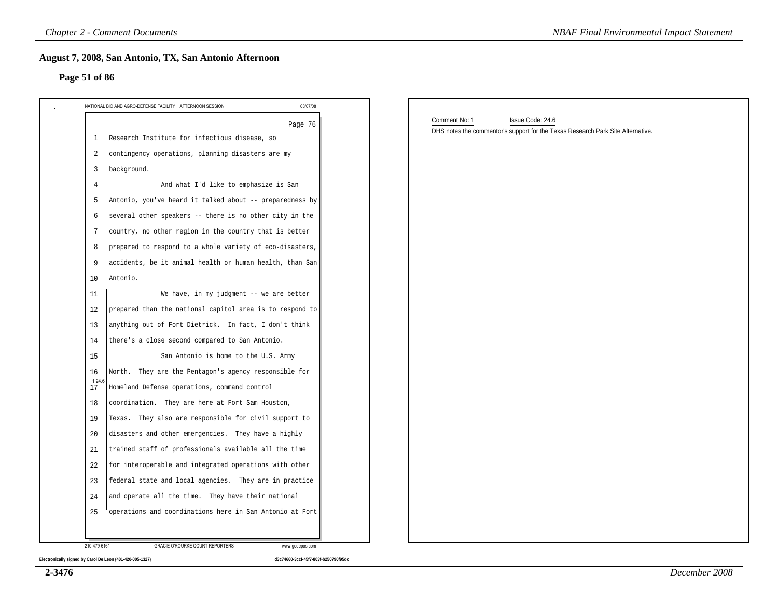#### **Page 51 of 86**

| NATIONAL BIO AND AGRO-DEFENSE FACILITY AFTERNOON SESSION       | 08/07/08                                                                                                                        |
|----------------------------------------------------------------|---------------------------------------------------------------------------------------------------------------------------------|
|                                                                | Comment No: 1<br>Issue Code: 24.6<br>Page 76<br>DHS notes the commentor's support for the Texas Research Park Site Alternative. |
| Research Institute for infectious disease, so<br>1             |                                                                                                                                 |
| contingency operations, planning disasters are my<br>2         |                                                                                                                                 |
| background.<br>3                                               |                                                                                                                                 |
| And what I'd like to emphasize is San<br>4                     |                                                                                                                                 |
| Antonio, you've heard it talked about -- preparedness by<br>5  |                                                                                                                                 |
| several other speakers -- there is no other city in the<br>6   |                                                                                                                                 |
| country, no other region in the country that is better<br>7    |                                                                                                                                 |
| prepared to respond to a whole variety of eco-disasters,<br>8  |                                                                                                                                 |
| accidents, be it animal health or human health, than San<br>9  |                                                                                                                                 |
| 10<br>Antonio.                                                 |                                                                                                                                 |
| We have, in my judgment -- we are better<br>11                 |                                                                                                                                 |
| prepared than the national capitol area is to respond to<br>12 |                                                                                                                                 |
| 13<br>anything out of Fort Dietrick. In fact, I don't think    |                                                                                                                                 |
| there's a close second compared to San Antonio.<br>14          |                                                                                                                                 |
| 15<br>San Antonio is home to the U.S. Army                     |                                                                                                                                 |
| North. They are the Pentagon's agency responsible for<br>16    |                                                                                                                                 |
| 1 24.6<br>Homeland Defense operations, command control<br>17   |                                                                                                                                 |
| coordination. They are here at Fort Sam Houston,<br>18         |                                                                                                                                 |
| Texas. They also are responsible for civil support to<br>19    |                                                                                                                                 |
| disasters and other emergencies. They have a highly<br>20      |                                                                                                                                 |
| trained staff of professionals available all the time<br>21    |                                                                                                                                 |
| for interoperable and integrated operations with other<br>22   |                                                                                                                                 |
| federal state and local agencies. They are in practice<br>23   |                                                                                                                                 |
| and operate all the time. They have their national<br>24       |                                                                                                                                 |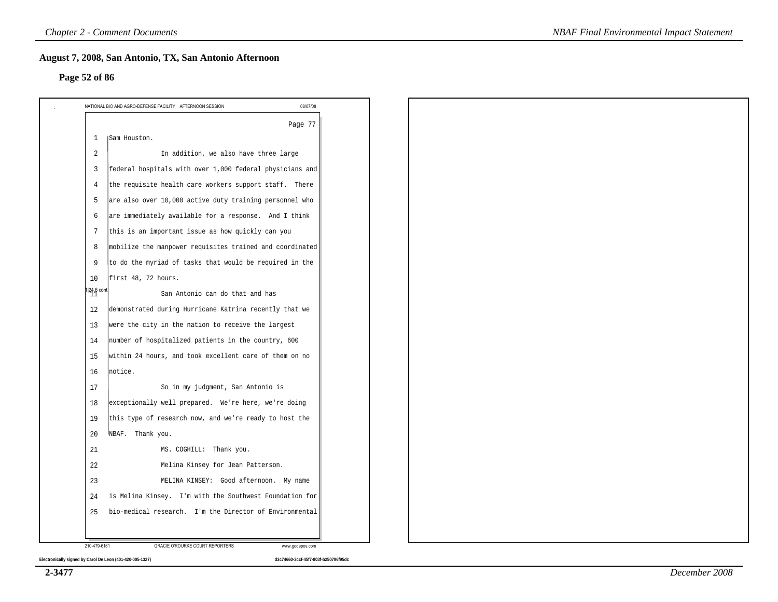#### **Page 52 of 86**

|                                                        | Page 77                                                  |
|--------------------------------------------------------|----------------------------------------------------------|
| 1                                                      | <b>Sam Houston.</b>                                      |
| 2                                                      | In addition, we also have three large                    |
| $\overline{3}$                                         | federal hospitals with over 1,000 federal physicians and |
| $\overline{4}$                                         | the requisite health care workers support staff. There   |
| 5                                                      | are also over 10,000 active duty training personnel who  |
| 6                                                      | are immediately available for a response. And I think    |
| 7                                                      | this is an important issue as how quickly can you        |
| 8                                                      | mobilize the manpower requisites trained and coordinated |
| 9                                                      | to do the myriad of tasks that would be required in the  |
| 10                                                     | first 48, 72 hours.                                      |
| $\begin{smallmatrix}1 24.6\1\end{smallmatrix}$ control | San Antonio can do that and has                          |
| 12                                                     | demonstrated during Hurricane Katrina recently that we   |
| 13                                                     | were the city in the nation to receive the largest       |
| 14                                                     | number of hospitalized patients in the country, 600      |
| 15                                                     | within 24 hours, and took excellent care of them on no   |
| 16                                                     | notice.                                                  |
| 17                                                     | So in my judgment, San Antonio is                        |
| 18                                                     | exceptionally well prepared. We're here, we're doing     |
| 19                                                     | this type of research now, and we're ready to host the   |
| 20                                                     | NBAF. Thank you.                                         |
| 21                                                     | MS. COGHILL: Thank you.                                  |
| 22                                                     | Melina Kinsey for Jean Patterson.                        |
| 23                                                     | MELINA KINSEY: Good afternoon. My name                   |
| 24                                                     | is Melina Kinsey. I'm with the Southwest Foundation for  |
| 25                                                     | bio-medical research. I'm the Director of Environmental  |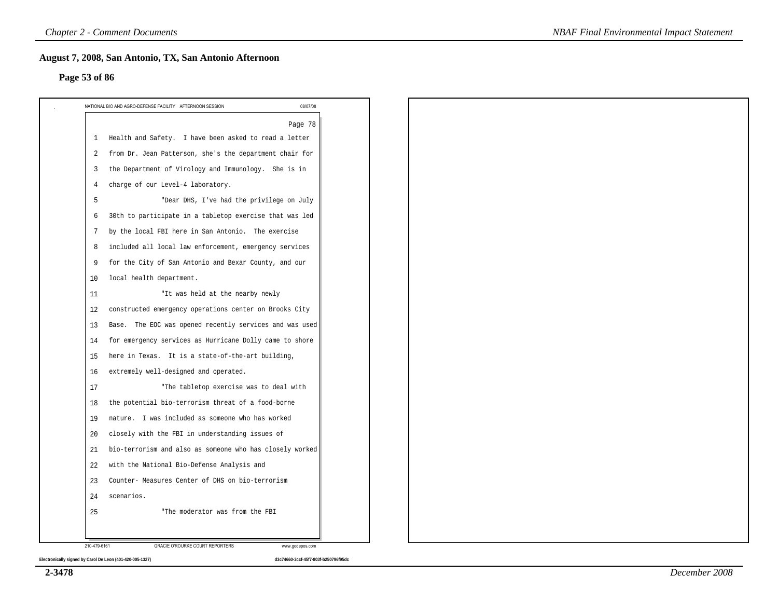#### **Page 53 of 86**

|                 | NATIONAL BIO AND AGRO-DEFENSE FACILITY AFTERNOON SESSION<br>08/07/08 |
|-----------------|----------------------------------------------------------------------|
|                 | Page 78                                                              |
| 1               | Health and Safety. I have been asked to read a letter                |
| 2               | from Dr. Jean Patterson, she's the department chair for              |
| 3               | the Department of Virology and Immunology. She is in                 |
| 4               | charge of our Level-4 laboratory.                                    |
| 5               | "Dear DHS, I've had the privilege on July                            |
| 6               | 30th to participate in a tabletop exercise that was led              |
| $7\phantom{.0}$ | by the local FBI here in San Antonio. The exercise                   |
| 8               | included all local law enforcement, emergency services               |
| 9               | for the City of San Antonio and Bexar County, and our                |
| 10              | local health department.                                             |
| 11              | "It was held at the nearby newly                                     |
| 12              | constructed emergency operations center on Brooks City               |
| 13              | Base. The EOC was opened recently services and was used              |
| 14              | for emergency services as Hurricane Dolly came to shore              |
| 15              | here in Texas. It is a state-of-the-art building,                    |
| 16              | extremely well-designed and operated.                                |
| 17              | "The tabletop exercise was to deal with                              |
| 18              | the potential bio-terrorism threat of a food-borne                   |
| 19              | nature. I was included as someone who has worked                     |
| 20              | closely with the FBI in understanding issues of                      |
| 21              | bio-terrorism and also as someone who has closely worked             |
| 22              | with the National Bio-Defense Analysis and                           |
| 23              | Counter- Measures Center of DHS on bio-terrorism                     |
| 24              | scenarios.                                                           |
| 25              | "The moderator was from the FBI                                      |
|                 |                                                                      |
| 210-479-6161    | GRACIE O'ROURKE COURT REPORTERS<br>www.godepos.com                   |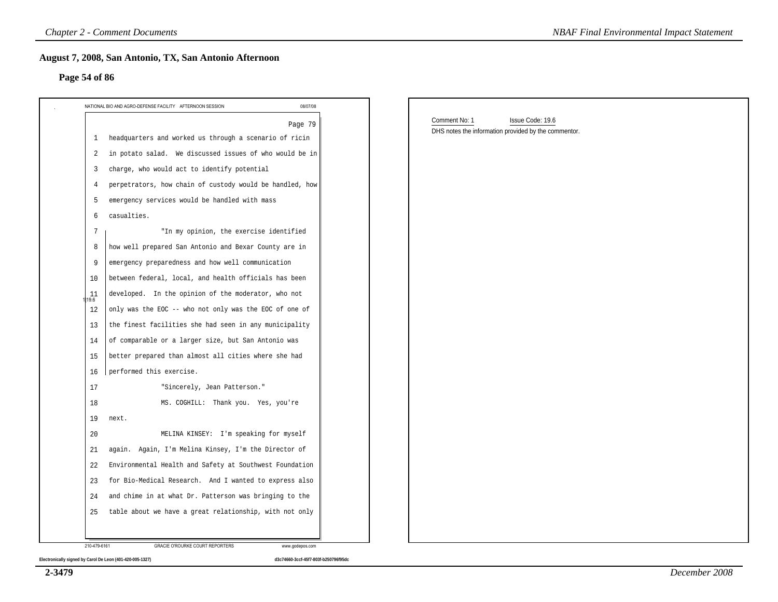#### **Page 54 of 86**

| Page 54 of 86                                                          |                                                                                           |  |
|------------------------------------------------------------------------|-------------------------------------------------------------------------------------------|--|
| 08/07/08<br>NATIONAL BIO AND AGRO-DEFENSE FACILITY AFTERNOON SESSION   |                                                                                           |  |
| Page 79<br>headquarters and worked us through a scenario of ricin<br>1 | Comment No: 1<br>Issue Code: 19.6<br>DHS notes the information provided by the commentor. |  |
| in potato salad. We discussed issues of who would be in<br>2           |                                                                                           |  |
| charge, who would act to identify potential<br>3                       |                                                                                           |  |
| perpetrators, how chain of custody would be handled, how<br>4          |                                                                                           |  |
| emergency services would be handled with mass<br>5                     |                                                                                           |  |
| casualties.<br>6                                                       |                                                                                           |  |
| "In my opinion, the exercise identified<br>7                           |                                                                                           |  |
| how well prepared San Antonio and Bexar County are in<br>8             |                                                                                           |  |
| 9<br>emergency preparedness and how well communication                 |                                                                                           |  |
| between federal, local, and health officials has been<br>10            |                                                                                           |  |
| developed. In the opinion of the moderator, who not<br>11<br>19.6      |                                                                                           |  |
| only was the EOC -- who not only was the EOC of one of<br>12           |                                                                                           |  |
| the finest facilities she had seen in any municipality<br>13           |                                                                                           |  |
| of comparable or a larger size, but San Antonio was<br>14              |                                                                                           |  |
| better prepared than almost all cities where she had<br>15             |                                                                                           |  |
| performed this exercise.<br>16                                         |                                                                                           |  |
| "Sincerely, Jean Patterson."<br>17                                     |                                                                                           |  |
| MS. COGHILL: Thank you. Yes, you're<br>18                              |                                                                                           |  |
| 19<br>next.                                                            |                                                                                           |  |
| MELINA KINSEY: I'm speaking for myself<br>20                           |                                                                                           |  |
| again. Again, I'm Melina Kinsey, I'm the Director of<br>21             |                                                                                           |  |
| Environmental Health and Safety at Southwest Foundation<br>22          |                                                                                           |  |
| for Bio-Medical Research. And I wanted to express also<br>23           |                                                                                           |  |
| and chime in at what Dr. Patterson was bringing to the<br>24           |                                                                                           |  |
| table about we have a great relationship, with not only<br>25          |                                                                                           |  |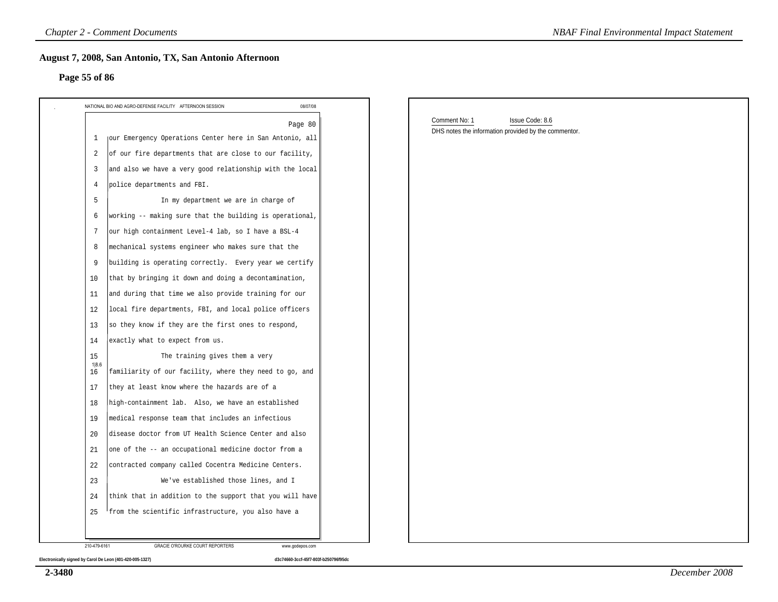#### **Page 55 of 86**

| Page 55 of 86  |                                                                      |                                                                                          |  |
|----------------|----------------------------------------------------------------------|------------------------------------------------------------------------------------------|--|
|                | 08/07/08<br>NATIONAL BIO AND AGRO-DEFENSE FACILITY AFTERNOON SESSION |                                                                                          |  |
|                | Page 80                                                              | Comment No: 1<br>Issue Code: 8.6<br>DHS notes the information provided by the commentor. |  |
| 1              | jour Emergency Operations Center here in San Antonio, all            |                                                                                          |  |
| 2              | of our fire departments that are close to our facility,              |                                                                                          |  |
| $\overline{3}$ | and also we have a very good relationship with the local             |                                                                                          |  |
| $\overline{4}$ | police departments and FBI.                                          |                                                                                          |  |
| -5             | In my department we are in charge of                                 |                                                                                          |  |
| 6              | working -- making sure that the building is operational,             |                                                                                          |  |
| 7              | our high containment Level-4 lab, so I have a BSL-4                  |                                                                                          |  |
| 8              | mechanical systems engineer who makes sure that the                  |                                                                                          |  |
| 9              | building is operating correctly. Every year we certify               |                                                                                          |  |
| 10             | that by bringing it down and doing a decontamination,                |                                                                                          |  |
| 11             | and during that time we also provide training for our                |                                                                                          |  |
| 12             | local fire departments, FBI, and local police officers               |                                                                                          |  |
| 13             | so they know if they are the first ones to respond,                  |                                                                                          |  |
| 14             | exactly what to expect from us.                                      |                                                                                          |  |
| 15             | The training gives them a very                                       |                                                                                          |  |
| 1 8.6<br>16    | familiarity of our facility, where they need to go, and              |                                                                                          |  |
| 17             | they at least know where the hazards are of a                        |                                                                                          |  |
| 18             | high-containment lab. Also, we have an established                   |                                                                                          |  |
| 19             | medical response team that includes an infectious                    |                                                                                          |  |
| 20             | disease doctor from UT Health Science Center and also                |                                                                                          |  |
| 21             | one of the -- an occupational medicine doctor from a                 |                                                                                          |  |
| 22             | contracted company called Cocentra Medicine Centers.                 |                                                                                          |  |
| 23             | We've established those lines, and I                                 |                                                                                          |  |
| 24             | think that in addition to the support that you will have             |                                                                                          |  |
| 25             | from the scientific infrastructure, you also have a                  |                                                                                          |  |

**2-3480**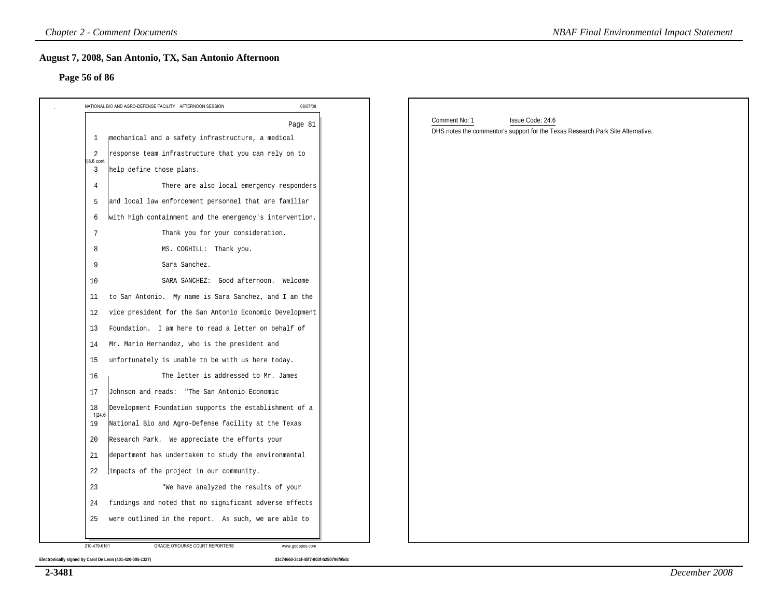# **Page 56 of 86**

| Page 56 of 86                                                          |          |                                                                                 |
|------------------------------------------------------------------------|----------|---------------------------------------------------------------------------------|
| NATIONAL BIO AND AGRO-DEFENSE FACILITY AFTERNOON SESSION               | 08/07/08 |                                                                                 |
|                                                                        | Page 81  | Comment No: 1<br>Issue Code: 24.6                                               |
| mechanical and a safety infrastructure, a medical<br>-1                |          | DHS notes the commentor's support for the Texas Research Park Site Alternative. |
| response team infrastructure that you can rely on to<br>2              |          |                                                                                 |
| 1 8.6 cont<br>help define those plans.<br>3                            |          |                                                                                 |
| $\overline{4}$<br>There are also local emergency responders            |          |                                                                                 |
| and local law enforcement personnel that are familiar<br>5             |          |                                                                                 |
| with high containment and the emergency's intervention.<br>6           |          |                                                                                 |
| 7<br>Thank you for your consideration.                                 |          |                                                                                 |
| MS. COGHILL: Thank you.<br>8                                           |          |                                                                                 |
| Sara Sanchez.<br>9                                                     |          |                                                                                 |
| SARA SANCHEZ: Good afternoon. Welcome<br>10                            |          |                                                                                 |
| to San Antonio. My name is Sara Sanchez, and I am the<br>11            |          |                                                                                 |
| vice president for the San Antonio Economic Development<br>12          |          |                                                                                 |
| Foundation. I am here to read a letter on behalf of<br>13              |          |                                                                                 |
| Mr. Mario Hernandez, who is the president and<br>14                    |          |                                                                                 |
| unfortunately is unable to be with us here today.<br>15                |          |                                                                                 |
| The letter is addressed to Mr. James<br>16                             |          |                                                                                 |
| Johnson and reads: "The San Antonio Economic<br>17                     |          |                                                                                 |
| Development Foundation supports the establishment of a<br>18<br>1 24.6 |          |                                                                                 |
| National Bio and Agro-Defense facility at the Texas<br>19              |          |                                                                                 |
| Research Park. We appreciate the efforts your<br>20                    |          |                                                                                 |
| 21<br>department has undertaken to study the environmental             |          |                                                                                 |
| $2\sqrt{2}$<br>impacts of the project in our community.                |          |                                                                                 |
| 23<br>"We have analyzed the results of your                            |          |                                                                                 |
| findings and noted that no significant adverse effects<br>24           |          |                                                                                 |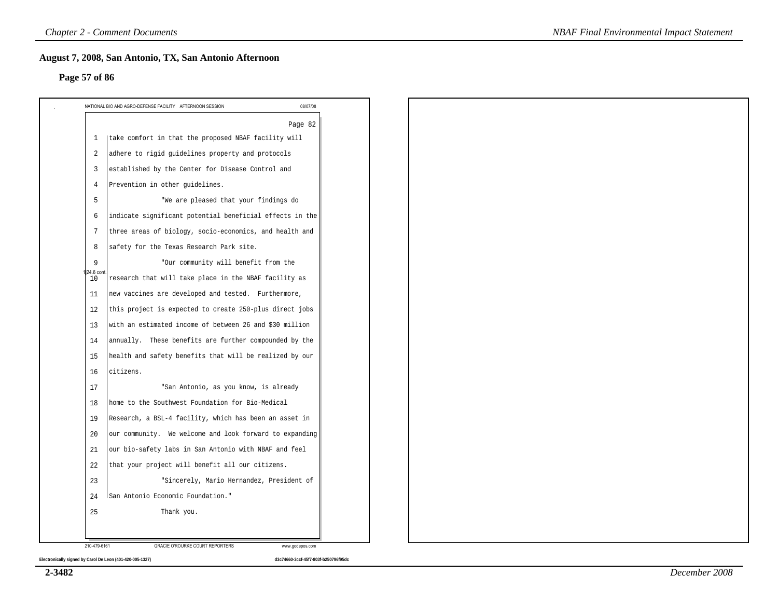#### **Page 57 of 86**

|                | Page 82                                                  |
|----------------|----------------------------------------------------------|
| $\mathbf{1}$   | take comfort in that the proposed NBAF facility will     |
| 2              | adhere to rigid guidelines property and protocols        |
| $\overline{3}$ | established by the Center for Disease Control and        |
| $\overline{4}$ | Prevention in other guidelines.                          |
| 5              | "We are pleased that your findings do                    |
| 6              | indicate significant potential beneficial effects in the |
| 7              | three areas of biology, socio-economics, and health and  |
| 8              | safety for the Texas Research Park site.                 |
| 9              | "Our community will benefit from the                     |
| 24.6 con<br>10 | research that will take place in the NBAF facility as    |
| 11             | new vaccines are developed and tested. Furthermore,      |
| 12             | this project is expected to create 250-plus direct jobs  |
| 13             | with an estimated income of between 26 and \$30 million  |
| 14             | annually. These benefits are further compounded by the   |
| 15             | health and safety benefits that will be realized by our  |
| 16             | citizens.                                                |
| 17             | "San Antonio, as you know, is already                    |
| 18             | home to the Southwest Foundation for Bio-Medical         |
| 19             | Research, a BSL-4 facility, which has been an asset in   |
| 20             | our community. We welcome and look forward to expanding  |
| 21             | our bio-safety labs in San Antonio with NBAF and feel    |
| 22             | that your project will benefit all our citizens.         |
| 23             | "Sincerely, Mario Hernandez, President of                |
| 24             | San Antonio Economic Foundation."                        |
| 25             | Thank you.                                               |
|                |                                                          |
| 210-479-6161   | GRACIE O'ROURKE COURT REPORTERS<br>www.godepos.com       |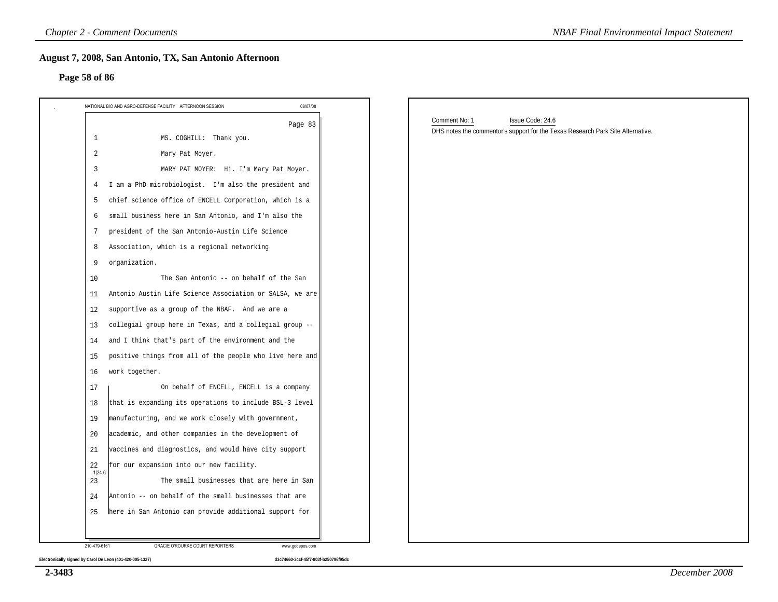#### **Page 58 of 86**

| 08/07/08<br>NATIONAL BIO AND AGRO-DEFENSE FACILITY AFTERNOON SESSION<br>Page 83<br>1<br>MS. COGHILL: Thank you.<br>2<br>Mary Pat Moyer. | Comment No: 1<br>Issue Code: 24.6                                               |
|-----------------------------------------------------------------------------------------------------------------------------------------|---------------------------------------------------------------------------------|
|                                                                                                                                         |                                                                                 |
|                                                                                                                                         | DHS notes the commentor's support for the Texas Research Park Site Alternative. |
|                                                                                                                                         |                                                                                 |
| 3<br>MARY PAT MOYER: Hi. I'm Mary Pat Moyer.                                                                                            |                                                                                 |
| I am a PhD microbiologist. I'm also the president and<br>4                                                                              |                                                                                 |
| chief science office of ENCELL Corporation, which is a<br>5                                                                             |                                                                                 |
| small business here in San Antonio, and I'm also the<br>6                                                                               |                                                                                 |
| president of the San Antonio-Austin Life Science<br>7                                                                                   |                                                                                 |
| Association, which is a regional networking<br>8                                                                                        |                                                                                 |
| organization.<br>9                                                                                                                      |                                                                                 |
| The San Antonio -- on behalf of the San<br>10                                                                                           |                                                                                 |
| Antonio Austin Life Science Association or SALSA, we are<br>11                                                                          |                                                                                 |
| supportive as a group of the NBAF. And we are a<br>12                                                                                   |                                                                                 |
| collegial group here in Texas, and a collegial group --<br>13                                                                           |                                                                                 |
| and I think that's part of the environment and the<br>14                                                                                |                                                                                 |
| positive things from all of the people who live here and<br>15                                                                          |                                                                                 |
| work together.<br>16                                                                                                                    |                                                                                 |
| On behalf of ENCELL, ENCELL is a company<br>17                                                                                          |                                                                                 |
| that is expanding its operations to include BSL-3 level<br>18                                                                           |                                                                                 |
| manufacturing, and we work closely with government,<br>19                                                                               |                                                                                 |
| academic, and other companies in the development of<br>-20                                                                              |                                                                                 |
| vaccines and diagnostics, and would have city support<br>21                                                                             |                                                                                 |
| for our expansion into our new facility.<br>22<br>1 24.6                                                                                |                                                                                 |
| 23<br>The small businesses that are here in San                                                                                         |                                                                                 |
| Antonio -- on behalf of the small businesses that are<br>24                                                                             |                                                                                 |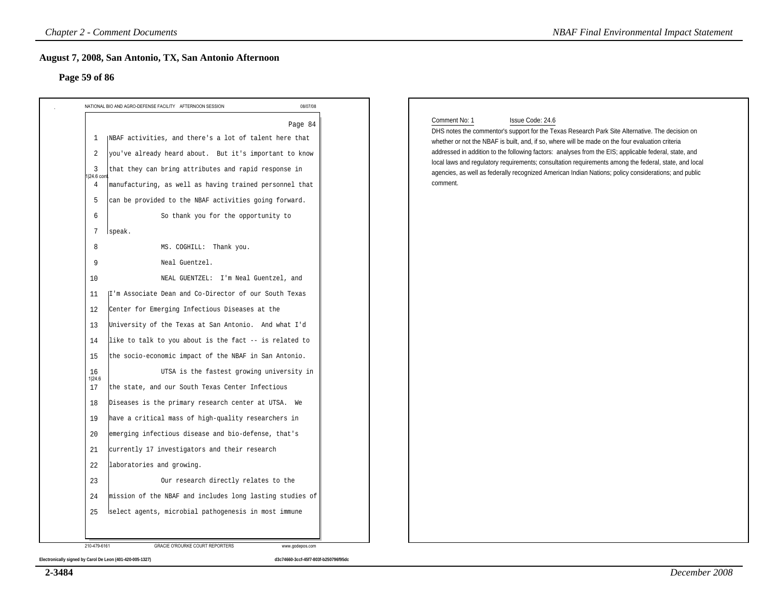#### **Page 59 of 86**

| Page 59 of 86                                                                                                                                                                                                                                                                                                                                                                                                                          |                                                                                                                                                                                                                                                                                                                                                                                                                                                                                                                                                                                                                                                                                                                                                                                                                                                                          |                                                                                                                                                                                                                                                                                                                                                                                                                                                                                                                                                                                |
|----------------------------------------------------------------------------------------------------------------------------------------------------------------------------------------------------------------------------------------------------------------------------------------------------------------------------------------------------------------------------------------------------------------------------------------|--------------------------------------------------------------------------------------------------------------------------------------------------------------------------------------------------------------------------------------------------------------------------------------------------------------------------------------------------------------------------------------------------------------------------------------------------------------------------------------------------------------------------------------------------------------------------------------------------------------------------------------------------------------------------------------------------------------------------------------------------------------------------------------------------------------------------------------------------------------------------|--------------------------------------------------------------------------------------------------------------------------------------------------------------------------------------------------------------------------------------------------------------------------------------------------------------------------------------------------------------------------------------------------------------------------------------------------------------------------------------------------------------------------------------------------------------------------------|
|                                                                                                                                                                                                                                                                                                                                                                                                                                        | 08/07/08                                                                                                                                                                                                                                                                                                                                                                                                                                                                                                                                                                                                                                                                                                                                                                                                                                                                 |                                                                                                                                                                                                                                                                                                                                                                                                                                                                                                                                                                                |
| NATIONAL BIO AND AGRO-DEFENSE FACILITY AFTERNOON SESSION<br>1<br>2<br>3<br>24.6 con<br>$\overline{4}$<br>5<br>6<br>7<br>speak.<br>8<br>9<br>Neal Guentzel.<br>10<br>11<br>12<br>Center for Emerging Infectious Diseases at the<br>13<br>14<br>15<br>16<br>1 24.6<br>the state, and our South Texas Center Infectious<br>17<br>18<br>19<br>20<br>currently 17 investigators and their research<br>21<br>22<br>laboratories and growing. | Page 84<br>NBAF activities, and there's a lot of talent here that<br>you've already heard about. But it's important to know<br>that they can bring attributes and rapid response in<br>manufacturing, as well as having trained personnel that<br>can be provided to the NBAF activities going forward.<br>So thank you for the opportunity to<br>MS. COGHILL: Thank you.<br>NEAL GUENTZEL: I'm Neal Guentzel, and<br>I'm Associate Dean and Co-Director of our South Texas<br>University of the Texas at San Antonio. And what I'd<br>like to talk to you about is the fact -- is related to<br>the socio-economic impact of the NBAF in San Antonio.<br>UTSA is the fastest growing university in<br>Diseases is the primary research center at UTSA. We<br>have a critical mass of high-quality researchers in<br>emerging infectious disease and bio-defense, that's | Comment No: 1<br>Issue Code: 24.6<br>DHS notes the commentor's support for the Texas Research Park Site Alternative. The decision on<br>whether or not the NBAF is built, and, if so, where will be made on the four evaluation criteria<br>addressed in addition to the following factors: analyses from the EIS; applicable federal, state, and<br>local laws and regulatory requirements; consultation requirements among the federal, state, and local<br>agencies, as well as federally recognized American Indian Nations; policy considerations; and public<br>comment. |
| 23                                                                                                                                                                                                                                                                                                                                                                                                                                     | Our research directly relates to the                                                                                                                                                                                                                                                                                                                                                                                                                                                                                                                                                                                                                                                                                                                                                                                                                                     |                                                                                                                                                                                                                                                                                                                                                                                                                                                                                                                                                                                |
| 24                                                                                                                                                                                                                                                                                                                                                                                                                                     | mission of the NBAF and includes long lasting studies of                                                                                                                                                                                                                                                                                                                                                                                                                                                                                                                                                                                                                                                                                                                                                                                                                 |                                                                                                                                                                                                                                                                                                                                                                                                                                                                                                                                                                                |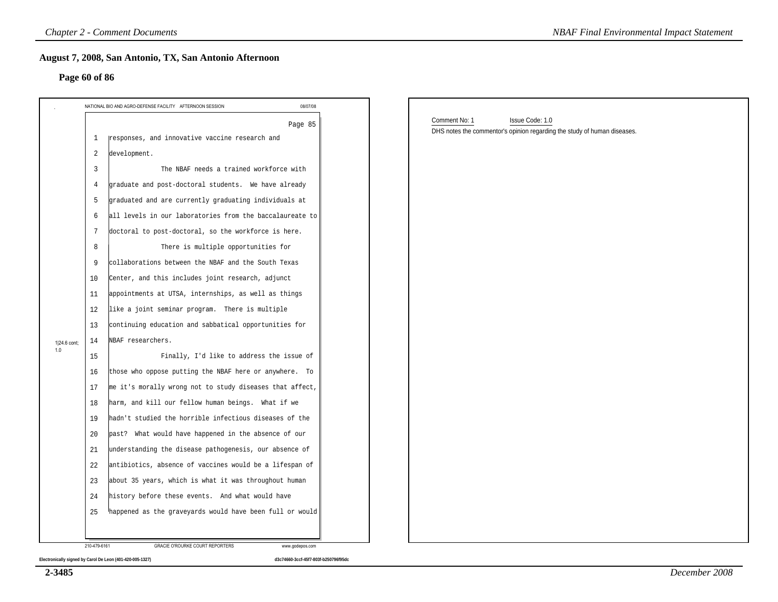#### **Page 60 of 86**

|               |                | <b>Chapter 2 - Comment Documents</b>                                 | <b>NBAF Final Environmental Impact Statement</b>                                                             |
|---------------|----------------|----------------------------------------------------------------------|--------------------------------------------------------------------------------------------------------------|
| Page 60 of 86 |                | August 7, 2008, San Antonio, TX, San Antonio Afternoon               |                                                                                                              |
|               |                | 08/07/08<br>NATIONAL BIO AND AGRO-DEFENSE FACILITY AFTERNOON SESSION |                                                                                                              |
|               | 1              | Page 85<br>responses, and innovative vaccine research and            | Comment No: 1<br>Issue Code: 1.0<br>DHS notes the commentor's opinion regarding the study of human diseases. |
|               | 2              | development.                                                         |                                                                                                              |
|               | $\overline{3}$ | The NBAF needs a trained workforce with                              |                                                                                                              |
|               | 4              | graduate and post-doctoral students. We have already                 |                                                                                                              |
|               | 5              | graduated and are currently graduating individuals at                |                                                                                                              |
|               | 6              | all levels in our laboratories from the baccalaureate to             |                                                                                                              |
|               | 7              | doctoral to post-doctoral, so the workforce is here.                 |                                                                                                              |
|               | 8              | There is multiple opportunities for                                  |                                                                                                              |
|               | 9              | collaborations between the NBAF and the South Texas                  |                                                                                                              |
|               | 10             | Center, and this includes joint research, adjunct                    |                                                                                                              |
|               | 11             | appointments at UTSA, internships, as well as things                 |                                                                                                              |
|               | 12             | like a joint seminar program. There is multiple                      |                                                                                                              |
|               | 13             | continuing education and sabbatical opportunities for                |                                                                                                              |
| 1 24.6 cont;  | 14             | NBAF researchers.                                                    |                                                                                                              |
| 1.0           | 15             | Finally, I'd like to address the issue of                            |                                                                                                              |
|               | 16             | those who oppose putting the NBAF here or anywhere. To               |                                                                                                              |
|               | 17             | me it's morally wrong not to study diseases that affect,             |                                                                                                              |
|               | 18             | harm, and kill our fellow human beings. What if we                   |                                                                                                              |
|               | 19             | hadn't studied the horrible infectious diseases of the               |                                                                                                              |
|               | 20             | past? What would have happened in the absence of our                 |                                                                                                              |
|               | 21             | understanding the disease pathogenesis, our absence of               |                                                                                                              |
|               | 22             | antibiotics, absence of vaccines would be a lifespan of              |                                                                                                              |
|               | 23             | about 35 years, which is what it was throughout human                |                                                                                                              |
|               | 24             | history before these events. And what would have                     |                                                                                                              |
|               | 25             | happened as the graveyards would have been full or would             |                                                                                                              |
|               |                |                                                                      |                                                                                                              |
|               | 210-479-6161   | GRACIE O'ROURKE COURT REPORTERS<br>www.godepos.com                   |                                                                                                              |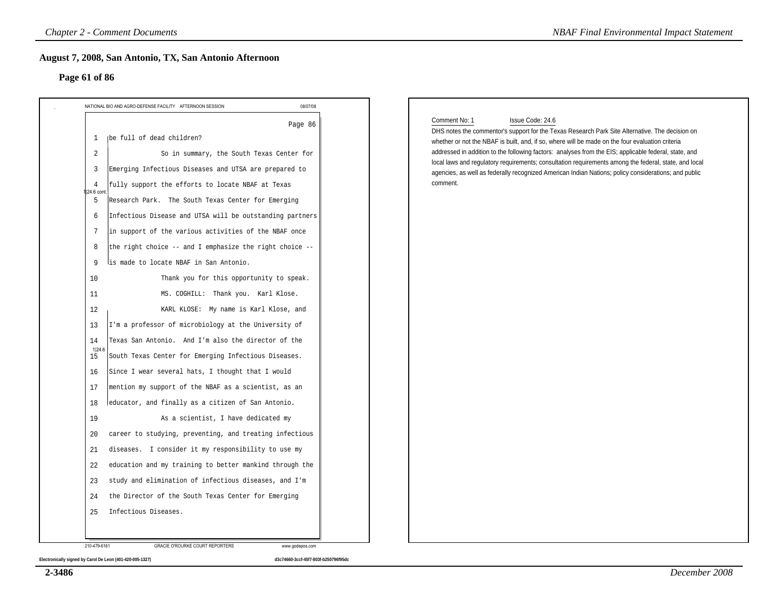#### **Page 61 of 86**

| NATIONAL BIO AND AGRO-DEFENSE FACILITY AFTERNOON SESSION                                                                                                                                                                                                                                                                                                                                                                                                                                                                                                                                                                                                                                                                                                                                                                                                                                                                                                                                                                                                                                                                                                                                                                                                                                                                                                                                                                                        | 08/07/08 |                                                                                                                                                                                                                                                                                                                                                                                                                                                                                                                                                                                |
|-------------------------------------------------------------------------------------------------------------------------------------------------------------------------------------------------------------------------------------------------------------------------------------------------------------------------------------------------------------------------------------------------------------------------------------------------------------------------------------------------------------------------------------------------------------------------------------------------------------------------------------------------------------------------------------------------------------------------------------------------------------------------------------------------------------------------------------------------------------------------------------------------------------------------------------------------------------------------------------------------------------------------------------------------------------------------------------------------------------------------------------------------------------------------------------------------------------------------------------------------------------------------------------------------------------------------------------------------------------------------------------------------------------------------------------------------|----------|--------------------------------------------------------------------------------------------------------------------------------------------------------------------------------------------------------------------------------------------------------------------------------------------------------------------------------------------------------------------------------------------------------------------------------------------------------------------------------------------------------------------------------------------------------------------------------|
| Ibe full of dead children?<br>1<br>So in summary, the South Texas Center for<br>2<br>Emerging Infectious Diseases and UTSA are prepared to<br>3<br>fully support the efforts to locate NBAF at Texas<br>4<br>24.6 cont<br>Research Park. The South Texas Center for Emerging<br>5<br>Infectious Disease and UTSA will be outstanding partners<br>6<br>in support of the various activities of the NBAF once<br>7<br>the right choice -- and I emphasize the right choice --<br>8<br>lis made to locate NBAF in San Antonio.<br>9<br>Thank you for this opportunity to speak.<br>10<br>11<br>MS. COGHILL: Thank you. Karl Klose.<br>KARL KLOSE: My name is Karl Klose, and<br>12<br>I'm a professor of microbiology at the University of<br>13<br>Texas San Antonio. And I'm also the director of the<br>14<br>1 24.6<br>South Texas Center for Emerging Infectious Diseases.<br>15<br>Since I wear several hats, I thought that I would<br>16<br>mention my support of the NBAF as a scientist, as an<br>17<br>educator, and finally as a citizen of San Antonio.<br>18<br>As a scientist, I have dedicated my<br>19<br>career to studying, preventing, and treating infectious<br>20<br>diseases. I consider it my responsibility to use my<br>21<br>education and my training to better mankind through the<br>22<br>study and elimination of infectious diseases, and I'm<br>23<br>the Director of the South Texas Center for Emerging<br>24 | Page 86  | Comment No: 1<br>Issue Code: 24.6<br>DHS notes the commentor's support for the Texas Research Park Site Alternative. The decision on<br>whether or not the NBAF is built, and, if so, where will be made on the four evaluation criteria<br>addressed in addition to the following factors: analyses from the EIS; applicable federal, state, and<br>local laws and regulatory requirements; consultation requirements among the federal, state, and local<br>agencies, as well as federally recognized American Indian Nations; policy considerations; and public<br>comment. |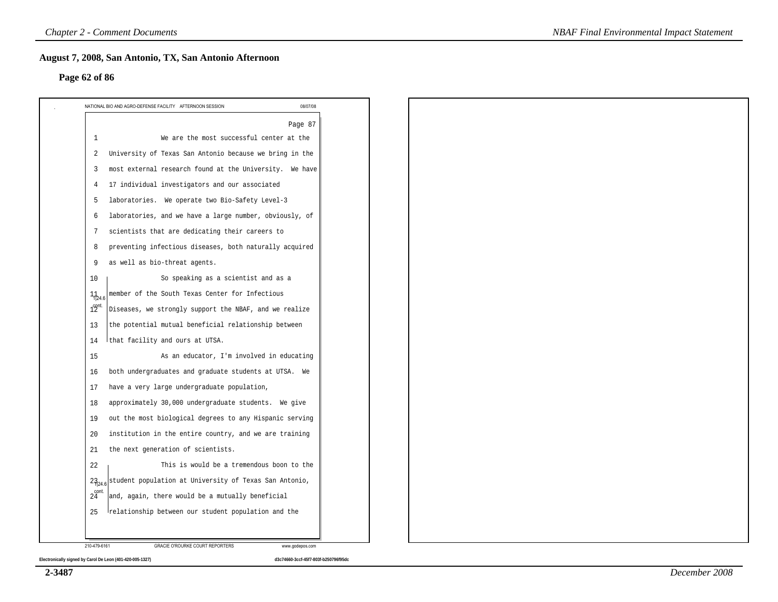#### **Page 62 of 86**

|                  | Page 87                                                 |  |  |  |
|------------------|---------------------------------------------------------|--|--|--|
| 1                | We are the most successful center at the                |  |  |  |
| 2                | University of Texas San Antonio because we bring in the |  |  |  |
| 3                | most external research found at the University. We have |  |  |  |
| 4                | 17 individual investigators and our associated          |  |  |  |
| 5                | laboratories. We operate two Bio-Safety Level-3         |  |  |  |
| 6                | laboratories, and we have a large number, obviously, of |  |  |  |
| 7                | scientists that are dedicating their careers to         |  |  |  |
| 8                | preventing infectious diseases, both naturally acquired |  |  |  |
| 9                | as well as bio-threat agents.                           |  |  |  |
| 10               | So speaking as a scientist and as a                     |  |  |  |
| $1_{124}$        | member of the South Texas Center for Infectious         |  |  |  |
| 1 <sup>opt</sup> | Diseases, we strongly support the NBAF, and we realize  |  |  |  |
| 13               | the potential mutual beneficial relationship between    |  |  |  |
| 14               | that facility and ours at UTSA.                         |  |  |  |
| 15               | As an educator, I'm involved in educating               |  |  |  |
| 16               | both undergraduates and graduate students at UTSA. We   |  |  |  |
| 17               | have a very large undergraduate population,             |  |  |  |
| 18               | approximately 30,000 undergraduate students. We give    |  |  |  |
| 19               | out the most biological degrees to any Hispanic serving |  |  |  |
| 20               | institution in the entire country, and we are training  |  |  |  |
| 21               | the next generation of scientists.                      |  |  |  |
| 22               | This is would be a tremendous boon to the               |  |  |  |
| $23_{24.6}$      | student population at University of Texas San Antonio,  |  |  |  |
| cont.<br>24      | and, again, there would be a mutually beneficial        |  |  |  |
| 25               | relationship between our student population and the     |  |  |  |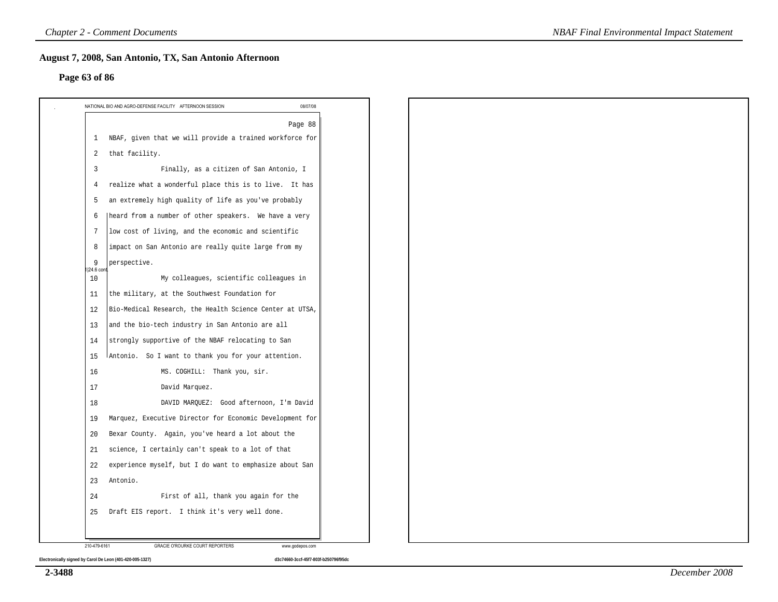#### **Page 63 of 86**

|                  | 08/07/08<br>NATIONAL BIO AND AGRO-DEFENSE FACILITY AFTERNOON SESSION |
|------------------|----------------------------------------------------------------------|
|                  | Page 88                                                              |
| 1                | NBAF, given that we will provide a trained workforce for             |
| 2                | that facility.                                                       |
| $\overline{3}$   | Finally, as a citizen of San Antonio, I                              |
| $\overline{4}$   | realize what a wonderful place this is to live. It has               |
| 5                | an extremely high quality of life as you've probably                 |
| 6                | heard from a number of other speakers. We have a very                |
| $7\phantom{.0}$  | low cost of living, and the economic and scientific                  |
| 8                | impact on San Antonio are really quite large from my                 |
| 9<br>1 24.6 cont | perspective.                                                         |
| 10               | My colleagues, scientific colleagues in                              |
| 11               | the military, at the Southwest Foundation for                        |
| 12               | Bio-Medical Research, the Health Science Center at UTSA,             |
| 13               | and the bio-tech industry in San Antonio are all                     |
| 14               | strongly supportive of the NBAF relocating to San                    |
| 15               | Antonio. So I want to thank you for your attention.                  |
| 16               | MS. COGHILL: Thank you, sir.                                         |
| 17               | David Marquez.                                                       |
| 18               | DAVID MARQUEZ: Good afternoon, I'm David                             |
| 19               | Marquez, Executive Director for Economic Development for             |
| 20               | Bexar County. Again, you've heard a lot about the                    |
| 21               | science, I certainly can't speak to a lot of that                    |
| 22               | experience myself, but I do want to emphasize about San              |
| 23               | Antonio.                                                             |
| 24               | First of all, thank you again for the                                |
| 25               | Draft EIS report. I think it's very well done.                       |
|                  |                                                                      |
| 210-479-6161     | GRACIE O'ROURKE COURT REPORTERS<br>www.godepos.com                   |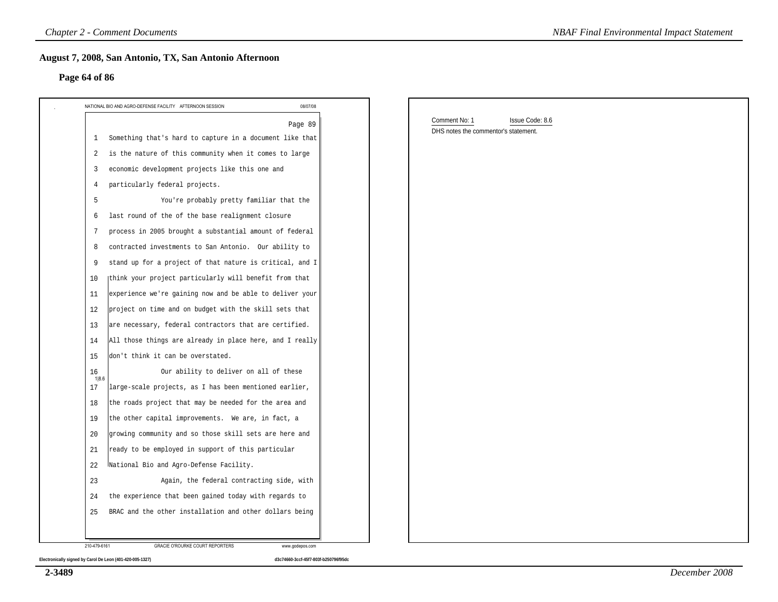#### **Page 64 of 86**

| Page 64 of 86                                                            |          |                                                       |                 |
|--------------------------------------------------------------------------|----------|-------------------------------------------------------|-----------------|
| NATIONAL BIO AND AGRO-DEFENSE FACILITY AFTERNOON SESSION                 | 08/07/08 |                                                       |                 |
|                                                                          | Page 89  | Comment No: 1<br>DHS notes the commentor's statement. | Issue Code: 8.6 |
| Something that's hard to capture in a document like that<br>$\mathbf{1}$ |          |                                                       |                 |
| is the nature of this community when it comes to large<br>2              |          |                                                       |                 |
| economic development projects like this one and<br>3                     |          |                                                       |                 |
| particularly federal projects.<br>4                                      |          |                                                       |                 |
| You're probably pretty familiar that the<br>5                            |          |                                                       |                 |
| last round of the of the base realignment closure<br>6                   |          |                                                       |                 |
| process in 2005 brought a substantial amount of federal<br>7             |          |                                                       |                 |
| contracted investments to San Antonio. Our ability to<br>8               |          |                                                       |                 |
| stand up for a project of that nature is critical, and I<br>9            |          |                                                       |                 |
| think your project particularly will benefit from that<br>10             |          |                                                       |                 |
| experience we're gaining now and be able to deliver your<br>11           |          |                                                       |                 |
| project on time and on budget with the skill sets that<br>12             |          |                                                       |                 |
| are necessary, federal contractors that are certified.<br>13             |          |                                                       |                 |
| All those things are already in place here, and I really<br>14           |          |                                                       |                 |
| don't think it can be overstated.<br>15                                  |          |                                                       |                 |
| 16<br>Our ability to deliver on all of these                             |          |                                                       |                 |
| 1 8.6<br>large-scale projects, as I has been mentioned earlier,<br>17    |          |                                                       |                 |
| the roads project that may be needed for the area and<br>18              |          |                                                       |                 |
| the other capital improvements. We are, in fact, a<br>19                 |          |                                                       |                 |
| growing community and so those skill sets are here and<br>20             |          |                                                       |                 |
| ready to be employed in support of this particular<br>21                 |          |                                                       |                 |
| National Bio and Agro-Defense Facility.<br>22                            |          |                                                       |                 |
| Again, the federal contracting side, with<br>23                          |          |                                                       |                 |
| the experience that been gained today with regards to<br>24              |          |                                                       |                 |
| BRAC and the other installation and other dollars being<br>25            |          |                                                       |                 |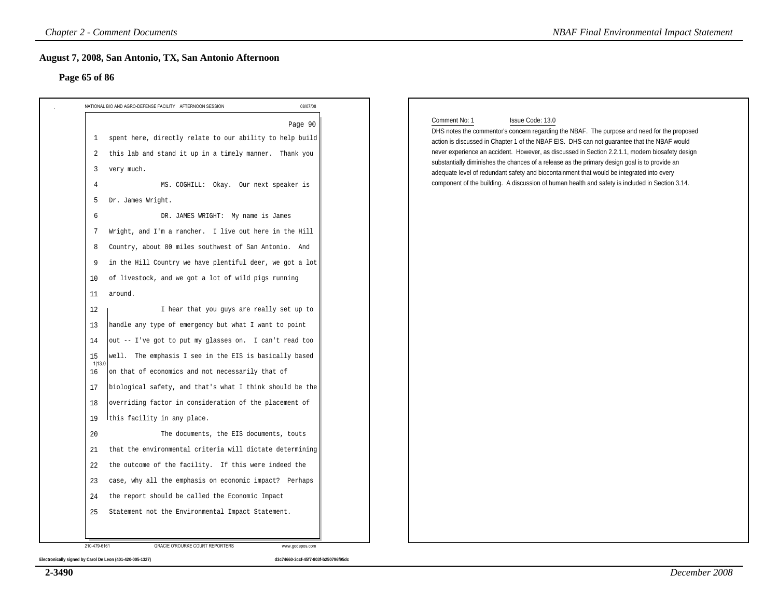#### **Page 65 of 86**

| 08/07/08<br>NATIONAL BIO AND AGRO-DEFENSE FACILITY AFTERNOON SESSION     | Comment No: 1<br>Issue Code: 13.0                                                                                                                                                              |
|--------------------------------------------------------------------------|------------------------------------------------------------------------------------------------------------------------------------------------------------------------------------------------|
| Page 90<br>spent here, directly relate to our ability to help build<br>1 | DHS notes the commentor's concern regarding the NBAF. The purpose and need for the proposed                                                                                                    |
| this lab and stand it up in a timely manner. Thank you<br>2              | action is discussed in Chapter 1 of the NBAF EIS. DHS can not quarantee that the NBAF would<br>never experience an accident. However, as discussed in Section 2.2.1.1, modern biosafety design |
| very much.<br>3                                                          | substantially diminishes the chances of a release as the primary design goal is to provide an                                                                                                  |
| MS. COGHILL: Okay. Our next speaker is<br>4                              | adequate level of redundant safety and biocontainment that would be integrated into every<br>component of the building. A discussion of human health and safety is included in Section 3.14.   |
| Dr. James Wright.<br>5                                                   |                                                                                                                                                                                                |
| DR. JAMES WRIGHT: My name is James<br>6                                  |                                                                                                                                                                                                |
| Wright, and I'm a rancher. I live out here in the Hill<br>7              |                                                                                                                                                                                                |
| Country, about 80 miles southwest of San Antonio. And<br>8               |                                                                                                                                                                                                |
| in the Hill Country we have plentiful deer, we got a lot<br>9            |                                                                                                                                                                                                |
| of livestock, and we got a lot of wild pigs running<br>10                |                                                                                                                                                                                                |
| around.<br>11                                                            |                                                                                                                                                                                                |
| I hear that you guys are really set up to<br>12                          |                                                                                                                                                                                                |
| handle any type of emergency but what I want to point<br>13              |                                                                                                                                                                                                |
| out -- I've got to put my glasses on. I can't read too<br>14             |                                                                                                                                                                                                |
| well. The emphasis I see in the EIS is basically based<br>15             |                                                                                                                                                                                                |
| 1 13.0<br>on that of economics and not necessarily that of<br>16         |                                                                                                                                                                                                |
| biological safety, and that's what I think should be the<br>17           |                                                                                                                                                                                                |
| overriding factor in consideration of the placement of<br>18             |                                                                                                                                                                                                |
| this facility in any place.<br>19                                        |                                                                                                                                                                                                |
| 20<br>The documents, the EIS documents, touts                            |                                                                                                                                                                                                |
| that the environmental criteria will dictate determining<br>21           |                                                                                                                                                                                                |
| the outcome of the facility. If this were indeed the<br>22               |                                                                                                                                                                                                |
| case, why all the emphasis on economic impact? Perhaps<br>23             |                                                                                                                                                                                                |
| the report should be called the Economic Impact<br>24                    |                                                                                                                                                                                                |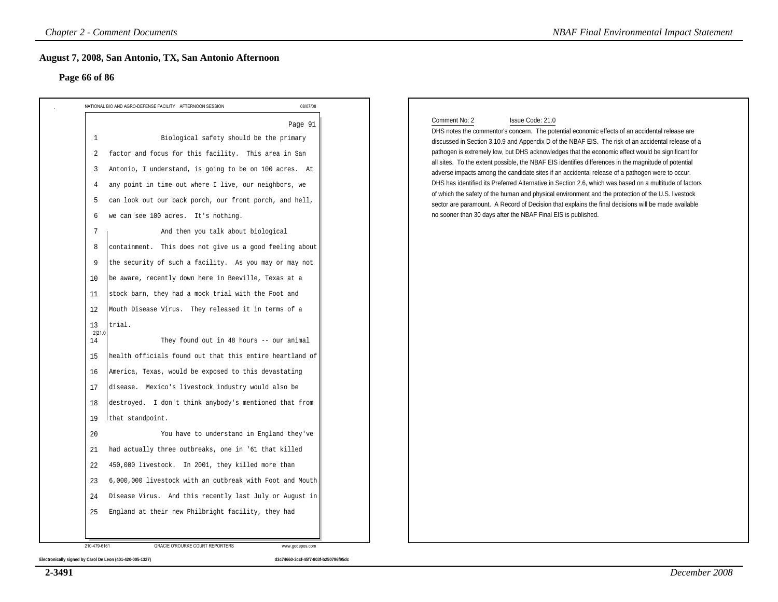#### **Page 66 of 86**

| NATIONAL BIO AND AGRO-DEFENSE FACILITY AFTERNOON SESSION                                                                                                                                                                                                                                                                                                                                                                                                                                                                                                                                                                                                                                                                                                                                                                                                                                                                                                                                                                                                                                                                                                                                                                                                                                                                                                                                                         | 08/07/08 |                                                                                                                                                                                                                                                                                                                                                                                                                                                                                                                                                                                                                                                                                                                                                                                                                                                                                                                                                   |
|------------------------------------------------------------------------------------------------------------------------------------------------------------------------------------------------------------------------------------------------------------------------------------------------------------------------------------------------------------------------------------------------------------------------------------------------------------------------------------------------------------------------------------------------------------------------------------------------------------------------------------------------------------------------------------------------------------------------------------------------------------------------------------------------------------------------------------------------------------------------------------------------------------------------------------------------------------------------------------------------------------------------------------------------------------------------------------------------------------------------------------------------------------------------------------------------------------------------------------------------------------------------------------------------------------------------------------------------------------------------------------------------------------------|----------|---------------------------------------------------------------------------------------------------------------------------------------------------------------------------------------------------------------------------------------------------------------------------------------------------------------------------------------------------------------------------------------------------------------------------------------------------------------------------------------------------------------------------------------------------------------------------------------------------------------------------------------------------------------------------------------------------------------------------------------------------------------------------------------------------------------------------------------------------------------------------------------------------------------------------------------------------|
| $\mathbf{1}$<br>Biological safety should be the primary<br>factor and focus for this facility. This area in San<br>2<br>Antonio, I understand, is going to be on 100 acres. At<br>3<br>any point in time out where I live, our neighbors, we<br>4<br>can look out our back porch, our front porch, and hell,<br>5<br>we can see 100 acres. It's nothing.<br>6<br>And then you talk about biological<br>7<br>containment. This does not give us a good feeling about<br>8<br>the security of such a facility. As you may or may not<br>9<br>be aware, recently down here in Beeville, Texas at a<br>10<br>stock barn, they had a mock trial with the Foot and<br>11<br>Mouth Disease Virus. They released it in terms of a<br>12<br>trial.<br>13<br>2 21.0<br>They found out in 48 hours -- our animal<br>14<br>health officials found out that this entire heartland of<br>15<br>America, Texas, would be exposed to this devastating<br>16<br>disease. Mexico's livestock industry would also be<br>17<br>destroyed. I don't think anybody's mentioned that from<br>18<br>19<br>that standpoint.<br>You have to understand in England they've<br>20<br>had actually three outbreaks, one in '61 that killed<br>21<br>450,000 livestock. In 2001, they killed more than<br>22<br>6,000,000 livestock with an outbreak with Foot and Mouth<br>23<br>Disease Virus. And this recently last July or August in<br>24 | Page 91  | Comment No: 2<br>Issue Code: 21.0<br>DHS notes the commentor's concern. The potential economic effects of an accidental release are<br>discussed in Section 3.10.9 and Appendix D of the NBAF EIS. The risk of an accidental release of a<br>pathogen is extremely low, but DHS acknowledges that the economic effect would be significant for<br>all sites. To the extent possible, the NBAF EIS identifies differences in the magnitude of potential<br>adverse impacts among the candidate sites if an accidental release of a pathogen were to occur.<br>DHS has identified its Preferred Alternative in Section 2.6, which was based on a multitude of factors<br>of which the safety of the human and physical environment and the protection of the U.S. livestock<br>sector are paramount. A Record of Decision that explains the final decisions will be made available<br>no sooner than 30 days after the NBAF Final EIS is published. |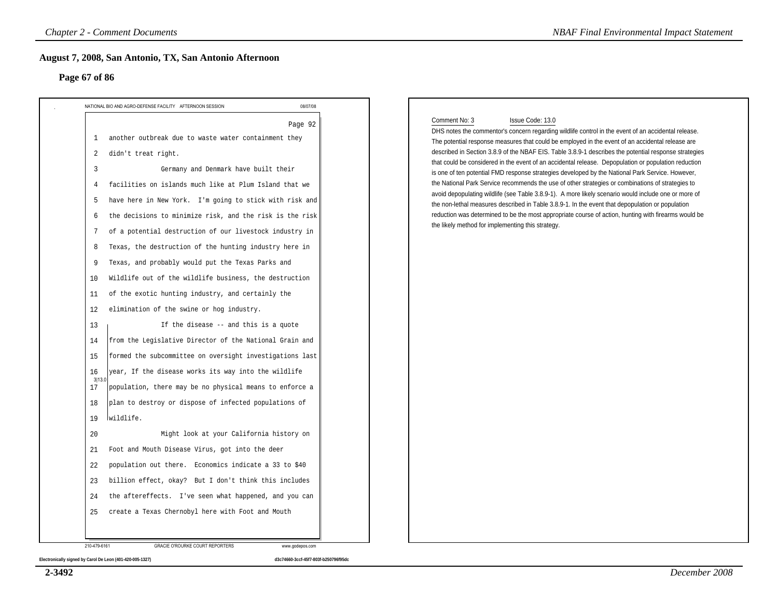#### **Page 67 of 86**

| NATIONAL BIO AND AGRO-DEFENSE FACILITY AFTERNOON SESSION                                                                                                                                                                                                                                                                                                                                                                                                                                                                                                                                                                                                                                                                                                                                                                                                                                                                                                                                                                                                                                                                                                                                                                                                                                                                                                                                                                                     | 08/07/08 |                                                                                                                                                                                                                                                                                                                                                                                                                                                                                                                                                                                                                                                                                                                                                                                                                                                                                                                                                                                                                                                 |
|----------------------------------------------------------------------------------------------------------------------------------------------------------------------------------------------------------------------------------------------------------------------------------------------------------------------------------------------------------------------------------------------------------------------------------------------------------------------------------------------------------------------------------------------------------------------------------------------------------------------------------------------------------------------------------------------------------------------------------------------------------------------------------------------------------------------------------------------------------------------------------------------------------------------------------------------------------------------------------------------------------------------------------------------------------------------------------------------------------------------------------------------------------------------------------------------------------------------------------------------------------------------------------------------------------------------------------------------------------------------------------------------------------------------------------------------|----------|-------------------------------------------------------------------------------------------------------------------------------------------------------------------------------------------------------------------------------------------------------------------------------------------------------------------------------------------------------------------------------------------------------------------------------------------------------------------------------------------------------------------------------------------------------------------------------------------------------------------------------------------------------------------------------------------------------------------------------------------------------------------------------------------------------------------------------------------------------------------------------------------------------------------------------------------------------------------------------------------------------------------------------------------------|
| another outbreak due to waste water containment they<br>1<br>didn't treat right.<br>2<br>Germany and Denmark have built their<br>$\overline{3}$<br>facilities on islands much like at Plum Island that we<br>4<br>have here in New York. I'm going to stick with risk and<br>5<br>the decisions to minimize risk, and the risk is the risk<br>6<br>of a potential destruction of our livestock industry in<br>7<br>Texas, the destruction of the hunting industry here in<br>8<br>Texas, and probably would put the Texas Parks and<br>9<br>Wildlife out of the wildlife business, the destruction<br>10<br>of the exotic hunting industry, and certainly the<br>11<br>elimination of the swine or hog industry.<br>12<br>If the disease -- and this is a quote<br>13<br>from the Legislative Director of the National Grain and<br>14<br>formed the subcommittee on oversight investigations last<br>15<br>year, If the disease works its way into the wildlife<br>16<br>3 13.0<br>population, there may be no physical means to enforce a<br>17<br>plan to destroy or dispose of infected populations of<br>18<br>wildlife.<br>19<br>Might look at your California history on<br>20<br>Foot and Mouth Disease Virus, got into the deer<br>21<br>population out there. Economics indicate a 33 to \$40<br>22<br>billion effect, okay? But I don't think this includes<br>23<br>the aftereffects. I've seen what happened, and you can<br>24 | Page 92  | Comment No: 3<br>Issue Code: 13.0<br>DHS notes the commentor's concern regarding wildlife control in the event of an accidental release.<br>The potential response measures that could be employed in the event of an accidental release are<br>described in Section 3.8.9 of the NBAF EIS. Table 3.8.9-1 describes the potential response strategies<br>that could be considered in the event of an accidental release. Depopulation or population reduction<br>is one of ten potential FMD response strategies developed by the National Park Service. However,<br>the National Park Service recommends the use of other strategies or combinations of strategies to<br>avoid depopulating wildlife (see Table 3.8.9-1). A more likely scenario would include one or more of<br>the non-lethal measures described in Table 3.8.9-1. In the event that depopulation or population<br>reduction was determined to be the most appropriate course of action, hunting with firearms would be<br>the likely method for implementing this strategy. |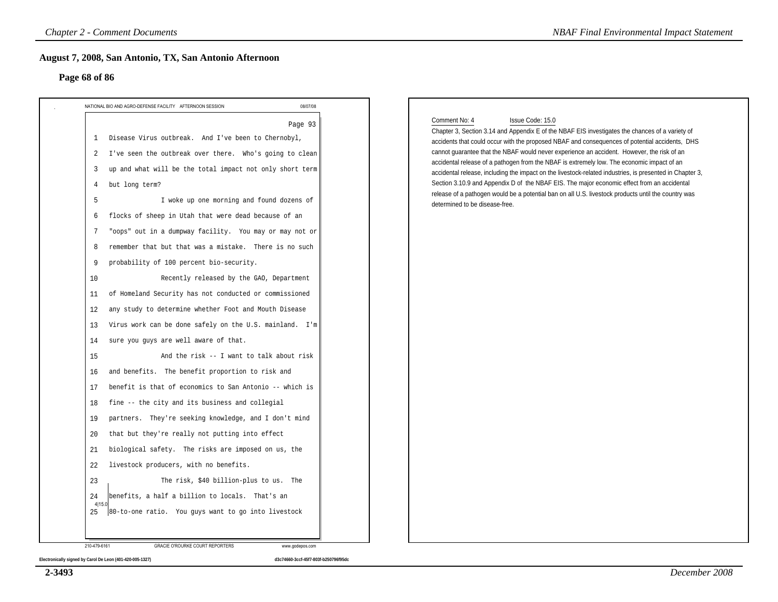#### **Page 68 of 86**

| Page 68 of 86                                                                                                                                                                                                                                                                                                                                                                                                                                                                                                                                                                                                                                                                                                                                                                                                                                                                                                                                                                                                                                                                                                                                                                                                                                                                                                                                                                                                                                                               |          |                                                                                                                                                                                                                                                                                                                                                                                                                                                                                                                                                                                                                                                                                                                                                                                        |
|-----------------------------------------------------------------------------------------------------------------------------------------------------------------------------------------------------------------------------------------------------------------------------------------------------------------------------------------------------------------------------------------------------------------------------------------------------------------------------------------------------------------------------------------------------------------------------------------------------------------------------------------------------------------------------------------------------------------------------------------------------------------------------------------------------------------------------------------------------------------------------------------------------------------------------------------------------------------------------------------------------------------------------------------------------------------------------------------------------------------------------------------------------------------------------------------------------------------------------------------------------------------------------------------------------------------------------------------------------------------------------------------------------------------------------------------------------------------------------|----------|----------------------------------------------------------------------------------------------------------------------------------------------------------------------------------------------------------------------------------------------------------------------------------------------------------------------------------------------------------------------------------------------------------------------------------------------------------------------------------------------------------------------------------------------------------------------------------------------------------------------------------------------------------------------------------------------------------------------------------------------------------------------------------------|
|                                                                                                                                                                                                                                                                                                                                                                                                                                                                                                                                                                                                                                                                                                                                                                                                                                                                                                                                                                                                                                                                                                                                                                                                                                                                                                                                                                                                                                                                             | 08/07/08 |                                                                                                                                                                                                                                                                                                                                                                                                                                                                                                                                                                                                                                                                                                                                                                                        |
| NATIONAL BIO AND AGRO-DEFENSE FACILITY AFTERNOON SESSION<br>Disease Virus outbreak. And I've been to Chernobyl,<br>1<br>I've seen the outbreak over there. Who's going to clean<br>2<br>up and what will be the total impact not only short term<br>3<br>but long term?<br>4<br>I woke up one morning and found dozens of<br>5<br>flocks of sheep in Utah that were dead because of an<br>6<br>"oops" out in a dumpway facility. You may or may not or<br>7<br>remember that but that was a mistake. There is no such<br>8<br>probability of 100 percent bio-security.<br>9<br>Recently released by the GAO, Department<br>10<br>of Homeland Security has not conducted or commissioned<br>11<br>any study to determine whether Foot and Mouth Disease<br>12<br>Virus work can be done safely on the U.S. mainland. I'm<br>13<br>sure you guys are well aware of that.<br>14<br>And the risk -- I want to talk about risk<br>15<br>and benefits. The benefit proportion to risk and<br>16<br>benefit is that of economics to San Antonio -- which is<br>17<br>fine -- the city and its business and collegial<br>18<br>partners. They're seeking knowledge, and I don't mind<br>19<br>that but they're really not putting into effect<br>20<br>biological safety. The risks are imposed on us, the<br>21<br>livestock producers, with no benefits.<br>22<br>The risk, \$40 billion-plus to us. The<br>23<br>24<br>benefits, a half a billion to locals. That's an<br>4 15.0 | Page 93  | Comment No: 4<br>Issue Code: 15.0<br>Chapter 3, Section 3.14 and Appendix E of the NBAF EIS investigates the chances of a variety of<br>accidents that could occur with the proposed NBAF and consequences of potential accidents, DHS<br>cannot guarantee that the NBAF would never experience an accident. However, the risk of an<br>accidental release of a pathogen from the NBAF is extremely low. The economic impact of an<br>accidental release, including the impact on the livestock-related industries, is presented in Chapter 3,<br>Section 3.10.9 and Appendix D of the NBAF EIS. The major economic effect from an accidental<br>release of a pathogen would be a potential ban on all U.S. livestock products until the country was<br>determined to be disease-free. |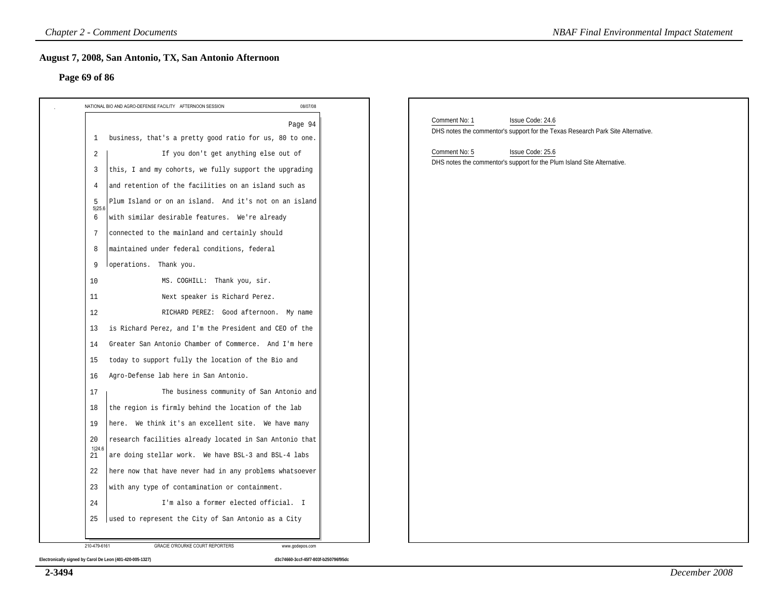#### **Page 69 of 86**

| Page 69 of 86                                                                                                                                                                                                                                                                                                                                                                                                                                                                                                                                                                                                                                                                                                                                                                                                   |                                                                                                                                                                                                                                      |
|-----------------------------------------------------------------------------------------------------------------------------------------------------------------------------------------------------------------------------------------------------------------------------------------------------------------------------------------------------------------------------------------------------------------------------------------------------------------------------------------------------------------------------------------------------------------------------------------------------------------------------------------------------------------------------------------------------------------------------------------------------------------------------------------------------------------|--------------------------------------------------------------------------------------------------------------------------------------------------------------------------------------------------------------------------------------|
|                                                                                                                                                                                                                                                                                                                                                                                                                                                                                                                                                                                                                                                                                                                                                                                                                 | 08/07/08                                                                                                                                                                                                                             |
| NATIONAL BIO AND AGRO-DEFENSE FACILITY AFTERNOON SESSION<br>Page 94<br>business, that's a pretty good ratio for us, 80 to one.<br>$\mathbf{1}$<br>2<br>If you don't get anything else out of<br>this, I and my cohorts, we fully support the upgrading<br>3<br>and retention of the facilities on an island such as<br>$\overline{4}$<br>Plum Island or on an island. And it's not on an island<br>5<br>5 25.6<br>with similar desirable features. We're already<br>6<br>connected to the mainland and certainly should<br>7<br>maintained under federal conditions, federal<br>8<br>loperations. Thank you.<br>9<br>MS. COGHILL: Thank you, sir.<br>10<br>Next speaker is Richard Perez.<br>11<br>RICHARD PEREZ: Good afternoon. My name<br>12<br>is Richard Perez, and I'm the President and CEO of the<br>13 | Comment No: 1<br>Issue Code: 24.6<br>DHS notes the commentor's support for the Texas Research Park Site Alternative.<br>Comment No: 5<br>Issue Code: 25.6<br>DHS notes the commentor's support for the Plum Island Site Alternative. |
| Greater San Antonio Chamber of Commerce. And I'm here<br>14<br>today to support fully the location of the Bio and<br>15<br>Agro-Defense lab here in San Antonio.<br>16<br>The business community of San Antonio and<br>17<br>the region is firmly behind the location of the lab<br>18<br>here. We think it's an excellent site. We have many<br>19<br>20<br>research facilities already located in San Antonio that<br>1 24.6<br>are doing stellar work. We have BSL-3 and BSL-4 labs<br>21<br>$2\sqrt{2}$<br>here now that have never had in any problems whatsoever<br>with any type of contamination or containment.<br>23<br>24<br>I'm also a former elected official. I<br>used to represent the City of San Antonio as a City<br>25                                                                      |                                                                                                                                                                                                                                      |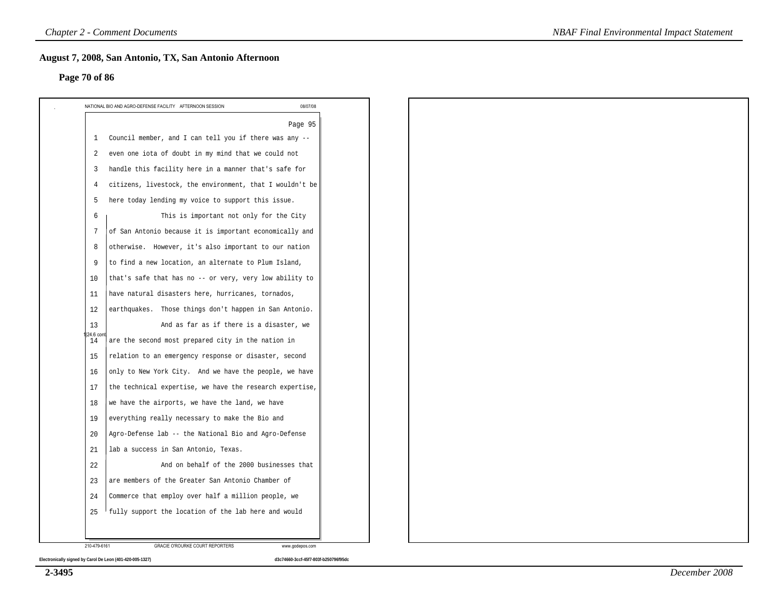#### **Page 70 of 86**

|                | NATIONAL BIO AND AGRO-DEFENSE FACILITY AFTERNOON SESSION<br>08/07/08 |
|----------------|----------------------------------------------------------------------|
| 1              | Page 95<br>Council member, and I can tell you if there was any --    |
| 2              | even one iota of doubt in my mind that we could not                  |
|                |                                                                      |
| 3              | handle this facility here in a manner that's safe for                |
| 4              | citizens, livestock, the environment, that I wouldn't be             |
| 5              | here today lending my voice to support this issue.                   |
| 6              | This is important not only for the City                              |
| 7              | of San Antonio because it is important economically and              |
| 8              | otherwise. However, it's also important to our nation                |
| 9              | to find a new location, an alternate to Plum Island,                 |
| 10             | that's safe that has no -- or very, very low ability to              |
| 11             | have natural disasters here, hurricanes, tornados,                   |
| 12             | earthquakes. Those things don't happen in San Antonio.               |
| 13<br>24.6 cor | And as far as if there is a disaster, we                             |
| 14             | are the second most prepared city in the nation in                   |
| 15             | relation to an emergency response or disaster, second                |
| 16             | only to New York City. And we have the people, we have               |
| 17             | the technical expertise, we have the research expertise,             |
| 18             | we have the airports, we have the land, we have                      |
| 19             | everything really necessary to make the Bio and                      |
| 20             | Agro-Defense lab -- the National Bio and Agro-Defense                |
| 21             | lab a success in San Antonio, Texas.                                 |
| 22             | And on behalf of the 2000 businesses that                            |
| 23             | are members of the Greater San Antonio Chamber of                    |
| 24             | Commerce that employ over half a million people, we                  |
| 25             | fully support the location of the lab here and would                 |
|                |                                                                      |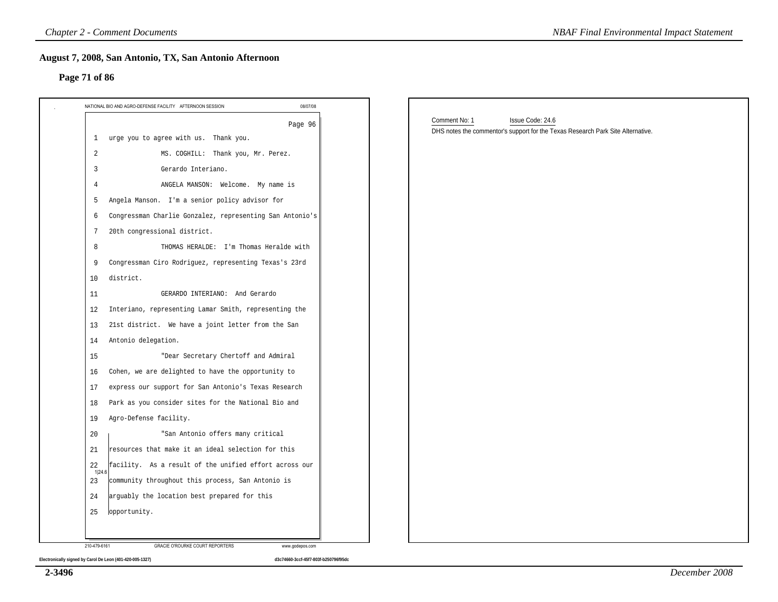#### **Page 71 of 86**

| 08/07/08<br>NATIONAL BIO AND AGRO-DEFENSE FACILITY AFTERNOON SESSION |                                                                                                                      |
|----------------------------------------------------------------------|----------------------------------------------------------------------------------------------------------------------|
| Page 96<br>1 urge you to agree with us. Thank you.                   | Comment No: 1<br>Issue Code: 24.6<br>DHS notes the commentor's support for the Texas Research Park Site Alternative. |
| $\overline{2}$<br>MS. COGHILL: Thank you, Mr. Perez.                 |                                                                                                                      |
| 3<br>Gerardo Interiano.                                              |                                                                                                                      |
| ANGELA MANSON: Welcome. My name is<br>4                              |                                                                                                                      |
| Angela Manson. I'm a senior policy advisor for<br>5                  |                                                                                                                      |
| Congressman Charlie Gonzalez, representing San Antonio's<br>6        |                                                                                                                      |
| 20th congressional district.<br>7                                    |                                                                                                                      |
| 8<br>THOMAS HERALDE: I'm Thomas Heralde with                         |                                                                                                                      |
| Congressman Ciro Rodriguez, representing Texas's 23rd<br>9           |                                                                                                                      |
| 10<br>district.                                                      |                                                                                                                      |
| GERARDO INTERIANO: And Gerardo<br>11                                 |                                                                                                                      |
| Interiano, representing Lamar Smith, representing the<br>12          |                                                                                                                      |
| 21st district. We have a joint letter from the San<br>13             |                                                                                                                      |
| Antonio delegation.<br>14                                            |                                                                                                                      |
| "Dear Secretary Chertoff and Admiral<br>15                           |                                                                                                                      |
| Cohen, we are delighted to have the opportunity to<br>16             |                                                                                                                      |
| express our support for San Antonio's Texas Research<br>17           |                                                                                                                      |
| Park as you consider sites for the National Bio and<br>18            |                                                                                                                      |
| Agro-Defense facility.<br>19                                         |                                                                                                                      |
| "San Antonio offers many critical<br>20                              |                                                                                                                      |
| resources that make it an ideal selection for this<br>21             |                                                                                                                      |
| 22<br>facility. As a result of the unified effort across our         |                                                                                                                      |
| 1 24.6<br>community throughout this process, San Antonio is<br>23    |                                                                                                                      |
| arguably the location best prepared for this<br>24                   |                                                                                                                      |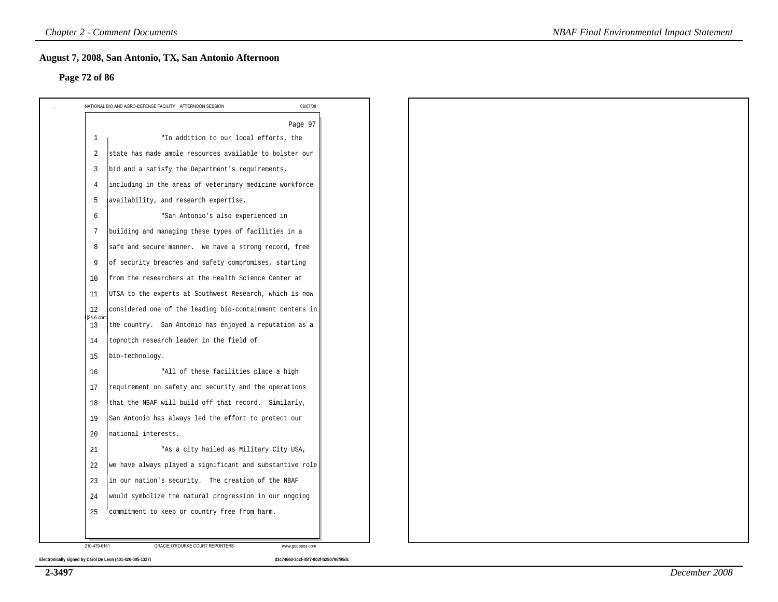#### **Page 72 of 86**

|                 | Page 97                                                  |
|-----------------|----------------------------------------------------------|
| 1               | "In addition to our local efforts, the                   |
| 2               | state has made ample resources available to bolster our  |
| $\overline{3}$  | bid and a satisfy the Department's requirements,         |
| $\overline{4}$  | including in the areas of veterinary medicine workforce  |
| 5               | availability, and research expertise.                    |
| 6               | "San Antonio's also experienced in                       |
| $7\phantom{.0}$ | building and managing these types of facilities in a     |
| 8               | safe and secure manner. We have a strong record, free    |
| 9               | of security breaches and safety compromises, starting    |
| 10              | from the researchers at the Health Science Center at     |
| 11              | UTSA to the experts at Southwest Research, which is now  |
| 12<br>24.6 con  | considered one of the leading bio-containment centers in |
| 13              | the country. San Antonio has enjoyed a reputation as a   |
| 14              | topnotch research leader in the field of                 |
| 15              | bio-technology.                                          |
| 16              | "All of these facilities place a high                    |
| 17              | requirement on safety and security and the operations    |
| 18              | that the NBAF will build off that record. Similarly,     |
| 19              | San Antonio has always led the effort to protect our     |
| 20              | national interests.                                      |
| 21              | "As a city hailed as Military City USA,                  |
| 22              | we have always played a significant and substantive role |
| 23              | in our nation's security. The creation of the NBAF       |
| 24              | would symbolize the natural progression in our ongoing   |
| 25              | commitment to keep or country free from harm.            |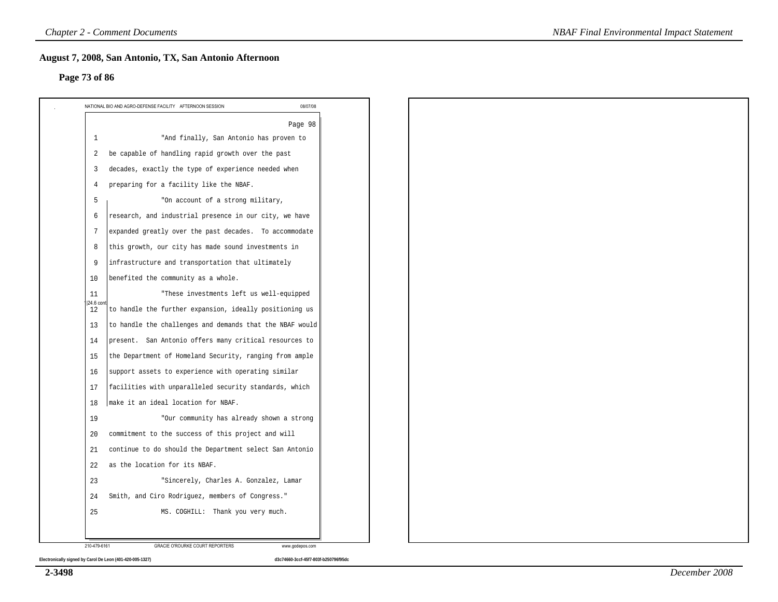#### **Page 73 of 86**

|                 | Page 98                                                  |  |
|-----------------|----------------------------------------------------------|--|
| 1               | "And finally, San Antonio has proven to                  |  |
| $\overline{2}$  | be capable of handling rapid growth over the past        |  |
| 3               | decades, exactly the type of experience needed when      |  |
| 4               | preparing for a facility like the NBAF.                  |  |
| 5               | "On account of a strong military,                        |  |
| 6               | research, and industrial presence in our city, we have   |  |
| $7\phantom{.0}$ | expanded greatly over the past decades. To accommodate   |  |
| 8               | this growth, our city has made sound investments in      |  |
| 9               | infrastructure and transportation that ultimately        |  |
| 10              | benefited the community as a whole.                      |  |
| 11              | "These investments left us well-equipped                 |  |
| 124.6 cor<br>12 | to handle the further expansion, ideally positioning us  |  |
| 13              | to handle the challenges and demands that the NBAF would |  |
| 14              | present. San Antonio offers many critical resources to   |  |
| 15              | the Department of Homeland Security, ranging from ample  |  |
| 16              | support assets to experience with operating similar      |  |
| 17              | facilities with unparalleled security standards, which   |  |
| 18              | make it an ideal location for NBAF.                      |  |
| 19              | "Our community has already shown a strong                |  |
| 20              | commitment to the success of this project and will       |  |
| 21              | continue to do should the Department select San Antonio  |  |
| 22              | as the location for its NBAF.                            |  |
| 23              | "Sincerely, Charles A. Gonzalez, Lamar                   |  |
| 24              | Smith, and Ciro Rodriguez, members of Congress."         |  |
| 25              | MS. COGHILL: Thank you very much.                        |  |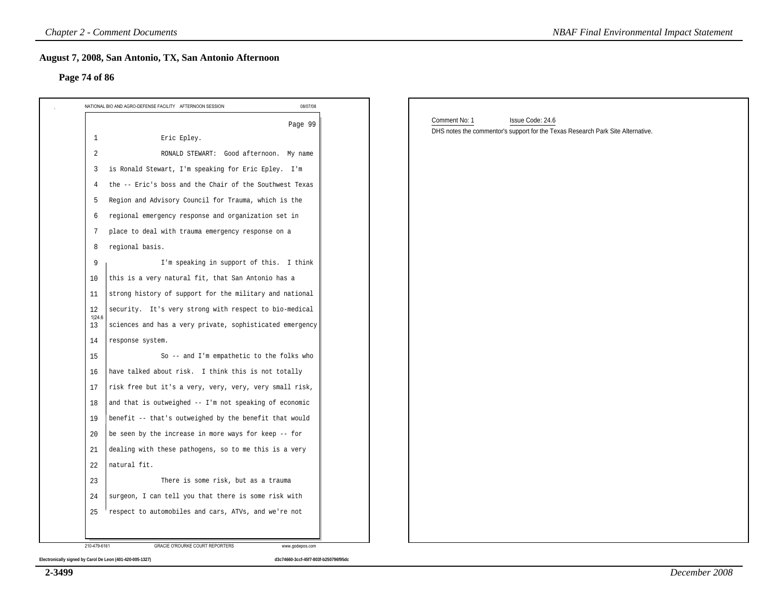#### **Page 74 of 86**

| NATIONAL BIO AND AGRO-DEFENSE FACILITY AFTERNOON SESSION                 | 08/07/08 |                                                                                 |
|--------------------------------------------------------------------------|----------|---------------------------------------------------------------------------------|
|                                                                          |          | Comment No: 1<br>Issue Code: 24.6                                               |
| Eric Epley.<br>$\mathbf{1}$                                              | Page 99  | DHS notes the commentor's support for the Texas Research Park Site Alternative. |
| 2<br>RONALD STEWART: Good afternoon. My name                             |          |                                                                                 |
| is Ronald Stewart, I'm speaking for Eric Epley. I'm<br>3                 |          |                                                                                 |
| the -- Eric's boss and the Chair of the Southwest Texas                  |          |                                                                                 |
| Region and Advisory Council for Trauma, which is the<br>5                |          |                                                                                 |
| regional emergency response and organization set in<br>6                 |          |                                                                                 |
| place to deal with trauma emergency response on a<br>7                   |          |                                                                                 |
| regional basis.<br>8                                                     |          |                                                                                 |
| I'm speaking in support of this. I think<br>9                            |          |                                                                                 |
| this is a very natural fit, that San Antonio has a<br>10                 |          |                                                                                 |
| strong history of support for the military and national<br>11            |          |                                                                                 |
| security. It's very strong with respect to bio-medical<br>12             |          |                                                                                 |
| 1 24.6<br>sciences and has a very private, sophisticated emergency<br>13 |          |                                                                                 |
| response system.<br>14                                                   |          |                                                                                 |
| So -- and I'm empathetic to the folks who<br>15                          |          |                                                                                 |
| have talked about risk. I think this is not totally<br>16                |          |                                                                                 |
| risk free but it's a very, very, very, very small risk,<br>17            |          |                                                                                 |
| and that is outweighed -- I'm not speaking of economic<br>18             |          |                                                                                 |
| benefit -- that's outweighed by the benefit that would<br>19             |          |                                                                                 |
| be seen by the increase in more ways for keep -- for<br>20               |          |                                                                                 |
| dealing with these pathogens, so to me this is a very<br>21              |          |                                                                                 |
| natural fit.<br>22                                                       |          |                                                                                 |
| There is some risk, but as a trauma<br>23                                |          |                                                                                 |
| surgeon, I can tell you that there is some risk with<br>24               |          |                                                                                 |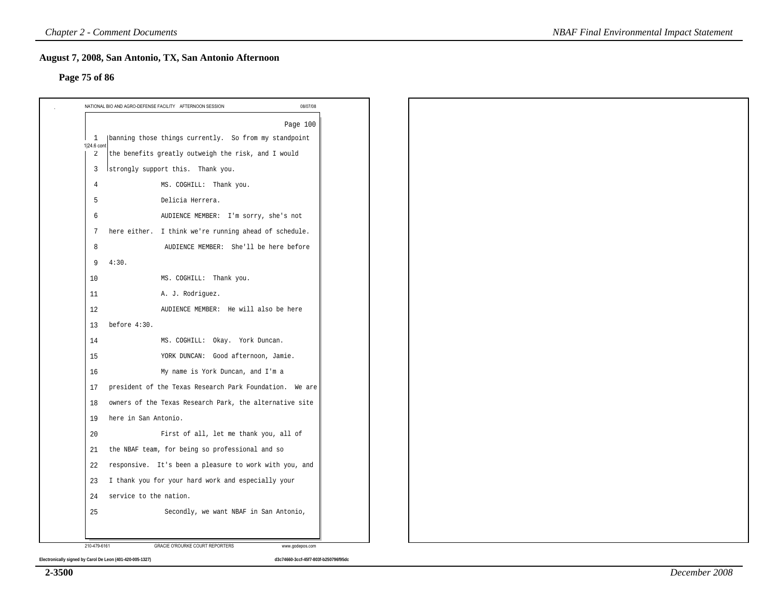#### **Page 75 of 86**

|                               | Page 100                                                |
|-------------------------------|---------------------------------------------------------|
| <sup>1</sup>                  | banning those things currently. So from my standpoint   |
| 1 24.6 cont<br>$\overline{2}$ | the benefits greatly outweigh the risk, and I would     |
| 3                             | Istrongly support this. Thank you.                      |
| 4                             | MS. COGHILL: Thank you.                                 |
| 5                             | Delicia Herrera.                                        |
| 6                             | AUDIENCE MEMBER: I'm sorry, she's not                   |
| 7                             | here either. I think we're running ahead of schedule.   |
| 8                             | AUDIENCE MEMBER: She'll be here before                  |
| 9                             | 4:30.                                                   |
| 10                            | MS. COGHILL: Thank you.                                 |
| 11                            | A. J. Rodriguez.                                        |
| 12                            | AUDIENCE MEMBER: He will also be here                   |
| 13                            | before 4:30.                                            |
| 14                            | MS. COGHILL: Okay. York Duncan.                         |
| 15                            | YORK DUNCAN: Good afternoon, Jamie.                     |
| 16                            | My name is York Duncan, and I'm a                       |
| 17                            | president of the Texas Research Park Foundation. We are |
| 18                            | owners of the Texas Research Park, the alternative site |
| 19                            | here in San Antonio.                                    |
| 20                            | First of all, let me thank you, all of                  |
| 21                            | the NBAF team, for being so professional and so         |
| 22                            | responsive. It's been a pleasure to work with you, and  |
| 23                            | I thank you for your hard work and especially your      |
| 24                            | service to the nation.                                  |
| 25                            | Secondly, we want NBAF in San Antonio,                  |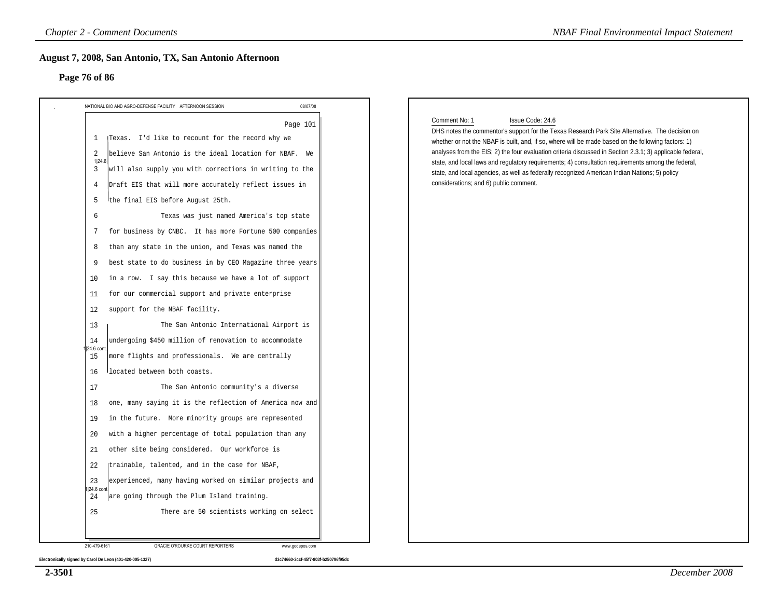#### **Page 76 of 86**

|                                                                                                                                                                                                                                                                                                                                                                                                                                                                                                                                                                                                                                                                                                                                                                                                                                                                                                                                                                                                                                                                                                                                                                                                                                                                                                                                                                                            | 08/07/08 |                                                                                                                                                                                                                                                                                                                                                                                                                                                                                                                                                                                                           |
|--------------------------------------------------------------------------------------------------------------------------------------------------------------------------------------------------------------------------------------------------------------------------------------------------------------------------------------------------------------------------------------------------------------------------------------------------------------------------------------------------------------------------------------------------------------------------------------------------------------------------------------------------------------------------------------------------------------------------------------------------------------------------------------------------------------------------------------------------------------------------------------------------------------------------------------------------------------------------------------------------------------------------------------------------------------------------------------------------------------------------------------------------------------------------------------------------------------------------------------------------------------------------------------------------------------------------------------------------------------------------------------------|----------|-----------------------------------------------------------------------------------------------------------------------------------------------------------------------------------------------------------------------------------------------------------------------------------------------------------------------------------------------------------------------------------------------------------------------------------------------------------------------------------------------------------------------------------------------------------------------------------------------------------|
| NATIONAL BIO AND AGRO-DEFENSE FACILITY AFTERNOON SESSION<br>[Texas. I'd like to recount for the record why we<br>$\mathbf{1}$<br>believe San Antonio is the ideal location for NBAF. We<br>2<br>1 24.6<br>will also supply you with corrections in writing to the<br>3<br>Draft EIS that will more accurately reflect issues in<br>4<br>the final EIS before August 25th.<br>5<br>Texas was just named America's top state<br>6<br>for business by CNBC. It has more Fortune 500 companies<br>7<br>than any state in the union, and Texas was named the<br>8<br>best state to do business in by CEO Magazine three years<br>9<br>in a row. I say this because we have a lot of support<br>10<br>for our commercial support and private enterprise<br>11<br>support for the NBAF facility.<br>12<br>The San Antonio International Airport is<br>13<br>undergoing \$450 million of renovation to accommodate<br>14<br>24.6 cont<br>more flights and professionals. We are centrally<br>15<br>located between both coasts.<br>16<br>The San Antonio community's a diverse<br>17<br>one, many saying it is the reflection of America now and<br>18<br>in the future. More minority groups are represented<br>19<br>with a higher percentage of total population than any<br>20<br>other site being considered. Our workforce is<br>21<br>(trainable, talented, and in the case for NBAF,<br>22 | Page 101 | Comment No: 1<br>Issue Code: 24.6<br>DHS notes the commentor's support for the Texas Research Park Site Alternative. The decision on<br>whether or not the NBAF is built, and, if so, where will be made based on the following factors: 1)<br>analyses from the EIS; 2) the four evaluation criteria discussed in Section 2.3.1; 3) applicable federal,<br>state, and local laws and regulatory requirements; 4) consultation requirements among the federal,<br>state, and local agencies, as well as federally recognized American Indian Nations; 5) policy<br>considerations; and 6) public comment. |
| experienced, many having worked on similar projects and<br>23<br>1 24.6 cont<br>are going through the Plum Island training.<br>24                                                                                                                                                                                                                                                                                                                                                                                                                                                                                                                                                                                                                                                                                                                                                                                                                                                                                                                                                                                                                                                                                                                                                                                                                                                          |          |                                                                                                                                                                                                                                                                                                                                                                                                                                                                                                                                                                                                           |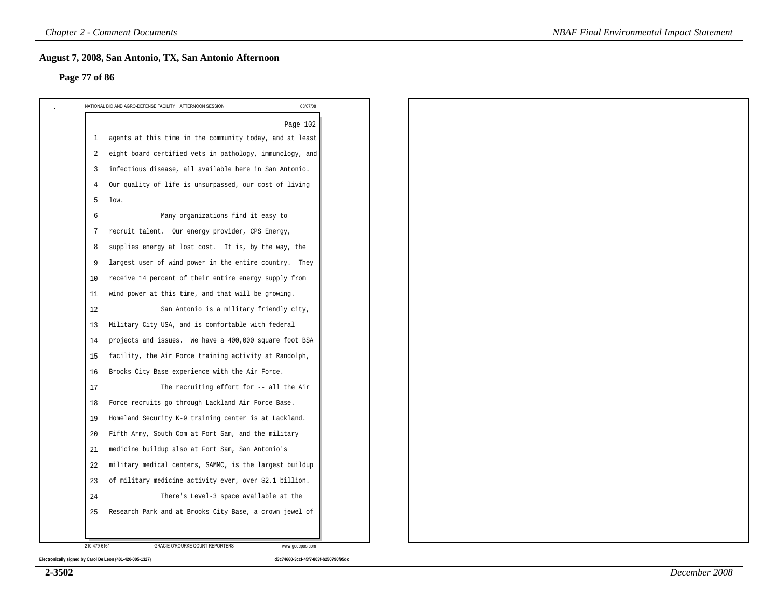#### **Page 77 of 86**

| agents at this time in the community today, and at least<br>1<br>eight board certified vets in pathology, immunology, and<br>2<br>infectious disease, all available here in San Antonio.<br>3<br>Our quality of life is unsurpassed, our cost of living<br>4<br>5<br>low.<br>Many organizations find it easy to<br>6<br>recruit talent. Our energy provider, CPS Energy,<br>7<br>supplies energy at lost cost. It is, by the way, the<br>8<br>largest user of wind power in the entire country. They<br>9<br>receive 14 percent of their entire energy supply from<br>10<br>wind power at this time, and that will be growing.<br>11<br>12<br>San Antonio is a military friendly city,<br>Military City USA, and is comfortable with federal<br>13<br>projects and issues. We have a 400,000 square foot BSA<br>14<br>facility, the Air Force training activity at Randolph,<br>15<br>Brooks City Base experience with the Air Force.<br>16<br>The recruiting effort for -- all the Air<br>17<br>Force recruits go through Lackland Air Force Base.<br>18<br>Homeland Security K-9 training center is at Lackland.<br>19<br>Fifth Army, South Com at Fort Sam, and the military<br>20<br>medicine buildup also at Fort Sam, San Antonio's<br>21<br>military medical centers, SAMMC, is the largest buildup<br>22<br>of military medicine activity ever, over \$2.1 billion.<br>23<br>There's Level-3 space available at the<br>24<br>Research Park and at Brooks City Base, a crown jewel of<br>25 | Page 102 |  |  |  |  |
|----------------------------------------------------------------------------------------------------------------------------------------------------------------------------------------------------------------------------------------------------------------------------------------------------------------------------------------------------------------------------------------------------------------------------------------------------------------------------------------------------------------------------------------------------------------------------------------------------------------------------------------------------------------------------------------------------------------------------------------------------------------------------------------------------------------------------------------------------------------------------------------------------------------------------------------------------------------------------------------------------------------------------------------------------------------------------------------------------------------------------------------------------------------------------------------------------------------------------------------------------------------------------------------------------------------------------------------------------------------------------------------------------------------------------------------------------------------------------------------------------|----------|--|--|--|--|
|                                                                                                                                                                                                                                                                                                                                                                                                                                                                                                                                                                                                                                                                                                                                                                                                                                                                                                                                                                                                                                                                                                                                                                                                                                                                                                                                                                                                                                                                                                    |          |  |  |  |  |
|                                                                                                                                                                                                                                                                                                                                                                                                                                                                                                                                                                                                                                                                                                                                                                                                                                                                                                                                                                                                                                                                                                                                                                                                                                                                                                                                                                                                                                                                                                    |          |  |  |  |  |
|                                                                                                                                                                                                                                                                                                                                                                                                                                                                                                                                                                                                                                                                                                                                                                                                                                                                                                                                                                                                                                                                                                                                                                                                                                                                                                                                                                                                                                                                                                    |          |  |  |  |  |
|                                                                                                                                                                                                                                                                                                                                                                                                                                                                                                                                                                                                                                                                                                                                                                                                                                                                                                                                                                                                                                                                                                                                                                                                                                                                                                                                                                                                                                                                                                    |          |  |  |  |  |
|                                                                                                                                                                                                                                                                                                                                                                                                                                                                                                                                                                                                                                                                                                                                                                                                                                                                                                                                                                                                                                                                                                                                                                                                                                                                                                                                                                                                                                                                                                    |          |  |  |  |  |
|                                                                                                                                                                                                                                                                                                                                                                                                                                                                                                                                                                                                                                                                                                                                                                                                                                                                                                                                                                                                                                                                                                                                                                                                                                                                                                                                                                                                                                                                                                    |          |  |  |  |  |
|                                                                                                                                                                                                                                                                                                                                                                                                                                                                                                                                                                                                                                                                                                                                                                                                                                                                                                                                                                                                                                                                                                                                                                                                                                                                                                                                                                                                                                                                                                    |          |  |  |  |  |
|                                                                                                                                                                                                                                                                                                                                                                                                                                                                                                                                                                                                                                                                                                                                                                                                                                                                                                                                                                                                                                                                                                                                                                                                                                                                                                                                                                                                                                                                                                    |          |  |  |  |  |
|                                                                                                                                                                                                                                                                                                                                                                                                                                                                                                                                                                                                                                                                                                                                                                                                                                                                                                                                                                                                                                                                                                                                                                                                                                                                                                                                                                                                                                                                                                    |          |  |  |  |  |
|                                                                                                                                                                                                                                                                                                                                                                                                                                                                                                                                                                                                                                                                                                                                                                                                                                                                                                                                                                                                                                                                                                                                                                                                                                                                                                                                                                                                                                                                                                    |          |  |  |  |  |
|                                                                                                                                                                                                                                                                                                                                                                                                                                                                                                                                                                                                                                                                                                                                                                                                                                                                                                                                                                                                                                                                                                                                                                                                                                                                                                                                                                                                                                                                                                    |          |  |  |  |  |
|                                                                                                                                                                                                                                                                                                                                                                                                                                                                                                                                                                                                                                                                                                                                                                                                                                                                                                                                                                                                                                                                                                                                                                                                                                                                                                                                                                                                                                                                                                    |          |  |  |  |  |
|                                                                                                                                                                                                                                                                                                                                                                                                                                                                                                                                                                                                                                                                                                                                                                                                                                                                                                                                                                                                                                                                                                                                                                                                                                                                                                                                                                                                                                                                                                    |          |  |  |  |  |
|                                                                                                                                                                                                                                                                                                                                                                                                                                                                                                                                                                                                                                                                                                                                                                                                                                                                                                                                                                                                                                                                                                                                                                                                                                                                                                                                                                                                                                                                                                    |          |  |  |  |  |
|                                                                                                                                                                                                                                                                                                                                                                                                                                                                                                                                                                                                                                                                                                                                                                                                                                                                                                                                                                                                                                                                                                                                                                                                                                                                                                                                                                                                                                                                                                    |          |  |  |  |  |
|                                                                                                                                                                                                                                                                                                                                                                                                                                                                                                                                                                                                                                                                                                                                                                                                                                                                                                                                                                                                                                                                                                                                                                                                                                                                                                                                                                                                                                                                                                    |          |  |  |  |  |
|                                                                                                                                                                                                                                                                                                                                                                                                                                                                                                                                                                                                                                                                                                                                                                                                                                                                                                                                                                                                                                                                                                                                                                                                                                                                                                                                                                                                                                                                                                    |          |  |  |  |  |
|                                                                                                                                                                                                                                                                                                                                                                                                                                                                                                                                                                                                                                                                                                                                                                                                                                                                                                                                                                                                                                                                                                                                                                                                                                                                                                                                                                                                                                                                                                    |          |  |  |  |  |
|                                                                                                                                                                                                                                                                                                                                                                                                                                                                                                                                                                                                                                                                                                                                                                                                                                                                                                                                                                                                                                                                                                                                                                                                                                                                                                                                                                                                                                                                                                    |          |  |  |  |  |
|                                                                                                                                                                                                                                                                                                                                                                                                                                                                                                                                                                                                                                                                                                                                                                                                                                                                                                                                                                                                                                                                                                                                                                                                                                                                                                                                                                                                                                                                                                    |          |  |  |  |  |
|                                                                                                                                                                                                                                                                                                                                                                                                                                                                                                                                                                                                                                                                                                                                                                                                                                                                                                                                                                                                                                                                                                                                                                                                                                                                                                                                                                                                                                                                                                    |          |  |  |  |  |
|                                                                                                                                                                                                                                                                                                                                                                                                                                                                                                                                                                                                                                                                                                                                                                                                                                                                                                                                                                                                                                                                                                                                                                                                                                                                                                                                                                                                                                                                                                    |          |  |  |  |  |
|                                                                                                                                                                                                                                                                                                                                                                                                                                                                                                                                                                                                                                                                                                                                                                                                                                                                                                                                                                                                                                                                                                                                                                                                                                                                                                                                                                                                                                                                                                    |          |  |  |  |  |
|                                                                                                                                                                                                                                                                                                                                                                                                                                                                                                                                                                                                                                                                                                                                                                                                                                                                                                                                                                                                                                                                                                                                                                                                                                                                                                                                                                                                                                                                                                    |          |  |  |  |  |
|                                                                                                                                                                                                                                                                                                                                                                                                                                                                                                                                                                                                                                                                                                                                                                                                                                                                                                                                                                                                                                                                                                                                                                                                                                                                                                                                                                                                                                                                                                    |          |  |  |  |  |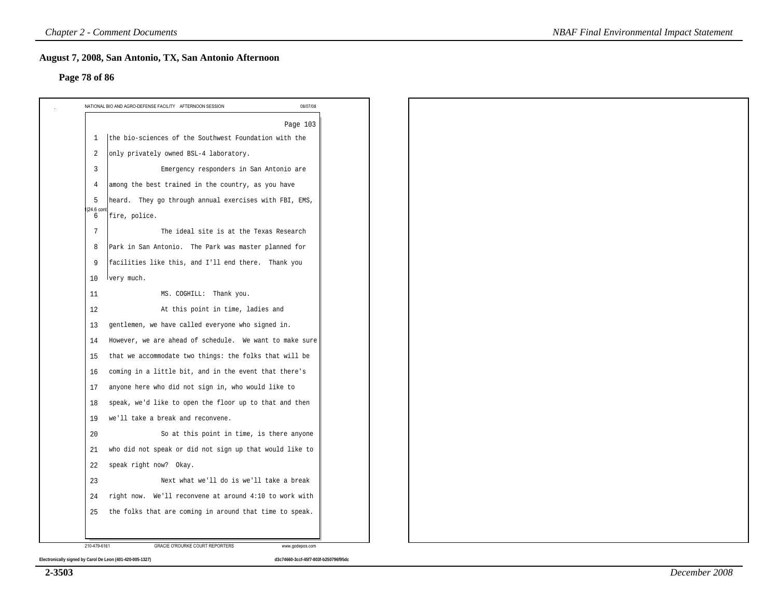#### **Page 78 of 86**

|                 | Page 103                                                |  |  |
|-----------------|---------------------------------------------------------|--|--|
| 1               | the bio-sciences of the Southwest Foundation with the   |  |  |
| 2               | only privately owned BSL-4 laboratory.                  |  |  |
| 3               | Emergency responders in San Antonio are                 |  |  |
| $\overline{4}$  | among the best trained in the country, as you have      |  |  |
| 5               | heard. They go through annual exercises with FBI, EMS,  |  |  |
| 24.6 con<br>6   | fire, police.                                           |  |  |
| $7\phantom{.0}$ | The ideal site is at the Texas Research                 |  |  |
| 8               | Park in San Antonio. The Park was master planned for    |  |  |
| 9               | facilities like this, and I'll end there. Thank you     |  |  |
| 10              | lvery much.                                             |  |  |
| 11              | MS. COGHILL: Thank you.                                 |  |  |
| 12              | At this point in time, ladies and                       |  |  |
| 13              | gentlemen, we have called everyone who signed in.       |  |  |
| 14              | However, we are ahead of schedule. We want to make sure |  |  |
| 15              | that we accommodate two things: the folks that will be  |  |  |
| 16              | coming in a little bit, and in the event that there's   |  |  |
| 17              | anyone here who did not sign in, who would like to      |  |  |
| 18              | speak, we'd like to open the floor up to that and then  |  |  |
| 19              | we'll take a break and reconvene.                       |  |  |
| 20              | So at this point in time, is there anyone               |  |  |
| 21              | who did not speak or did not sign up that would like to |  |  |
| 22              | speak right now? Okay.                                  |  |  |
| 23              | Next what we'll do is we'll take a break                |  |  |
| 24              | right now. We'll reconvene at around 4:10 to work with  |  |  |
| 25              | the folks that are coming in around that time to speak. |  |  |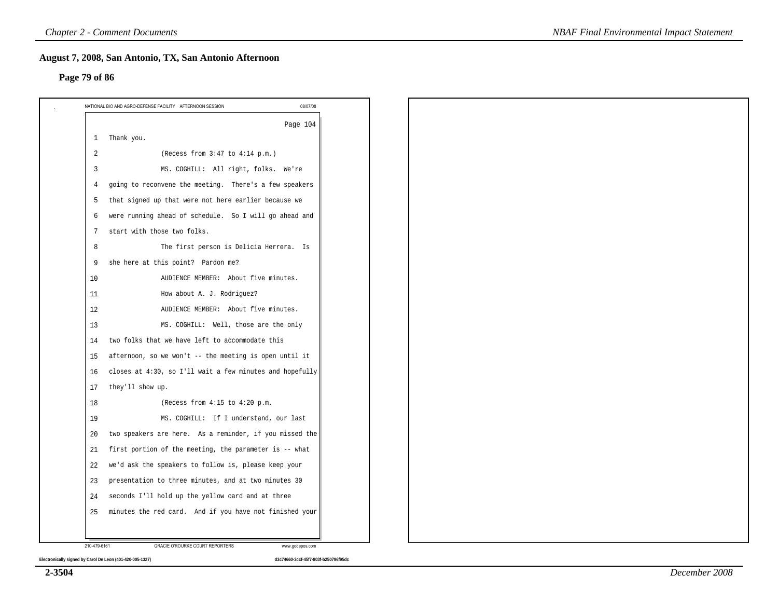#### **Page 79 of 86**

|              | NATIONAL BIO AND AGRO-DEFENSE FACILITY AFTERNOON SESSION<br>08/07/08 |
|--------------|----------------------------------------------------------------------|
|              | Page 104                                                             |
| $\mathbf{1}$ | Thank you.                                                           |
| 2            | (Recess from 3:47 to 4:14 p.m.)                                      |
| 3            | MS. COGHILL: All right, folks. We're                                 |
| 4            | going to reconvene the meeting. There's a few speakers               |
| 5            | that signed up that were not here earlier because we                 |
| 6            | were running ahead of schedule. So I will go ahead and               |
| 7            | start with those two folks.                                          |
| 8            | The first person is Delicia Herrera. Is                              |
| 9            | she here at this point? Pardon me?                                   |
| 10           | AUDIENCE MEMBER: About five minutes.                                 |
| 11           | How about A. J. Rodriguez?                                           |
| 12           | AUDIENCE MEMBER: About five minutes.                                 |
| 13           | MS. COGHILL: Well, those are the only                                |
| 14           | two folks that we have left to accommodate this                      |
| 15           | afternoon, so we won't -- the meeting is open until it               |
| 16           | closes at 4:30, so I'll wait a few minutes and hopefully             |
| 17           | they'll show up.                                                     |
| 18           | (Recess from 4:15 to 4:20 p.m.                                       |
| 19           | MS. COGHILL: If I understand, our last                               |
| 20           | two speakers are here. As a reminder, if you missed the              |
| 21           | first portion of the meeting, the parameter is -- what               |
| 22           | we'd ask the speakers to follow is, please keep your                 |
| 23           | presentation to three minutes, and at two minutes 30                 |
| 24           | seconds I'll hold up the yellow card and at three                    |
| 25           | minutes the red card. And if you have not finished your              |
|              |                                                                      |
| 210-479-6161 | GRACIE O'ROURKE COURT REPORTERS<br>www.godepos.com                   |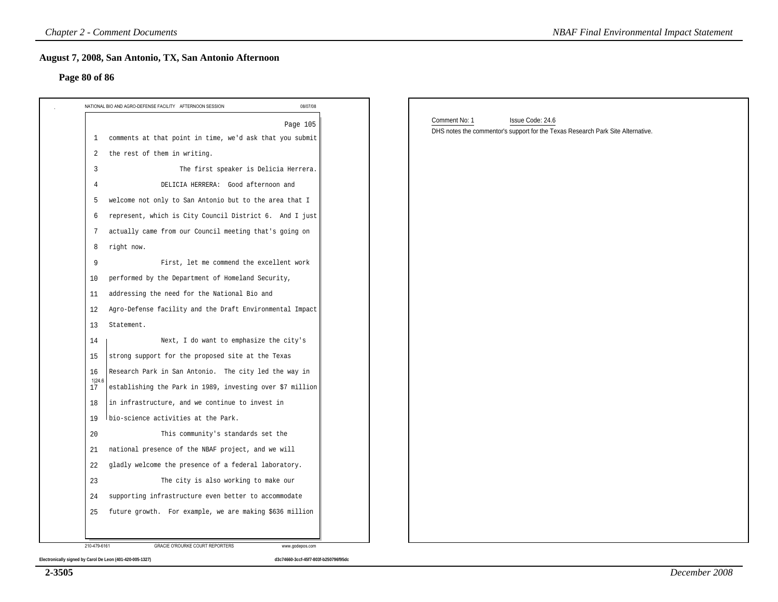#### **Page 80 of 86**

| 08/07/08<br>NATIONAL BIO AND AGRO-DEFENSE FACILITY AFTERNOON SESSION<br>Page 105<br>comments at that point in time, we'd ask that you submit<br>the rest of them in writing.<br>The first speaker is Delicia Herrera.<br>DELICIA HERRERA: Good afternoon and<br>welcome not only to San Antonio but to the area that I<br>represent, which is City Council District 6. And I just<br>actually came from our Council meeting that's going on<br>right now.<br>First, let me commend the excellent work<br>performed by the Department of Homeland Security,<br>addressing the need for the National Bio and<br>Agro-Defense facility and the Draft Environmental Impact | Comment No: 1<br>Issue Code: 24.6<br>DHS notes the commentor's support for the Texas Research Park Site Alternative. |
|------------------------------------------------------------------------------------------------------------------------------------------------------------------------------------------------------------------------------------------------------------------------------------------------------------------------------------------------------------------------------------------------------------------------------------------------------------------------------------------------------------------------------------------------------------------------------------------------------------------------------------------------------------------------|----------------------------------------------------------------------------------------------------------------------|
|                                                                                                                                                                                                                                                                                                                                                                                                                                                                                                                                                                                                                                                                        |                                                                                                                      |
|                                                                                                                                                                                                                                                                                                                                                                                                                                                                                                                                                                                                                                                                        |                                                                                                                      |
|                                                                                                                                                                                                                                                                                                                                                                                                                                                                                                                                                                                                                                                                        |                                                                                                                      |
|                                                                                                                                                                                                                                                                                                                                                                                                                                                                                                                                                                                                                                                                        |                                                                                                                      |
|                                                                                                                                                                                                                                                                                                                                                                                                                                                                                                                                                                                                                                                                        |                                                                                                                      |
|                                                                                                                                                                                                                                                                                                                                                                                                                                                                                                                                                                                                                                                                        |                                                                                                                      |
|                                                                                                                                                                                                                                                                                                                                                                                                                                                                                                                                                                                                                                                                        |                                                                                                                      |
|                                                                                                                                                                                                                                                                                                                                                                                                                                                                                                                                                                                                                                                                        |                                                                                                                      |
|                                                                                                                                                                                                                                                                                                                                                                                                                                                                                                                                                                                                                                                                        |                                                                                                                      |
|                                                                                                                                                                                                                                                                                                                                                                                                                                                                                                                                                                                                                                                                        |                                                                                                                      |
|                                                                                                                                                                                                                                                                                                                                                                                                                                                                                                                                                                                                                                                                        |                                                                                                                      |
|                                                                                                                                                                                                                                                                                                                                                                                                                                                                                                                                                                                                                                                                        |                                                                                                                      |
|                                                                                                                                                                                                                                                                                                                                                                                                                                                                                                                                                                                                                                                                        |                                                                                                                      |
|                                                                                                                                                                                                                                                                                                                                                                                                                                                                                                                                                                                                                                                                        |                                                                                                                      |
| Statement.                                                                                                                                                                                                                                                                                                                                                                                                                                                                                                                                                                                                                                                             |                                                                                                                      |
| Next, I do want to emphasize the city's                                                                                                                                                                                                                                                                                                                                                                                                                                                                                                                                                                                                                                |                                                                                                                      |
| strong support for the proposed site at the Texas                                                                                                                                                                                                                                                                                                                                                                                                                                                                                                                                                                                                                      |                                                                                                                      |
| Research Park in San Antonio. The city led the way in                                                                                                                                                                                                                                                                                                                                                                                                                                                                                                                                                                                                                  |                                                                                                                      |
| establishing the Park in 1989, investing over \$7 million                                                                                                                                                                                                                                                                                                                                                                                                                                                                                                                                                                                                              |                                                                                                                      |
| in infrastructure, and we continue to invest in                                                                                                                                                                                                                                                                                                                                                                                                                                                                                                                                                                                                                        |                                                                                                                      |
| bio-science activities at the Park.                                                                                                                                                                                                                                                                                                                                                                                                                                                                                                                                                                                                                                    |                                                                                                                      |
| This community's standards set the                                                                                                                                                                                                                                                                                                                                                                                                                                                                                                                                                                                                                                     |                                                                                                                      |
| national presence of the NBAF project, and we will                                                                                                                                                                                                                                                                                                                                                                                                                                                                                                                                                                                                                     |                                                                                                                      |
| gladly welcome the presence of a federal laboratory.                                                                                                                                                                                                                                                                                                                                                                                                                                                                                                                                                                                                                   |                                                                                                                      |
| The city is also working to make our                                                                                                                                                                                                                                                                                                                                                                                                                                                                                                                                                                                                                                   |                                                                                                                      |
| supporting infrastructure even better to accommodate                                                                                                                                                                                                                                                                                                                                                                                                                                                                                                                                                                                                                   |                                                                                                                      |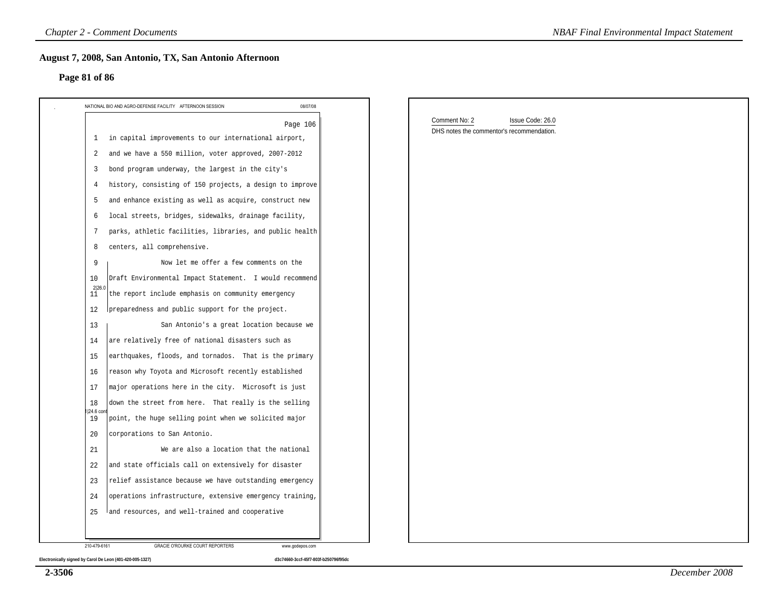#### **Page 81 of 86**

| NATIONAL BIO AND AGRO-DEFENSE FACILITY AFTERNOON SESSION                  | 08/07/08 |                                           |  |
|---------------------------------------------------------------------------|----------|-------------------------------------------|--|
|                                                                           | Page 106 | Comment No: 2<br>Issue Code: 26.0         |  |
| 1 in capital improvements to our international airport,                   |          | DHS notes the commentor's recommendation. |  |
| and we have a 550 million, voter approved, 2007-2012<br>2                 |          |                                           |  |
| bond program underway, the largest in the city's<br>3                     |          |                                           |  |
| history, consisting of 150 projects, a design to improve<br>4             |          |                                           |  |
| and enhance existing as well as acquire, construct new<br>5               |          |                                           |  |
| local streets, bridges, sidewalks, drainage facility,<br>6                |          |                                           |  |
| parks, athletic facilities, libraries, and public health<br>7             |          |                                           |  |
| centers, all comprehensive.<br>8                                          |          |                                           |  |
| Now let me offer a few comments on the<br>9                               |          |                                           |  |
| Draft Environmental Impact Statement. I would recommend<br>10             |          |                                           |  |
| $^{2 26.0}_{11}$<br>the report include emphasis on community emergency    |          |                                           |  |
| preparedness and public support for the project.<br>12                    |          |                                           |  |
| San Antonio's a great location because we<br>13                           |          |                                           |  |
| are relatively free of national disasters such as<br>14                   |          |                                           |  |
| earthquakes, floods, and tornados. That is the primary<br>15              |          |                                           |  |
| reason why Toyota and Microsoft recently established<br>16                |          |                                           |  |
| major operations here in the city. Microsoft is just<br>17                |          |                                           |  |
| down the street from here. That really is the selling<br>18               |          |                                           |  |
| 1 24.6 con<br>point, the huge selling point when we solicited major<br>19 |          |                                           |  |
| corporations to San Antonio.<br>20                                        |          |                                           |  |
| We are also a location that the national<br>21                            |          |                                           |  |
| 22<br>and state officials call on extensively for disaster                |          |                                           |  |
| relief assistance because we have outstanding emergency<br>23             |          |                                           |  |
| operations infrastructure, extensive emergency training,<br>24            |          |                                           |  |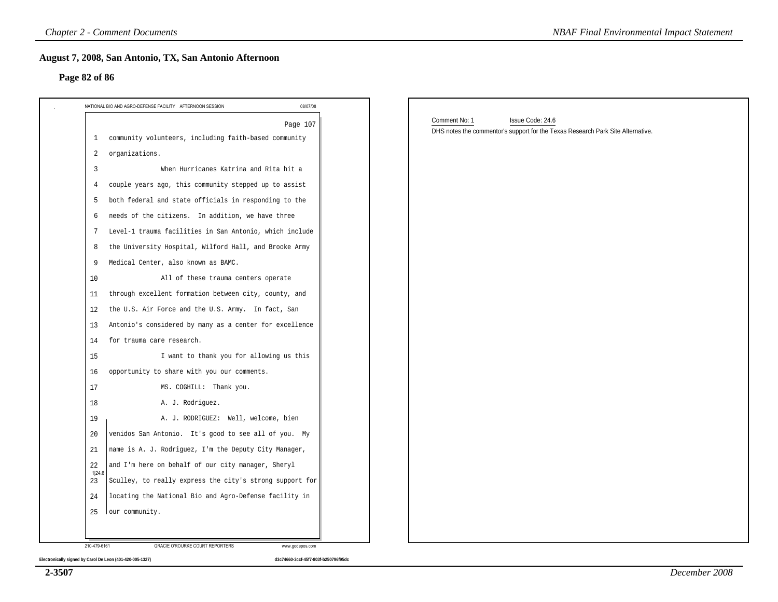#### **Page 82 of 86**

| 08/07/08<br>NATIONAL BIO AND AGRO-DEFENSE FACILITY AFTERNOON SESSION              |                                                                                                                      |
|-----------------------------------------------------------------------------------|----------------------------------------------------------------------------------------------------------------------|
| Page 107<br>community volunteers, including faith-based community<br>$\mathbf{1}$ | Comment No: 1<br>Issue Code: 24.6<br>DHS notes the commentor's support for the Texas Research Park Site Alternative. |
| organizations.<br>2                                                               |                                                                                                                      |
| When Hurricanes Katrina and Rita hit a<br>3                                       |                                                                                                                      |
| couple years ago, this community stepped up to assist<br>4                        |                                                                                                                      |
| both federal and state officials in responding to the<br>5                        |                                                                                                                      |
| needs of the citizens. In addition, we have three<br>6                            |                                                                                                                      |
| Level-1 trauma facilities in San Antonio, which include<br>7                      |                                                                                                                      |
| the University Hospital, Wilford Hall, and Brooke Army<br>8                       |                                                                                                                      |
| Medical Center, also known as BAMC.<br>9                                          |                                                                                                                      |
| 10<br>All of these trauma centers operate                                         |                                                                                                                      |
| through excellent formation between city, county, and<br>11                       |                                                                                                                      |
| the U.S. Air Force and the U.S. Army. In fact, San<br>12                          |                                                                                                                      |
| Antonio's considered by many as a center for excellence<br>13                     |                                                                                                                      |
| for trauma care research.<br>14                                                   |                                                                                                                      |
| I want to thank you for allowing us this<br>15                                    |                                                                                                                      |
| opportunity to share with you our comments.<br>16                                 |                                                                                                                      |
| 17<br>MS. COGHILL: Thank you.                                                     |                                                                                                                      |
| 18<br>A. J. Rodriguez.                                                            |                                                                                                                      |
| 19<br>A. J. RODRIGUEZ: Well, welcome, bien                                        |                                                                                                                      |
| venidos San Antonio. It's good to see all of you. My<br>20                        |                                                                                                                      |
| name is A. J. Rodriguez, I'm the Deputy City Manager,<br>21                       |                                                                                                                      |
| and I'm here on behalf of our city manager, Sheryl<br>22                          |                                                                                                                      |
| 1 24.6<br>Sculley, to really express the city's strong support for<br>23          |                                                                                                                      |
| locating the National Bio and Agro-Defense facility in<br>24                      |                                                                                                                      |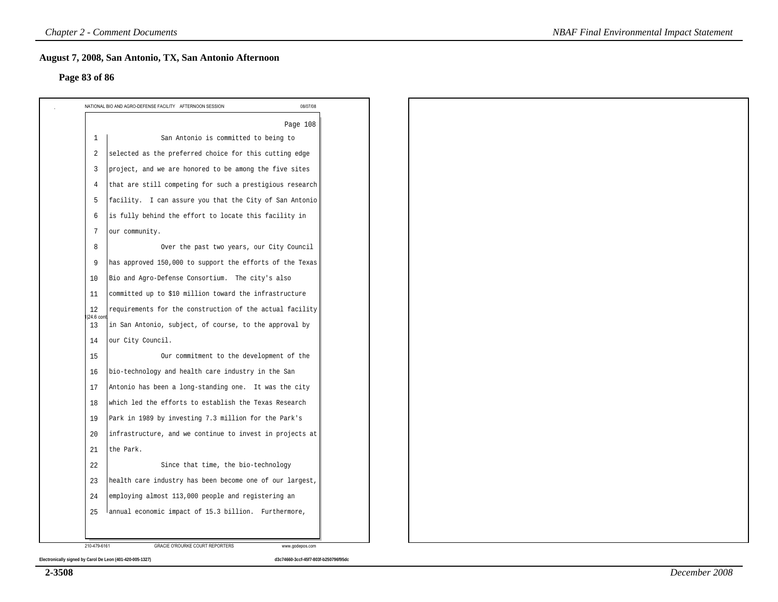#### **Page 83 of 86**

|                | Page 108                                                 |
|----------------|----------------------------------------------------------|
| $\mathbf{1}$   | San Antonio is committed to being to                     |
| $\overline{2}$ | selected as the preferred choice for this cutting edge   |
| 3              | project, and we are honored to be among the five sites   |
| 4              | that are still competing for such a prestigious research |
| 5              | facility. I can assure you that the City of San Antonio  |
| 6              | is fully behind the effort to locate this facility in    |
| 7              | our community.                                           |
| 8              | Over the past two years, our City Council                |
| 9              | has approved 150,000 to support the efforts of the Texas |
| 10             | Bio and Agro-Defense Consortium. The city's also         |
| 11             | committed up to \$10 million toward the infrastructure   |
| 12<br>24.6 con | requirements for the construction of the actual facility |
| 13             | in San Antonio, subject, of course, to the approval by   |
| 14             | our City Council.                                        |
| 15             | Our commitment to the development of the                 |
| 16             | bio-technology and health care industry in the San       |
| 17             | Antonio has been a long-standing one. It was the city    |
| 18             | which led the efforts to establish the Texas Research    |
| 19             | Park in 1989 by investing 7.3 million for the Park's     |
| 20             | infrastructure, and we continue to invest in projects at |
| 21             | the Park.                                                |
| 22             | Since that time, the bio-technology                      |
| 23             | health care industry has been become one of our largest, |
| 24             | employing almost 113,000 people and registering an       |
| 25             | annual economic impact of 15.3 billion. Furthermore,     |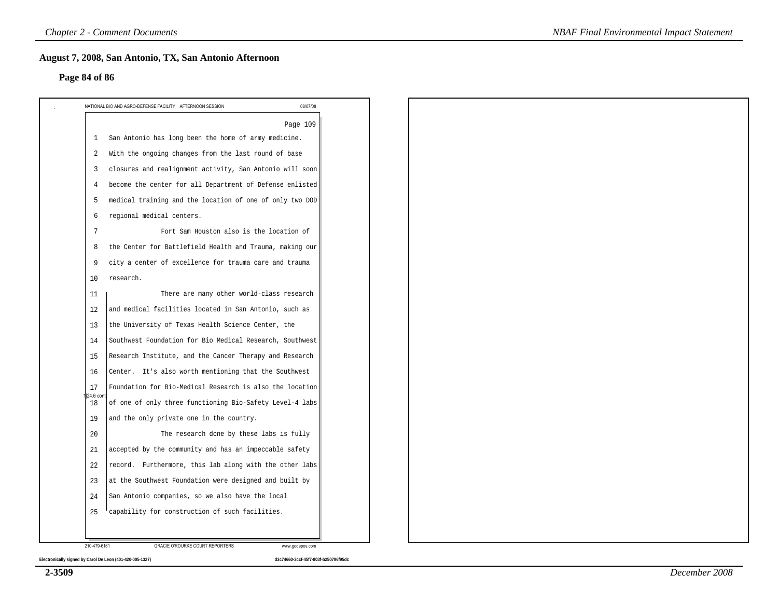#### **Page 84 of 86**

|                | Page 109                                                 |  |  |  |
|----------------|----------------------------------------------------------|--|--|--|
| 1              | San Antonio has long been the home of army medicine.     |  |  |  |
| 2              | With the ongoing changes from the last round of base     |  |  |  |
| 3              | closures and realignment activity, San Antonio will soon |  |  |  |
| 4              | become the center for all Department of Defense enlisted |  |  |  |
| 5              | medical training and the location of one of only two DOD |  |  |  |
| 6              | regional medical centers.                                |  |  |  |
| 7              | Fort Sam Houston also is the location of                 |  |  |  |
| 8              | the Center for Battlefield Health and Trauma, making our |  |  |  |
| 9              | city a center of excellence for trauma care and trauma   |  |  |  |
| 10             | research.                                                |  |  |  |
| 11             | There are many other world-class research                |  |  |  |
| 12             | and medical facilities located in San Antonio, such as   |  |  |  |
| 13             | the University of Texas Health Science Center, the       |  |  |  |
| 14             | Southwest Foundation for Bio Medical Research, Southwest |  |  |  |
| 15             | Research Institute, and the Cancer Therapy and Research  |  |  |  |
| 16             | Center. It's also worth mentioning that the Southwest    |  |  |  |
| 17<br>24.6 con | Foundation for Bio-Medical Research is also the location |  |  |  |
| 18             | of one of only three functioning Bio-Safety Level-4 labs |  |  |  |
| 19             | and the only private one in the country.                 |  |  |  |
| 20             | The research done by these labs is fully                 |  |  |  |
| 21             | accepted by the community and has an impeccable safety   |  |  |  |
| 22             | record. Furthermore, this lab along with the other labs  |  |  |  |
| 23             | at the Southwest Foundation were designed and built by   |  |  |  |
| 24             | San Antonio companies, so we also have the local         |  |  |  |
| 25             | capability for construction of such facilities.          |  |  |  |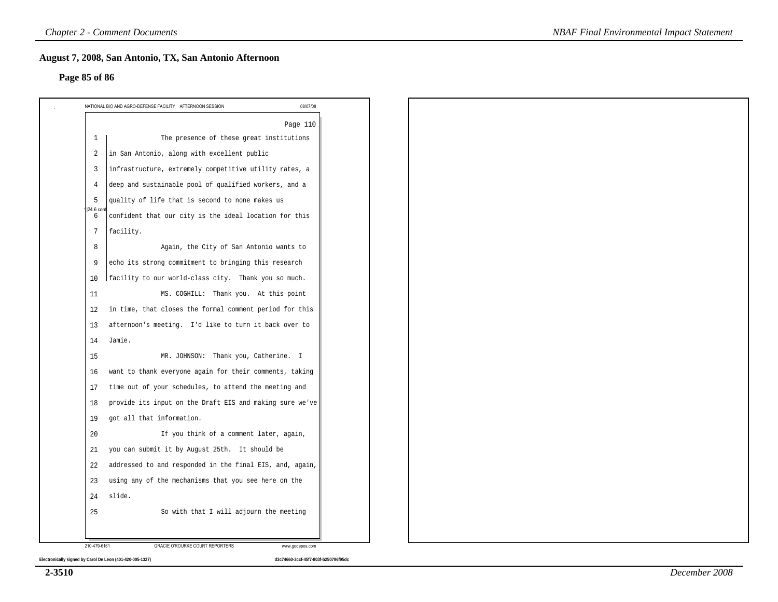#### **Page 85 of 86**

|                 | NATIONAL BIO AND AGRO-DEFENSE FACILITY AFTERNOON SESSION<br>08/07/08 |
|-----------------|----------------------------------------------------------------------|
|                 | Page 110                                                             |
| $\mathbf{1}$    | The presence of these great institutions                             |
| 2               | in San Antonio, along with excellent public                          |
| $\overline{3}$  | infrastructure, extremely competitive utility rates, a               |
| 4               | deep and sustainable pool of qualified workers, and a                |
| 5               | quality of life that is second to none makes us                      |
| 24.6 cor<br>6   | confident that our city is the ideal location for this               |
| $7\phantom{.0}$ | facility.                                                            |
| 8               | Again, the City of San Antonio wants to                              |
| 9               | echo its strong commitment to bringing this research                 |
| 10              | facility to our world-class city. Thank you so much.                 |
| 11              | MS. COGHILL: Thank you. At this point                                |
| 12              | in time, that closes the formal comment period for this              |
| 13              | afternoon's meeting. I'd like to turn it back over to                |
| 14              | Jamie.                                                               |
| 15              | MR. JOHNSON: Thank you, Catherine. I                                 |
| 16              | want to thank everyone again for their comments, taking              |
| 17              | time out of your schedules, to attend the meeting and                |
| 18              | provide its input on the Draft EIS and making sure we've             |
| 19              | got all that information.                                            |
| 20              | If you think of a comment later, again,                              |
| 21              | you can submit it by August 25th. It should be                       |
| 22              | addressed to and responded in the final EIS, and, again,             |
| 23              | using any of the mechanisms that you see here on the                 |
| 24              | slide.                                                               |
| 25              | So with that I will adjourn the meeting                              |
|                 |                                                                      |
| 210-479-6161    | GRACIE O'ROURKE COURT REPORTERS<br>www.godepos.com                   |